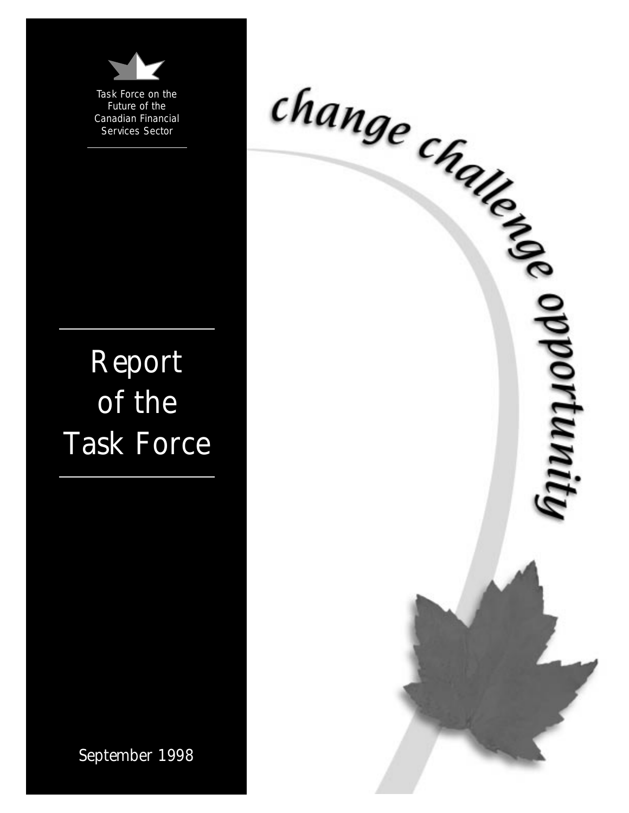

Task Force on the Future of the Canadian Financial Services Sector

# Report of the Task Force



September 1998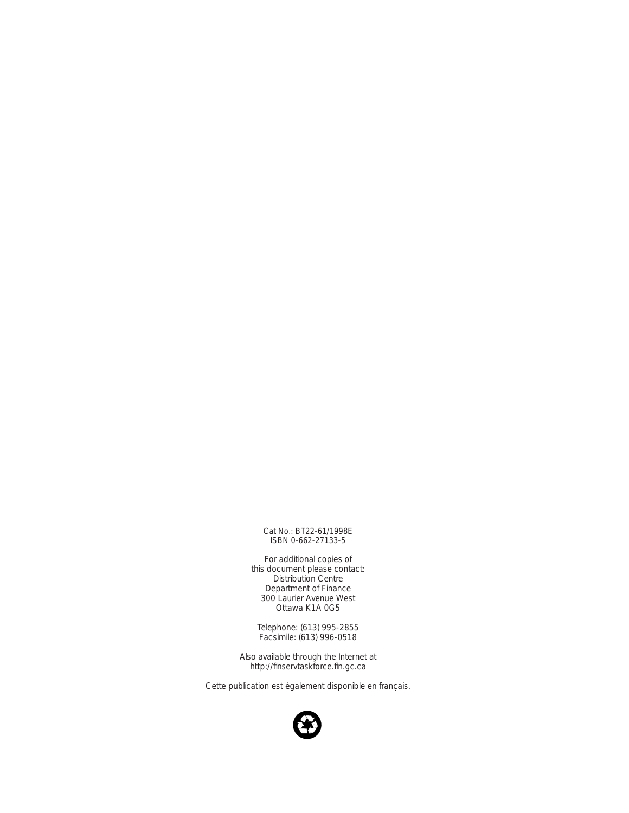Cat No.: BT22-61/1998E ISBN 0-662-27133-5

For additional copies of this document please contact: Distribution Centre Department of Finance 300 Laurier Avenue West Ottawa K1A 0G5

Telephone: (613) 995-2855 Facsimile: (613) 996-0518

Also available through the Internet at http://finservtaskforce.fin.gc.ca

*Cette publication est également disponible en français.*

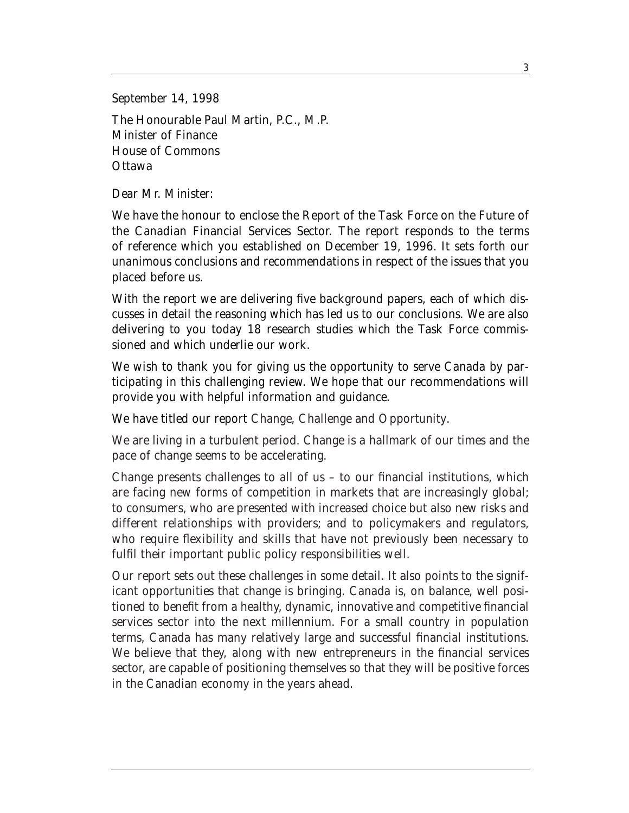September 14, 1998 The Honourable Paul Martin, P.C., M.P. Minister of Finance House of Commons **Ottawa** 

Dear Mr. Minister:

We have the honour to enclose the Report of the Task Force on the Future of the Canadian Financial Services Sector. The report responds to the terms of reference which you established on December 19, 1996. It sets forth our unanimous conclusions and recommendations in respect of the issues that you placed before us.

With the report we are delivering five background papers, each of which discusses in detail the reasoning which has led us to our conclusions. We are also delivering to you today 18 research studies which the Task Force commissioned and which underlie our work.

We wish to thank you for giving us the opportunity to serve Canada by participating in this challenging review. We hope that our recommendations will provide you with helpful information and guidance.

We have titled our report *Change, Challenge and Opportunity*.

We are living in a turbulent period. Change is a hallmark of our times and the pace of change seems to be accelerating.

Change presents challenges to all of us – to our financial institutions, which are facing new forms of competition in markets that are increasingly global; to consumers, who are presented with increased choice but also new risks and different relationships with providers; and to policymakers and regulators, who require flexibility and skills that have not previously been necessary to fulfil their important public policy responsibilities well.

Our report sets out these challenges in some detail. It also points to the significant opportunities that change is bringing. Canada is, on balance, well positioned to benefit from a healthy, dynamic, innovative and competitive financial services sector into the next millennium. For a small country in population terms, Canada has many relatively large and successful financial institutions. We believe that they, along with new entrepreneurs in the financial services sector, are capable of positioning themselves so that they will be positive forces in the Canadian economy in the years ahead.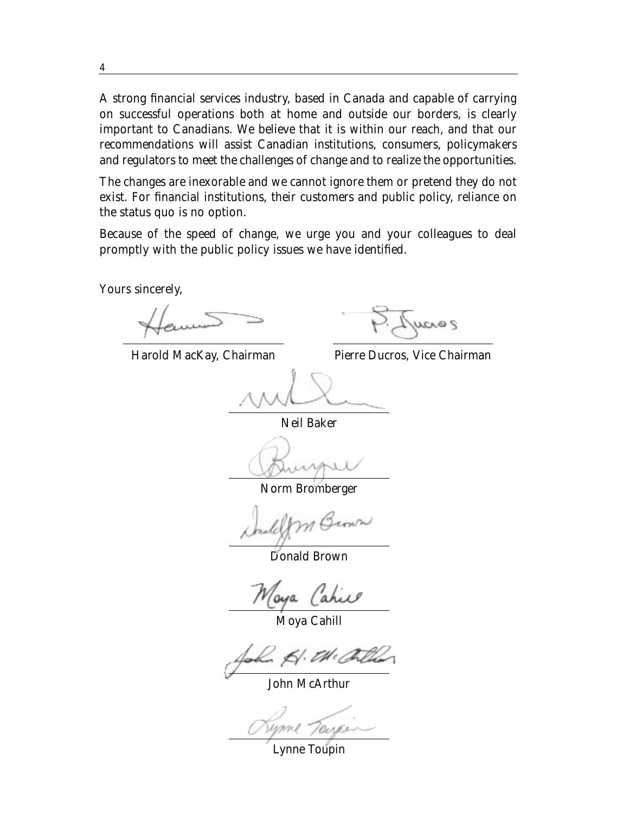A strong financial services industry, based in Canada and capable of carrying on successful operations both at home and outside our borders, is clearly important to Canadians. We believe that it is within our reach, and that our recommendations will assist Canadian institutions, consumers, policymakers and regulators to meet the challenges of change and to realize the opportunities.

The changes are inexorable and we cannot ignore them or pretend they do not exist. For financial institutions, their customers and public policy, reliance on the status quo is no option.

Because of the speed of change, we urge you and your colleagues to deal promptly with the public policy issues we have identified.

Yours sincerely,

Harold MacKay, Chairman

 $200$ 

Pierre Ducros, Vice Chairman

Neil Baker

Norm Bromberger

Donald Brown

Maya Cahie

Moya Cahill



John McArthur

Lynne Toupin

4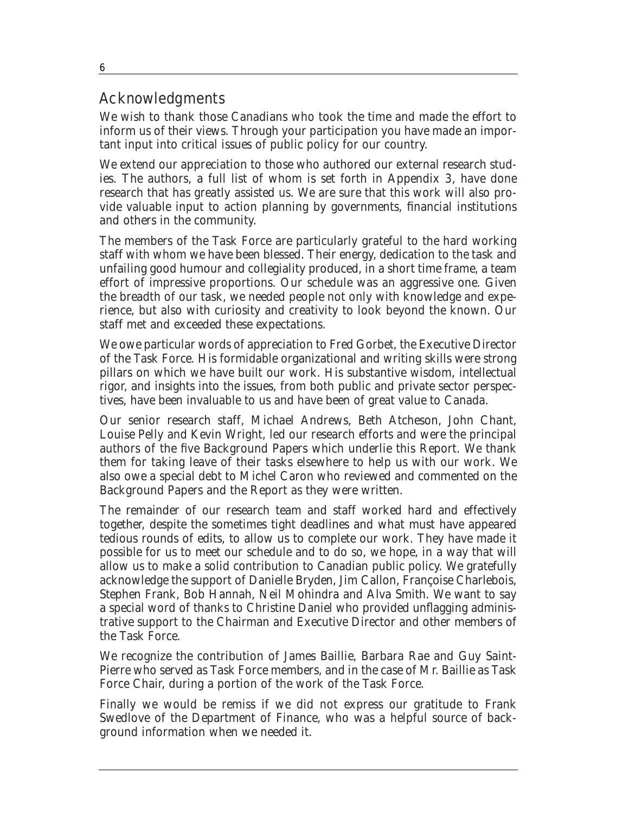## Acknowledgments

We wish to thank those Canadians who took the time and made the effort to inform us of their views. Through your participation you have made an important input into critical issues of public policy for our country.

We extend our appreciation to those who authored our external research studies. The authors, a full list of whom is set forth in Appendix 3, have done research that has greatly assisted us. We are sure that this work will also provide valuable input to action planning by governments, financial institutions and others in the community.

The members of the Task Force are particularly grateful to the hard working staff with whom we have been blessed. Their energy, dedication to the task and unfailing good humour and collegiality produced, in a short time frame, a team effort of impressive proportions. Our schedule was an aggressive one. Given the breadth of our task, we needed people not only with knowledge and experience, but also with curiosity and creativity to look beyond the known. Our staff met and exceeded these expectations.

We owe particular words of appreciation to Fred Gorbet, the Executive Director of the Task Force. His formidable organizational and writing skills were strong pillars on which we have built our work. His substantive wisdom, intellectual rigor, and insights into the issues, from both public and private sector perspectives, have been invaluable to us and have been of great value to Canada.

Our senior research staff, Michael Andrews, Beth Atcheson, John Chant, Louise Pelly and Kevin Wright, led our research efforts and were the principal authors of the five Background Papers which underlie this Report. We thank them for taking leave of their tasks elsewhere to help us with our work. We also owe a special debt to Michel Caron who reviewed and commented on the Background Papers and the Report as they were written.

The remainder of our research team and staff worked hard and effectively together, despite the sometimes tight deadlines and what must have appeared tedious rounds of edits, to allow us to complete our work. They have made it possible for us to meet our schedule and to do so, we hope, in a way that will allow us to make a solid contribution to Canadian public policy. We gratefully acknowledge the support of Danielle Bryden, Jim Callon, Françoise Charlebois, Stephen Frank, Bob Hannah, Neil Mohindra and Alva Smith. We want to say a special word of thanks to Christine Daniel who provided unflagging administrative support to the Chairman and Executive Director and other members of the Task Force.

We recognize the contribution of James Baillie, Barbara Rae and Guy Saint-Pierre who served as Task Force members, and in the case of Mr. Baillie as Task Force Chair, during a portion of the work of the Task Force.

Finally we would be remiss if we did not express our gratitude to Frank Swedlove of the Department of Finance, who was a helpful source of background information when we needed it.

6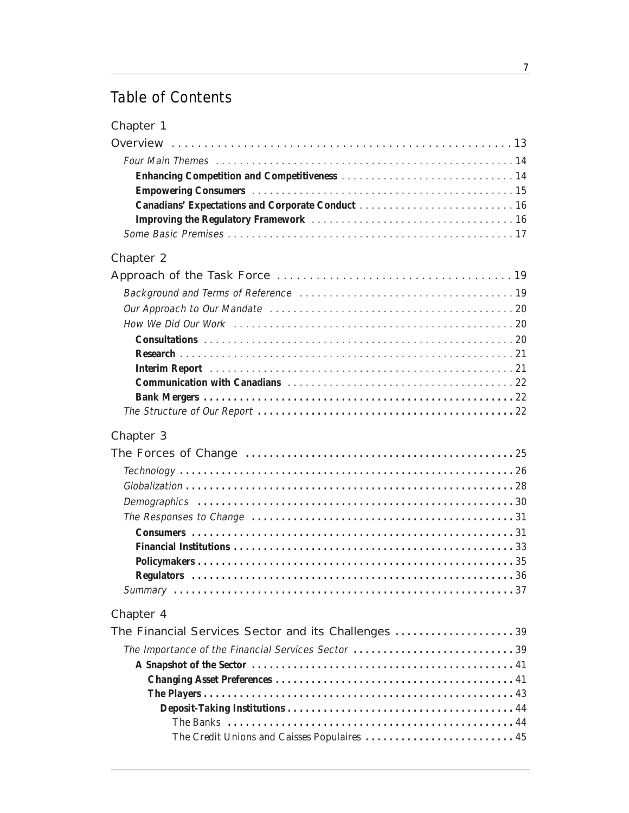## Table of Contents

| <b>Chapter 2</b>                        |
|-----------------------------------------|
|                                         |
|                                         |
|                                         |
|                                         |
|                                         |
|                                         |
|                                         |
|                                         |
|                                         |
|                                         |
| Chapter 3                               |
| The Feneral of Observe<br>$\sim$ $\sim$ |

| Chapter 3 |
|-----------|
|           |
|           |
|           |
|           |
|           |
|           |
|           |
|           |
|           |
|           |

#### Chapter 4

| The Financial Services Sector and its Challenges 39 |  |
|-----------------------------------------------------|--|
| The Importance of the Financial Services Sector 39  |  |
|                                                     |  |
|                                                     |  |
|                                                     |  |
|                                                     |  |
|                                                     |  |
|                                                     |  |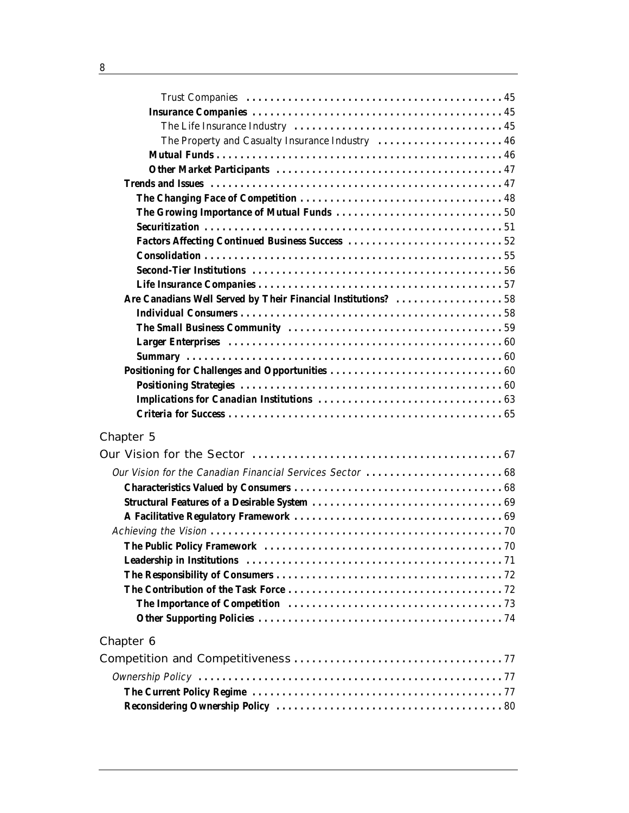| The Property and Casualty Insurance Industry  46              |
|---------------------------------------------------------------|
|                                                               |
|                                                               |
|                                                               |
|                                                               |
|                                                               |
|                                                               |
|                                                               |
|                                                               |
|                                                               |
|                                                               |
| Are Canadians Well Served by Their Financial Institutions? 58 |
|                                                               |
|                                                               |
|                                                               |
|                                                               |
|                                                               |
|                                                               |
|                                                               |
|                                                               |
| <b>Chapter 5</b>                                              |
|                                                               |
|                                                               |
|                                                               |
|                                                               |
|                                                               |
|                                                               |
|                                                               |
|                                                               |
|                                                               |
|                                                               |
|                                                               |
|                                                               |
| Chapter 6                                                     |
|                                                               |
|                                                               |
|                                                               |
|                                                               |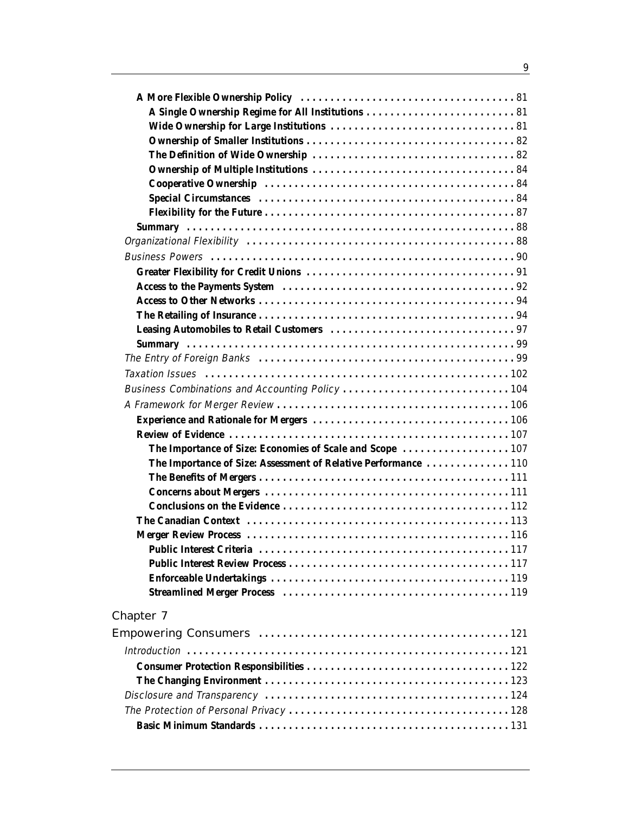| Business Combinations and Accounting Policy 104                 |  |
|-----------------------------------------------------------------|--|
|                                                                 |  |
|                                                                 |  |
|                                                                 |  |
|                                                                 |  |
| The Importance of Size: Assessment of Relative Performance  110 |  |
|                                                                 |  |
|                                                                 |  |
|                                                                 |  |
|                                                                 |  |
|                                                                 |  |
|                                                                 |  |
|                                                                 |  |
|                                                                 |  |
|                                                                 |  |
| Chapter 7                                                       |  |
|                                                                 |  |
|                                                                 |  |
|                                                                 |  |
|                                                                 |  |
|                                                                 |  |
|                                                                 |  |
|                                                                 |  |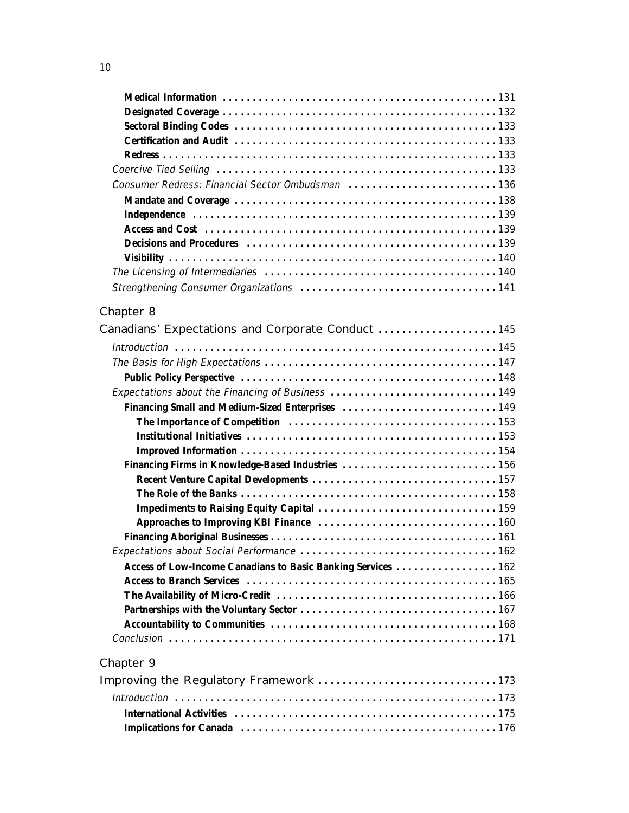| Decisions and Procedures (and according to the state of the state of the state of the state of the state of the state of the state of the state of the state of the state of the state of the state of the state of the state |  |
|-------------------------------------------------------------------------------------------------------------------------------------------------------------------------------------------------------------------------------|--|
|                                                                                                                                                                                                                               |  |
|                                                                                                                                                                                                                               |  |
|                                                                                                                                                                                                                               |  |

## Chapter 8

| Canadians' Expectations and Corporate Conduct  145            |  |
|---------------------------------------------------------------|--|
|                                                               |  |
|                                                               |  |
|                                                               |  |
|                                                               |  |
|                                                               |  |
|                                                               |  |
|                                                               |  |
|                                                               |  |
| Financing Firms in Knowledge-Based Industries  156            |  |
|                                                               |  |
|                                                               |  |
|                                                               |  |
|                                                               |  |
|                                                               |  |
|                                                               |  |
| Access of Low-Income Canadians to Basic Banking Services  162 |  |
|                                                               |  |
|                                                               |  |
|                                                               |  |
|                                                               |  |
|                                                               |  |
| <b>Chapter 9</b>                                              |  |
| Improving the Regulatory Framework 173                        |  |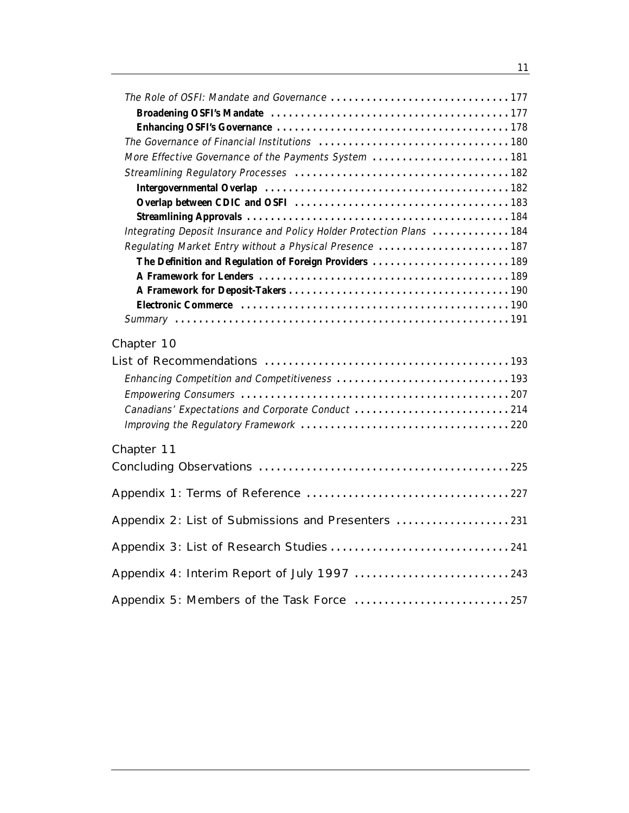| More Effective Governance of the Payments System  181                 |  |
|-----------------------------------------------------------------------|--|
|                                                                       |  |
|                                                                       |  |
|                                                                       |  |
|                                                                       |  |
| Integrating Deposit Insurance and Policy Holder Protection Plans  184 |  |
| Regulating Market Entry without a Physical Presence  187              |  |
| The Definition and Regulation of Foreign Providers  189               |  |
|                                                                       |  |
|                                                                       |  |
|                                                                       |  |
|                                                                       |  |
| Chapter 10                                                            |  |
|                                                                       |  |
|                                                                       |  |
|                                                                       |  |
| Canadians' Expectations and Corporate Conduct 214                     |  |
|                                                                       |  |
| Chapter 11                                                            |  |
|                                                                       |  |
|                                                                       |  |
|                                                                       |  |
| Appendix 2: List of Submissions and Presenters  231                   |  |
|                                                                       |  |
|                                                                       |  |
| Appendix 4: Interim Report of July 1997 243                           |  |
|                                                                       |  |

11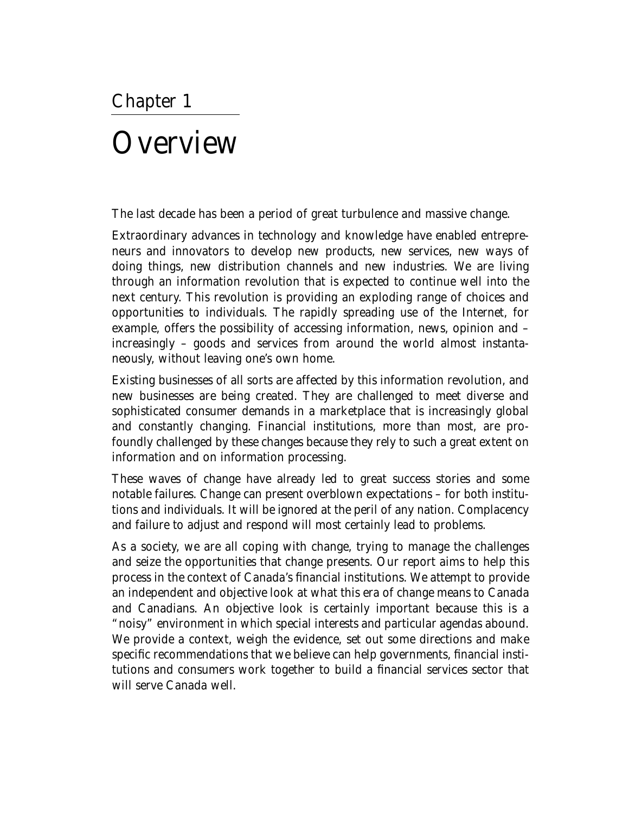## **Overview**

The last decade has been a period of great turbulence and massive change.

Extraordinary advances in technology and knowledge have enabled entrepreneurs and innovators to develop new products, new services, new ways of doing things, new distribution channels and new industries. We are living through an information revolution that is expected to continue well into the next century. This revolution is providing an exploding range of choices and opportunities to individuals. The rapidly spreading use of the Internet, for example, offers the possibility of accessing information, news, opinion and – increasingly – goods and services from around the world almost instantaneously, without leaving one's own home.

Existing businesses of all sorts are affected by this information revolution, and new businesses are being created. They are challenged to meet diverse and sophisticated consumer demands in a marketplace that is increasingly global and constantly changing. Financial institutions, more than most, are profoundly challenged by these changes because they rely to such a great extent on information and on information processing.

These waves of change have already led to great success stories and some notable failures. Change can present overblown expectations – for both institutions and individuals. It will be ignored at the peril of any nation. Complacency and failure to adjust and respond will most certainly lead to problems.

As a society, we are all coping with change, trying to manage the challenges and seize the opportunities that change presents. Our report aims to help this process in the context of Canada's financial institutions. We attempt to provide an independent and objective look at what this era of change means to Canada and Canadians. An objective look is certainly important because this is a "noisy" environment in which special interests and particular agendas abound. We provide a context, weigh the evidence, set out some directions and make specific recommendations that we believe can help governments, financial institutions and consumers work together to build a financial services sector that will serve Canada well.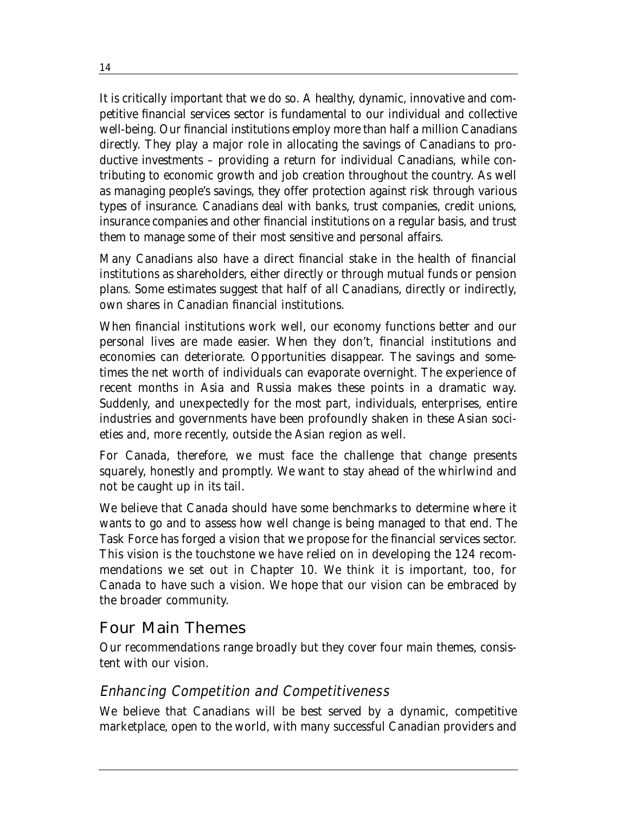It is critically important that we do so. A healthy, dynamic, innovative and competitive financial services sector is fundamental to our individual and collective well-being. Our financial institutions employ more than half a million Canadians directly. They play a major role in allocating the savings of Canadians to productive investments – providing a return for individual Canadians, while contributing to economic growth and job creation throughout the country. As well as managing people's savings, they offer protection against risk through various types of insurance. Canadians deal with banks, trust companies, credit unions, insurance companies and other financial institutions on a regular basis, and trust them to manage some of their most sensitive and personal affairs.

Many Canadians also have a direct financial stake in the health of financial institutions as shareholders, either directly or through mutual funds or pension plans. Some estimates suggest that half of all Canadians, directly or indirectly, own shares in Canadian financial institutions.

When financial institutions work well, our economy functions better and our personal lives are made easier. When they don't, financial institutions and economies can deteriorate. Opportunities disappear. The savings and sometimes the net worth of individuals can evaporate overnight. The experience of recent months in Asia and Russia makes these points in a dramatic way. Suddenly, and unexpectedly for the most part, individuals, enterprises, entire industries and governments have been profoundly shaken in these Asian societies and, more recently, outside the Asian region as well.

For Canada, therefore, we must face the challenge that change presents squarely, honestly and promptly. We want to stay ahead of the whirlwind and not be caught up in its tail.

We believe that Canada should have some benchmarks to determine where it wants to go and to assess how well change is being managed to that end. The Task Force has forged a vision that we propose for the financial services sector. This vision is the touchstone we have relied on in developing the 124 recommendations we set out in Chapter 10. We think it is important, too, for Canada to have such a vision. We hope that our vision can be embraced by the broader community.

#### Four Main Themes

Our recommendations range broadly but they cover four main themes, consistent with our vision.

#### Enhancing Competition and Competitiveness

We believe that Canadians will be best served by a dynamic, competitive marketplace, open to the world, with many successful Canadian providers and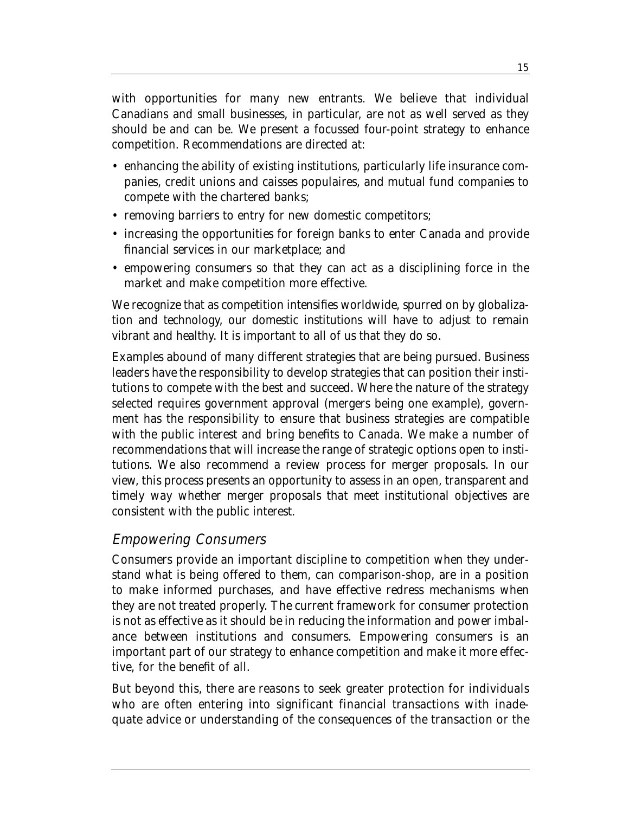with opportunities for many new entrants. We believe that individual Canadians and small businesses, in particular, are not as well served as they should be and can be. We present a focussed four-point strategy to enhance competition. Recommendations are directed at:

- enhancing the ability of existing institutions, particularly life insurance companies, credit unions and caisses populaires, and mutual fund companies to compete with the chartered banks;
- removing barriers to entry for new domestic competitors;
- increasing the opportunities for foreign banks to enter Canada and provide financial services in our marketplace; and
- empowering consumers so that they can act as a disciplining force in the market and make competition more effective.

We recognize that as competition intensifies worldwide, spurred on by globalization and technology, our domestic institutions will have to adjust to remain vibrant and healthy. It is important to all of us that they do so.

Examples abound of many different strategies that are being pursued. Business leaders have the responsibility to develop strategies that can position their institutions to compete with the best and succeed. Where the nature of the strategy selected requires government approval (mergers being one example), government has the responsibility to ensure that business strategies are compatible with the public interest and bring benefits to Canada. We make a number of recommendations that will increase the range of strategic options open to institutions. We also recommend a review process for merger proposals. In our view, this process presents an opportunity to assess in an open, transparent and timely way whether merger proposals that meet institutional objectives are consistent with the public interest.

#### Empowering Consumers

Consumers provide an important discipline to competition when they understand what is being offered to them, can comparison-shop, are in a position to make informed purchases, and have effective redress mechanisms when they are not treated properly. The current framework for consumer protection is not as effective as it should be in reducing the information and power imbalance between institutions and consumers. Empowering consumers is an important part of our strategy to enhance competition and make it more effective, for the benefit of all.

But beyond this, there are reasons to seek greater protection for individuals who are often entering into significant financial transactions with inadequate advice or understanding of the consequences of the transaction or the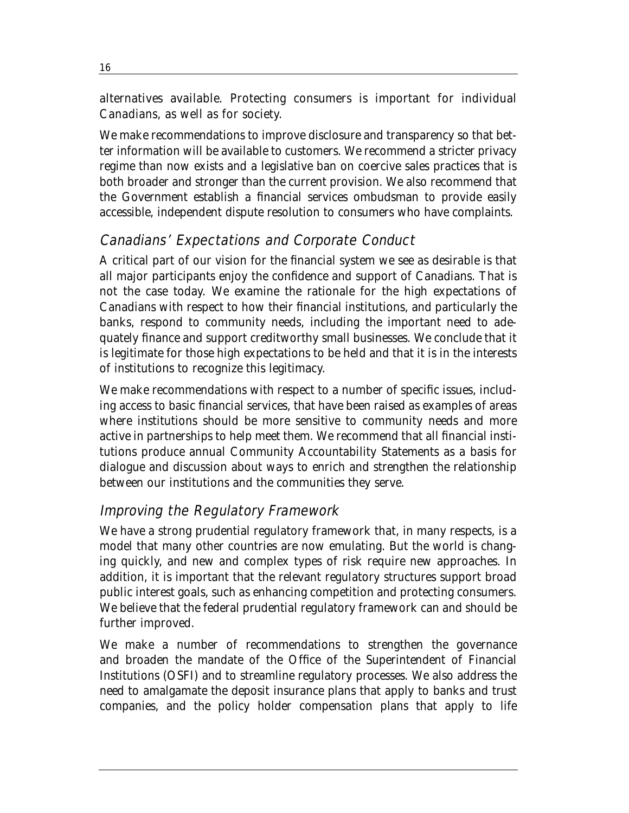alternatives available. Protecting consumers is important for individual Canadians, as well as for society.

We make recommendations to improve disclosure and transparency so that better information will be available to customers. We recommend a stricter privacy regime than now exists and a legislative ban on coercive sales practices that is both broader and stronger than the current provision. We also recommend that the Government establish a financial services ombudsman to provide easily accessible, independent dispute resolution to consumers who have complaints.

#### Canadians' Expectations and Corporate Conduct

A critical part of our vision for the financial system we see as desirable is that all major participants enjoy the confidence and support of Canadians. That is not the case today. We examine the rationale for the high expectations of Canadians with respect to how their financial institutions, and particularly the banks, respond to community needs, including the important need to adequately finance and support creditworthy small businesses. We conclude that it is legitimate for those high expectations to be held and that it is in the interests of institutions to recognize this legitimacy.

We make recommendations with respect to a number of specific issues, including access to basic financial services, that have been raised as examples of areas where institutions should be more sensitive to community needs and more active in partnerships to help meet them. We recommend that all financial institutions produce annual Community Accountability Statements as a basis for dialogue and discussion about ways to enrich and strengthen the relationship between our institutions and the communities they serve.

## Improving the Regulatory Framework

We have a strong prudential regulatory framework that, in many respects, is a model that many other countries are now emulating. But the world is changing quickly, and new and complex types of risk require new approaches. In addition, it is important that the relevant regulatory structures support broad public interest goals, such as enhancing competition and protecting consumers. We believe that the federal prudential regulatory framework can and should be further improved.

We make a number of recommendations to strengthen the governance and broaden the mandate of the Office of the Superintendent of Financial Institutions (OSFI) and to streamline regulatory processes. We also address the need to amalgamate the deposit insurance plans that apply to banks and trust companies, and the policy holder compensation plans that apply to life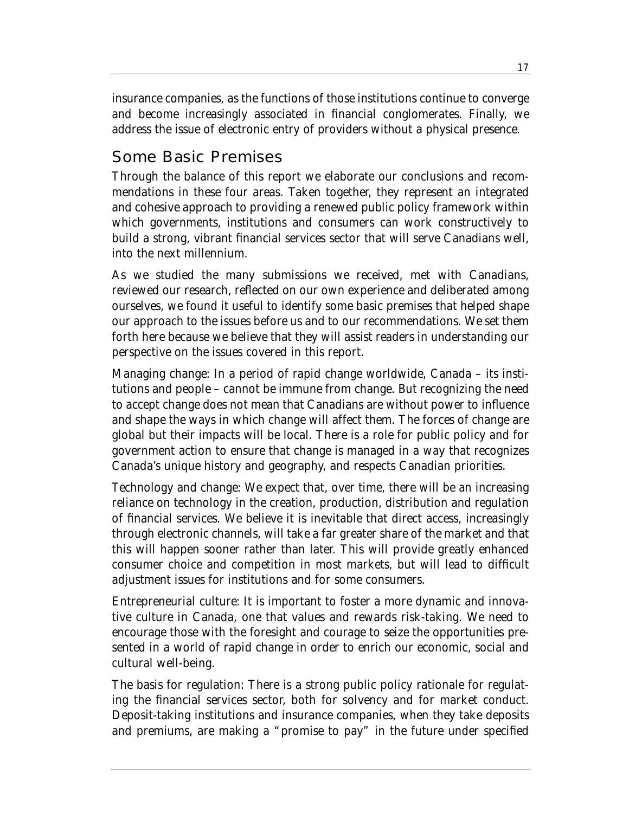insurance companies, as the functions of those institutions continue to converge and become increasingly associated in financial conglomerates. Finally, we address the issue of electronic entry of providers without a physical presence.

## Some Basic Premises

Through the balance of this report we elaborate our conclusions and recommendations in these four areas. Taken together, they represent an integrated and cohesive approach to providing a renewed public policy framework within which governments, institutions and consumers can work constructively to build a strong, vibrant financial services sector that will serve Canadians well, into the next millennium.

As we studied the many submissions we received, met with Canadians, reviewed our research, reflected on our own experience and deliberated among ourselves, we found it useful to identify some basic premises that helped shape our approach to the issues before us and to our recommendations. We set them forth here because we believe that they will assist readers in understanding our perspective on the issues covered in this report.

*Managing change*: In a period of rapid change worldwide, Canada – its institutions and people – cannot be immune from change. But recognizing the need to accept change does not mean that Canadians are without power to influence and shape the ways in which change will affect them. The forces of change are global but their impacts will be local. There is a role for public policy and for government action to ensure that change is managed in a way that recognizes Canada's unique history and geography, and respects Canadian priorities.

*Technology and change*: We expect that, over time, there will be an increasing reliance on technology in the creation, production, distribution and regulation of financial services. We believe it is inevitable that direct access, increasingly through electronic channels, will take a far greater share of the market and that this will happen sooner rather than later. This will provide greatly enhanced consumer choice and competition in most markets, but will lead to difficult adjustment issues for institutions and for some consumers.

*Entrepreneurial culture*: It is important to foster a more dynamic and innovative culture in Canada, one that values and rewards risk-taking. We need to encourage those with the foresight and courage to seize the opportunities presented in a world of rapid change in order to enrich our economic, social and cultural well-being.

*The basis for regulation*: There is a strong public policy rationale for regulating the financial services sector, both for solvency and for market conduct. Deposit-taking institutions and insurance companies, when they take deposits and premiums, are making a "promise to pay" in the future under specified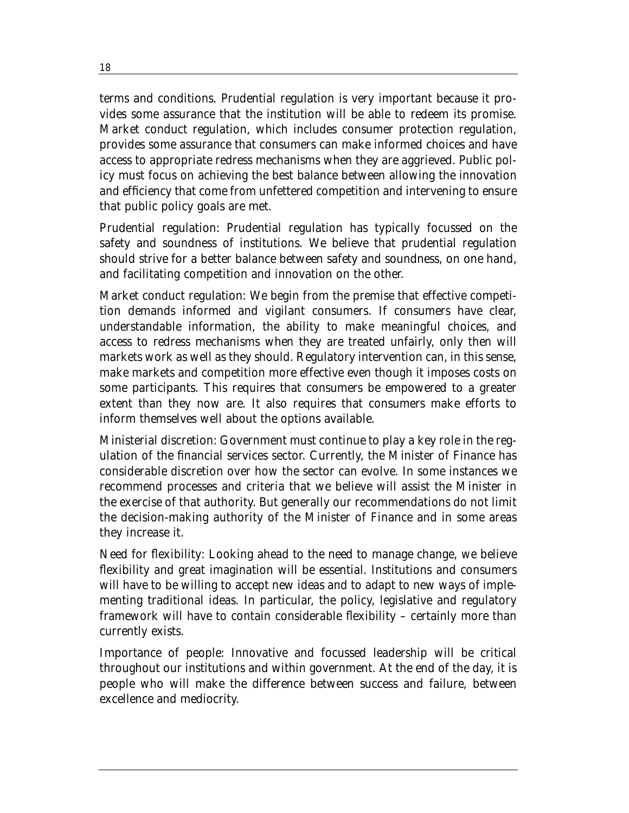terms and conditions. Prudential regulation is very important because it provides some assurance that the institution will be able to redeem its promise. Market conduct regulation, which includes consumer protection regulation, provides some assurance that consumers can make informed choices and have access to appropriate redress mechanisms when they are aggrieved. Public policy must focus on achieving the best balance between allowing the innovation and efficiency that come from unfettered competition and intervening to ensure that public policy goals are met.

*Prudential regulation*: Prudential regulation has typically focussed on the safety and soundness of institutions. We believe that prudential regulation should strive for a better balance between safety and soundness, on one hand, and facilitating competition and innovation on the other.

*Market conduct regulation*: We begin from the premise that effective competition demands informed and vigilant consumers. If consumers have clear, understandable information, the ability to make meaningful choices, and access to redress mechanisms when they are treated unfairly, only then will markets work as well as they should. Regulatory intervention can, in this sense, make markets and competition more effective even though it imposes costs on some participants. This requires that consumers be empowered to a greater extent than they now are. It also requires that consumers make efforts to inform themselves well about the options available.

*Ministerial discretion*: Government must continue to play a key role in the regulation of the financial services sector. Currently, the Minister of Finance has considerable discretion over how the sector can evolve. In some instances we recommend processes and criteria that we believe will assist the Minister in the exercise of that authority. But generally our recommendations do not limit the decision-making authority of the Minister of Finance and in some areas they increase it.

*Need for flexibility*: Looking ahead to the need to manage change, we believe flexibility and great imagination will be essential. Institutions and consumers will have to be willing to accept new ideas and to adapt to new ways of implementing traditional ideas. In particular, the policy, legislative and regulatory framework will have to contain considerable flexibility – certainly more than currently exists.

*Importance of people*: Innovative and focussed leadership will be critical throughout our institutions and within government. At the end of the day, it is people who will make the difference between success and failure, between excellence and mediocrity.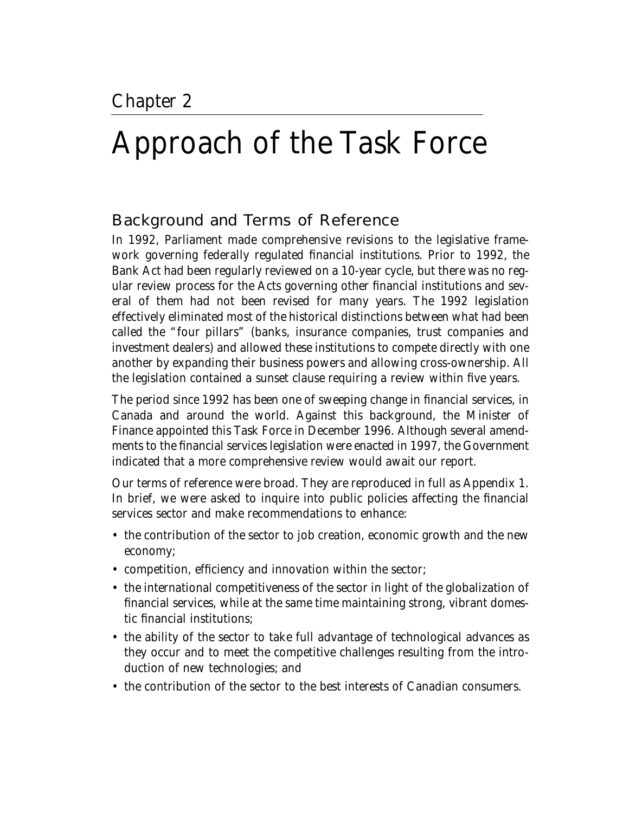## Approach of the Task Force

### Background and Terms of Reference

In 1992, Parliament made comprehensive revisions to the legislative framework governing federally regulated financial institutions. Prior to 1992, the Bank Act had been regularly reviewed on a 10-year cycle, but there was no regular review process for the Acts governing other financial institutions and several of them had not been revised for many years. The 1992 legislation effectively eliminated most of the historical distinctions between what had been called the "four pillars" (banks, insurance companies, trust companies and investment dealers) and allowed these institutions to compete directly with one another by expanding their business powers and allowing cross-ownership. All the legislation contained a sunset clause requiring a review within five years.

The period since 1992 has been one of sweeping change in financial services, in Canada and around the world. Against this background, the Minister of Finance appointed this Task Force in December 1996. Although several amendments to the financial services legislation were enacted in 1997, the Government indicated that a more comprehensive review would await our report.

Our terms of reference were broad. They are reproduced in full as Appendix 1. In brief, we were asked to inquire into public policies affecting the financial services sector and make recommendations to enhance:

- the contribution of the sector to job creation, economic growth and the new economy;
- competition, efficiency and innovation within the sector;
- the international competitiveness of the sector in light of the globalization of financial services, while at the same time maintaining strong, vibrant domestic financial institutions;
- the ability of the sector to take full advantage of technological advances as they occur and to meet the competitive challenges resulting from the introduction of new technologies; and
- the contribution of the sector to the best interests of Canadian consumers.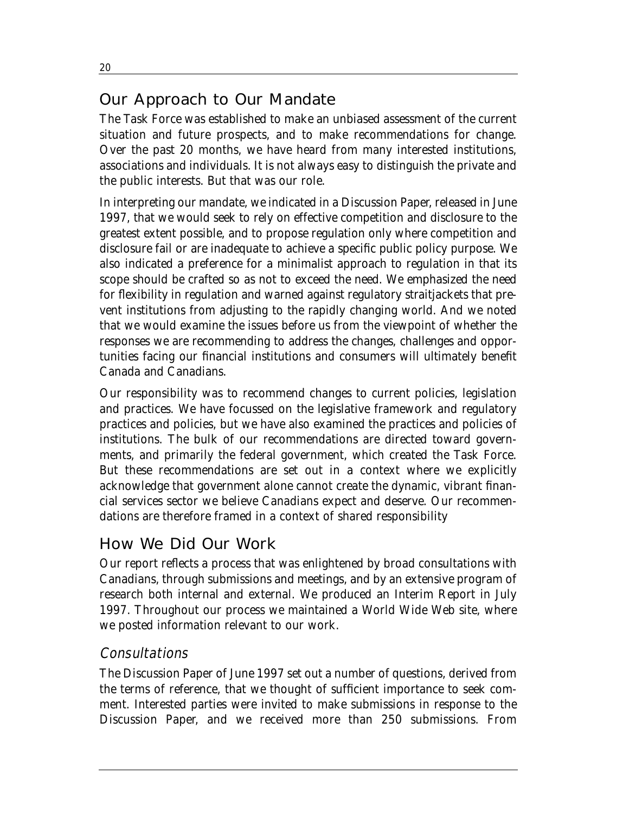## Our Approach to Our Mandate

The Task Force was established to make an unbiased assessment of the current situation and future prospects, and to make recommendations for change. Over the past 20 months, we have heard from many interested institutions, associations and individuals. It is not always easy to distinguish the private and the public interests. But that was our role.

In interpreting our mandate, we indicated in a Discussion Paper, released in June 1997, that we would seek to rely on effective competition and disclosure to the greatest extent possible, and to propose regulation only where competition and disclosure fail or are inadequate to achieve a specific public policy purpose. We also indicated a preference for a minimalist approach to regulation in that its scope should be crafted so as not to exceed the need. We emphasized the need for flexibility in regulation and warned against regulatory straitjackets that prevent institutions from adjusting to the rapidly changing world. And we noted that we would examine the issues before us from the viewpoint of whether the responses we are recommending to address the changes, challenges and opportunities facing our financial institutions and consumers will ultimately benefit Canada and Canadians.

Our responsibility was to recommend changes to current policies, legislation and practices. We have focussed on the legislative framework and regulatory practices and policies, but we have also examined the practices and policies of institutions. The bulk of our recommendations are directed toward governments, and primarily the federal government, which created the Task Force. But these recommendations are set out in a context where we explicitly acknowledge that government alone cannot create the dynamic, vibrant financial services sector we believe Canadians expect and deserve. Our recommendations are therefore framed in a context of shared responsibility

## How We Did Our Work

Our report reflects a process that was enlightened by broad consultations with Canadians, through submissions and meetings, and by an extensive program of research both internal and external. We produced an Interim Report in July 1997. Throughout our process we maintained a World Wide Web site, where we posted information relevant to our work.

## **Consultations**

The Discussion Paper of June 1997 set out a number of questions, derived from the terms of reference, that we thought of sufficient importance to seek comment. Interested parties were invited to make submissions in response to the Discussion Paper, and we received more than 250 submissions. From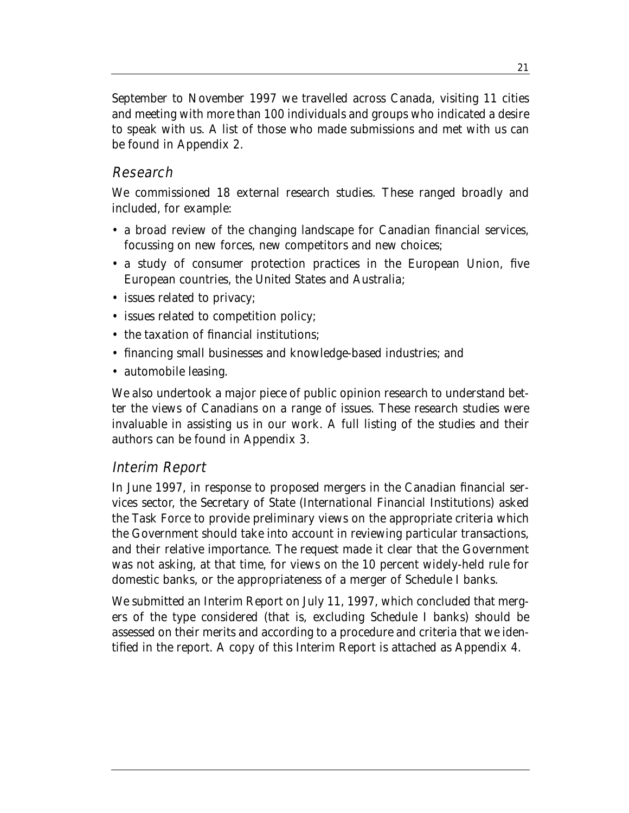September to November 1997 we travelled across Canada, visiting 11 cities and meeting with more than 100 individuals and groups who indicated a desire to speak with us. A list of those who made submissions and met with us can be found in Appendix 2.

#### Research

We commissioned 18 external research studies. These ranged broadly and included, for example:

- a broad review of the changing landscape for Canadian financial services, focussing on new forces, new competitors and new choices;
- a study of consumer protection practices in the European Union, five European countries, the United States and Australia;
- issues related to privacy;
- issues related to competition policy;
- the taxation of financial institutions;
- financing small businesses and knowledge-based industries; and
- automobile leasing.

We also undertook a major piece of public opinion research to understand better the views of Canadians on a range of issues. These research studies were invaluable in assisting us in our work. A full listing of the studies and their authors can be found in Appendix 3.

#### Interim Report

In June 1997, in response to proposed mergers in the Canadian financial services sector, the Secretary of State (International Financial Institutions) asked the Task Force to provide preliminary views on the appropriate criteria which the Government should take into account in reviewing particular transactions, and their relative importance. The request made it clear that the Government was not asking, at that time, for views on the 10 percent widely-held rule for domestic banks, or the appropriateness of a merger of Schedule I banks.

We submitted an Interim Report on July 11, 1997, which concluded that mergers of the type considered (that is, excluding Schedule I banks) should be assessed on their merits and according to a procedure and criteria that we identified in the report. A copy of this Interim Report is attached as Appendix 4.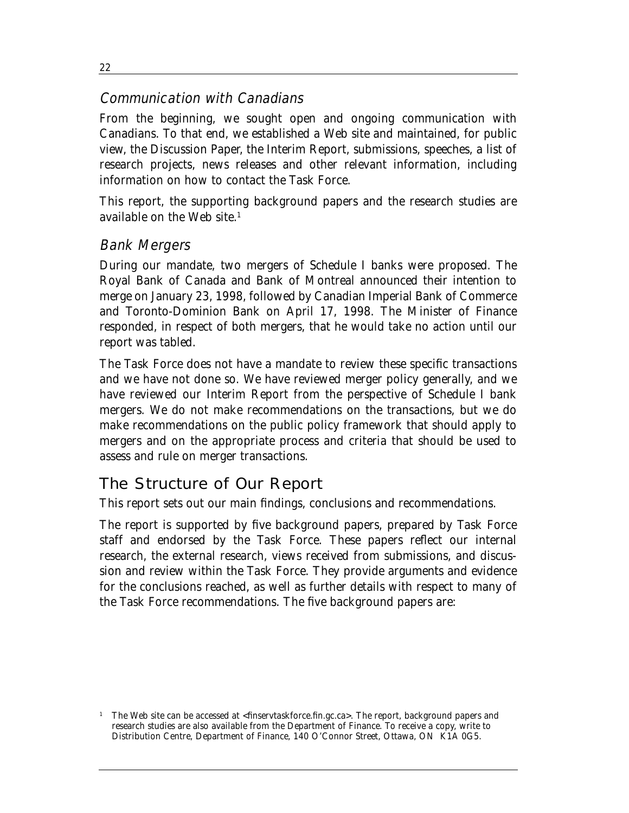#### Communication with Canadians

From the beginning, we sought open and ongoing communication with Canadians. To that end, we established a Web site and maintained, for public view, the Discussion Paper, the Interim Report, submissions, speeches, a list of research projects, news releases and other relevant information, including information on how to contact the Task Force.

This report, the supporting background papers and the research studies are available on the Web site.1

#### Bank Mergers

During our mandate, two mergers of Schedule I banks were proposed. The Royal Bank of Canada and Bank of Montreal announced their intention to merge on January 23, 1998, followed by Canadian Imperial Bank of Commerce and Toronto-Dominion Bank on April 17, 1998. The Minister of Finance responded, in respect of both mergers, that he would take no action until our report was tabled.

The Task Force does not have a mandate to review these specific transactions and we have not done so. We have reviewed merger policy generally, and we have reviewed our Interim Report from the perspective of Schedule I bank mergers. We do not make recommendations on the transactions, but we do make recommendations on the public policy framework that should apply to mergers and on the appropriate process and criteria that should be used to assess and rule on merger transactions.

## The Structure of Our Report

This report sets out our main findings, conclusions and recommendations.

The report is supported by five background papers, prepared by Task Force staff and endorsed by the Task Force. These papers reflect our internal research, the external research, views received from submissions, and discussion and review within the Task Force. They provide arguments and evidence for the conclusions reached, as well as further details with respect to many of the Task Force recommendations. The five background papers are:

22

<sup>1</sup> The Web site can be accessed at <finservtaskforce.fin.gc.ca>. The report, background papers and research studies are also available from the Department of Finance. To receive a copy, write to Distribution Centre, Department of Finance, 140 O'Connor Street, Ottawa, ON K1A 0G5.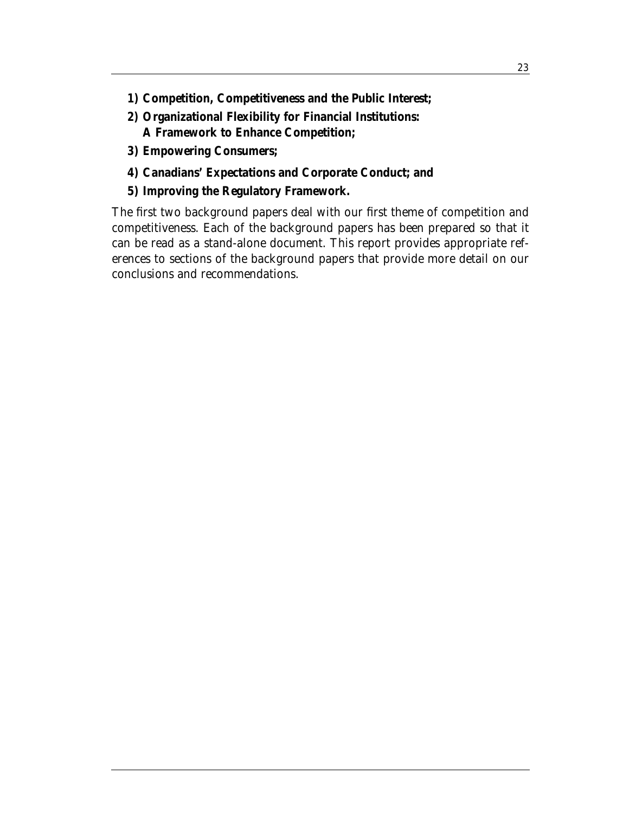- **1) Competition, Competitiveness and the Public Interest;**
- **2) Organizational Flexibility for Financial Institutions: A Framework to Enhance Competition;**
- **3) Empowering Consumers;**
- **4) Canadians' Expectations and Corporate Conduct; and**
- **5) Improving the Regulatory Framework.**

The first two background papers deal with our first theme of competition and competitiveness. Each of the background papers has been prepared so that it can be read as a stand-alone document. This report provides appropriate references to sections of the background papers that provide more detail on our conclusions and recommendations.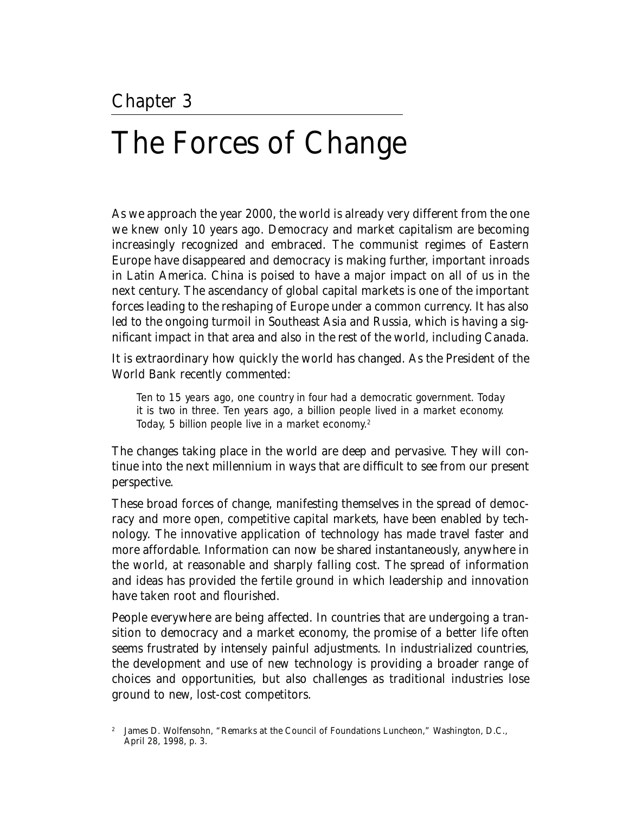## The Forces of Change

As we approach the year 2000, the world is already very different from the one we knew only 10 years ago. Democracy and market capitalism are becoming increasingly recognized and embraced. The communist regimes of Eastern Europe have disappeared and democracy is making further, important inroads in Latin America. China is poised to have a major impact on all of us in the next century. The ascendancy of global capital markets is one of the important forces leading to the reshaping of Europe under a common currency. It has also led to the ongoing turmoil in Southeast Asia and Russia, which is having a significant impact in that area and also in the rest of the world, including Canada.

It is extraordinary how quickly the world has changed. As the President of the World Bank recently commented:

Ten to 15 years ago, one country in four had a democratic government. Today it is two in three. Ten years ago, a billion people lived in a market economy. Today, 5 billion people live in a market economy.2

The changes taking place in the world are deep and pervasive. They will continue into the next millennium in ways that are difficult to see from our present perspective.

These broad forces of change, manifesting themselves in the spread of democracy and more open, competitive capital markets, have been enabled by technology. The innovative application of technology has made travel faster and more affordable. Information can now be shared instantaneously, anywhere in the world, at reasonable and sharply falling cost. The spread of information and ideas has provided the fertile ground in which leadership and innovation have taken root and flourished.

People everywhere are being affected. In countries that are undergoing a transition to democracy and a market economy, the promise of a better life often seems frustrated by intensely painful adjustments. In industrialized countries, the development and use of new technology is providing a broader range of choices and opportunities, but also challenges as traditional industries lose ground to new, lost-cost competitors.

<sup>&</sup>lt;sup>2</sup> James D. Wolfensohn, "Remarks at the Council of Foundations Luncheon," Washington, D.C., April 28, 1998, p. 3.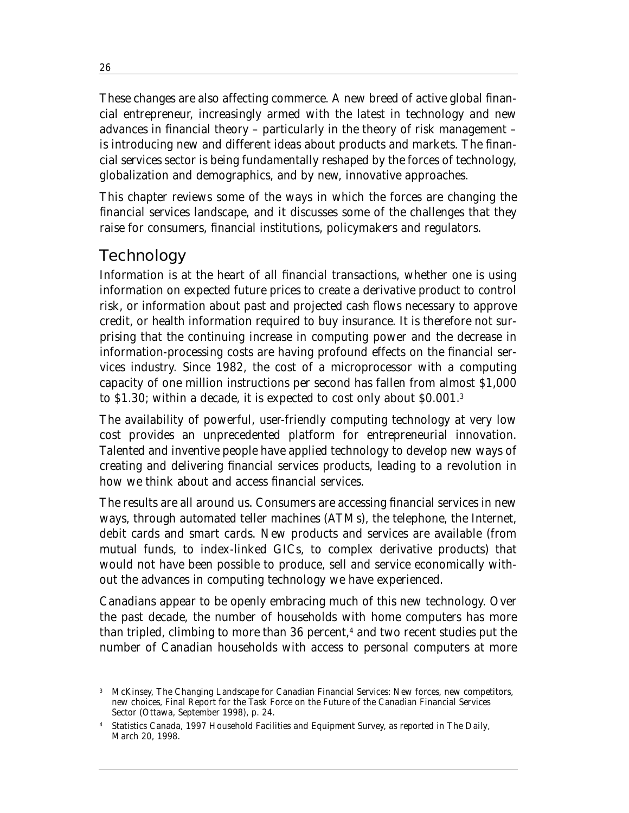These changes are also affecting commerce. A new breed of active global financial entrepreneur, increasingly armed with the latest in technology and new advances in financial theory – particularly in the theory of risk management – is introducing new and different ideas about products and markets. The financial services sector is being fundamentally reshaped by the forces of technology, globalization and demographics, and by new, innovative approaches.

This chapter reviews some of the ways in which the forces are changing the financial services landscape, and it discusses some of the challenges that they raise for consumers, financial institutions, policymakers and regulators.

## **Technology**

Information is at the heart of all financial transactions, whether one is using information on expected future prices to create a derivative product to control risk, or information about past and projected cash flows necessary to approve credit, or health information required to buy insurance. It is therefore not surprising that the continuing increase in computing power and the decrease in information-processing costs are having profound effects on the financial services industry. Since 1982, the cost of a microprocessor with a computing capacity of one million instructions per second has fallen from almost \$1,000 to \$1.30; within a decade, it is expected to cost only about \$0.001.3

The availability of powerful, user-friendly computing technology at very low cost provides an unprecedented platform for entrepreneurial innovation. Talented and inventive people have applied technology to develop new ways of creating and delivering financial services products, leading to a revolution in how we think about and access financial services.

The results are all around us. Consumers are accessing financial services in new ways, through automated teller machines (ATMs), the telephone, the Internet, debit cards and smart cards. New products and services are available (from mutual funds, to index-linked GICs, to complex derivative products) that would not have been possible to produce, sell and service economically without the advances in computing technology we have experienced.

Canadians appear to be openly embracing much of this new technology. Over the past decade, the number of households with home computers has more than tripled, climbing to more than  $36$  percent,<sup>4</sup> and two recent studies put the number of Canadian households with access to personal computers at more

<sup>3</sup> McKinsey, *The Changing Landscape for Canadian Financial Services: New forces, new competitors, new choices*, Final Report for the Task Force on the Future of the Canadian Financial Services Sector (Ottawa, September 1998), p. 24.

<sup>4</sup> Statistics Canada, 1997 Household Facilities and Equipment Survey, as reported in *The Daily*, March 20, 1998.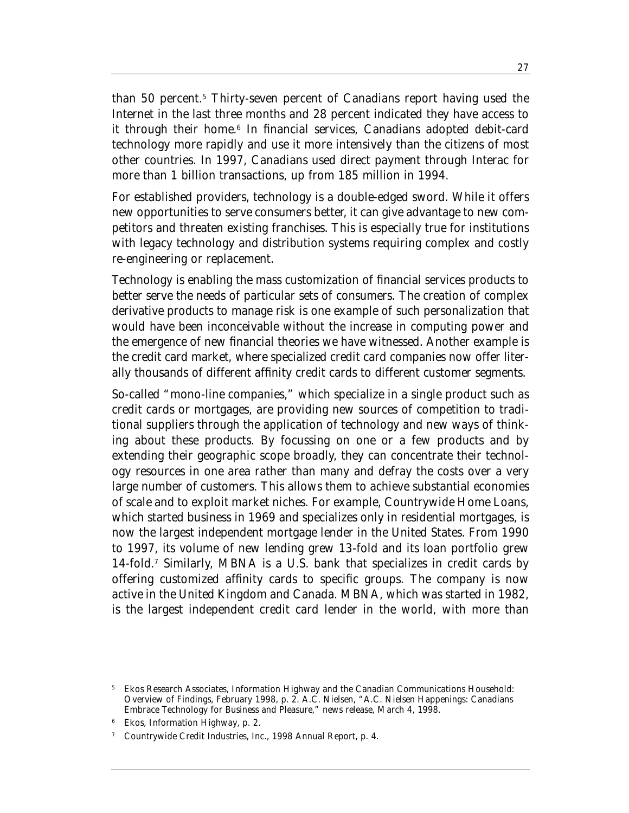than 50 percent.5 Thirty-seven percent of Canadians report having used the Internet in the last three months and 28 percent indicated they have access to it through their home.<sup>6</sup> In financial services, Canadians adopted debit-card technology more rapidly and use it more intensively than the citizens of most other countries. In 1997, Canadians used direct payment through Interac for more than 1 billion transactions, up from 185 million in 1994.

For established providers, technology is a double-edged sword. While it offers new opportunities to serve consumers better, it can give advantage to new competitors and threaten existing franchises. This is especially true for institutions with legacy technology and distribution systems requiring complex and costly re-engineering or replacement.

Technology is enabling the mass customization of financial services products to better serve the needs of particular sets of consumers. The creation of complex derivative products to manage risk is one example of such personalization that would have been inconceivable without the increase in computing power and the emergence of new financial theories we have witnessed. Another example is the credit card market, where specialized credit card companies now offer literally thousands of different affinity credit cards to different customer segments.

So-called "mono-line companies," which specialize in a single product such as credit cards or mortgages, are providing new sources of competition to traditional suppliers through the application of technology and new ways of thinking about these products. By focussing on one or a few products and by extending their geographic scope broadly, they can concentrate their technology resources in one area rather than many and defray the costs over a very large number of customers. This allows them to achieve substantial economies of scale and to exploit market niches. For example, Countrywide Home Loans, which started business in 1969 and specializes only in residential mortgages, is now the largest independent mortgage lender in the United States. From 1990 to 1997, its volume of new lending grew 13-fold and its loan portfolio grew 14-fold.7 Similarly, MBNA is a U.S. bank that specializes in credit cards by offering customized affinity cards to specific groups. The company is now active in the United Kingdom and Canada. MBNA, which was started in 1982, is the largest independent credit card lender in the world, with more than

<sup>6</sup> Ekos, *Information Highway*, p. 2.

<sup>5</sup> Ekos Research Associates, *Information Highway and the Canadian Communications Household: Overview of Findings*, February 1998, p. 2. A.C. Nielsen, "A.C. Nielsen Happenings: Canadians Embrace Technology for Business and Pleasure," news release, March 4, 1998.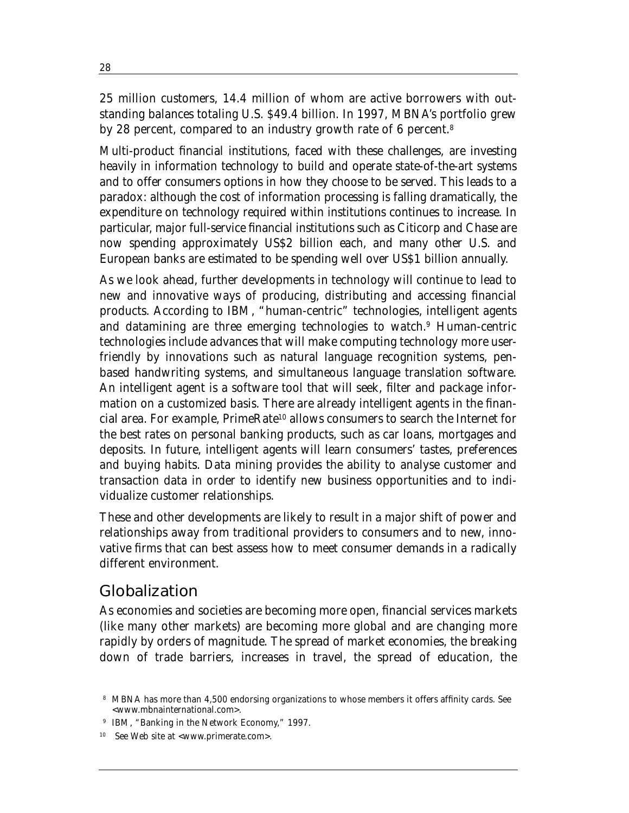25 million customers, 14.4 million of whom are active borrowers with outstanding balances totaling U.S. \$49.4 billion. In 1997, MBNA's portfolio grew by 28 percent, compared to an industry growth rate of 6 percent.<sup>8</sup>

Multi-product financial institutions, faced with these challenges, are investing heavily in information technology to build and operate state-of-the-art systems and to offer consumers options in how they choose to be served. This leads to a paradox: although the cost of information processing is falling dramatically, the expenditure on technology required within institutions continues to increase. In particular, major full-service financial institutions such as Citicorp and Chase are now spending approximately US\$2 billion each, and many other U.S. and European banks are estimated to be spending well over US\$1 billion annually.

As we look ahead, further developments in technology will continue to lead to new and innovative ways of producing, distributing and accessing financial products. According to IBM, "human-centric" technologies, intelligent agents and datamining are three emerging technologies to watch.9 Human-centric technologies include advances that will make computing technology more userfriendly by innovations such as natural language recognition systems, penbased handwriting systems, and simultaneous language translation software. An intelligent agent is a software tool that will seek, filter and package information on a customized basis. There are already intelligent agents in the financial area. For example, PrimeRate10 allows consumers to search the Internet for the best rates on personal banking products, such as car loans, mortgages and deposits. In future, intelligent agents will learn consumers' tastes, preferences and buying habits. Data mining provides the ability to analyse customer and transaction data in order to identify new business opportunities and to individualize customer relationships.

These and other developments are likely to result in a major shift of power and relationships away from traditional providers to consumers and to new, innovative firms that can best assess how to meet consumer demands in a radically different environment.

### Globalization

As economies and societies are becoming more open, financial services markets (like many other markets) are becoming more global and are changing more rapidly by orders of magnitude. The spread of market economies, the breaking down of trade barriers, increases in travel, the spread of education, the

<sup>8</sup> MBNA has more than 4,500 endorsing organizations to whose members it offers affinity cards. See <www.mbnainternational.com>.

<sup>9</sup> IBM, "Banking in the Network Economy," 1997.

See Web site at <www.primerate.com>.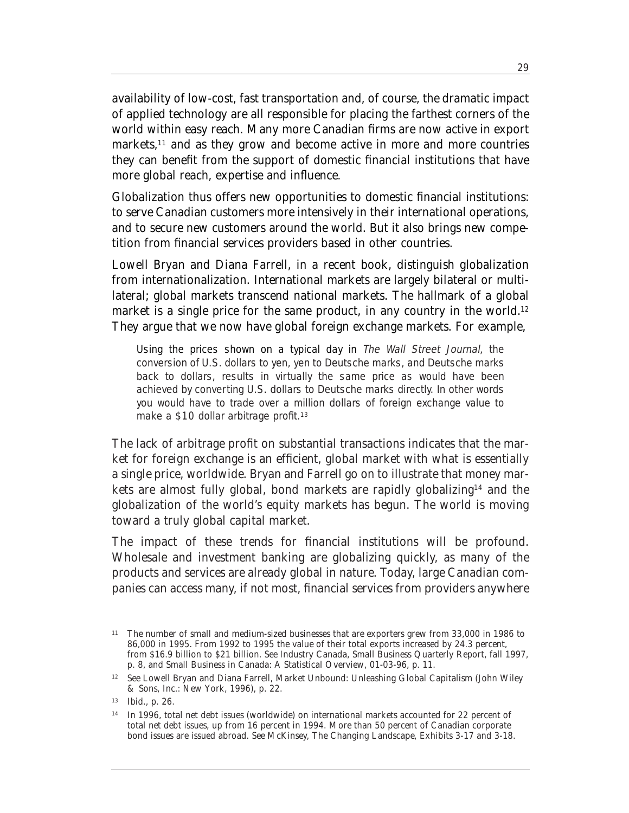availability of low-cost, fast transportation and, of course, the dramatic impact of applied technology are all responsible for placing the farthest corners of the world within easy reach. Many more Canadian firms are now active in export markets,<sup>11</sup> and as they grow and become active in more and more countries they can benefit from the support of domestic financial institutions that have more global reach, expertise and influence.

Globalization thus offers new opportunities to domestic financial institutions: to serve Canadian customers more intensively in their international operations, and to secure new customers around the world. But it also brings new competition from financial services providers based in other countries.

Lowell Bryan and Diana Farrell, in a recent book, distinguish globalization from internationalization. International markets are largely bilateral or multilateral; global markets transcend national markets. The hallmark of a global market is a single price for the same product, in any country in the world.<sup>12</sup> They argue that we now have global foreign exchange markets. For example,

Using the prices shown on a typical day in The Wall Street Journal, the conversion of U.S. dollars to yen, yen to Deutsche marks, and Deutsche marks back to dollars, results in virtually the same price as would have been achieved by converting U.S. dollars to Deutsche marks directly. In other words you would have to trade over a million dollars of foreign exchange value to make a \$10 dollar arbitrage profit.<sup>13</sup>

The lack of arbitrage profit on substantial transactions indicates that the market for foreign exchange is an efficient, global market with what is essentially a single price, worldwide. Bryan and Farrell go on to illustrate that money markets are almost fully global, bond markets are rapidly globalizing<sup>14</sup> and the globalization of the world's equity markets has begun. The world is moving toward a truly global capital market.

The impact of these trends for financial institutions will be profound. Wholesale and investment banking are globalizing quickly, as many of the products and services are already global in nature. Today, large Canadian companies can access many, if not most, financial services from providers anywhere

<sup>&</sup>lt;sup>11</sup> The number of small and medium-sized businesses that are exporters grew from 33,000 in 1986 to 86,000 in 1995. From 1992 to 1995 the value of their total exports increased by 24.3 percent, from \$16.9 billion to \$21 billion. See Industry Canada, *Small Business Quarterly Report*, fall 1997, p. 8, and *Small Business in Canada: A Statistical Overview*, 01-03-96, p. 11.

<sup>12</sup> See Lowell Bryan and Diana Farrell, *Market Unbound: Unleashing Global Capitalism* (John Wiley & Sons, Inc.: New York, 1996), p. 22.

<sup>13</sup> Ibid., p. 26.

<sup>14</sup> In 1996, total net debt issues (worldwide) on international markets accounted for 22 percent of total net debt issues, up from 16 percent in 1994. More than 50 percent of Canadian corporate bond issues are issued abroad. See McKinsey, *The Changing Landscape*, Exhibits 3-17 and 3-18.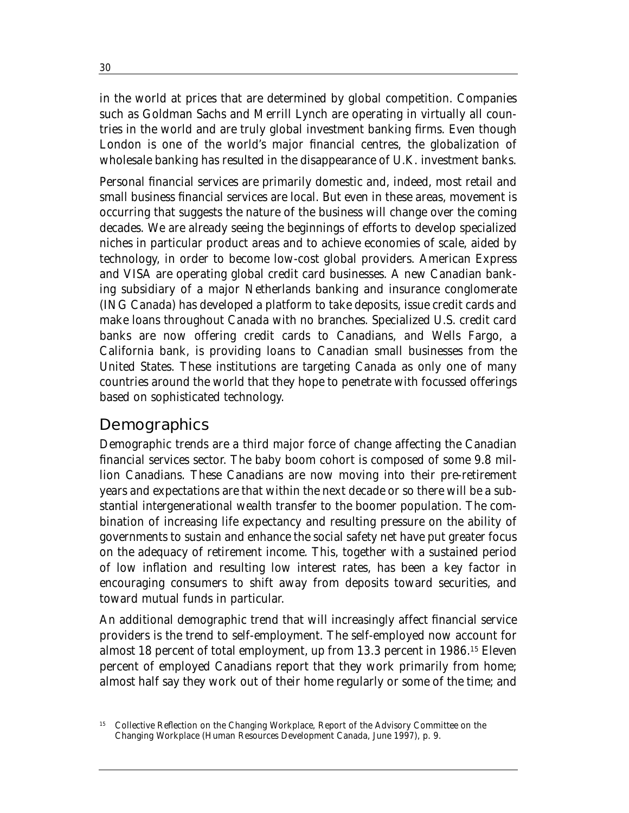in the world at prices that are determined by global competition. Companies such as Goldman Sachs and Merrill Lynch are operating in virtually all countries in the world and are truly global investment banking firms. Even though London is one of the world's major financial centres, the globalization of wholesale banking has resulted in the disappearance of U.K. investment banks.

Personal financial services are primarily domestic and, indeed, most retail and small business financial services are local. But even in these areas, movement is occurring that suggests the nature of the business will change over the coming decades. We are already seeing the beginnings of efforts to develop specialized niches in particular product areas and to achieve economies of scale, aided by technology, in order to become low-cost global providers. American Express and VISA are operating global credit card businesses. A new Canadian banking subsidiary of a major Netherlands banking and insurance conglomerate (ING Canada) has developed a platform to take deposits, issue credit cards and make loans throughout Canada with no branches. Specialized U.S. credit card banks are now offering credit cards to Canadians, and Wells Fargo, a California bank, is providing loans to Canadian small businesses from the United States. These institutions are targeting Canada as only one of many countries around the world that they hope to penetrate with focussed offerings based on sophisticated technology.

#### **Demographics**

Demographic trends are a third major force of change affecting the Canadian financial services sector. The baby boom cohort is composed of some 9.8 million Canadians. These Canadians are now moving into their pre-retirement years and expectations are that within the next decade or so there will be a substantial intergenerational wealth transfer to the boomer population. The combination of increasing life expectancy and resulting pressure on the ability of governments to sustain and enhance the social safety net have put greater focus on the adequacy of retirement income. This, together with a sustained period of low inflation and resulting low interest rates, has been a key factor in encouraging consumers to shift away from deposits toward securities, and toward mutual funds in particular.

An additional demographic trend that will increasingly affect financial service providers is the trend to self-employment. The self-employed now account for almost 18 percent of total employment, up from 13.3 percent in 1986.15 Eleven percent of employed Canadians report that they work primarily from home; almost half say they work out of their home regularly or some of the time; and

<sup>&</sup>lt;sup>15</sup> Collective Reflection on the Changing Workplace, Report of the Advisory Committee on the Changing Workplace (Human Resources Development Canada, June 1997), p. 9.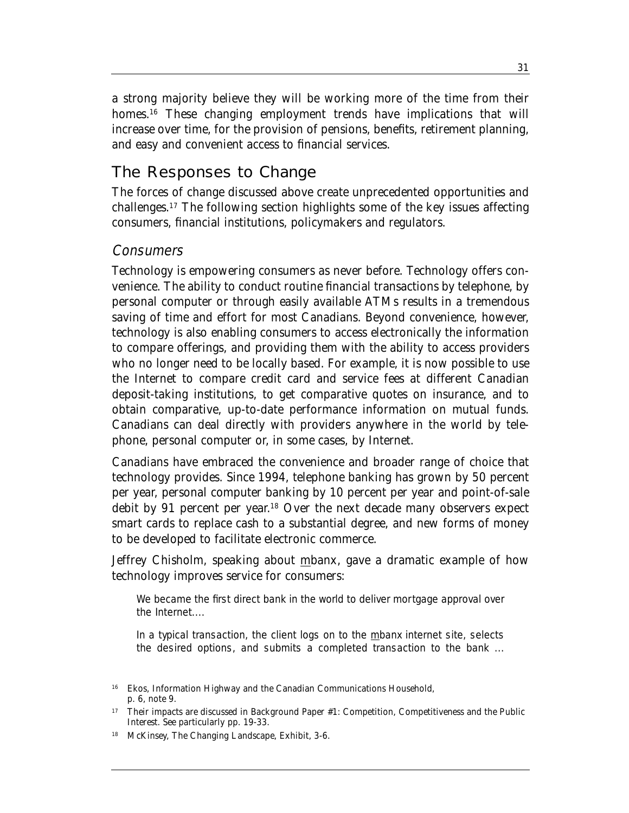a strong majority believe they will be working more of the time from their homes.<sup>16</sup> These changing employment trends have implications that will increase over time, for the provision of pensions, benefits, retirement planning, and easy and convenient access to financial services.

### The Responses to Change

The forces of change discussed above create unprecedented opportunities and challenges.17 The following section highlights some of the key issues affecting consumers, financial institutions, policymakers and regulators.

#### Consumers

Technology is empowering consumers as never before. Technology offers convenience. The ability to conduct routine financial transactions by telephone, by personal computer or through easily available ATMs results in a tremendous saving of time and effort for most Canadians. Beyond convenience, however, technology is also enabling consumers to access electronically the information to compare offerings, and providing them with the ability to access providers who no longer need to be locally based. For example, it is now possible to use the Internet to compare credit card and service fees at different Canadian deposit-taking institutions, to get comparative quotes on insurance, and to obtain comparative, up-to-date performance information on mutual funds. Canadians can deal directly with providers anywhere in the world by telephone, personal computer or, in some cases, by Internet.

Canadians have embraced the convenience and broader range of choice that technology provides. Since 1994, telephone banking has grown by 50 percent per year, personal computer banking by 10 percent per year and point-of-sale debit by 91 percent per year. <sup>18</sup> Over the next decade many observers expect smart cards to replace cash to a substantial degree, and new forms of money to be developed to facilitate electronic commerce.

Jeffrey Chisholm, speaking about mbanx, gave a dramatic example of how technology improves service for consumers:

We became the first direct bank in the world to deliver mortgage approval over the Internet....

In a typical transaction, the client logs on to the mbanx internet site, selects the desired options, and submits a completed transaction to the bank ...

<sup>16</sup> Ekos, *Information Highway and the Canadian Communications Household*, p. 6, note 9.

<sup>17</sup> Their impacts are discussed in Background Paper #1: *Competition, Competitiveness and the Public Interest*. See particularly pp. 19-33.

<sup>18</sup> McKinsey, *The Changing Landscape*, Exhibit, 3-6.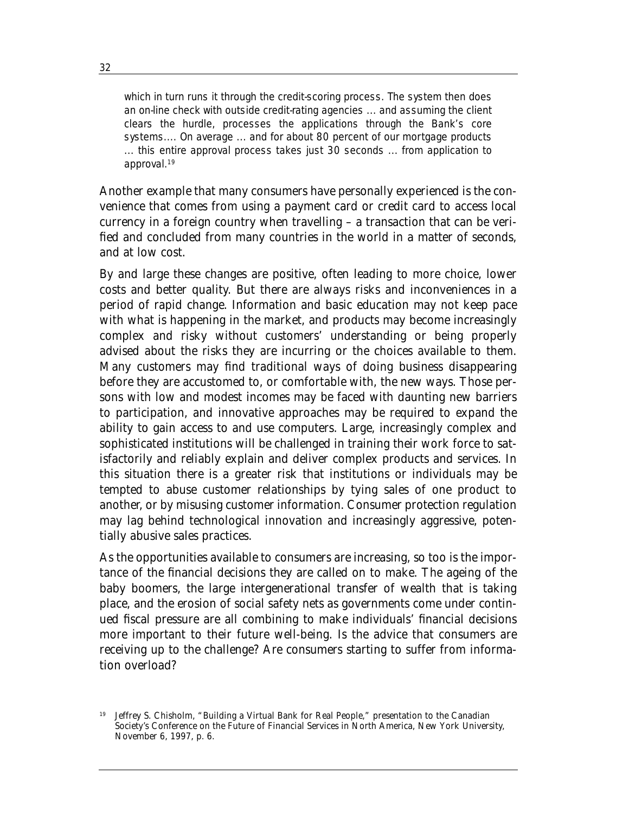which in turn runs it through the credit-scoring process. The system then does an on-line check with outside credit-rating agencies ... and assuming the client clears the hurdle, processes the applications through the Bank's core systems.... On average ... and for about 80 percent of our mortgage products ... this entire approval process takes just 30 seconds ... from application to approval.19

Another example that many consumers have personally experienced is the convenience that comes from using a payment card or credit card to access local currency in a foreign country when travelling – a transaction that can be verified and concluded from many countries in the world in a matter of seconds, and at low cost.

By and large these changes are positive, often leading to more choice, lower costs and better quality. But there are always risks and inconveniences in a period of rapid change. Information and basic education may not keep pace with what is happening in the market, and products may become increasingly complex and risky without customers' understanding or being properly advised about the risks they are incurring or the choices available to them. Many customers may find traditional ways of doing business disappearing before they are accustomed to, or comfortable with, the new ways. Those persons with low and modest incomes may be faced with daunting new barriers to participation, and innovative approaches may be required to expand the ability to gain access to and use computers. Large, increasingly complex and sophisticated institutions will be challenged in training their work force to satisfactorily and reliably explain and deliver complex products and services. In this situation there is a greater risk that institutions or individuals may be tempted to abuse customer relationships by tying sales of one product to another, or by misusing customer information. Consumer protection regulation may lag behind technological innovation and increasingly aggressive, potentially abusive sales practices.

As the opportunities available to consumers are increasing, so too is the importance of the financial decisions they are called on to make. The ageing of the baby boomers, the large intergenerational transfer of wealth that is taking place, and the erosion of social safety nets as governments come under continued fiscal pressure are all combining to make individuals' financial decisions more important to their future well-being. Is the advice that consumers are receiving up to the challenge? Are consumers starting to suffer from information overload?

<sup>19</sup> Jeffrey S. Chisholm, "Building a Virtual Bank for Real People," presentation to the Canadian Society's Conference on the Future of Financial Services in North America, New York University, November 6, 1997, p. 6.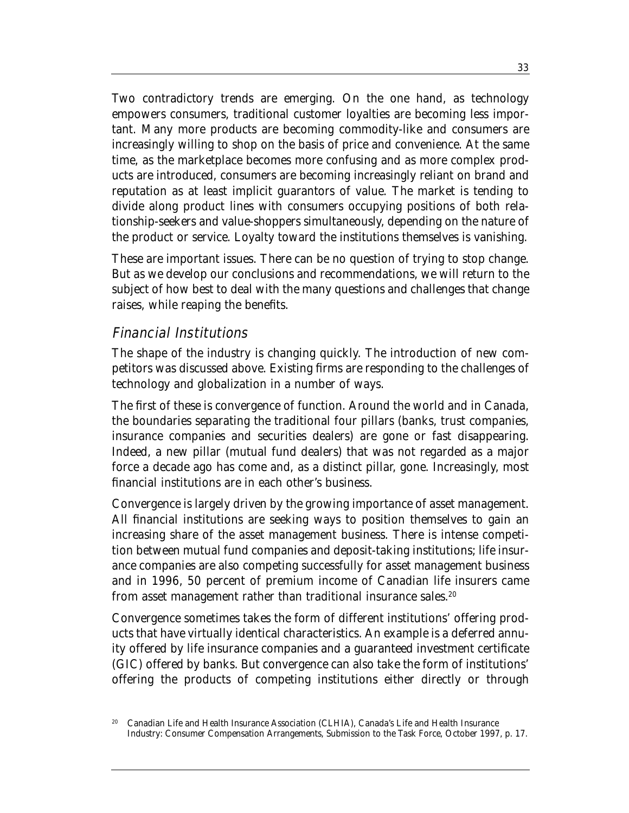Two contradictory trends are emerging. On the one hand, as technology empowers consumers, traditional customer loyalties are becoming less important. Many more products are becoming commodity-like and consumers are increasingly willing to shop on the basis of price and convenience. At the same time, as the marketplace becomes more confusing and as more complex products are introduced, consumers are becoming increasingly reliant on brand and reputation as at least implicit guarantors of value. The market is tending to divide along product lines with consumers occupying positions of both relationship-seekers and value-shoppers simultaneously, depending on the nature of the product or service. Loyalty toward the institutions themselves is vanishing.

These are important issues. There can be no question of trying to stop change. But as we develop our conclusions and recommendations, we will return to the subject of how best to deal with the many questions and challenges that change raises, while reaping the benefits.

#### Financial Institutions

The shape of the industry is changing quickly. The introduction of new competitors was discussed above. Existing firms are responding to the challenges of technology and globalization in a number of ways.

The first of these is *convergence of function*. Around the world and in Canada, the boundaries separating the traditional four pillars (banks, trust companies, insurance companies and securities dealers) are gone or fast disappearing. Indeed, a new pillar (mutual fund dealers) that was not regarded as a major force a decade ago has come and, as a distinct pillar, gone. Increasingly, most financial institutions are in each other's business.

Convergence is largely driven by the growing importance of asset management. All financial institutions are seeking ways to position themselves to gain an increasing share of the asset management business. There is intense competition between mutual fund companies and deposit-taking institutions; life insurance companies are also competing successfully for asset management business and in 1996, 50 percent of premium income of Canadian life insurers came from asset management rather than traditional insurance sales.<sup>20</sup>

Convergence sometimes takes the form of different institutions' offering products that have virtually identical characteristics. An example is a deferred annuity offered by life insurance companies and a guaranteed investment certificate (GIC) offered by banks. But convergence can also take the form of institutions' offering the products of competing institutions either directly or through

<sup>20</sup> Canadian Life and Health Insurance Association (CLHIA), *Canada's Life and Health Insurance Industry: Consumer Compensation Arrangements*, Submission to the Task Force, October 1997, p. 17.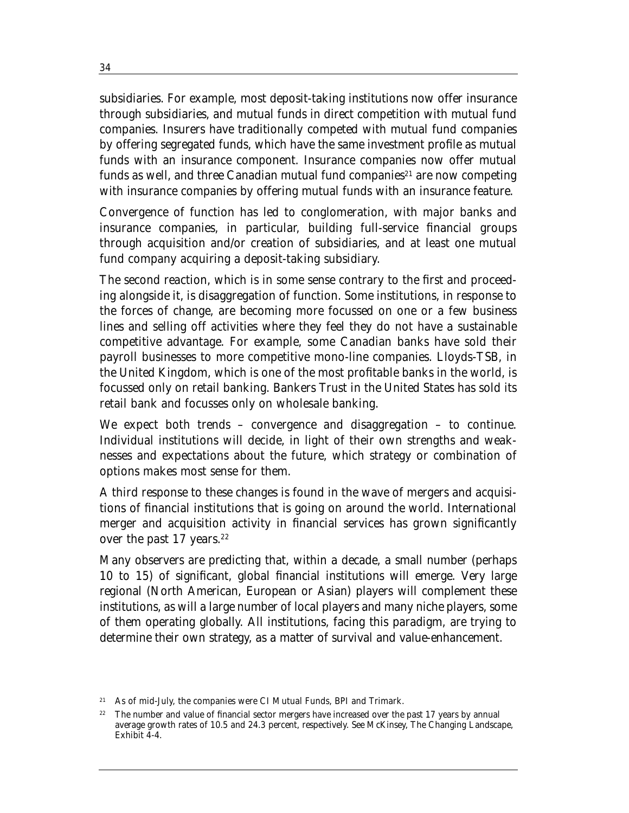subsidiaries. For example, most deposit-taking institutions now offer insurance through subsidiaries, and mutual funds in direct competition with mutual fund companies. Insurers have traditionally competed with mutual fund companies by offering segregated funds, which have the same investment profile as mutual funds with an insurance component. Insurance companies now offer mutual funds as well, and three Canadian mutual fund companies<sup>21</sup> are now competing with insurance companies by offering mutual funds with an insurance feature.

Convergence of function has led to conglomeration, with major banks and insurance companies, in particular, building full-service financial groups through acquisition and/or creation of subsidiaries, and at least one mutual fund company acquiring a deposit-taking subsidiary.

The second reaction, which is in some sense contrary to the first and proceeding alongside it, is *disaggregation of function*. Some institutions, in response to the forces of change, are becoming more focussed on one or a few business lines and selling off activities where they feel they do not have a sustainable competitive advantage. For example, some Canadian banks have sold their payroll businesses to more competitive mono-line companies. Lloyds-TSB, in the United Kingdom, which is one of the most profitable banks in the world, is focussed only on retail banking. Bankers Trust in the United States has sold its retail bank and focusses only on wholesale banking.

We expect both trends – convergence and disaggregation – to continue. Individual institutions will decide, in light of their own strengths and weaknesses and expectations about the future, which strategy or combination of options makes most sense for them.

A third response to these changes is found in the *wave of mergers and acquisitions* of financial institutions that is going on around the world. International merger and acquisition activity in financial services has grown significantly over the past  $17$  years.<sup>22</sup>

Many observers are predicting that, within a decade, a small number (perhaps 10 to 15) of significant, global financial institutions will emerge. Very large regional (North American, European or Asian) players will complement these institutions, as will a large number of local players and many niche players, some of them operating globally. All institutions, facing this paradigm, are trying to determine their own strategy, as a matter of survival and value-enhancement.

<sup>21</sup> As of mid-July, the companies were CI Mutual Funds, BPI and Trimark.

<sup>&</sup>lt;sup>22</sup> The number and value of financial sector mergers have increased over the past 17 years by annual average growth rates of 10.5 and 24.3 percent, respectively. See McKinsey, *The Changing Landscape*, Exhibit  $\overline{4}$ -4.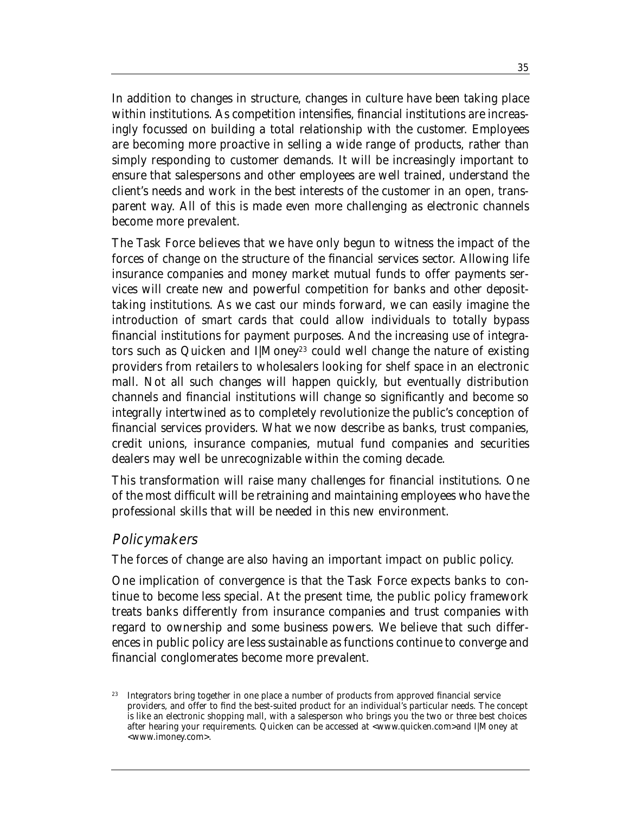In addition to changes in structure, *changes in culture* have been taking place within institutions. As competition intensifies, financial institutions are increasingly focussed on building a total relationship with the customer. Employees are becoming more proactive in selling a wide range of products, rather than simply responding to customer demands. It will be increasingly important to ensure that salespersons and other employees are well trained, understand the client's needs and work in the best interests of the customer in an open, transparent way. All of this is made even more challenging as electronic channels become more prevalent.

The Task Force believes that we have only begun to witness the impact of the forces of change on the structure of the financial services sector. Allowing life insurance companies and money market mutual funds to offer payments services will create new and powerful competition for banks and other deposittaking institutions. As we cast our minds forward, we can easily imagine the introduction of smart cards that could allow individuals to totally bypass financial institutions for payment purposes. And the increasing use of integrators such as Quicken and I|Money<sup>23</sup> could well change the nature of existing providers from retailers to wholesalers looking for shelf space in an electronic mall. Not all such changes will happen quickly, but eventually distribution channels and financial institutions will change so significantly and become so integrally intertwined as to completely revolutionize the public's conception of financial services providers. What we now describe as banks, trust companies, credit unions, insurance companies, mutual fund companies and securities dealers may well be unrecognizable within the coming decade.

This transformation will raise many challenges for financial institutions. One of the most difficult will be retraining and maintaining employees who have the professional skills that will be needed in this new environment.

#### **Policymakers**

The forces of change are also having an important impact on public policy.

One implication of convergence is that the Task Force expects banks to continue to become less special. At the present time, the public policy framework treats banks differently from insurance companies and trust companies with regard to ownership and some business powers. We believe that such differences in public policy are less sustainable as functions continue to converge and financial conglomerates become more prevalent.

<sup>&</sup>lt;sup>23</sup> Integrators bring together in one place a number of products from approved financial service providers, and offer to find the best-suited product for an individual's particular needs. The concept is like an electronic shopping mall, with a salesperson who brings you the two or three best choices after hearing your requirements. Quicken can be accessed at <www.quicken.com>and I|Money at <www.imoney.com>.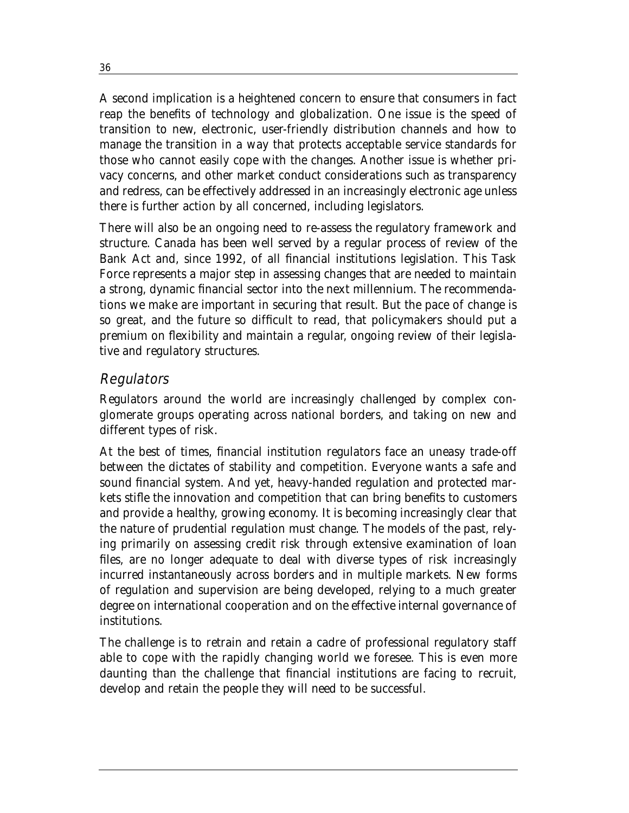A second implication is a heightened concern to ensure that consumers in fact reap the benefits of technology and globalization. One issue is the speed of transition to new, electronic, user-friendly distribution channels and how to manage the transition in a way that protects acceptable service standards for those who cannot easily cope with the changes. Another issue is whether privacy concerns, and other market conduct considerations such as transparency and redress, can be effectively addressed in an increasingly electronic age unless there is further action by all concerned, including legislators.

There will also be an ongoing need to re-assess the regulatory framework and structure. Canada has been well served by a regular process of review of the Bank Act and, since 1992, of all financial institutions legislation. This Task Force represents a major step in assessing changes that are needed to maintain a strong, dynamic financial sector into the next millennium. The recommendations we make are important in securing that result. But the pace of change is so great, and the future so difficult to read, that policymakers should put a premium on flexibility and maintain a regular, ongoing review of their legislative and regulatory structures.

#### **Regulators**

Regulators around the world are increasingly challenged by complex conglomerate groups operating across national borders, and taking on new and different types of risk.

At the best of times, financial institution regulators face an uneasy trade-off between the dictates of stability and competition. Everyone wants a safe and sound financial system. And yet, heavy-handed regulation and protected markets stifle the innovation and competition that can bring benefits to customers and provide a healthy, growing economy. It is becoming increasingly clear that the nature of prudential regulation must change. The models of the past, relying primarily on assessing credit risk through extensive examination of loan files, are no longer adequate to deal with diverse types of risk increasingly incurred instantaneously across borders and in multiple markets. New forms of regulation and supervision are being developed, relying to a much greater degree on international cooperation and on the effective internal governance of institutions.

The challenge is to retrain and retain a cadre of professional regulatory staff able to cope with the rapidly changing world we foresee. This is even more daunting than the challenge that financial institutions are facing to recruit, develop and retain the people they will need to be successful.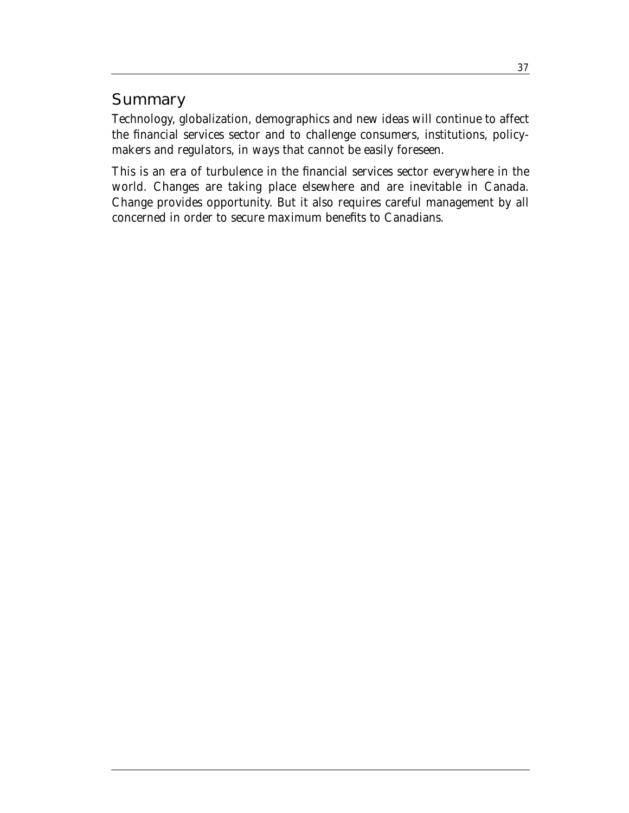## **Summary**

Technology, globalization, demographics and new ideas will continue to affect the financial services sector and to challenge consumers, institutions, policymakers and regulators, in ways that cannot be easily foreseen.

This is an era of turbulence in the financial services sector everywhere in the world. Changes are taking place elsewhere and are inevitable in Canada. Change provides opportunity. But it also requires careful management by all concerned in order to secure maximum benefits to Canadians.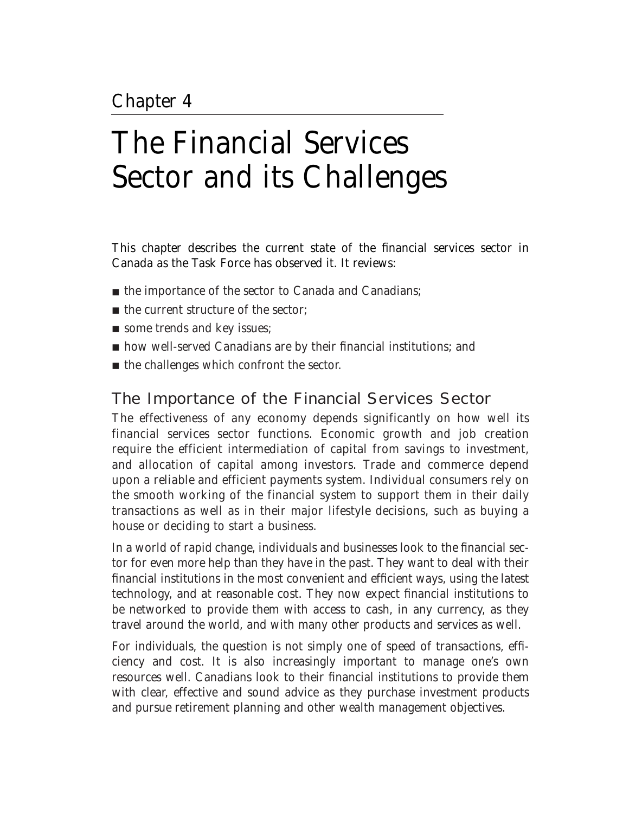# The Financial Services Sector and its Challenges

This chapter describes the current state of the financial services sector in Canada as the Task Force has observed it. It reviews:

- the importance of the sector to Canada and Canadians;
- the current structure of the sector;
- some trends and key issues;
- how well-served Canadians are by their financial institutions; and
- the challenges which confront the sector.

## The Importance of the Financial Services Sector

The effectiveness of any economy depends significantly on how well its financial services sector functions. Economic growth and job creation require the efficient intermediation of capital from savings to investment, and allocation of capital among investors. Trade and commerce depend upon a reliable and efficient payments system. Individual consumers rely on the smooth working of the financial system to support them in their daily transactions as well as in their major lifestyle decisions, such as buying a house or deciding to start a business.

In a world of rapid change, individuals and businesses look to the financial sector for even more help than they have in the past. They want to deal with their financial institutions in the most convenient and efficient ways, using the latest technology, and at reasonable cost. They now expect financial institutions to be networked to provide them with access to cash, in any currency, as they travel around the world, and with many other products and services as well.

For individuals, the question is not simply one of speed of transactions, efficiency and cost. It is also increasingly important to manage one's own resources well. Canadians look to their financial institutions to provide them with clear, effective and sound advice as they purchase investment products and pursue retirement planning and other wealth management objectives.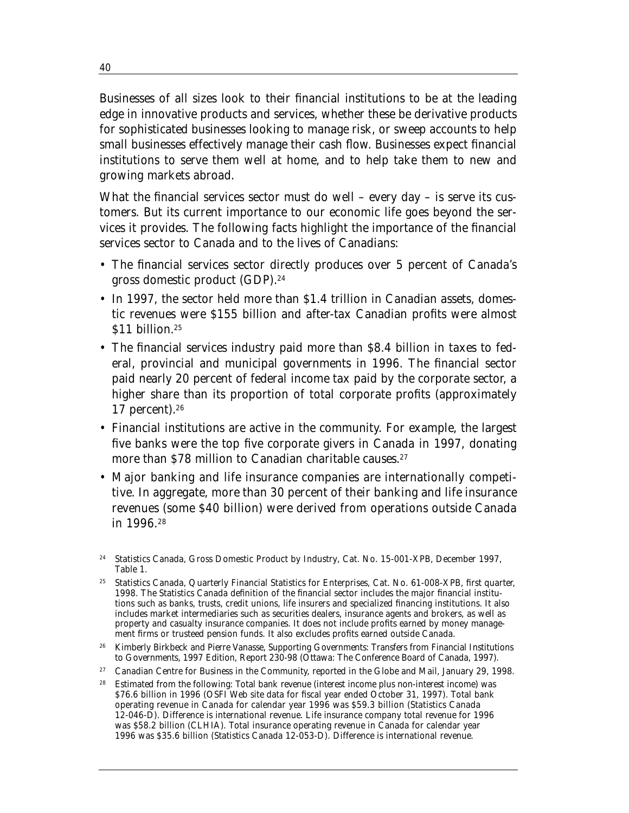Businesses of all sizes look to their financial institutions to be at the leading edge in innovative products and services, whether these be derivative products for sophisticated businesses looking to manage risk, or sweep accounts to help small businesses effectively manage their cash flow. Businesses expect financial institutions to serve them well at home, and to help take them to new and growing markets abroad.

What the financial services sector must do well – every day – is serve its customers. But its current importance to our economic life goes beyond the services it provides. The following facts highlight the importance of the financial services sector to Canada and to the lives of Canadians:

- The financial services sector directly produces over 5 percent of Canada's gross domestic product (GDP).24
- In 1997, the sector held more than \$1.4 trillion in Canadian assets, domestic revenues were \$155 billion and after-tax Canadian profits were almost \$11 billion.<sup>25</sup>
- The financial services industry paid more than \$8.4 billion in taxes to federal, provincial and municipal governments in 1996. The financial sector paid nearly 20 percent of federal income tax paid by the corporate sector, a higher share than its proportion of total corporate profits (approximately 17 percent). $26$
- Financial institutions are active in the community. For example, the largest five banks were the top five corporate givers in Canada in 1997, donating more than \$78 million to Canadian charitable causes.<sup>27</sup>
- Major banking and life insurance companies are internationally competitive. In aggregate, more than 30 percent of their banking and life insurance revenues (some \$40 billion) were derived from operations outside Canada in 1996.28

- 27 Canadian Centre for Business in the Community, reported in the *Globe and Mail*, January 29, 1998.
- Estimated from the following: Total bank revenue (interest income plus non-interest income) was \$76.6 billion in 1996 (OSFI Web site data for fiscal year ended October 31, 1997). Total bank operating revenue in Canada for calendar year 1996 was \$59.3 billion (Statistics Canada 12-046-D). Difference is international revenue. Life insurance company total revenue for 1996 was \$58.2 billion (CLHIA). Total insurance operating revenue in Canada for calendar year 1996 was \$35.6 billion (Statistics Canada 12-053-D). Difference is international revenue.

40

<sup>24</sup> Statistics Canada, *Gross Domestic Product by Industry*, Cat. No. 15-001-XPB, December 1997, Table 1.

<sup>25</sup> Statistics Canada, *Quarterly Financial Statistics for Enterprises*, Cat. No. 61-008-XPB, first quarter, 1998. The Statistics Canada definition of the financial sector includes the major financial institutions such as banks, trusts, credit unions, life insurers and specialized financing institutions. It also includes market intermediaries such as securities dealers, insurance agents and brokers, as well as property and casualty insurance companies. It does not include profits earned by money management firms or trusteed pension funds. It also excludes profits earned outside Canada.

<sup>26</sup> Kimberly Birkbeck and Pierre Vanasse, *Supporting Governments: Transfers from Financial Institutions to Governments, 1997 Edition*, Report 230-98 (Ottawa: The Conference Board of Canada, 1997).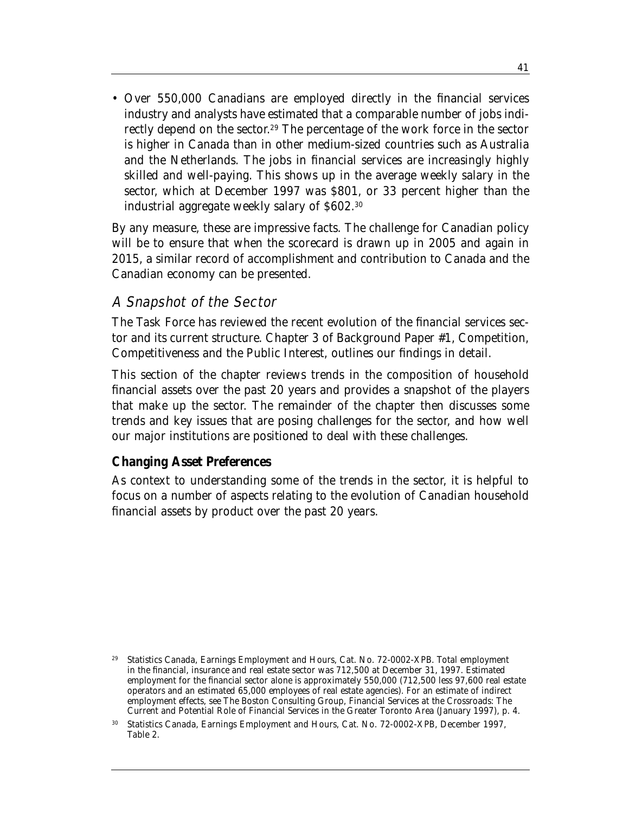• Over 550,000 Canadians are employed directly in the financial services industry and analysts have estimated that a comparable number of jobs indirectly depend on the sector. <sup>29</sup> The percentage of the work force in the sector is higher in Canada than in other medium-sized countries such as Australia and the Netherlands. The jobs in financial services are increasingly highly skilled and well-paying. This shows up in the average weekly salary in the sector, which at December 1997 was \$801, or 33 percent higher than the industrial aggregate weekly salary of \$602.30

By any measure, these are impressive facts. The challenge for Canadian policy will be to ensure that when the scorecard is drawn up in 2005 and again in 2015, a similar record of accomplishment and contribution to Canada and the Canadian economy can be presented.

#### A Snapshot of the Sector

The Task Force has reviewed the recent evolution of the financial services sector and its current structure. Chapter 3 of Background Paper #1, *Competition, Competitiveness and the Public Interest*, outlines our findings in detail.

This section of the chapter reviews trends in the composition of household financial assets over the past 20 years and provides a snapshot of the players that make up the sector. The remainder of the chapter then discusses some trends and key issues that are posing challenges for the sector, and how well our major institutions are positioned to deal with these challenges.

#### **Changing Asset Preferences**

As context to understanding some of the trends in the sector, it is helpful to focus on a number of aspects relating to the evolution of Canadian household financial assets by product over the past 20 years.

<sup>29</sup> Statistics Canada, *Earnings Employment and Hours*, Cat. No. 72-0002-XPB. Total employment in the financial, insurance and real estate sector was 712,500 at December 31, 1997. Estimated employment for the financial sector alone is approximately 550,000 (712,500 less 97,600 real estate operators and an estimated 65,000 employees of real estate agencies). For an estimate of indirect employment effects, see The Boston Consulting Group, *Financial Services at the Crossroads: The Current and Potential Role of Financial Services in the Greater Toronto Area* (January 1997), p. 4.

<sup>30</sup> Statistics Canada, *Earnings Employment and Hours*, Cat. No. 72-0002-XPB, December 1997, Table 2.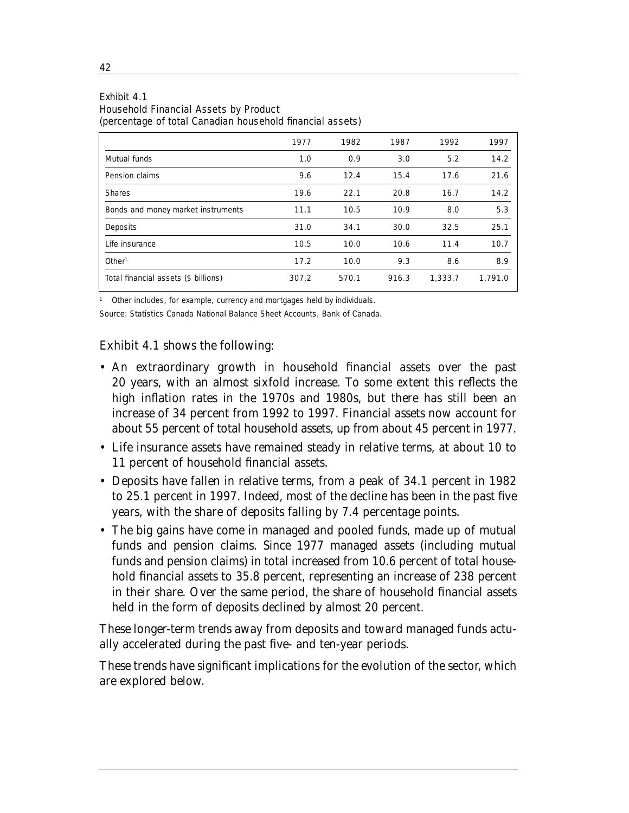#### Exhibit 4.1 Household Financial Assets by Product

(percentage of total Canadian household financial assets)

|                                      | 1977  | 1982  | 1987  | 1992    | 1997    |
|--------------------------------------|-------|-------|-------|---------|---------|
| Mutual funds                         | 1.0   | 0.9   | 3.0   | 5.2     | 14.2    |
| Pension claims                       | 9.6   | 12.4  | 15.4  | 17.6    | 21.6    |
| <b>Shares</b>                        | 19.6  | 22.1  | 20.8  | 16.7    | 14.2    |
| Bonds and money market instruments   | 11.1  | 10.5  | 10.9  | 8.0     | 5.3     |
| Deposits                             | 31.0  | 34.1  | 30.0  | 32.5    | 25.1    |
| Life insurance                       | 10.5  | 10.0  | 10.6  | 11.4    | 10.7    |
| Other <sup>1</sup>                   | 17.2  | 10.0  | 9.3   | 8.6     | 8.9     |
| Total financial assets (\$ billions) | 307.2 | 570.1 | 916.3 | 1,333.7 | 1.791.0 |

<sup>1</sup> Other includes, for example, currency and mortgages held by individuals.

Source: Statistics Canada National Balance Sheet Accounts, Bank of Canada.

#### Exhibit 4.1 shows the following:

- An extraordinary growth in household financial assets over the past 20 years, with an almost sixfold increase. To some extent this reflects the high inflation rates in the 1970s and 1980s, but there has still been an increase of 34 percent from 1992 to 1997. Financial assets now account for about 55 percent of total household assets, up from about 45 percent in 1977.
- Life insurance assets have remained steady in relative terms, at about 10 to 11 percent of household financial assets.
- Deposits have fallen in relative terms, from a peak of 34.1 percent in 1982 to 25.1 percent in 1997. Indeed, most of the decline has been in the past five years, with the share of deposits falling by 7.4 percentage points.
- The big gains have come in managed and pooled funds, made up of mutual funds and pension claims. Since 1977 managed assets (including mutual funds and pension claims) in total increased from 10.6 percent of total household financial assets to 35.8 percent, representing an increase of 238 percent in their share. Over the same period, the share of household financial assets held in the form of deposits declined by almost 20 percent.

These longer-term trends away from deposits and toward managed funds actually accelerated during the past five- and ten-year periods.

These trends have significant implications for the evolution of the sector, which are explored below.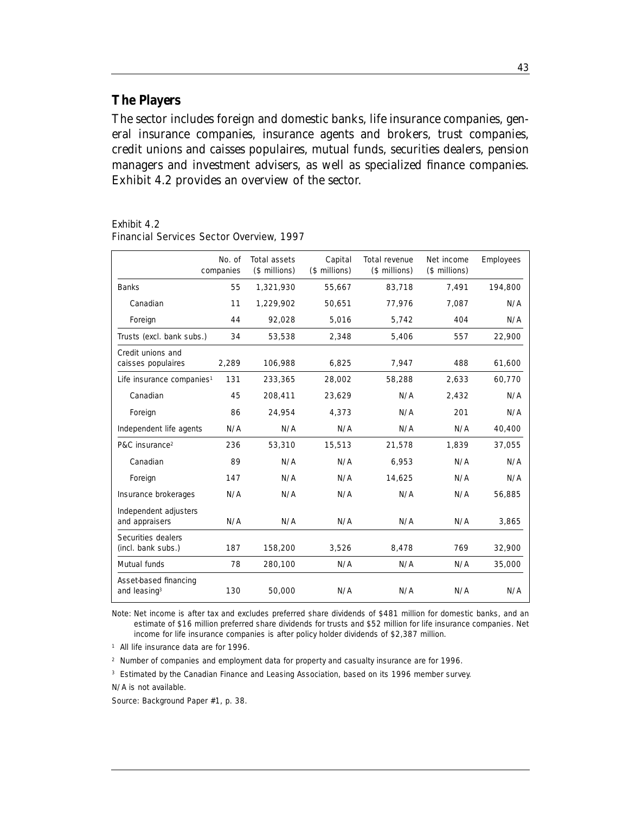#### **The Players**

The sector includes foreign and domestic banks, life insurance companies, general insurance companies, insurance agents and brokers, trust companies, credit unions and caisses populaires, mutual funds, securities dealers, pension managers and investment advisers, as well as specialized finance companies. Exhibit 4.2 provides an overview of the sector.

Exhibit 4.2

|                                                   | No. of<br>companies | <b>Total assets</b><br>(\$ millions) | Capital<br>(\$ millions) | <b>Total revenue</b><br>(\$ millions) | Net income<br>(\$ millions) | <b>Employees</b> |
|---------------------------------------------------|---------------------|--------------------------------------|--------------------------|---------------------------------------|-----------------------------|------------------|
| <b>Banks</b>                                      | 55                  | 1,321,930                            | 55,667                   | 83,718                                | 7,491                       | 194,800          |
| Canadian                                          | 11                  | 1,229,902                            | 50,651                   | 77,976                                | 7,087                       | N/A              |
| Foreign                                           | 44                  | 92.028                               | 5.016                    | 5.742                                 | 404                         | N/A              |
| Trusts (excl. bank subs.)                         | 34                  | 53,538                               | 2,348                    | 5,406                                 | 557                         | 22,900           |
| Credit unions and<br>caisses populaires           | 2,289               | 106,988                              | 6,825                    | 7,947                                 | 488                         | 61,600           |
| Life insurance companies <sup>1</sup>             | 131                 | 233,365                              | 28,002                   | 58,288                                | 2.633                       | 60,770           |
| Canadian                                          | 45                  | 208,411                              | 23,629                   | N/A                                   | 2,432                       | N/A              |
| Foreign                                           | 86                  | 24,954                               | 4.373                    | N/A                                   | 201                         | N/A              |
| Independent life agents                           | N/A                 | N/A                                  | N/A                      | N/A                                   | N/A                         | 40,400           |
| P&C insurance <sup>2</sup>                        | 236                 | 53,310                               | 15,513                   | 21,578                                | 1,839                       | 37,055           |
| Canadian                                          | 89                  | N/A                                  | N/A                      | 6,953                                 | N/A                         | N/A              |
| Foreign                                           | 147                 | N/A                                  | N/A                      | 14.625                                | N/A                         | N/A              |
| Insurance brokerages                              | N/A                 | N/A                                  | N/A                      | N/A                                   | N/A                         | 56,885           |
| Independent adjusters<br>and appraisers           | N/A                 | N/A                                  | N/A                      | N/A                                   | N/A                         | 3,865            |
| Securities dealers<br>(incl. bank subs.)          | 187                 | 158,200                              | 3,526                    | 8,478                                 | 769                         | 32,900           |
| Mutual funds                                      | 78                  | 280,100                              | N/A                      | N/A                                   | N/A                         | 35,000           |
| Asset-based financing<br>and leasing <sup>3</sup> | 130                 | 50,000                               | N/A                      | N/A                                   | N/A                         | N/A              |

Financial Services Sector Overview, 1997

Note: Net income is after tax and excludes preferred share dividends of \$481 million for domestic banks, and an estimate of \$16 million preferred share dividends for trusts and \$52 million for life insurance companies. Net income for life insurance companies is after policy holder dividends of \$2,387 million.

<sup>1</sup> All life insurance data are for 1996.

<sup>2</sup> Number of companies and employment data for property and casualty insurance are for 1996.

<sup>3</sup> Estimated by the Canadian Finance and Leasing Association, based on its 1996 member survey.

N/A is not available.

Source: Background Paper #1, p. 38.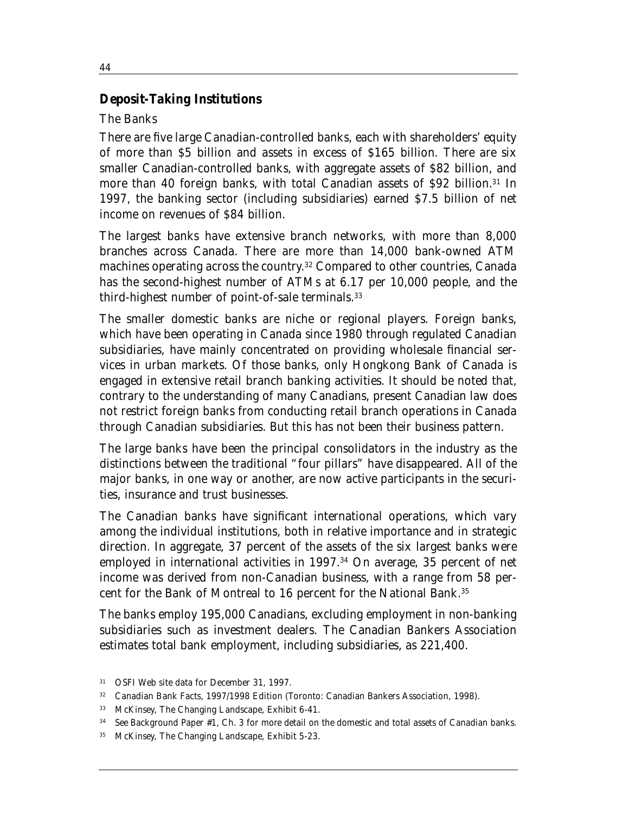#### *Deposit-Taking Institutions*

#### *The Banks*

There are five large Canadian-controlled banks, each with shareholders' equity of more than \$5 billion and assets in excess of \$165 billion. There are six smaller Canadian-controlled banks, with aggregate assets of \$82 billion, and more than 40 foreign banks, with total Canadian assets of \$92 billion.<sup>31</sup> In 1997, the banking sector (including subsidiaries) earned \$7.5 billion of net income on revenues of \$84 billion.

The largest banks have extensive branch networks, with more than 8,000 branches across Canada. There are more than 14,000 bank-owned ATM machines operating across the country. <sup>32</sup> Compared to other countries, Canada has the second-highest number of ATMs at 6.17 per 10,000 people, and the third-highest number of point-of-sale terminals.33

The smaller domestic banks are niche or regional players. Foreign banks, which have been operating in Canada since 1980 through regulated Canadian subsidiaries, have mainly concentrated on providing wholesale financial services in urban markets. Of those banks, only Hongkong Bank of Canada is engaged in extensive retail branch banking activities. It should be noted that, contrary to the understanding of many Canadians, present Canadian law does not restrict foreign banks from conducting retail branch operations in Canada through Canadian subsidiaries. But this has not been their business pattern.

The large banks have been the principal consolidators in the industry as the distinctions between the traditional "four pillars" have disappeared. All of the major banks, in one way or another, are now active participants in the securities, insurance and trust businesses.

The Canadian banks have significant international operations, which vary among the individual institutions, both in relative importance and in strategic direction. In aggregate, 37 percent of the assets of the six largest banks were employed in international activities in 1997.<sup>34</sup> On average, 35 percent of net income was derived from non-Canadian business, with a range from 58 percent for the Bank of Montreal to 16 percent for the National Bank.35

The banks employ 195,000 Canadians, excluding employment in non-banking subsidiaries such as investment dealers. The Canadian Bankers Association estimates total bank employment, including subsidiaries, as 221,400.

<sup>31</sup> OSFI Web site data for December 31, 1997.

<sup>32</sup>*Canadian Bank Facts, 1997/1998 Edition* (Toronto: Canadian Bankers Association, 1998).

<sup>33</sup> McKinsey, *The Changing Landscape*, Exhibit 6-41.

<sup>34</sup> See Background Paper #1, Ch. 3 for more detail on the domestic and total assets of Canadian banks.

<sup>35</sup> McKinsey, *The Changing Landscape*, Exhibit 5-23.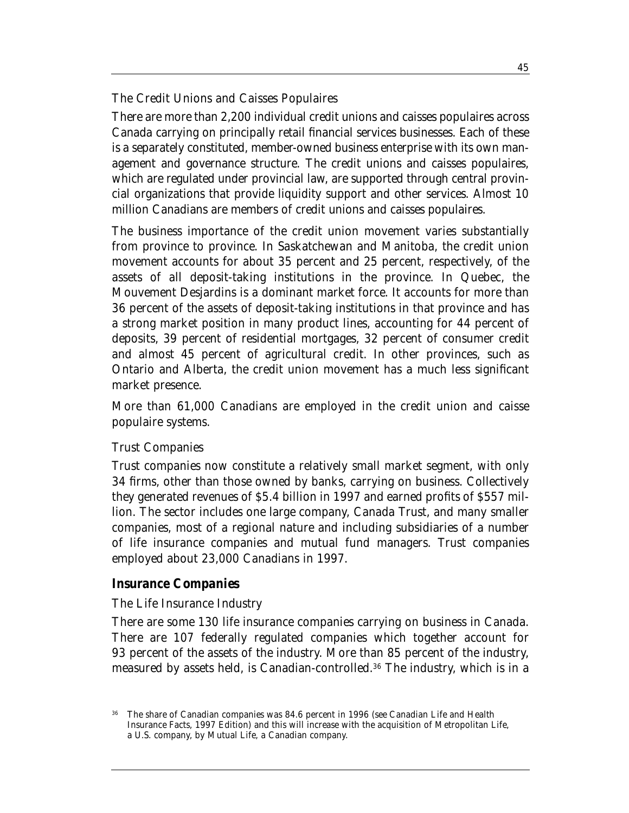#### *The Credit Unions and Caisses Populaires*

There are more than 2,200 individual credit unions and caisses populaires across Canada carrying on principally retail financial services businesses. Each of these is a separately constituted, member-owned business enterprise with its own management and governance structure. The credit unions and caisses populaires, which are regulated under provincial law, are supported through central provincial organizations that provide liquidity support and other services. Almost 10 million Canadians are members of credit unions and caisses populaires.

The business importance of the credit union movement varies substantially from province to province. In Saskatchewan and Manitoba, the credit union movement accounts for about 35 percent and 25 percent, respectively, of the assets of all deposit-taking institutions in the province. In Quebec, the Mouvement Desjardins is a dominant market force. It accounts for more than 36 percent of the assets of deposit-taking institutions in that province and has a strong market position in many product lines, accounting for 44 percent of deposits, 39 percent of residential mortgages, 32 percent of consumer credit and almost 45 percent of agricultural credit. In other provinces, such as Ontario and Alberta, the credit union movement has a much less significant market presence.

More than 61,000 Canadians are employed in the credit union and caisse populaire systems.

#### *Trust Companies*

Trust companies now constitute a relatively small market segment, with only 34 firms, other than those owned by banks, carrying on business. Collectively they generated revenues of \$5.4 billion in 1997 and earned profits of \$557 million. The sector includes one large company, Canada Trust, and many smaller companies, most of a regional nature and including subsidiaries of a number of life insurance companies and mutual fund managers. Trust companies employed about 23,000 Canadians in 1997.

#### *Insurance Companies*

#### *The Life Insurance Industry*

There are some 130 life insurance companies carrying on business in Canada. There are 107 federally regulated companies which together account for 93 percent of the assets of the industry. More than 85 percent of the industry, measured by assets held, is Canadian-controlled.36 The industry, which is in a

<sup>36</sup> The share of Canadian companies was 84.6 percent in 1996 (see *Canadian Life and Health Insurance Facts, 1997 Edition*) and this will increase with the acquisition of Metropolitan Life, a U.S. company, by Mutual Life, a Canadian company.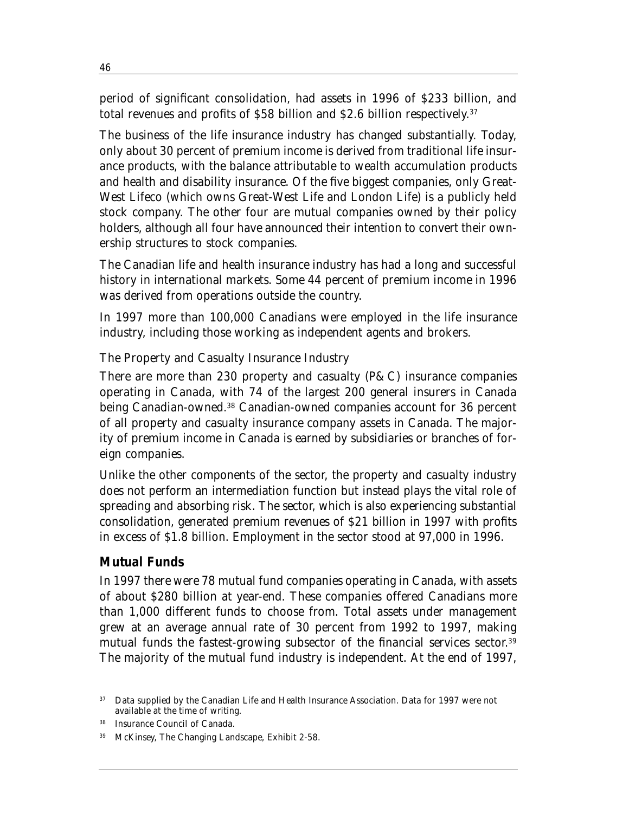period of significant consolidation, had assets in 1996 of \$233 billion, and total revenues and profits of \$58 billion and \$2.6 billion respectively. 37

The business of the life insurance industry has changed substantially. Today, only about 30 percent of premium income is derived from traditional life insurance products, with the balance attributable to wealth accumulation products and health and disability insurance. Of the five biggest companies, only Great-West Lifeco (which owns Great-West Life and London Life) is a publicly held stock company. The other four are mutual companies owned by their policy holders, although all four have announced their intention to convert their ownership structures to stock companies.

The Canadian life and health insurance industry has had a long and successful history in international markets. Some 44 percent of premium income in 1996 was derived from operations outside the country.

In 1997 more than 100,000 Canadians were employed in the life insurance industry, including those working as independent agents and brokers.

#### *The Property and Casualty Insurance Industry*

There are more than 230 property and casualty ( $P\&C$ ) insurance companies operating in Canada, with 74 of the largest 200 general insurers in Canada being Canadian-owned.38 Canadian-owned companies account for 36 percent of all property and casualty insurance company assets in Canada. The majority of premium income in Canada is earned by subsidiaries or branches of foreign companies.

Unlike the other components of the sector, the property and casualty industry does not perform an intermediation function but instead plays the vital role of spreading and absorbing risk. The sector, which is also experiencing substantial consolidation, generated premium revenues of \$21 billion in 1997 with profits in excess of \$1.8 billion. Employment in the sector stood at 97,000 in 1996.

#### *Mutual Funds*

In 1997 there were 78 mutual fund companies operating in Canada, with assets of about \$280 billion at year-end. These companies offered Canadians more than 1,000 different funds to choose from. Total assets under management grew at an average annual rate of 30 percent from 1992 to 1997, making mutual funds the fastest-growing subsector of the financial services sector. 39 The majority of the mutual fund industry is independent. At the end of 1997,

<sup>37</sup> Data supplied by the Canadian Life and Health Insurance Association. Data for 1997 were not available at the time of writing.

Insurance Council of Canada.

<sup>39</sup> McKinsey, *The Changing Landscape*, Exhibit 2-58.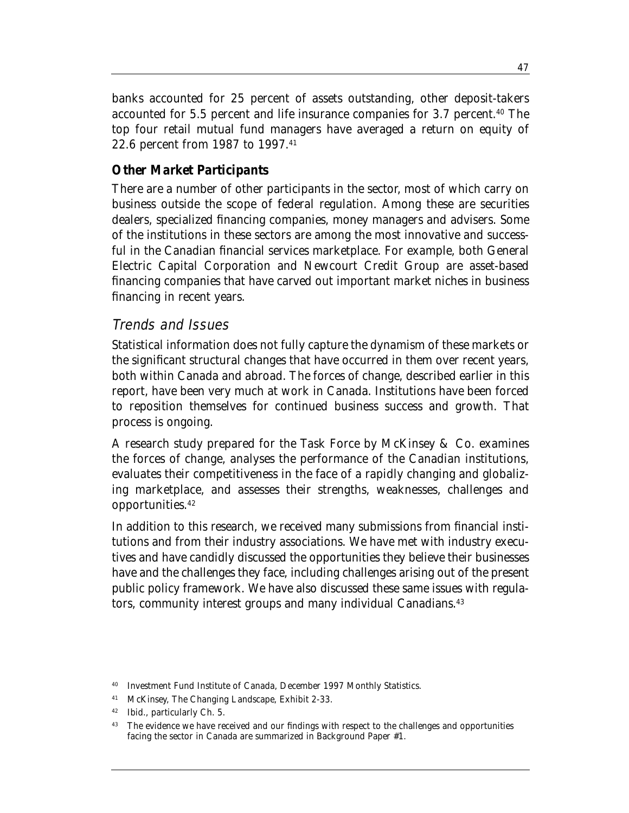banks accounted for 25 percent of assets outstanding, other deposit-takers accounted for 5.5 percent and life insurance companies for 3.7 percent.<sup>40</sup> The top four retail mutual fund managers have averaged a return on equity of 22.6 percent from 1987 to 1997.41

#### *Other Market Participants*

There are a number of other participants in the sector, most of which carry on business outside the scope of federal regulation. Among these are securities dealers, specialized financing companies, money managers and advisers. Some of the institutions in these sectors are among the most innovative and successful in the Canadian financial services marketplace. For example, both General Electric Capital Corporation and Newcourt Credit Group are asset-based financing companies that have carved out important market niches in business financing in recent years.

#### Trends and Issues

Statistical information does not fully capture the dynamism of these markets or the significant structural changes that have occurred in them over recent years, both within Canada and abroad. The forces of change, described earlier in this report, have been very much at work in Canada. Institutions have been forced to reposition themselves for continued business success and growth. That process is ongoing.

A research study prepared for the Task Force by McKinsey & Co. examines the forces of change, analyses the performance of the Canadian institutions, evaluates their competitiveness in the face of a rapidly changing and globalizing marketplace, and assesses their strengths, weaknesses, challenges and opportunities.42

In addition to this research, we received many submissions from financial institutions and from their industry associations. We have met with industry executives and have candidly discussed the opportunities they believe their businesses have and the challenges they face, including challenges arising out of the present public policy framework. We have also discussed these same issues with regulators, community interest groups and many individual Canadians.<sup>43</sup>

<sup>40</sup> Investment Fund Institute of Canada, *December 1997 Monthly Statistics*.

<sup>41</sup> McKinsey, *The Changing Landscape*, Exhibit 2-33.

<sup>42</sup> Ibid., particularly Ch. 5.

<sup>&</sup>lt;sup>43</sup> The evidence we have received and our findings with respect to the challenges and opportunities facing the sector in Canada are summarized in Background Paper #1.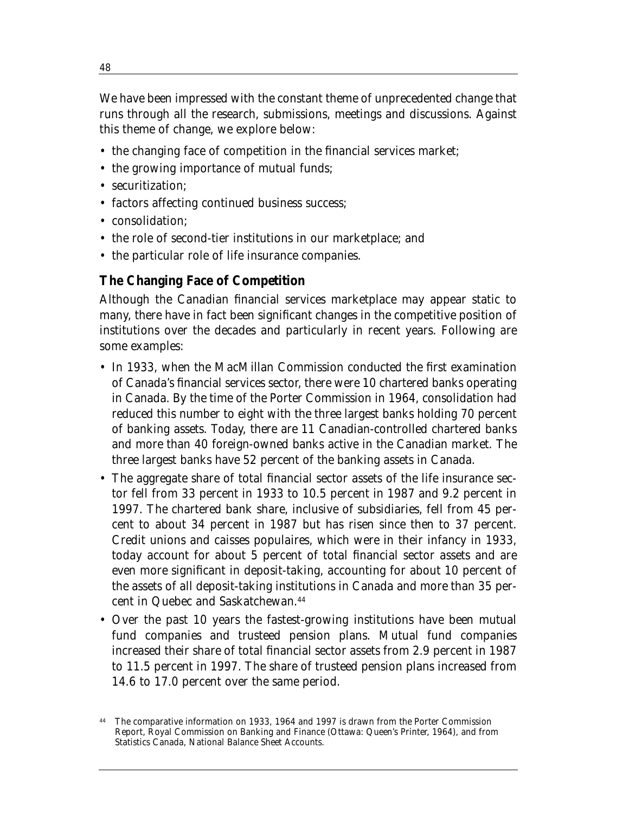We have been impressed with the constant theme of unprecedented change that runs through all the research, submissions, meetings and discussions. Against this theme of change, we explore below:

- the changing face of competition in the financial services market;
- the growing importance of mutual funds;
- securitization;
- factors affecting continued business success;
- consolidation;
- the role of second-tier institutions in our marketplace; and
- the particular role of life insurance companies.

#### **The Changing Face of Competition**

Although the Canadian financial services marketplace may appear static to many, there have in fact been significant changes in the competitive position of institutions over the decades and particularly in recent years. Following are some examples:

- In 1933, when the MacMillan Commission conducted the first examination of Canada's financial services sector, there were 10 chartered banks operating in Canada. By the time of the Porter Commission in 1964, consolidation had reduced this number to eight with the three largest banks holding 70 percent of banking assets. Today, there are 11 Canadian-controlled chartered banks and more than 40 foreign-owned banks active in the Canadian market. The three largest banks have 52 percent of the banking assets in Canada.
- The aggregate share of total financial sector assets of the life insurance sector fell from 33 percent in 1933 to 10.5 percent in 1987 and 9.2 percent in 1997. The chartered bank share, inclusive of subsidiaries, fell from 45 percent to about 34 percent in 1987 but has risen since then to 37 percent. Credit unions and caisses populaires, which were in their infancy in 1933, today account for about 5 percent of total financial sector assets and are even more significant in deposit-taking, accounting for about 10 percent of the assets of all deposit-taking institutions in Canada and more than 35 percent in Quebec and Saskatchewan.44
- Over the past 10 years the fastest-growing institutions have been mutual fund companies and trusteed pension plans. Mutual fund companies increased their share of total financial sector assets from 2.9 percent in 1987 to 11.5 percent in 1997. The share of trusteed pension plans increased from 14.6 to 17.0 percent over the same period.

The comparative information on 1933, 1964 and 1997 is drawn from the Porter Commission Report, Royal Commission on Banking and Finance (Ottawa: Queen's Printer, 1964), and from Statistics Canada, National Balance Sheet Accounts.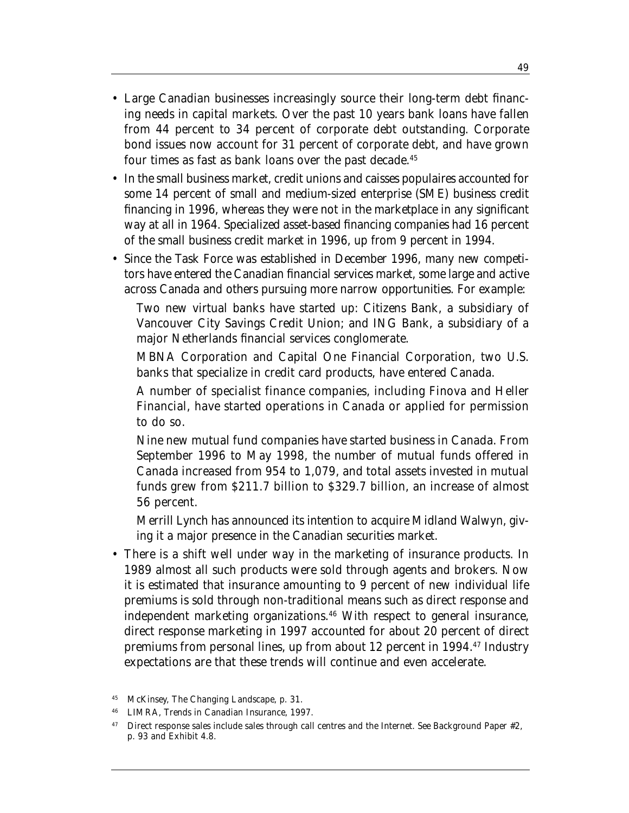- Large Canadian businesses increasingly source their long-term debt financing needs in capital markets. Over the past 10 years bank loans have fallen from 44 percent to 34 percent of corporate debt outstanding. Corporate bond issues now account for 31 percent of corporate debt, and have grown four times as fast as bank loans over the past decade.45
- In the small business market, credit unions and caisses populaires accounted for some 14 percent of small and medium-sized enterprise (SME) business credit financing in 1996, whereas they were not in the marketplace in any significant way at all in 1964. Specialized asset-based financing companies had 16 percent of the small business credit market in 1996, up from 9 percent in 1994.
- Since the Task Force was established in December 1996, many new competitors have entered the Canadian financial services market, some large and active across Canada and others pursuing more narrow opportunities. For example:

Two new virtual banks have started up: Citizens Bank, a subsidiary of Vancouver City Savings Credit Union; and ING Bank, a subsidiary of a major Netherlands financial services conglomerate.

MBNA Corporation and Capital One Financial Corporation, two U.S. banks that specialize in credit card products, have entered Canada.

A number of specialist finance companies, including Finova and Heller Financial, have started operations in Canada or applied for permission to do so.

Nine new mutual fund companies have started business in Canada. From September 1996 to May 1998, the number of mutual funds offered in Canada increased from 954 to 1,079, and total assets invested in mutual funds grew from \$211.7 billion to \$329.7 billion, an increase of almost 56 percent.

Merrill Lynch has announced its intention to acquire Midland Walwyn, giving it a major presence in the Canadian securities market.

• There is a shift well under way in the marketing of insurance products. In 1989 almost all such products were sold through agents and brokers. Now it is estimated that insurance amounting to 9 percent of new individual life premiums is sold through non-traditional means such as direct response and independent marketing organizations.<sup>46</sup> With respect to general insurance, direct response marketing in 1997 accounted for about 20 percent of direct premiums from personal lines, up from about 12 percent in 1994.47 Industry expectations are that these trends will continue and even accelerate.

<sup>45</sup> McKinsey, *The Changing Landscape*, p. 31.

<sup>46</sup> LIMRA, *Trends in Canadian Insurance*, 1997.

<sup>&</sup>lt;sup>47</sup> Direct response sales include sales through call centres and the Internet. See Background Paper #2, p. 93 and Exhibit 4.8.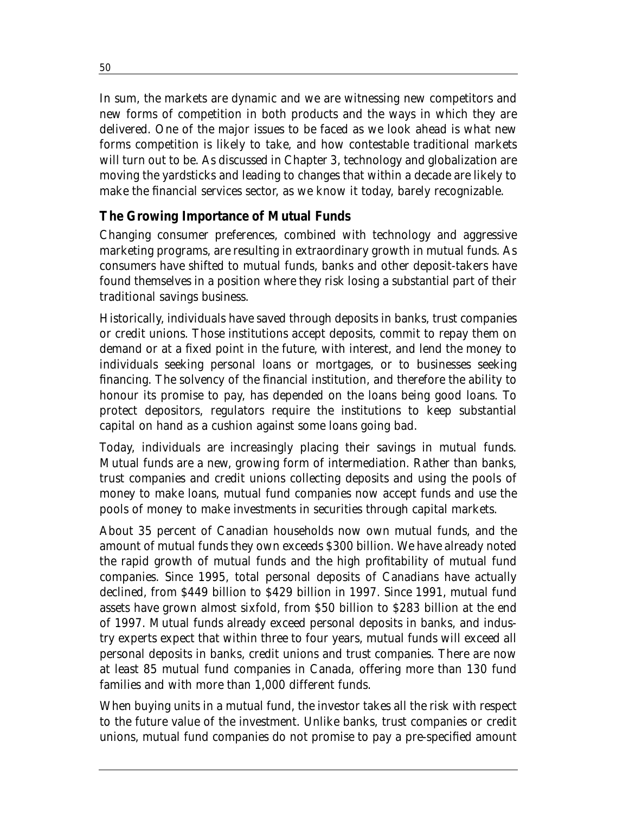In sum, the markets are dynamic and we are witnessing new competitors and new forms of competition in both products and the ways in which they are delivered. One of the major issues to be faced as we look ahead is what new forms competition is likely to take, and how contestable traditional markets will turn out to be. As discussed in Chapter 3, technology and globalization are moving the yardsticks and leading to changes that within a decade are likely to make the financial services sector, as we know it today, barely recognizable.

## **The Growing Importance of Mutual Funds**

Changing consumer preferences, combined with technology and aggressive marketing programs, are resulting in extraordinary growth in mutual funds. As consumers have shifted to mutual funds, banks and other deposit-takers have found themselves in a position where they risk losing a substantial part of their traditional savings business.

Historically, individuals have saved through deposits in banks, trust companies or credit unions. Those institutions accept deposits, commit to repay them on demand or at a fixed point in the future, with interest, and lend the money to individuals seeking personal loans or mortgages, or to businesses seeking financing. The solvency of the financial institution, and therefore the ability to honour its promise to pay, has depended on the loans being good loans. To protect depositors, regulators require the institutions to keep substantial capital on hand as a cushion against some loans going bad.

Today, individuals are increasingly placing their savings in mutual funds. Mutual funds are a new, growing form of intermediation. Rather than banks, trust companies and credit unions collecting deposits and using the pools of money to make loans, mutual fund companies now accept funds and use the pools of money to make investments in securities through capital markets.

About 35 percent of Canadian households now own mutual funds, and the amount of mutual funds they own exceeds \$300 billion. We have already noted the rapid growth of mutual funds and the high profitability of mutual fund companies. Since 1995, total personal deposits of Canadians have actually declined, from \$449 billion to \$429 billion in 1997. Since 1991, mutual fund assets have grown almost sixfold, from \$50 billion to \$283 billion at the end of 1997. Mutual funds already exceed personal deposits in banks, and industry experts expect that within three to four years, mutual funds will exceed all personal deposits in banks, credit unions and trust companies. There are now at least 85 mutual fund companies in Canada, offering more than 130 fund families and with more than 1,000 different funds.

When buying units in a mutual fund, the investor takes all the risk with respect to the future value of the investment. Unlike banks, trust companies or credit unions, mutual fund companies do not promise to pay a pre-specified amount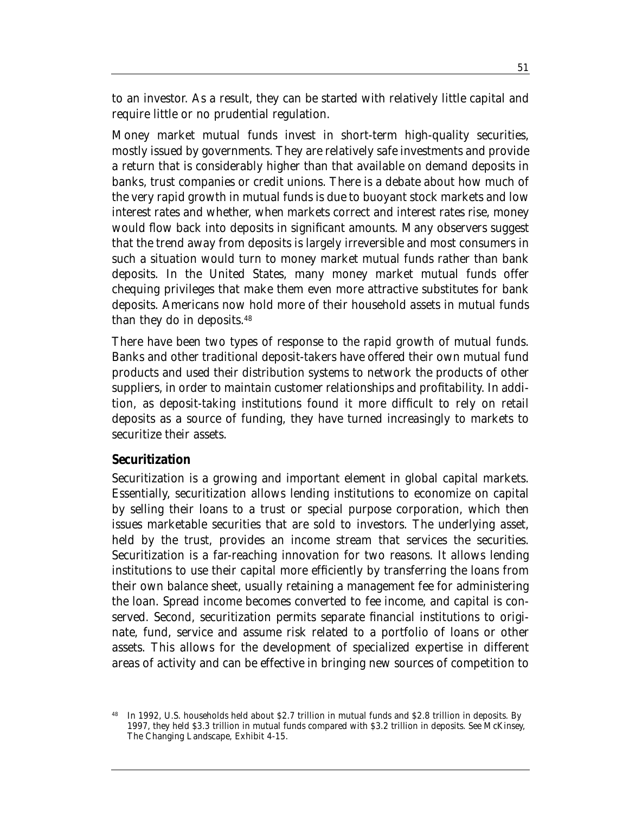to an investor. As a result, they can be started with relatively little capital and require little or no prudential regulation.

Money market mutual funds invest in short-term high-quality securities, mostly issued by governments. They are relatively safe investments and provide a return that is considerably higher than that available on demand deposits in banks, trust companies or credit unions. There is a debate about how much of the very rapid growth in mutual funds is due to buoyant stock markets and low interest rates and whether, when markets correct and interest rates rise, money would flow back into deposits in significant amounts. Many observers suggest that the trend away from deposits is largely irreversible and most consumers in such a situation would turn to money market mutual funds rather than bank deposits. In the United States, many money market mutual funds offer chequing privileges that make them even more attractive substitutes for bank deposits. Americans now hold more of their household assets in mutual funds than they do in deposits.48

There have been two types of response to the rapid growth of mutual funds. Banks and other traditional deposit-takers have offered their own mutual fund products and used their distribution systems to network the products of other suppliers, in order to maintain customer relationships and profitability. In addition, as deposit-taking institutions found it more difficult to rely on retail deposits as a source of funding, they have turned increasingly to markets to securitize their assets.

#### **Securitization**

Securitization is a growing and important element in global capital markets. Essentially, securitization allows lending institutions to economize on capital by selling their loans to a trust or special purpose corporation, which then issues marketable securities that are sold to investors. The underlying asset, held by the trust, provides an income stream that services the securities. Securitization is a far-reaching innovation for two reasons. It allows lending institutions to use their capital more efficiently by transferring the loans from their own balance sheet, usually retaining a management fee for administering the loan. Spread income becomes converted to fee income, and capital is conserved. Second, securitization permits separate financial institutions to originate, fund, service and assume risk related to a portfolio of loans or other assets. This allows for the development of specialized expertise in different areas of activity and can be effective in bringing new sources of competition to

<sup>48</sup> In 1992, U.S. households held about \$2.7 trillion in mutual funds and \$2.8 trillion in deposits. By 1997, they held \$3.3 trillion in mutual funds compared with \$3.2 trillion in deposits. See McKinsey, *The Changing Landscape*, Exhibit 4-15.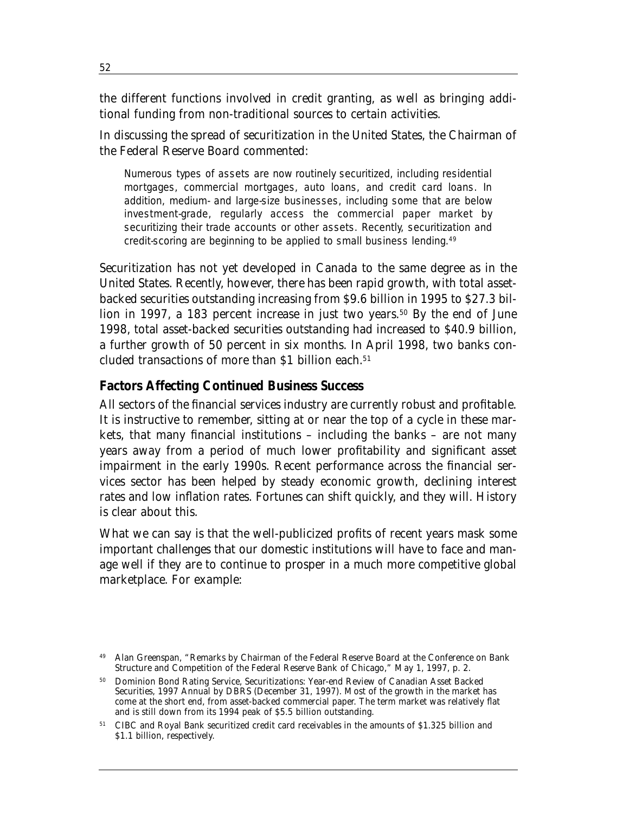the different functions involved in credit granting, as well as bringing additional funding from non-traditional sources to certain activities.

In discussing the spread of securitization in the United States, the Chairman of the Federal Reserve Board commented:

Numerous types of assets are now routinely securitized, including residential mortgages, commercial mortgages, auto loans, and credit card loans. In addition, medium- and large-size businesses, including some that are below investment-grade, regularly access the commercial paper market by securitizing their trade accounts or other assets. Recently, securitization and credit-scoring are beginning to be applied to small business lending.49

Securitization has not yet developed in Canada to the same degree as in the United States. Recently, however, there has been rapid growth, with total assetbacked securities outstanding increasing from \$9.6 billion in 1995 to \$27.3 billion in 1997, a 183 percent increase in just two years.<sup>50</sup> By the end of June 1998, total asset-backed securities outstanding had increased to \$40.9 billion, a further growth of 50 percent in six months. In April 1998, two banks concluded transactions of more than \$1 billion each.<sup>51</sup>

#### **Factors Affecting Continued Business Success**

All sectors of the financial services industry are currently robust and profitable. It is instructive to remember, sitting at or near the top of a cycle in these markets, that many financial institutions – including the banks – are not many years away from a period of much lower profitability and significant asset impairment in the early 1990s. Recent performance across the financial services sector has been helped by steady economic growth, declining interest rates and low inflation rates. Fortunes can shift quickly, and they will. History is clear about this.

What we can say is that the well-publicized profits of recent years mask some important challenges that our domestic institutions will have to face and manage well if they are to continue to prosper in a much more competitive global marketplace. For example:

Alan Greenspan, "Remarks by Chairman of the Federal Reserve Board at the Conference on Bank Structure and Competition of the Federal Reserve Bank of Chicago," May 1, 1997, p. 2.

<sup>50</sup> Dominion Bond Rating Service, *Securitizations: Year-end Review of Canadian Asset Backed Securities, 1997 Annual by DBRS* (December 31, 1997). Most of the growth in the market has come at the short end, from asset-backed commercial paper. The term market was relatively flat and is still down from its 1994 peak of \$5.5 billion outstanding.

<sup>51</sup> CIBC and Royal Bank securitized credit card receivables in the amounts of \$1.325 billion and \$1.1 billion, respectively.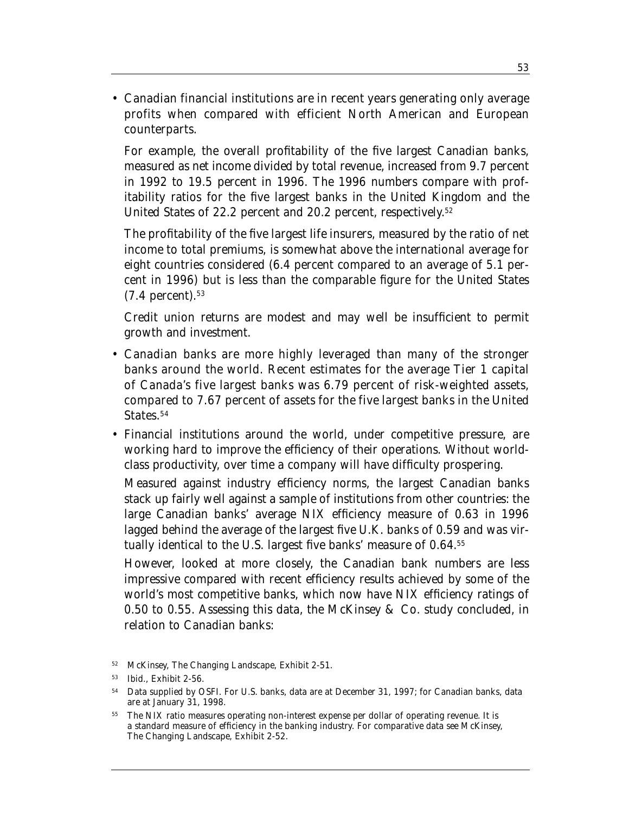• Canadian financial institutions are in recent years generating only average profits when compared with efficient North American and European counterparts.

For example, the overall profitability of the five largest Canadian banks, measured as net income divided by total revenue, increased from 9.7 percent in 1992 to 19.5 percent in 1996. The 1996 numbers compare with profitability ratios for the five largest banks in the United Kingdom and the United States of 22.2 percent and 20.2 percent, respectively. 52

The profitability of the five largest life insurers, measured by the ratio of net income to total premiums, is somewhat above the international average for eight countries considered (6.4 percent compared to an average of 5.1 percent in 1996) but is less than the comparable figure for the United States  $(7.4$  percent).<sup>53</sup>

Credit union returns are modest and may well be insufficient to permit growth and investment.

- Canadian banks are more highly leveraged than many of the stronger banks around the world. Recent estimates for the average Tier 1 capital of Canada's five largest banks was 6.79 percent of risk-weighted assets, compared to 7.67 percent of assets for the five largest banks in the United States.<sup>54</sup>
- Financial institutions around the world, under competitive pressure, are working hard to improve the efficiency of their operations. Without worldclass productivity, over time a company will have difficulty prospering.

Measured against industry efficiency norms, the largest Canadian banks stack up fairly well against a sample of institutions from other countries: the large Canadian banks' average NIX efficiency measure of 0.63 in 1996 lagged behind the average of the largest five U.K. banks of 0.59 and was virtually identical to the U.S. largest five banks' measure of 0.64.55

However, looked at more closely, the Canadian bank numbers are less impressive compared with recent efficiency results achieved by some of the world's most competitive banks, which now have NIX efficiency ratings of 0.50 to 0.55. Assessing this data, the McKinsey & Co. study concluded, in relation to Canadian banks:

<sup>52</sup> McKinsey, *The Changing Landscape*, Exhibit 2-51.

<sup>53</sup> Ibid., Exhibit 2-56.

<sup>54</sup> Data supplied by OSFI. For U.S. banks, data are at December 31, 1997; for Canadian banks, data are at January 31, 1998.

<sup>55</sup> The NIX ratio measures operating non-interest expense per dollar of operating revenue. It is a standard measure of efficiency in the banking industry. For comparative data see McKinsey, *The Changing Landscape*, Exhibit 2-52.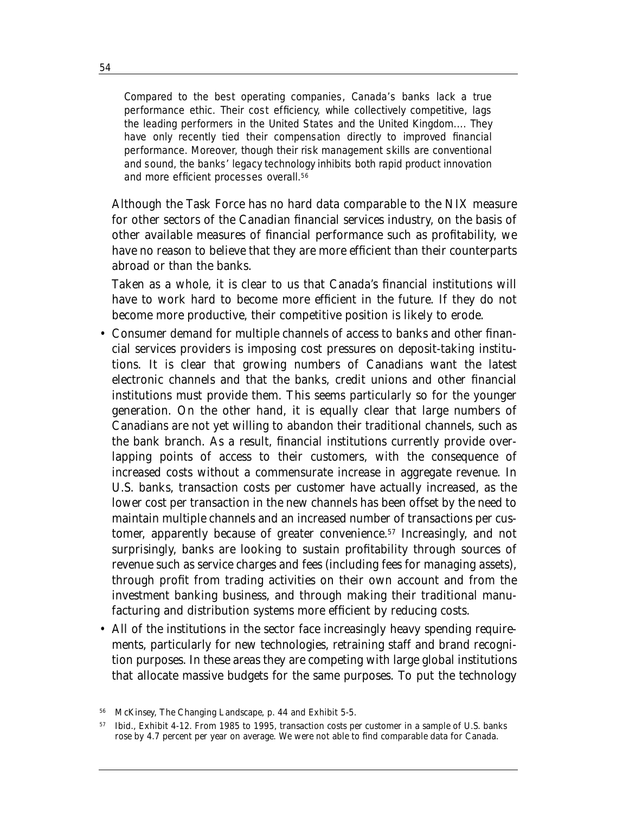Compared to the best operating companies, Canada's banks lack a true performance ethic. Their cost efficiency, while collectively competitive, lags the leading performers in the United States and the United Kingdom.... They have only recently tied their compensation directly to improved financial performance. Moreover, though their risk management skills are conventional and sound, the banks' legacy technology inhibits both rapid product innovation and more efficient processes overall.<sup>56</sup>

Although the Task Force has no hard data comparable to the NIX measure for other sectors of the Canadian financial services industry, on the basis of other available measures of financial performance such as profitability, we have no reason to believe that they are more efficient than their counterparts abroad or than the banks.

Taken as a whole, it is clear to us that Canada's financial institutions will have to work hard to become more efficient in the future. If they do not become more productive, their competitive position is likely to erode.

- Consumer demand for multiple channels of access to banks and other financial services providers is imposing cost pressures on deposit-taking institutions. It is clear that growing numbers of Canadians want the latest electronic channels and that the banks, credit unions and other financial institutions must provide them. This seems particularly so for the younger generation. On the other hand, it is equally clear that large numbers of Canadians are not yet willing to abandon their traditional channels, such as the bank branch. As a result, financial institutions currently provide overlapping points of access to their customers, with the consequence of increased costs without a commensurate increase in aggregate revenue. In U.S. banks, transaction costs per customer have actually increased, as the lower cost per transaction in the new channels has been offset by the need to maintain multiple channels and an increased number of transactions per customer, apparently because of greater convenience.57 Increasingly, and not surprisingly, banks are looking to sustain profitability through sources of revenue such as service charges and fees (including fees for managing assets), through profit from trading activities on their own account and from the investment banking business, and through making their traditional manufacturing and distribution systems more efficient by reducing costs.
- All of the institutions in the sector face increasingly heavy spending requirements, particularly for new technologies, retraining staff and brand recognition purposes. In these areas they are competing with large global institutions that allocate massive budgets for the same purposes. To put the technology

<sup>56</sup> McKinsey, *The Changing Landscape*, p. 44 and Exhibit 5-5.

<sup>57</sup> Ibid., Exhibit 4-12. From 1985 to 1995, transaction costs per customer in a sample of U.S. banks rose by 4.7 percent per year on average. We were not able to find comparable data for Canada.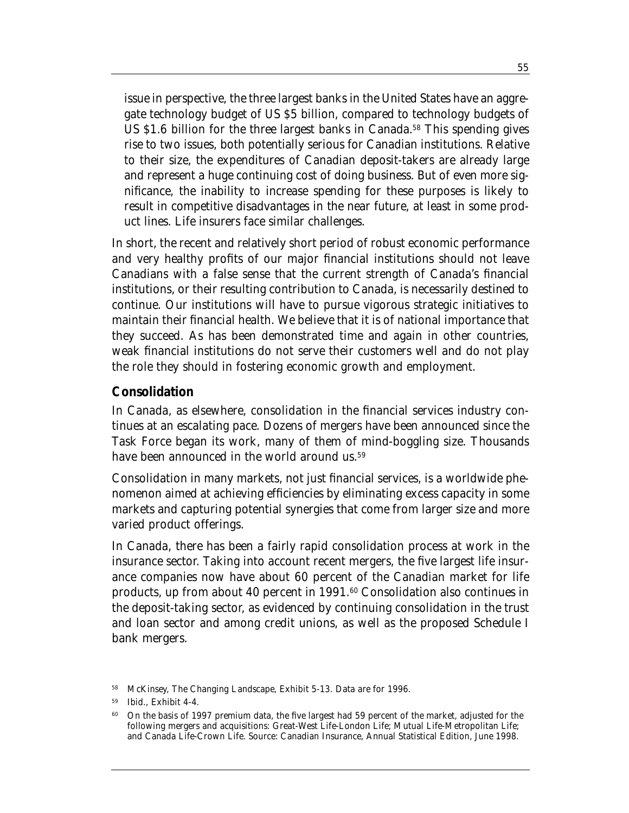issue in perspective, the three largest banks in the United States have an aggregate technology budget of US \$5 billion, compared to technology budgets of US \$1.6 billion for the three largest banks in Canada.<sup>58</sup> This spending gives rise to two issues, both potentially serious for Canadian institutions. Relative to their size, the expenditures of Canadian deposit-takers are already large and represent a huge continuing cost of doing business. But of even more significance, the inability to increase spending for these purposes is likely to result in competitive disadvantages in the near future, at least in some product lines. Life insurers face similar challenges.

In short, the recent and relatively short period of robust economic performance and very healthy profits of our major financial institutions should not leave Canadians with a false sense that the current strength of Canada's financial institutions, or their resulting contribution to Canada, is necessarily destined to continue. Our institutions will have to pursue vigorous strategic initiatives to maintain their financial health. We believe that it is of national importance that they succeed. As has been demonstrated time and again in other countries, weak financial institutions do not serve their customers well and do not play the role they should in fostering economic growth and employment.

#### **Consolidation**

In Canada, as elsewhere, consolidation in the financial services industry continues at an escalating pace. Dozens of mergers have been announced since the Task Force began its work, many of them of mind-boggling size. Thousands have been announced in the world around us.<sup>59</sup>

Consolidation in many markets, not just financial services, is a worldwide phenomenon aimed at achieving efficiencies by eliminating excess capacity in some markets and capturing potential synergies that come from larger size and more varied product offerings.

In Canada, there has been a fairly rapid consolidation process at work in the insurance sector. Taking into account recent mergers, the five largest life insurance companies now have about 60 percent of the Canadian market for life products, up from about 40 percent in 1991.<sup>60</sup> Consolidation also continues in the deposit-taking sector, as evidenced by continuing consolidation in the trust and loan sector and among credit unions, as well as the proposed Schedule I bank mergers.

<sup>58</sup> McKinsey, *The Changing Landscape*, Exhibit 5-13. Data are for 1996.

<sup>59</sup> Ibid., Exhibit 4-4.

<sup>&</sup>lt;sup>60</sup> On the basis of 1997 premium data, the five largest had 59 percent of the market, adjusted for the following mergers and acquisitions: Great-West Life-London Life; Mutual Life-Metropolitan Life; and Canada Life-Crown Life. Source: *Canadian Insurance, Annual Statistical Edition*, June 1998.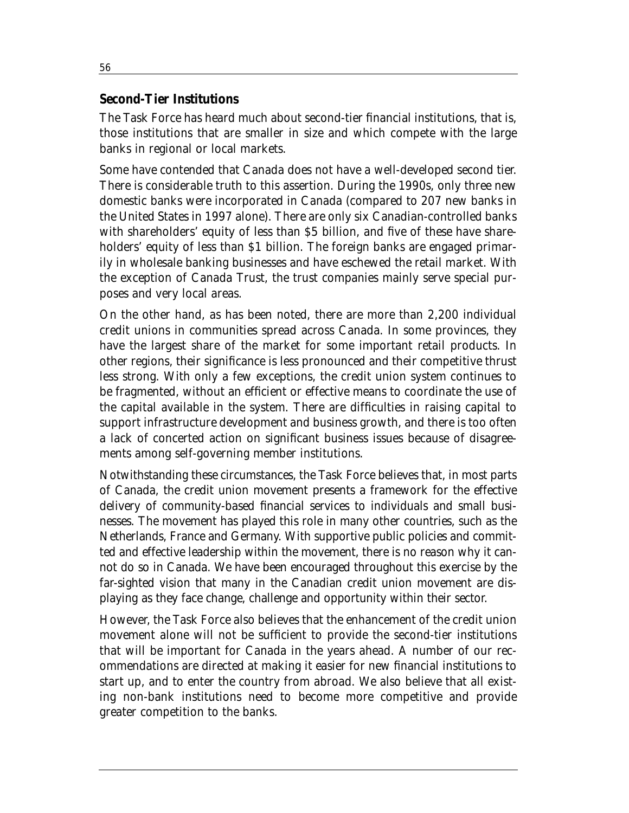#### **Second-Tier Institutions**

The Task Force has heard much about second-tier financial institutions, that is, those institutions that are smaller in size and which compete with the large banks in regional or local markets.

Some have contended that Canada does not have a well-developed second tier. There is considerable truth to this assertion. During the 1990s, only three new domestic banks were incorporated in Canada (compared to 207 new banks in the United States in 1997 alone). There are only six Canadian-controlled banks with shareholders' equity of less than \$5 billion, and five of these have shareholders' equity of less than \$1 billion. The foreign banks are engaged primarily in wholesale banking businesses and have eschewed the retail market. With the exception of Canada Trust, the trust companies mainly serve special purposes and very local areas.

On the other hand, as has been noted, there are more than 2,200 individual credit unions in communities spread across Canada. In some provinces, they have the largest share of the market for some important retail products. In other regions, their significance is less pronounced and their competitive thrust less strong. With only a few exceptions, the credit union system continues to be fragmented, without an efficient or effective means to coordinate the use of the capital available in the system. There are difficulties in raising capital to support infrastructure development and business growth, and there is too often a lack of concerted action on significant business issues because of disagreements among self-governing member institutions.

Notwithstanding these circumstances, the Task Force believes that, in most parts of Canada, the credit union movement presents a framework for the effective delivery of community-based financial services to individuals and small businesses. The movement has played this role in many other countries, such as the Netherlands, France and Germany. With supportive public policies and committed and effective leadership within the movement, there is no reason why it cannot do so in Canada. We have been encouraged throughout this exercise by the far-sighted vision that many in the Canadian credit union movement are displaying as they face change, challenge and opportunity within their sector.

However, the Task Force also believes that the enhancement of the credit union movement alone will not be sufficient to provide the second-tier institutions that will be important for Canada in the years ahead. A number of our recommendations are directed at making it easier for new financial institutions to start up, and to enter the country from abroad. We also believe that all existing non-bank institutions need to become more competitive and provide greater competition to the banks.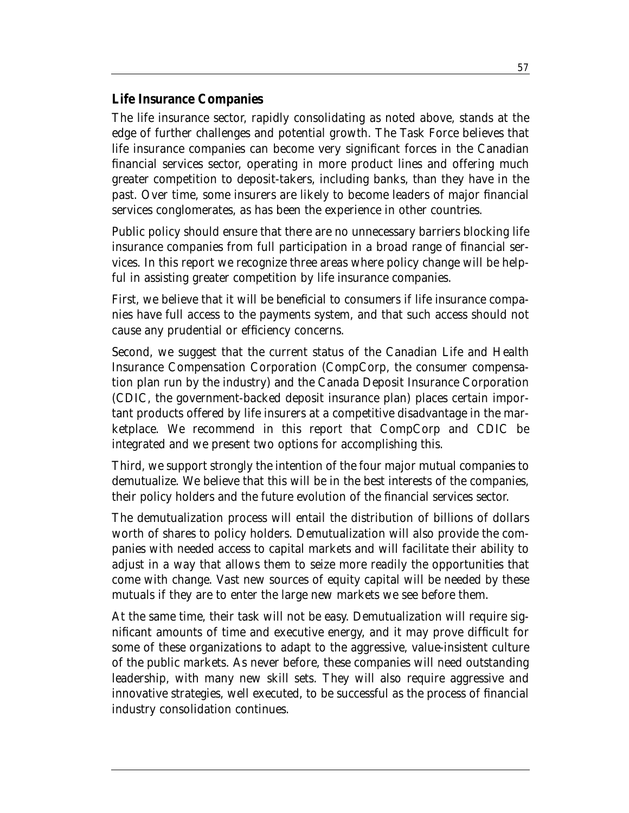#### **Life Insurance Companies**

The life insurance sector, rapidly consolidating as noted above, stands at the edge of further challenges and potential growth. The Task Force believes that life insurance companies can become very significant forces in the Canadian financial services sector, operating in more product lines and offering much greater competition to deposit-takers, including banks, than they have in the past. Over time, some insurers are likely to become leaders of major financial services conglomerates, as has been the experience in other countries.

Public policy should ensure that there are no unnecessary barriers blocking life insurance companies from full participation in a broad range of financial services. In this report we recognize three areas where policy change will be helpful in assisting greater competition by life insurance companies.

First, we believe that it will be beneficial to consumers if life insurance companies have full access to the payments system, and that such access should not cause any prudential or efficiency concerns.

Second, we suggest that the current status of the Canadian Life and Health Insurance Compensation Corporation (CompCorp, the consumer compensation plan run by the industry) and the Canada Deposit Insurance Corporation (CDIC, the government-backed deposit insurance plan) places certain important products offered by life insurers at a competitive disadvantage in the marketplace. We recommend in this report that CompCorp and CDIC be integrated and we present two options for accomplishing this.

Third, we support strongly the intention of the four major mutual companies to demutualize. We believe that this will be in the best interests of the companies, their policy holders and the future evolution of the financial services sector.

The demutualization process will entail the distribution of billions of dollars worth of shares to policy holders. Demutualization will also provide the companies with needed access to capital markets and will facilitate their ability to adjust in a way that allows them to seize more readily the opportunities that come with change. Vast new sources of equity capital will be needed by these mutuals if they are to enter the large new markets we see before them.

At the same time, their task will not be easy. Demutualization will require significant amounts of time and executive energy, and it may prove difficult for some of these organizations to adapt to the aggressive, value-insistent culture of the public markets. As never before, these companies will need outstanding leadership, with many new skill sets. They will also require aggressive and innovative strategies, well executed, to be successful as the process of financial industry consolidation continues.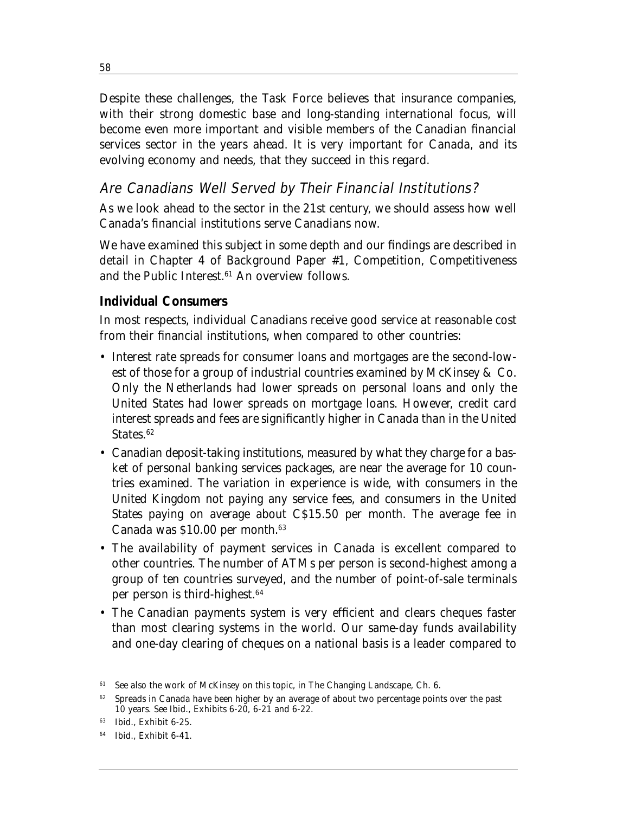Despite these challenges, the Task Force believes that insurance companies, with their strong domestic base and long-standing international focus, will become even more important and visible members of the Canadian financial services sector in the years ahead. It is very important for Canada, and its evolving economy and needs, that they succeed in this regard.

### Are Canadians Well Served by Their Financial Institutions?

As we look ahead to the sector in the 21st century, we should assess how well Canada's financial institutions serve Canadians now.

We have examined this subject in some depth and our findings are described in detail in Chapter 4 of Background Paper #1, *Competition, Competitiveness and the Public Interest*. <sup>61</sup> An overview follows.

#### **Individual Consumers**

In most respects, individual Canadians receive good service at reasonable cost from their financial institutions, when compared to other countries:

- Interest rate spreads for consumer loans and mortgages are the second-lowest of those for a group of industrial countries examined by McKinsey & Co. Only the Netherlands had lower spreads on personal loans and only the United States had lower spreads on mortgage loans. However, credit card interest spreads and fees are significantly higher in Canada than in the United States.<sup>62</sup>
- Canadian deposit-taking institutions, measured by what they charge for a basket of personal banking services packages, are near the average for 10 countries examined. The variation in experience is wide, with consumers in the United Kingdom not paying any service fees, and consumers in the United States paying on average about C\$15.50 per month. The average fee in Canada was \$10.00 per month.63
- The availability of payment services in Canada is excellent compared to other countries. The number of ATMs per person is second-highest among a group of ten countries surveyed, and the number of point-of-sale terminals per person is third-highest.64
- The Canadian payments system is very efficient and clears cheques faster than most clearing systems in the world. Our same-day funds availability and one-day clearing of cheques on a national basis is a leader compared to

58

<sup>61</sup> See also the work of McKinsey on this topic, in *The Changing Landscape*, Ch. 6.

<sup>62</sup> Spreads in Canada have been higher by an average of about two percentage points over the past 10 years. See Ibid., Exhibits 6-20, 6-21 and 6-22.

<sup>63</sup> Ibid., Exhibit 6-25.

<sup>64</sup> Ibid., Exhibit 6-41.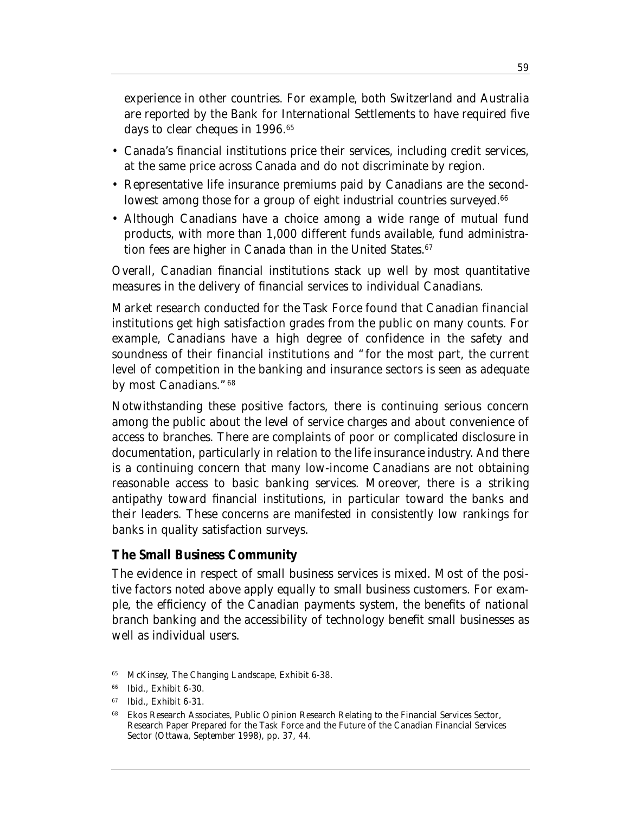experience in other countries. For example, both Switzerland and Australia are reported by the Bank for International Settlements to have required five days to clear cheques in 1996.65

- Canada's financial institutions price their services, including credit services, at the same price across Canada and do not discriminate by region.
- Representative life insurance premiums paid by Canadians are the secondlowest among those for a group of eight industrial countries surveyed.<sup>66</sup>
- Although Canadians have a choice among a wide range of mutual fund products, with more than 1,000 different funds available, fund administration fees are higher in Canada than in the United States.<sup>67</sup>

Overall, Canadian financial institutions stack up well by most quantitative measures in the delivery of financial services to individual Canadians.

Market research conducted for the Task Force found that Canadian financial institutions get high satisfaction grades from the public on many counts. For example, Canadians have a high degree of confidence in the safety and soundness of their financial institutions and "for the most part, the current level of competition in the banking and insurance sectors is seen as adequate by most Canadians."68

Notwithstanding these positive factors, there is continuing serious concern among the public about the level of service charges and about convenience of access to branches. There are complaints of poor or complicated disclosure in documentation, particularly in relation to the life insurance industry. And there is a continuing concern that many low-income Canadians are not obtaining reasonable access to basic banking services. Moreover, there is a striking antipathy toward financial institutions, in particular toward the banks and their leaders. These concerns are manifested in consistently low rankings for banks in quality satisfaction surveys.

#### **The Small Business Community**

The evidence in respect of small business services is mixed. Most of the positive factors noted above apply equally to small business customers. For example, the efficiency of the Canadian payments system, the benefits of national branch banking and the accessibility of technology benefit small businesses as well as individual users.

65 McKinsey, *The Changing Landscape*, Exhibit 6-38.

<sup>66</sup> Ibid., Exhibit 6-30.

<sup>67</sup> Ibid., Exhibit 6-31.

<sup>68</sup> Ekos Research Associates, *Public Opinion Research Relating to the Financial Services Sector*, Research Paper Prepared for the Task Force and the Future of the Canadian Financial Services Sector (Ottawa, September 1998), pp. 37, 44.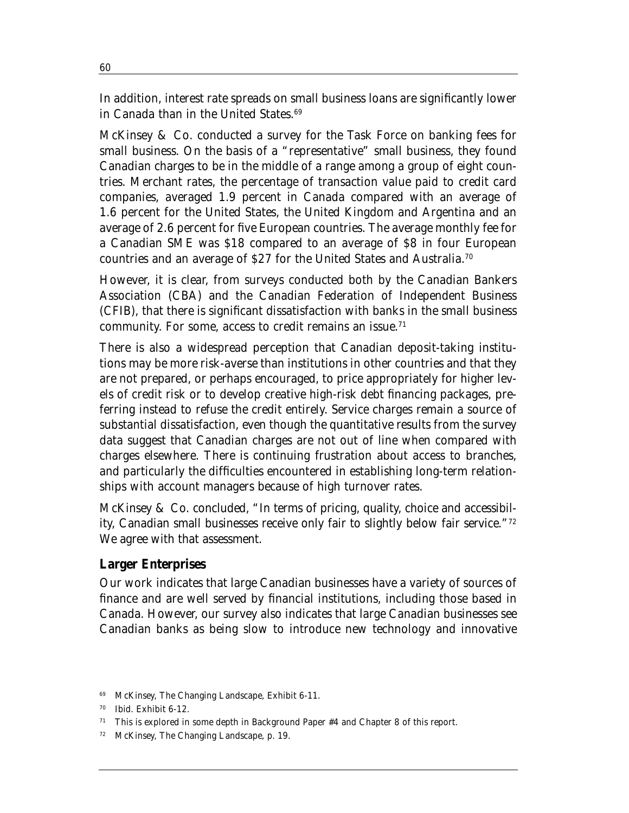In addition, interest rate spreads on small business loans are significantly lower in Canada than in the United States.<sup>69</sup>

McKinsey & Co. conducted a survey for the Task Force on banking fees for small business. On the basis of a "representative" small business, they found Canadian charges to be in the middle of a range among a group of eight countries. Merchant rates, the percentage of transaction value paid to credit card companies, averaged 1.9 percent in Canada compared with an average of 1.6 percent for the United States, the United Kingdom and Argentina and an average of 2.6 percent for five European countries. The average monthly fee for a Canadian SME was \$18 compared to an average of \$8 in four European countries and an average of \$27 for the United States and Australia.70

However, it is clear, from surveys conducted both by the Canadian Bankers Association (CBA) and the Canadian Federation of Independent Business (CFIB), that there is significant dissatisfaction with banks in the small business community. For some, access to credit remains an issue.<sup>71</sup>

There is also a widespread perception that Canadian deposit-taking institutions may be more risk-averse than institutions in other countries and that they are not prepared, or perhaps encouraged, to price appropriately for higher levels of credit risk or to develop creative high-risk debt financing packages, preferring instead to refuse the credit entirely. Service charges remain a source of substantial dissatisfaction, even though the quantitative results from the survey data suggest that Canadian charges are not out of line when compared with charges elsewhere. There is continuing frustration about access to branches, and particularly the difficulties encountered in establishing long-term relationships with account managers because of high turnover rates.

McKinsey & Co. concluded, "In terms of pricing, quality, choice and accessibility, Canadian small businesses receive only fair to slightly below fair service."72 We agree with that assessment.

#### **Larger Enterprises**

Our work indicates that large Canadian businesses have a variety of sources of finance and are well served by financial institutions, including those based in Canada. However, our survey also indicates that large Canadian businesses see Canadian banks as being slow to introduce new technology and innovative

<sup>69</sup> McKinsey, *The Changing Landscape*, Exhibit 6-11.

<sup>70</sup> Ibid. Exhibit 6-12.

<sup>71</sup> This is explored in some depth in Background Paper #4 and Chapter 8 of this report.

<sup>72</sup> McKinsey, *The Changing Landscape*, p. 19.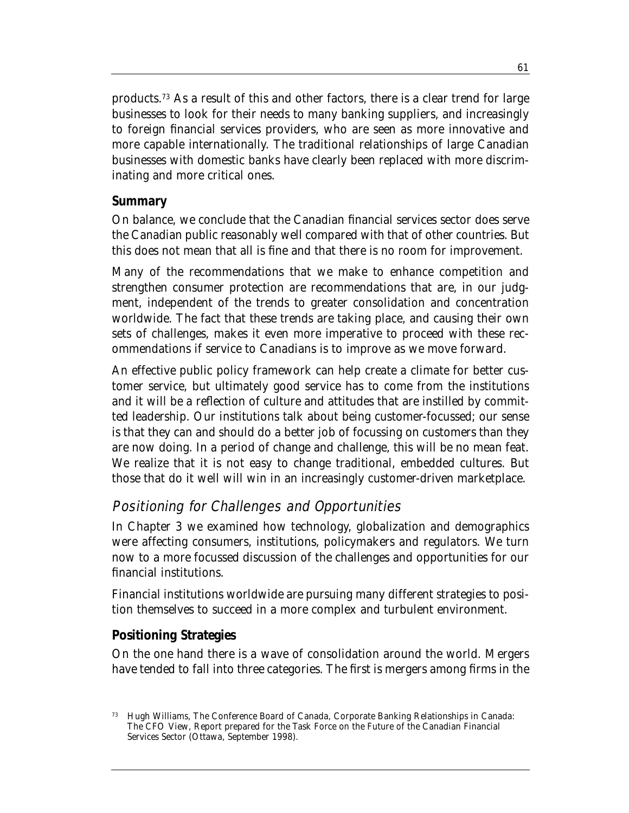products.73 As a result of this and other factors, there is a clear trend for large businesses to look for their needs to many banking suppliers, and increasingly to foreign financial services providers, who are seen as more innovative and more capable internationally. The traditional relationships of large Canadian businesses with domestic banks have clearly been replaced with more discriminating and more critical ones.

#### **Summary**

On balance, we conclude that the Canadian financial services sector does serve the Canadian public reasonably well compared with that of other countries. But this does not mean that all is fine and that there is no room for improvement.

Many of the recommendations that we make to enhance competition and strengthen consumer protection are recommendations that are, in our judgment, independent of the trends to greater consolidation and concentration worldwide. The fact that these trends are taking place, and causing their own sets of challenges, makes it even more imperative to proceed with these recommendations if service to Canadians is to improve as we move forward.

An effective public policy framework can help create a climate for better customer service, but ultimately good service has to come from the institutions and it will be a reflection of culture and attitudes that are instilled by committed leadership. Our institutions talk about being customer-focussed; our sense is that they can and should do a better job of focussing on customers than they are now doing. In a period of change and challenge, this will be no mean feat. We realize that it is not easy to change traditional, embedded cultures. But those that do it well will win in an increasingly customer-driven marketplace.

## Positioning for Challenges and Opportunities

In Chapter 3 we examined how technology, globalization and demographics were affecting consumers, institutions, policymakers and regulators. We turn now to a more focussed discussion of the challenges and opportunities for our financial institutions.

Financial institutions worldwide are pursuing many different strategies to position themselves to succeed in a more complex and turbulent environment.

#### **Positioning Strategies**

On the one hand there is a wave of consolidation around the world. Mergers have tended to fall into three categories. The first is mergers among firms in the

<sup>73</sup> Hugh Williams, The Conference Board of Canada, *Corporate Banking Relationships in Canada: The CFO View*, Report prepared for the Task Force on the Future of the Canadian Financial Services Sector (Ottawa, September 1998).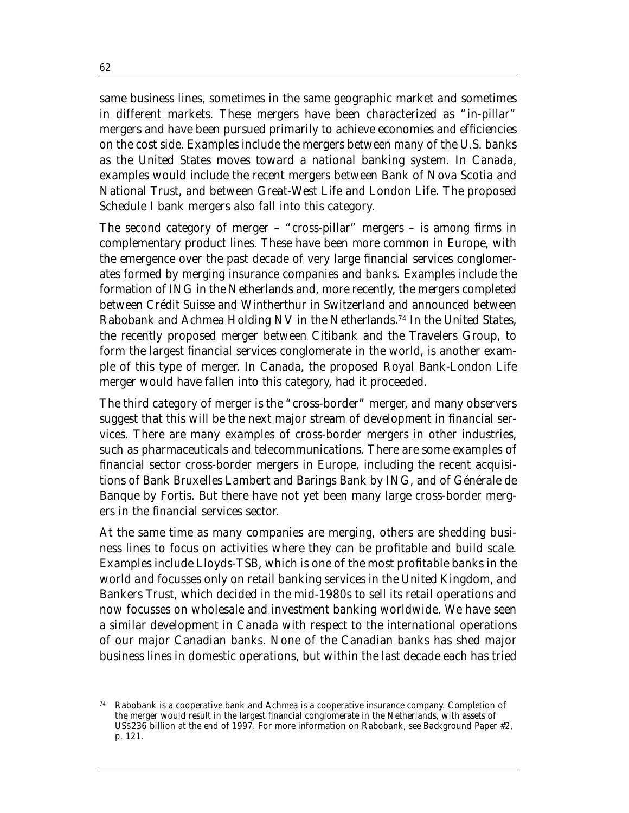same business lines, sometimes in the same geographic market and sometimes in different markets. These mergers have been characterized as "in-pillar" mergers and have been pursued primarily to achieve economies and efficiencies on the cost side. Examples include the mergers between many of the U.S. banks as the United States moves toward a national banking system. In Canada, examples would include the recent mergers between Bank of Nova Scotia and National Trust, and between Great-West Life and London Life. The proposed Schedule I bank mergers also fall into this category.

The second category of merger – "cross-pillar" mergers – is among firms in complementary product lines. These have been more common in Europe, with the emergence over the past decade of very large financial services conglomerates formed by merging insurance companies and banks. Examples include the formation of ING in the Netherlands and, more recently, the mergers completed between Crédit Suisse and Wintherthur in Switzerland and announced between Rabobank and Achmea Holding NV in the Netherlands.74 In the United States, the recently proposed merger between Citibank and the Travelers Group, to form the largest financial services conglomerate in the world, is another example of this type of merger. In Canada, the proposed Royal Bank-London Life merger would have fallen into this category, had it proceeded.

The third category of merger is the "cross-border" merger, and many observers suggest that this will be the next major stream of development in financial services. There are many examples of cross-border mergers in other industries, such as pharmaceuticals and telecommunications. There are some examples of financial sector cross-border mergers in Europe, including the recent acquisitions of Bank Bruxelles Lambert and Barings Bank by ING, and of Générale de Banque by Fortis. But there have not yet been many large cross-border mergers in the financial services sector.

At the same time as many companies are merging, others are shedding business lines to focus on activities where they can be profitable and build scale. Examples include Lloyds-TSB, which is one of the most profitable banks in the world and focusses only on retail banking services in the United Kingdom, and Bankers Trust, which decided in the mid-1980s to sell its retail operations and now focusses on wholesale and investment banking worldwide. We have seen a similar development in Canada with respect to the international operations of our major Canadian banks. None of the Canadian banks has shed major business lines in domestic operations, but within the last decade each has tried

Rabobank is a cooperative bank and Achmea is a cooperative insurance company. Completion of the merger would result in the largest financial conglomerate in the Netherlands, with assets of US\$236 billion at the end of 1997. For more information on Rabobank, see Background Paper #2, p. 121.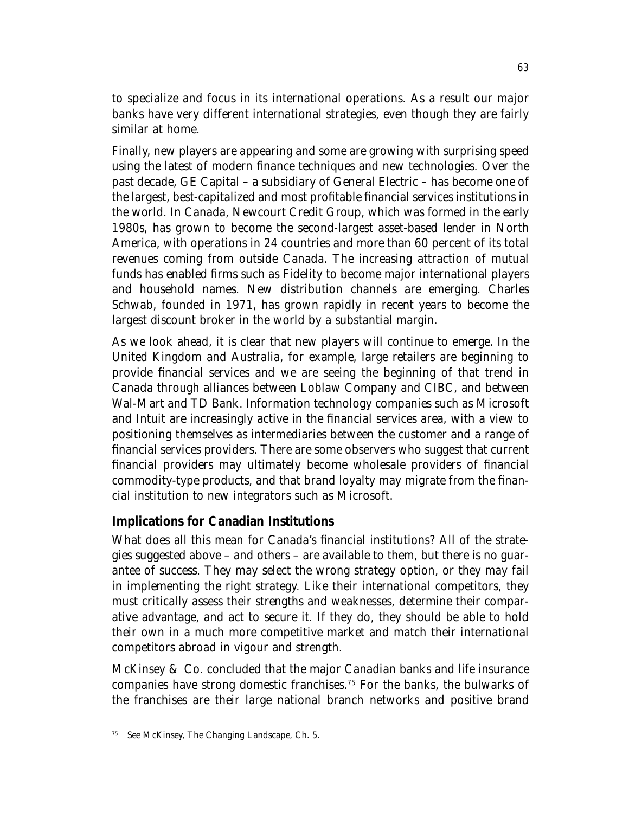to specialize and focus in its international operations. As a result our major banks have very different international strategies, even though they are fairly similar at home.

Finally, new players are appearing and some are growing with surprising speed using the latest of modern finance techniques and new technologies. Over the past decade, GE Capital – a subsidiary of General Electric – has become one of the largest, best-capitalized and most profitable financial services institutions in the world. In Canada, Newcourt Credit Group, which was formed in the early 1980s, has grown to become the second-largest asset-based lender in North America, with operations in 24 countries and more than 60 percent of its total revenues coming from outside Canada. The increasing attraction of mutual funds has enabled firms such as Fidelity to become major international players and household names. New distribution channels are emerging. Charles Schwab, founded in 1971, has grown rapidly in recent years to become the largest discount broker in the world by a substantial margin.

As we look ahead, it is clear that new players will continue to emerge. In the United Kingdom and Australia, for example, large retailers are beginning to provide financial services and we are seeing the beginning of that trend in Canada through alliances between Loblaw Company and CIBC, and between Wal-Mart and TD Bank. Information technology companies such as Microsoft and Intuit are increasingly active in the financial services area, with a view to positioning themselves as intermediaries between the customer and a range of financial services providers. There are some observers who suggest that current financial providers may ultimately become wholesale providers of financial commodity-type products, and that brand loyalty may migrate from the financial institution to new integrators such as Microsoft.

#### **Implications for Canadian Institutions**

What does all this mean for Canada's financial institutions? All of the strategies suggested above – and others – are available to them, but there is no guarantee of success. They may select the wrong strategy option, or they may fail in implementing the right strategy. Like their international competitors, they must critically assess their strengths and weaknesses, determine their comparative advantage, and act to secure it. If they do, they should be able to hold their own in a much more competitive market and match their international competitors abroad in vigour and strength.

McKinsey & Co. concluded that the major Canadian banks and life insurance companies have strong domestic franchises.75 For the banks, the bulwarks of the franchises are their large national branch networks and positive brand

<sup>75</sup> See McKinsey, *The Changing Landscape*, Ch. 5.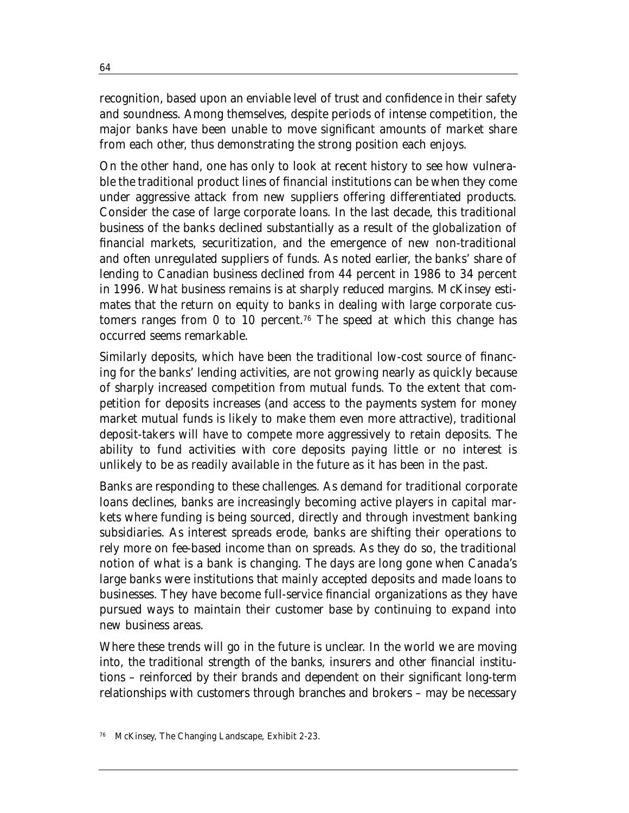recognition, based upon an enviable level of trust and confidence in their safety and soundness. Among themselves, despite periods of intense competition, the major banks have been unable to move significant amounts of market share from each other, thus demonstrating the strong position each enjoys.

On the other hand, one has only to look at recent history to see how vulnerable the traditional product lines of financial institutions can be when they come under aggressive attack from new suppliers offering differentiated products. Consider the case of large corporate loans. In the last decade, this traditional business of the banks declined substantially as a result of the globalization of financial markets, securitization, and the emergence of new non-traditional and often unregulated suppliers of funds. As noted earlier, the banks' share of lending to Canadian business declined from 44 percent in 1986 to 34 percent in 1996. What business remains is at sharply reduced margins. McKinsey estimates that the return on equity to banks in dealing with large corporate customers ranges from 0 to 10 percent.<sup>76</sup> The speed at which this change has occurred seems remarkable.

Similarly deposits, which have been the traditional low-cost source of financing for the banks' lending activities, are not growing nearly as quickly because of sharply increased competition from mutual funds. To the extent that competition for deposits increases (and access to the payments system for money market mutual funds is likely to make them even more attractive), traditional deposit-takers will have to compete more aggressively to retain deposits. The ability to fund activities with core deposits paying little or no interest is unlikely to be as readily available in the future as it has been in the past.

Banks are responding to these challenges. As demand for traditional corporate loans declines, banks are increasingly becoming active players in capital markets where funding is being sourced, directly and through investment banking subsidiaries. As interest spreads erode, banks are shifting their operations to rely more on fee-based income than on spreads. As they do so, the traditional notion of what is a bank is changing. The days are long gone when Canada's large banks were institutions that mainly accepted deposits and made loans to businesses. They have become full-service financial organizations as they have pursued ways to maintain their customer base by continuing to expand into new business areas.

Where these trends will go in the future is unclear. In the world we are moving into, the traditional strength of the banks, insurers and other financial institutions – reinforced by their brands and dependent on their significant long-term relationships with customers through branches and brokers – may be necessary

<sup>76</sup> McKinsey, *The Changing Landscape*, Exhibit 2-23.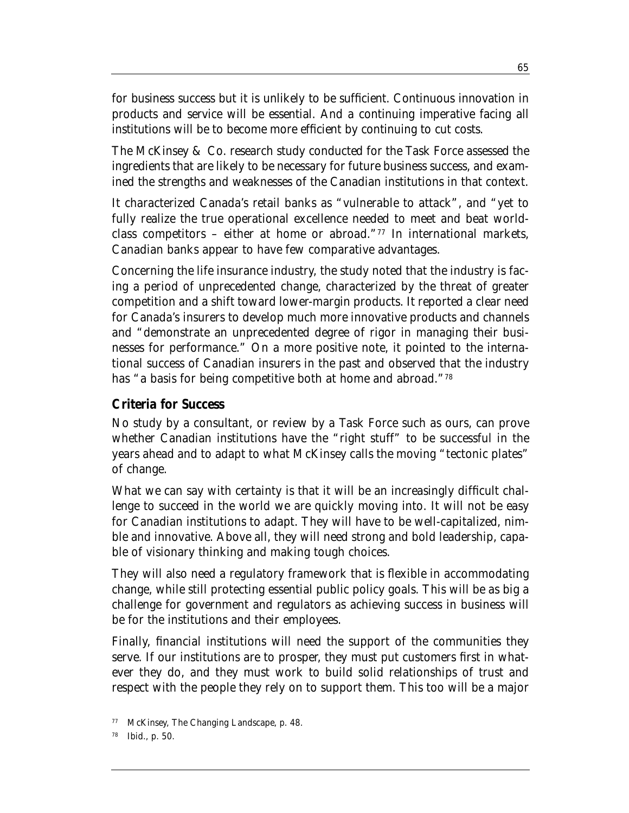for business success but it is unlikely to be sufficient. Continuous innovation in products and service will be essential. And a continuing imperative facing all institutions will be to become more efficient by continuing to cut costs.

The McKinsey & Co. research study conducted for the Task Force assessed the ingredients that are likely to be necessary for future business success, and examined the strengths and weaknesses of the Canadian institutions in that context.

It characterized Canada's retail banks as "vulnerable to attack", and "yet to fully realize the true operational excellence needed to meet and beat worldclass competitors – either at home or abroad."<sup>77</sup> In international markets, Canadian banks appear to have few comparative advantages.

Concerning the life insurance industry, the study noted that the industry is facing a period of unprecedented change, characterized by the threat of greater competition and a shift toward lower-margin products. It reported a clear need for Canada's insurers to develop much more innovative products and channels and "demonstrate an unprecedented degree of rigor in managing their businesses for performance." On a more positive note, it pointed to the international success of Canadian insurers in the past and observed that the industry has "a basis for being competitive both at home and abroad."78

#### **Criteria for Success**

No study by a consultant, or review by a Task Force such as ours, can prove whether Canadian institutions have the "right stuff" to be successful in the years ahead and to adapt to what McKinsey calls the moving "tectonic plates" of change.

What we can say with certainty is that it will be an increasingly difficult challenge to succeed in the world we are quickly moving into. It will not be easy for Canadian institutions to adapt. They will have to be well-capitalized, nimble and innovative. Above all, they will need strong and bold leadership, capable of visionary thinking and making tough choices.

They will also need a regulatory framework that is flexible in accommodating change, while still protecting essential public policy goals. This will be as big a challenge for government and regulators as achieving success in business will be for the institutions and their employees.

Finally, financial institutions will need the support of the communities they serve. If our institutions are to prosper, they must put customers first in whatever they do, and they must work to build solid relationships of trust and respect with the people they rely on to support them. This too will be a major

<sup>77</sup> McKinsey, *The Changing Landscape*, p. 48.

Ibid., p. 50.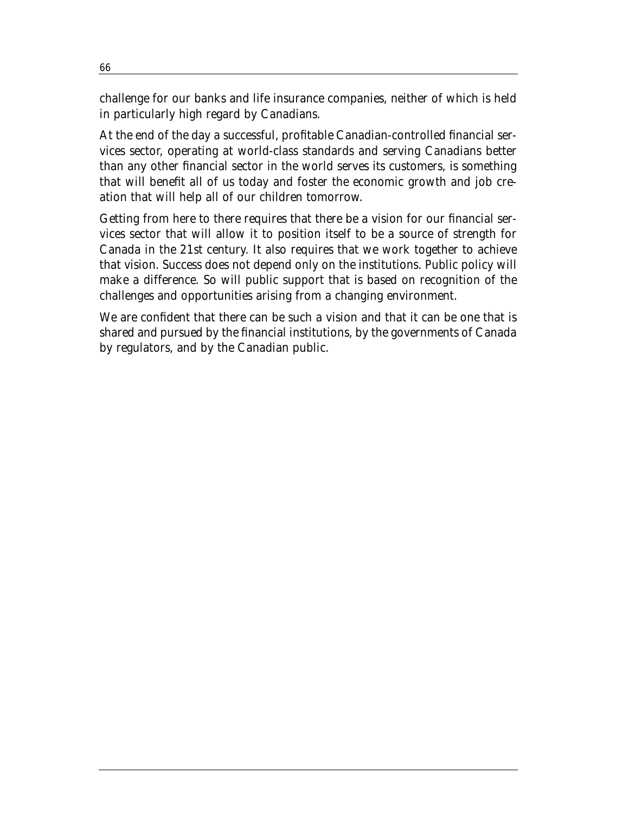challenge for our banks and life insurance companies, neither of which is held in particularly high regard by Canadians.

At the end of the day a successful, profitable Canadian-controlled financial services sector, operating at world-class standards and serving Canadians better than any other financial sector in the world serves its customers, is something that will benefit all of us today and foster the economic growth and job creation that will help all of our children tomorrow.

Getting from here to there requires that there be a vision for our financial services sector that will allow it to position itself to be a source of strength for Canada in the 21st century. It also requires that we work together to achieve that vision. Success does not depend only on the institutions. Public policy will make a difference. So will public support that is based on recognition of the challenges and opportunities arising from a changing environment.

We are confident that there can be such a vision and that it can be one that is shared and pursued by the financial institutions, by the governments of Canada by regulators, and by the Canadian public.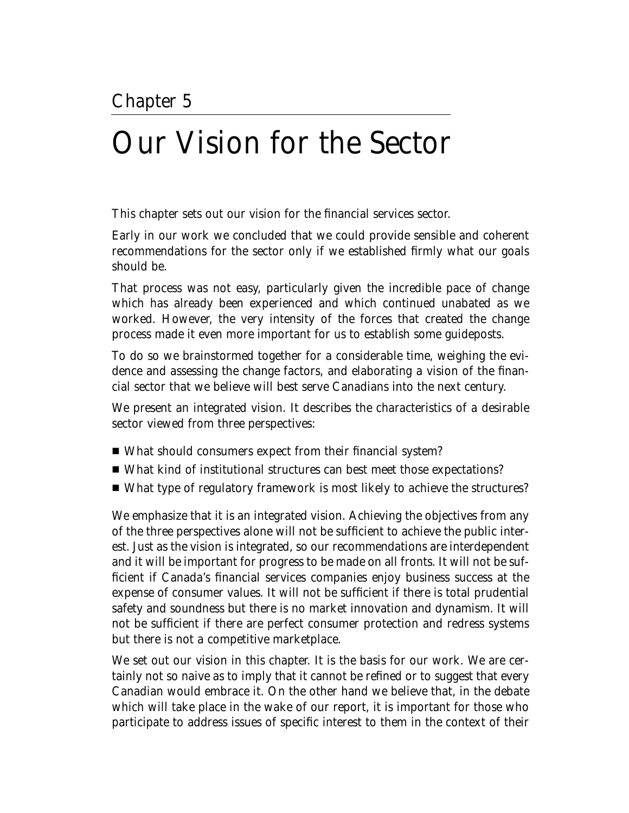# Our Vision for the Sector

This chapter sets out our vision for the financial services sector.

Early in our work we concluded that we could provide sensible and coherent recommendations for the sector only if we established firmly what our goals should be.

That process was not easy, particularly given the incredible pace of change which has already been experienced and which continued unabated as we worked. However, the very intensity of the forces that created the change process made it even more important for us to establish some guideposts.

To do so we brainstormed together for a considerable time, weighing the evidence and assessing the change factors, and elaborating a vision of the financial sector that we believe will best serve Canadians into the next century.

We present an integrated vision. It describes the characteristics of a desirable sector viewed from three perspectives:

- What should consumers expect from their financial system?
- What kind of institutional structures can best meet those expectations?
- What type of regulatory framework is most likely to achieve the structures?

We emphasize that it is an integrated vision. Achieving the objectives from any of the three perspectives alone will not be sufficient to achieve the public interest. Just as the vision is integrated, so our recommendations are interdependent and it will be important for progress to be made on all fronts. It will not be sufficient if Canada's financial services companies enjoy business success at the expense of consumer values. It will not be sufficient if there is total prudential safety and soundness but there is no market innovation and dynamism. It will not be sufficient if there are perfect consumer protection and redress systems but there is not a competitive marketplace.

We set out our vision in this chapter. It is the basis for our work. We are certainly not so naive as to imply that it cannot be refined or to suggest that every Canadian would embrace it. On the other hand we believe that, in the debate which will take place in the wake of our report, it is important for those who participate to address issues of specific interest to them in the context of their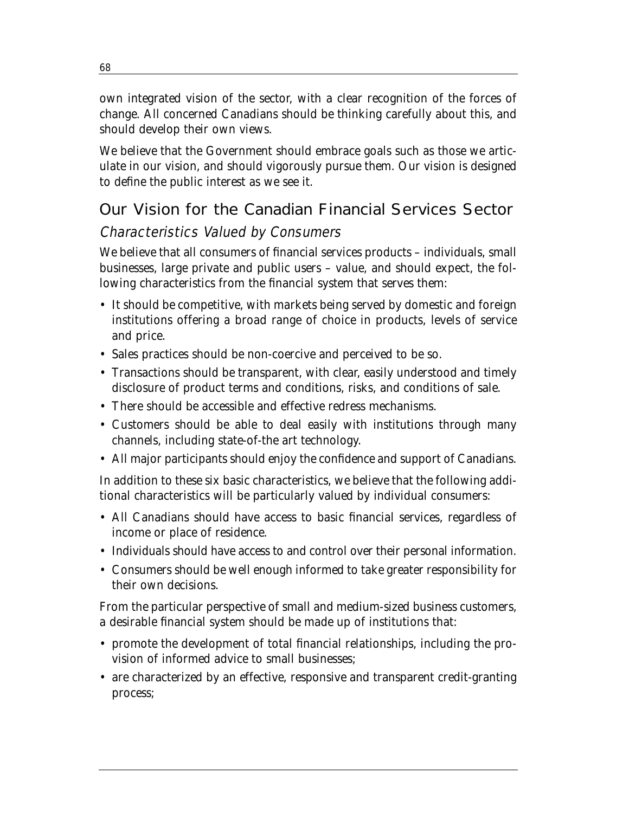own integrated vision of the sector, with a clear recognition of the forces of change. All concerned Canadians should be thinking carefully about this, and should develop their own views.

We believe that the Government should embrace goals such as those we articulate in our vision, and should vigorously pursue them. Our vision is designed to define the public interest as we see it.

# Our Vision for the Canadian Financial Services Sector

## Characteristics Valued by Consumers

We believe that all consumers of financial services products – individuals, small businesses, large private and public users – value, and should expect, the following characteristics from the financial system that serves them:

- It should be competitive, with markets being served by domestic and foreign institutions offering a broad range of choice in products, levels of service and price.
- Sales practices should be non-coercive and perceived to be so.
- Transactions should be transparent, with clear, easily understood and timely disclosure of product terms and conditions, risks, and conditions of sale.
- There should be accessible and effective redress mechanisms.
- Customers should be able to deal easily with institutions through many channels, including state-of-the art technology.
- All major participants should enjoy the confidence and support of Canadians.

In addition to these six basic characteristics, we believe that the following additional characteristics will be particularly valued by individual consumers:

- All Canadians should have access to basic financial services, regardless of income or place of residence.
- Individuals should have access to and control over their personal information.
- Consumers should be well enough informed to take greater responsibility for their own decisions.

From the particular perspective of small and medium-sized business customers, a desirable financial system should be made up of institutions that:

- promote the development of total financial relationships, including the provision of informed advice to small businesses;
- are characterized by an effective, responsive and transparent credit-granting process;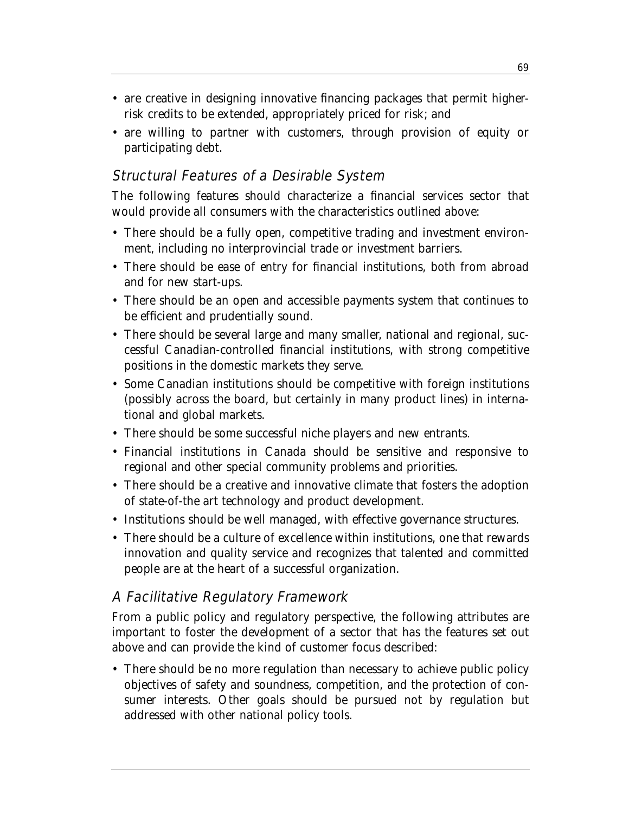- are creative in designing innovative financing packages that permit higherrisk credits to be extended, appropriately priced for risk; and
- are willing to partner with customers, through provision of equity or participating debt.

## Structural Features of a Desirable System

The following features should characterize a financial services sector that would provide all consumers with the characteristics outlined above:

- There should be a fully open, competitive trading and investment environment, including no interprovincial trade or investment barriers.
- There should be ease of entry for financial institutions, both from abroad and for new start-ups.
- There should be an open and accessible payments system that continues to be efficient and prudentially sound.
- There should be several large and many smaller, national and regional, successful Canadian-controlled financial institutions, with strong competitive positions in the domestic markets they serve.
- Some Canadian institutions should be competitive with foreign institutions (possibly across the board, but certainly in many product lines) in international and global markets.
- There should be some successful niche players and new entrants.
- Financial institutions in Canada should be sensitive and responsive to regional and other special community problems and priorities.
- There should be a creative and innovative climate that fosters the adoption of state-of-the art technology and product development.
- Institutions should be well managed, with effective governance structures.
- There should be a culture of excellence within institutions, one that rewards innovation and quality service and recognizes that talented and committed people are at the heart of a successful organization.

## A Facilitative Regulatory Framework

From a public policy and regulatory perspective, the following attributes are important to foster the development of a sector that has the features set out above and can provide the kind of customer focus described:

• There should be no more regulation than necessary to achieve public policy objectives of safety and soundness, competition, and the protection of consumer interests. Other goals should be pursued not by regulation but addressed with other national policy tools.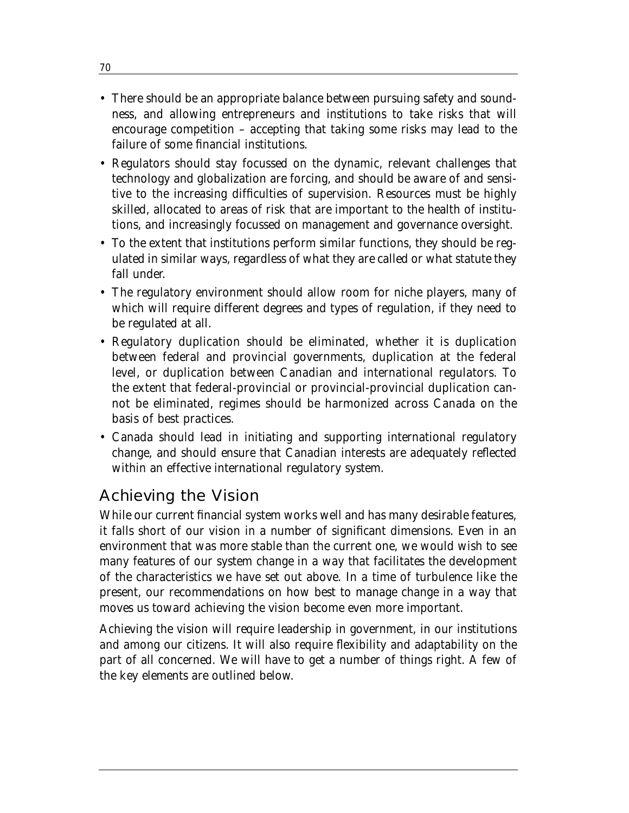- There should be an appropriate balance between pursuing safety and soundness, and allowing entrepreneurs and institutions to take risks that will encourage competition – accepting that taking some risks may lead to the failure of some financial institutions.
- Regulators should stay focussed on the dynamic, relevant challenges that technology and globalization are forcing, and should be aware of and sensitive to the increasing difficulties of supervision. Resources must be highly skilled, allocated to areas of risk that are important to the health of institutions, and increasingly focussed on management and governance oversight.
- To the extent that institutions perform similar functions, they should be regulated in similar ways, regardless of what they are called or what statute they fall under.
- The regulatory environment should allow room for niche players, many of which will require different degrees and types of regulation, if they need to be regulated at all.
- Regulatory duplication should be eliminated, whether it is duplication between federal and provincial governments, duplication at the federal level, or duplication between Canadian and international regulators. To the extent that federal-provincial or provincial-provincial duplication cannot be eliminated, regimes should be harmonized across Canada on the basis of best practices.
- Canada should lead in initiating and supporting international regulatory change, and should ensure that Canadian interests are adequately reflected within an effective international regulatory system.

## Achieving the Vision

While our current financial system works well and has many desirable features, it falls short of our vision in a number of significant dimensions. Even in an environment that was more stable than the current one, we would wish to see many features of our system change in a way that facilitates the development of the characteristics we have set out above. In a time of turbulence like the present, our recommendations on how best to manage change in a way that moves us toward achieving the vision become even more important.

Achieving the vision will require leadership in government, in our institutions and among our citizens. It will also require flexibility and adaptability on the part of all concerned. We will have to get a number of things right. A few of the key elements are outlined below.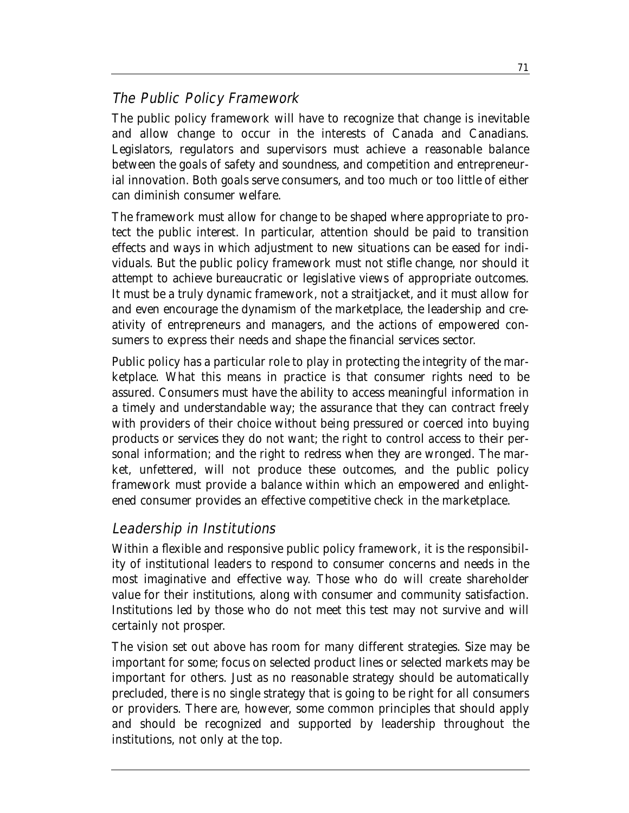## The Public Policy Framework

The public policy framework will have to recognize that change is inevitable and allow change to occur in the interests of Canada and Canadians. Legislators, regulators and supervisors must achieve a reasonable balance between the goals of safety and soundness, and competition and entrepreneurial innovation. Both goals serve consumers, and too much or too little of either can diminish consumer welfare.

The framework must allow for change to be shaped where appropriate to protect the public interest. In particular, attention should be paid to transition effects and ways in which adjustment to new situations can be eased for individuals. But the public policy framework must not stifle change, nor should it attempt to achieve bureaucratic or legislative views of appropriate outcomes. It must be a truly dynamic framework, not a straitjacket, and it must allow for and even encourage the dynamism of the marketplace, the leadership and creativity of entrepreneurs and managers, and the actions of empowered consumers to express their needs and shape the financial services sector.

Public policy has a particular role to play in protecting the integrity of the marketplace. What this means in practice is that consumer rights need to be assured. Consumers must have the ability to access meaningful information in a timely and understandable way; the assurance that they can contract freely with providers of their choice without being pressured or coerced into buying products or services they do not want; the right to control access to their personal information; and the right to redress when they are wronged. The market, unfettered, will not produce these outcomes, and the public policy framework must provide a balance within which an empowered and enlightened consumer provides an effective competitive check in the marketplace.

## Leadership in Institutions

Within a flexible and responsive public policy framework, it is the responsibility of institutional leaders to respond to consumer concerns and needs in the most imaginative and effective way. Those who do will create shareholder value for their institutions, along with consumer and community satisfaction. Institutions led by those who do not meet this test may not survive and will certainly not prosper.

The vision set out above has room for many different strategies. Size may be important for some; focus on selected product lines or selected markets may be important for others. Just as no reasonable strategy should be automatically precluded, there is no single strategy that is going to be right for all consumers or providers. There are, however, some common principles that should apply and should be recognized and supported by leadership throughout the institutions, not only at the top.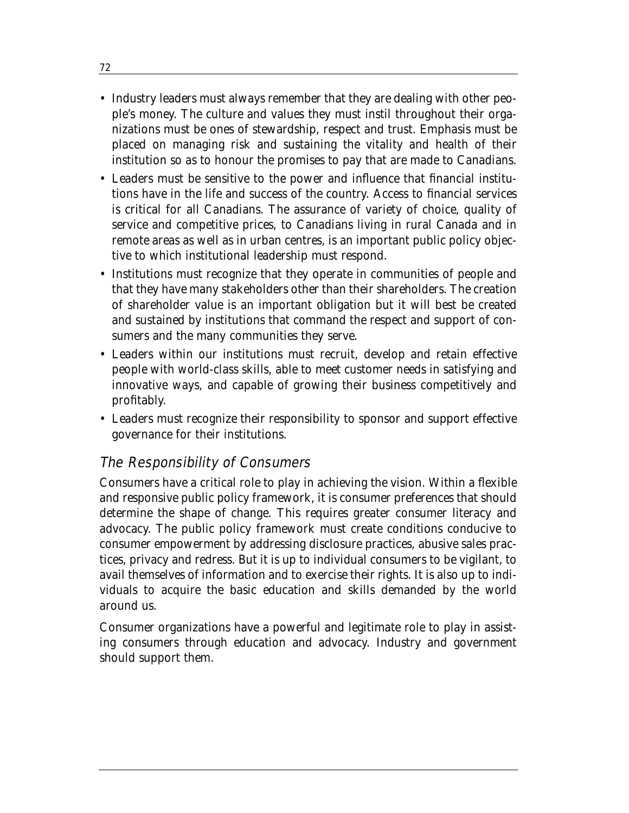- Industry leaders must always remember that they are dealing with other people's money. The culture and values they must instil throughout their organizations must be ones of stewardship, respect and trust. Emphasis must be placed on managing risk and sustaining the vitality and health of their institution so as to honour the promises to pay that are made to Canadians.
- Leaders must be sensitive to the power and influence that financial institutions have in the life and success of the country. Access to financial services is critical for all Canadians. The assurance of variety of choice, quality of service and competitive prices, to Canadians living in rural Canada and in remote areas as well as in urban centres, is an important public policy objective to which institutional leadership must respond.
- Institutions must recognize that they operate in communities of people and that they have many stakeholders other than their shareholders. The creation of shareholder value is an important obligation but it will best be created and sustained by institutions that command the respect and support of consumers and the many communities they serve.
- Leaders within our institutions must recruit, develop and retain effective people with world-class skills, able to meet customer needs in satisfying and innovative ways, and capable of growing their business competitively and profitably.
- Leaders must recognize their responsibility to sponsor and support effective governance for their institutions.

## The Responsibility of Consumers

Consumers have a critical role to play in achieving the vision. Within a flexible and responsive public policy framework, it is consumer preferences that should determine the shape of change. This requires greater consumer literacy and advocacy. The public policy framework must create conditions conducive to consumer empowerment by addressing disclosure practices, abusive sales practices, privacy and redress. But it is up to individual consumers to be vigilant, to avail themselves of information and to exercise their rights. It is also up to individuals to acquire the basic education and skills demanded by the world around us.

Consumer organizations have a powerful and legitimate role to play in assisting consumers through education and advocacy. Industry and government should support them.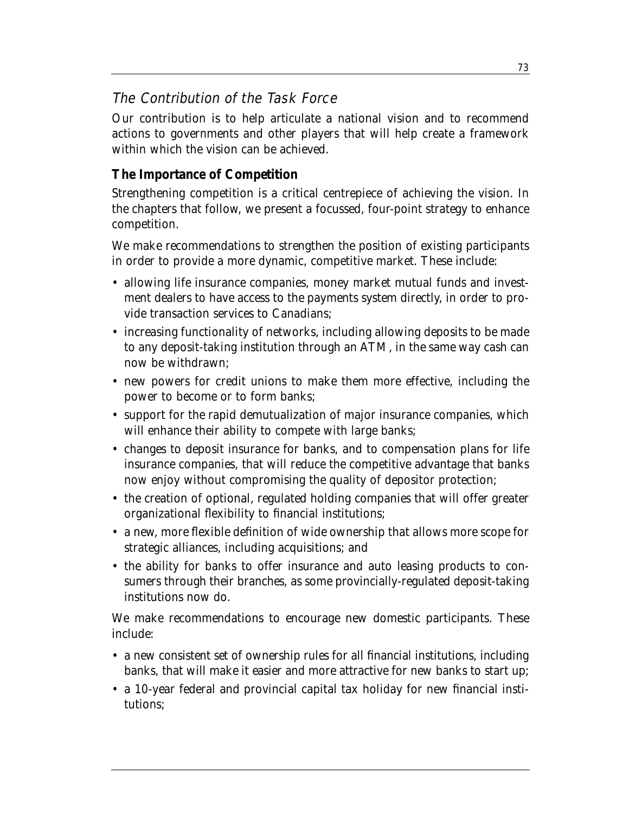## The Contribution of the Task Force

Our contribution is to help articulate a national vision and to recommend actions to governments and other players that will help create a framework within which the vision can be achieved.

#### **The Importance of Competition**

Strengthening competition is a critical centrepiece of achieving the vision. In the chapters that follow, we present a focussed, four-point strategy to enhance competition.

We make recommendations to *strengthen the position of existing participants* in order to provide a more dynamic, competitive market. These include:

- allowing life insurance companies, money market mutual funds and investment dealers to have access to the payments system directly, in order to provide transaction services to Canadians;
- increasing functionality of networks, including allowing deposits to be made to any deposit-taking institution through an ATM, in the same way cash can now be withdrawn;
- new powers for credit unions to make them more effective, including the power to become or to form banks;
- support for the rapid demutualization of major insurance companies, which will enhance their ability to compete with large banks;
- changes to deposit insurance for banks, and to compensation plans for life insurance companies, that will reduce the competitive advantage that banks now enjoy without compromising the quality of depositor protection;
- the creation of optional, regulated holding companies that will offer greater organizational flexibility to financial institutions;
- a new, more flexible definition of wide ownership that allows more scope for strategic alliances, including acquisitions; and
- the ability for banks to offer insurance and auto leasing products to consumers through their branches, as some provincially-regulated deposit-taking institutions now do.

We make recommendations to *encourage new domestic participants*. These include:

- a new consistent set of ownership rules for all financial institutions, including banks, that will make it easier and more attractive for new banks to start up;
- a 10-year federal and provincial capital tax holiday for new financial institutions;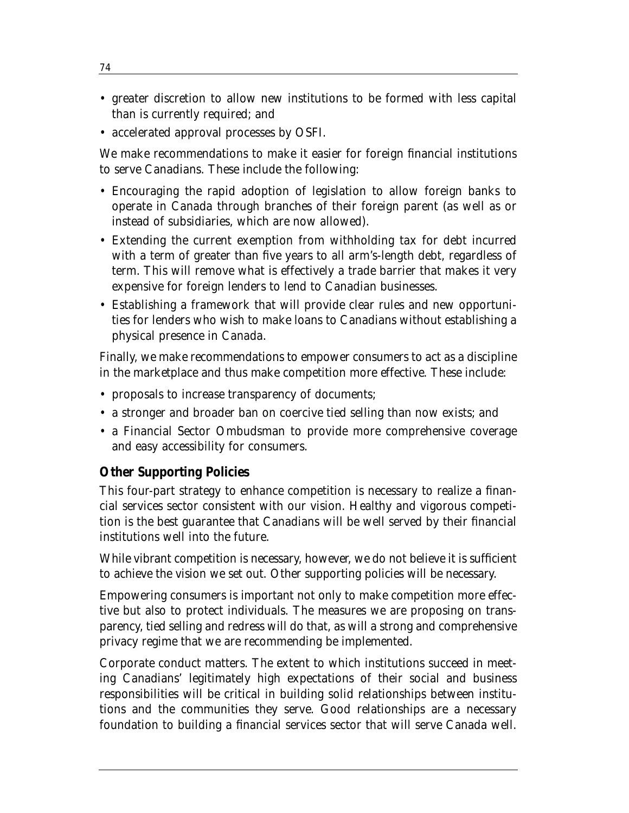- greater discretion to allow new institutions to be formed with less capital than is currently required; and
- accelerated approval processes by OSFI.

We make recommendations to make it easier for *foreign financial institutions* to serve Canadians. These include the following:

- Encouraging the rapid adoption of legislation to allow foreign banks to operate in Canada through branches of their foreign parent (as well as or instead of subsidiaries, which are now allowed).
- Extending the current exemption from withholding tax for debt incurred with a term of greater than five years to all arm's-length debt, regardless of term. This will remove what is effectively a trade barrier that makes it very expensive for foreign lenders to lend to Canadian businesses.
- Establishing a framework that will provide clear rules and new opportunities for lenders who wish to make loans to Canadians without establishing a physical presence in Canada.

Finally, we make recommendations to *empower consumers* to act as a discipline in the marketplace and thus make competition more effective. These include:

- proposals to increase transparency of documents;
- a stronger and broader ban on coercive tied selling than now exists; and
- a Financial Sector Ombudsman to provide more comprehensive coverage and easy accessibility for consumers.

#### **Other Supporting Policies**

This four-part strategy to enhance competition is necessary to realize a financial services sector consistent with our vision. Healthy and vigorous competition is the best guarantee that Canadians will be well served by their financial institutions well into the future.

While vibrant competition is necessary, however, we do not believe it is sufficient to achieve the vision we set out. Other supporting policies will be necessary.

Empowering consumers is important not only to make competition more effective but also to protect individuals. The measures we are proposing on transparency, tied selling and redress will do that, as will a strong and comprehensive privacy regime that we are recommending be implemented.

Corporate conduct matters. The extent to which institutions succeed in meeting Canadians' legitimately high expectations of their social and business responsibilities will be critical in building solid relationships between institutions and the communities they serve. Good relationships are a necessary foundation to building a financial services sector that will serve Canada well.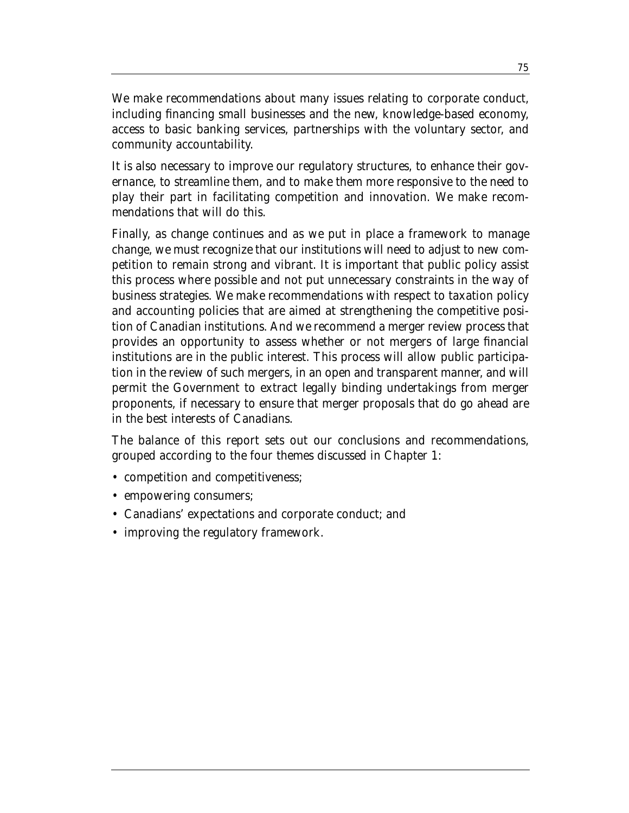We make recommendations about many issues relating to corporate conduct, including financing small businesses and the new, knowledge-based economy, access to basic banking services, partnerships with the voluntary sector, and community accountability.

It is also necessary to improve our regulatory structures, to enhance their governance, to streamline them, and to make them more responsive to the need to play their part in facilitating competition and innovation. We make recommendations that will do this.

Finally, as change continues and as we put in place a framework to manage change, we must recognize that our institutions will need to adjust to new competition to remain strong and vibrant. It is important that public policy assist this process where possible and not put unnecessary constraints in the way of business strategies. We make recommendations with respect to taxation policy and accounting policies that are aimed at strengthening the competitive position of Canadian institutions. And we recommend a merger review process that provides an opportunity to assess whether or not mergers of large financial institutions are in the public interest. This process will allow public participation in the review of such mergers, in an open and transparent manner, and will permit the Government to extract legally binding undertakings from merger proponents, if necessary to ensure that merger proposals that do go ahead are in the best interests of Canadians.

The balance of this report sets out our conclusions and recommendations, grouped according to the four themes discussed in Chapter 1:

- competition and competitiveness;
- empowering consumers;
- Canadians' expectations and corporate conduct; and
- improving the regulatory framework.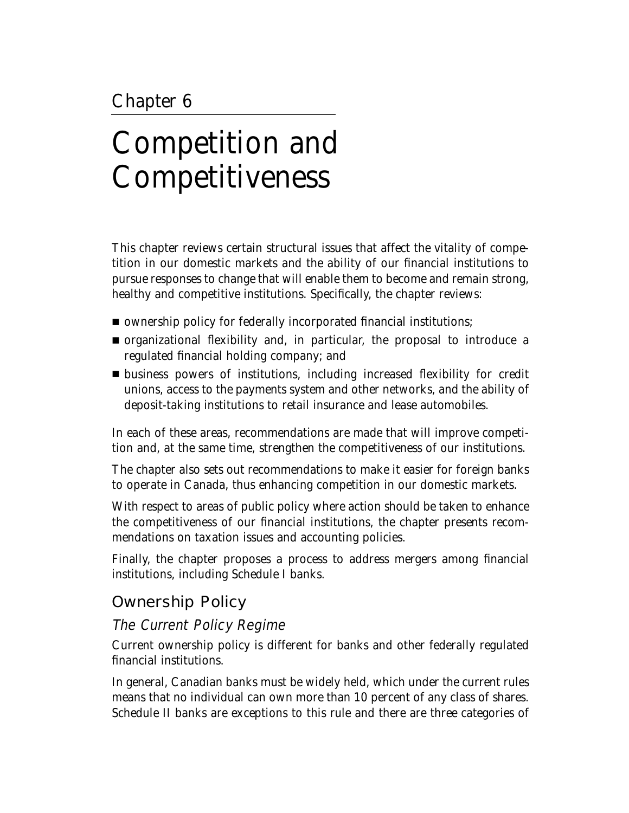# Chapter 6

# Competition and Competitiveness

This chapter reviews certain structural issues that affect the vitality of competition in our domestic markets and the ability of our financial institutions to pursue responses to change that will enable them to become and remain strong, healthy and competitive institutions. Specifically, the chapter reviews:

- ownership policy for federally incorporated financial institutions;
- organizational flexibility and, in particular, the proposal to introduce a regulated financial holding company; and
- business powers of institutions, including increased flexibility for credit unions, access to the payments system and other networks, and the ability of deposit-taking institutions to retail insurance and lease automobiles.

In each of these areas, recommendations are made that will improve competition and, at the same time, strengthen the competitiveness of our institutions.

The chapter also sets out recommendations to make it easier for foreign banks to operate in Canada, thus enhancing competition in our domestic markets.

With respect to areas of public policy where action should be taken to enhance the competitiveness of our financial institutions, the chapter presents recommendations on taxation issues and accounting policies.

Finally, the chapter proposes a process to address mergers among financial institutions, including Schedule I banks.

# Ownership Policy

# The Current Policy Regime

Current ownership policy is different for banks and other federally regulated financial institutions.

In general, Canadian banks must be widely held, which under the current rules means that no individual can own more than 10 percent of any class of shares. Schedule II banks are exceptions to this rule and there are three categories of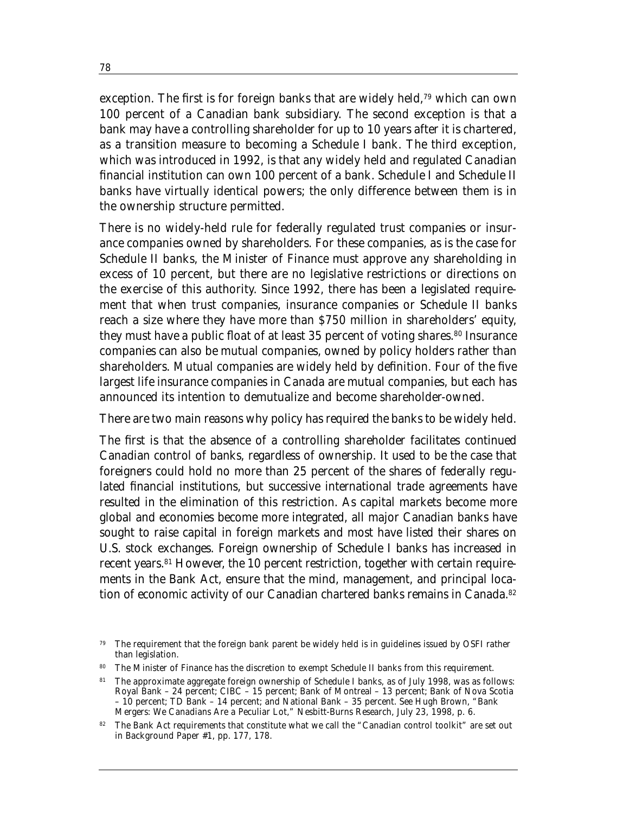exception. The first is for foreign banks that are widely held,<sup>79</sup> which can own 100 percent of a Canadian bank subsidiary. The second exception is that a bank may have a controlling shareholder for up to 10 years after it is chartered, as a transition measure to becoming a Schedule I bank. The third exception, which was introduced in 1992, is that any widely held and regulated Canadian financial institution can own 100 percent of a bank. Schedule I and Schedule II banks have virtually identical powers; the only difference between them is in the ownership structure permitted.

There is no widely-held rule for federally regulated trust companies or insurance companies owned by shareholders. For these companies, as is the case for Schedule II banks, the Minister of Finance must approve any shareholding in excess of 10 percent, but there are no legislative restrictions or directions on the exercise of this authority. Since 1992, there has been a legislated requirement that when trust companies, insurance companies or Schedule II banks reach a size where they have more than \$750 million in shareholders' equity, they must have a public float of at least 35 percent of voting shares.<sup>80</sup> Insurance companies can also be mutual companies, owned by policy holders rather than shareholders. Mutual companies are widely held by definition. Four of the five largest life insurance companies in Canada are mutual companies, but each has announced its intention to demutualize and become shareholder-owned.

There are two main reasons why policy has required the banks to be widely held.

The first is that the absence of a controlling shareholder facilitates continued Canadian control of banks, regardless of ownership. It used to be the case that foreigners could hold no more than 25 percent of the shares of federally regulated financial institutions, but successive international trade agreements have resulted in the elimination of this restriction. As capital markets become more global and economies become more integrated, all major Canadian banks have sought to raise capital in foreign markets and most have listed their shares on U.S. stock exchanges. Foreign ownership of Schedule I banks has increased in recent years.81 However, the 10 percent restriction, together with certain requirements in the Bank Act, ensure that the mind, management, and principal location of economic activity of our Canadian chartered banks remains in Canada.<sup>82</sup>

<sup>79</sup> The requirement that the foreign bank parent be widely held is in guidelines issued by OSFI rather than legislation.

<sup>80</sup> The Minister of Finance has the discretion to exempt Schedule II banks from this requirement.

<sup>&</sup>lt;sup>81</sup> The approximate aggregate foreign ownership of Schedule I banks, as of July 1998, was as follows: Royal Bank – 24 percent; CIBC – 15 percent; Bank of Montreal – 13 percent; Bank of Nova Scotia – 10 percent; TD Bank – 14 percent; and National Bank – 35 percent. See Hugh Brown, "Bank Mergers: We Canadians Are a Peculiar Lot," Nesbitt-Burns Research, July 23, 1998, p. 6.

<sup>82</sup> The Bank Act requirements that constitute what we call the "Canadian control toolkit" are set out in Background Paper #1, pp. 177, 178.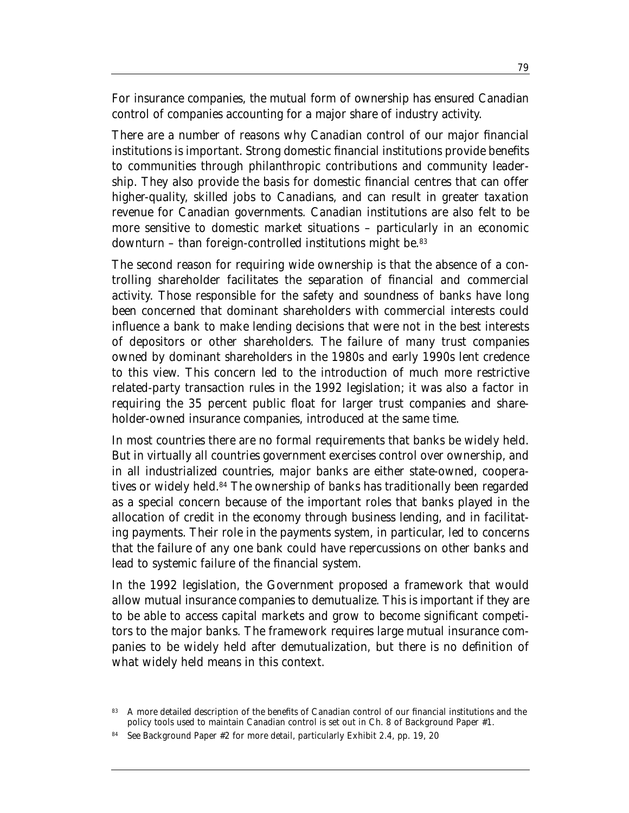For insurance companies, the mutual form of ownership has ensured Canadian control of companies accounting for a major share of industry activity.

There are a number of reasons why Canadian control of our major financial institutions is important. Strong domestic financial institutions provide benefits to communities through philanthropic contributions and community leadership. They also provide the basis for domestic financial centres that can offer higher-quality, skilled jobs to Canadians, and can result in greater taxation revenue for Canadian governments. Canadian institutions are also felt to be more sensitive to domestic market situations – particularly in an economic downturn – than foreign-controlled institutions might be.83

The second reason for requiring wide ownership is that the absence of a controlling shareholder facilitates the separation of financial and commercial activity. Those responsible for the safety and soundness of banks have long been concerned that dominant shareholders with commercial interests could influence a bank to make lending decisions that were not in the best interests of depositors or other shareholders. The failure of many trust companies owned by dominant shareholders in the 1980s and early 1990s lent credence to this view. This concern led to the introduction of much more restrictive related-party transaction rules in the 1992 legislation; it was also a factor in requiring the 35 percent public float for larger trust companies and shareholder-owned insurance companies, introduced at the same time.

In most countries there are no formal requirements that banks be widely held. But in virtually all countries government exercises control over ownership, and in all industrialized countries, major banks are either state-owned, cooperatives or widely held.<sup>84</sup> The ownership of banks has traditionally been regarded as a special concern because of the important roles that banks played in the allocation of credit in the economy through business lending, and in facilitating payments. Their role in the payments system, in particular, led to concerns that the failure of any one bank could have repercussions on other banks and lead to systemic failure of the financial system.

In the 1992 legislation, the Government proposed a framework that would allow mutual insurance companies to demutualize. This is important if they are to be able to access capital markets and grow to become significant competitors to the major banks. The framework requires large mutual insurance companies to be widely held after demutualization, but there is no definition of what widely held means in this context.

<sup>83</sup> A more detailed description of the benefits of Canadian control of our financial institutions and the policy tools used to maintain Canadian control is set out in Ch. 8 of Background Paper #1.

See Background Paper #2 for more detail, particularly Exhibit 2.4, pp. 19, 20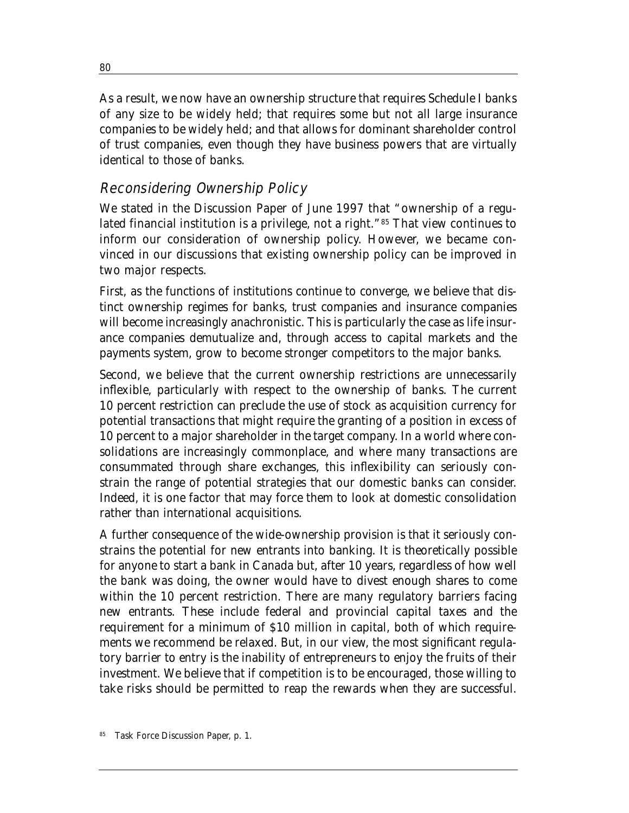As a result, we now have an ownership structure that requires Schedule I banks of any size to be widely held; that requires some but not all large insurance companies to be widely held; and that allows for dominant shareholder control of trust companies, even though they have business powers that are virtually identical to those of banks.

## Reconsidering Ownership Policy

We stated in the Discussion Paper of June 1997 that "ownership of a regulated financial institution is a privilege, not a right."85 That view continues to inform our consideration of ownership policy. However, we became convinced in our discussions that existing ownership policy can be improved in two major respects.

First, as the functions of institutions continue to converge, we believe that distinct ownership regimes for banks, trust companies and insurance companies will become increasingly anachronistic. This is particularly the case as life insurance companies demutualize and, through access to capital markets and the payments system, grow to become stronger competitors to the major banks.

Second, we believe that the current ownership restrictions are unnecessarily inflexible, particularly with respect to the ownership of banks. The current 10 percent restriction can preclude the use of stock as acquisition currency for potential transactions that might require the granting of a position in excess of 10 percent to a major shareholder in the target company. In a world where consolidations are increasingly commonplace, and where many transactions are consummated through share exchanges, this inflexibility can seriously constrain the range of potential strategies that our domestic banks can consider. Indeed, it is one factor that may force them to look at domestic consolidation rather than international acquisitions.

A further consequence of the wide-ownership provision is that it seriously constrains the potential for new entrants into banking. It is theoretically possible for anyone to start a bank in Canada but, after 10 years, regardless of how well the bank was doing, the owner would have to divest enough shares to come within the 10 percent restriction. There are many regulatory barriers facing new entrants. These include federal and provincial capital taxes and the requirement for a minimum of \$10 million in capital, both of which requirements we recommend be relaxed. But, in our view, the most significant regulatory barrier to entry is the inability of entrepreneurs to enjoy the fruits of their investment. We believe that if competition is to be encouraged, those willing to take risks should be permitted to reap the rewards when they are successful.

80

Task Force Discussion Paper, p. 1.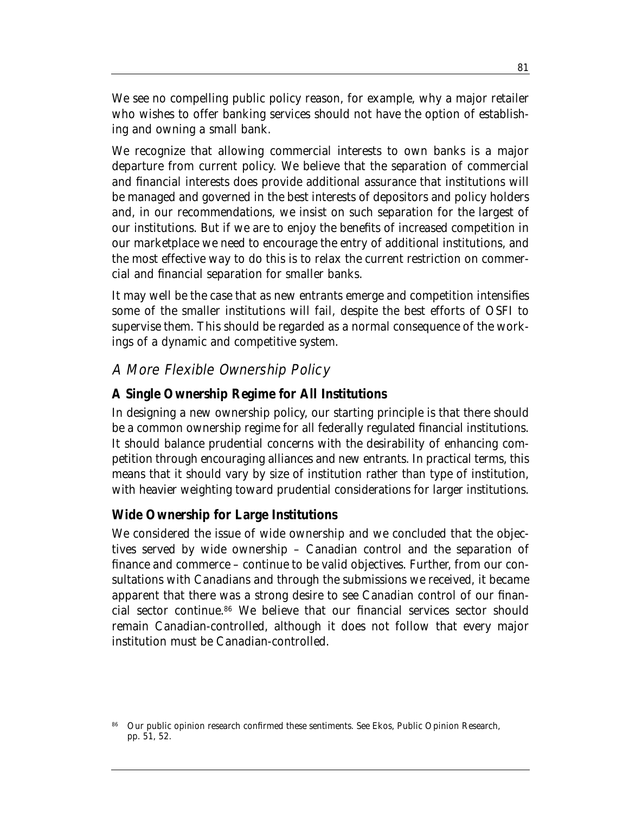We see no compelling public policy reason, for example, why a major retailer who wishes to offer banking services should not have the option of establishing and owning a small bank.

We recognize that allowing commercial interests to own banks is a major departure from current policy. We believe that the separation of commercial and financial interests does provide additional assurance that institutions will be managed and governed in the best interests of depositors and policy holders and, in our recommendations, we insist on such separation for the largest of our institutions. But if we are to enjoy the benefits of increased competition in our marketplace we need to encourage the entry of additional institutions, and the most effective way to do this is to relax the current restriction on commercial and financial separation for smaller banks.

It may well be the case that as new entrants emerge and competition intensifies some of the smaller institutions will fail, despite the best efforts of OSFI to supervise them. This should be regarded as a normal consequence of the workings of a dynamic and competitive system.

#### A More Flexible Ownership Policy

#### **A Single Ownership Regime for All Institutions**

In designing a new ownership policy, our starting principle is that there should be a common ownership regime for all federally regulated financial institutions. It should balance prudential concerns with the desirability of enhancing competition through encouraging alliances and new entrants. In practical terms, this means that it should vary by size of institution rather than type of institution, with heavier weighting toward prudential considerations for larger institutions.

#### **Wide Ownership for Large Institutions**

We considered the issue of wide ownership and we concluded that the objectives served by wide ownership – Canadian control and the separation of finance and commerce – continue to be valid objectives. Further, from our consultations with Canadians and through the submissions we received, it became apparent that there was a strong desire to see Canadian control of our financial sector continue.86 We believe that our financial services sector should remain Canadian-controlled, although it does not follow that every major institution must be Canadian-controlled.

<sup>86</sup> Our public opinion research confirmed these sentiments. See Ekos, *Public Opinion Research*, pp. 51, 52.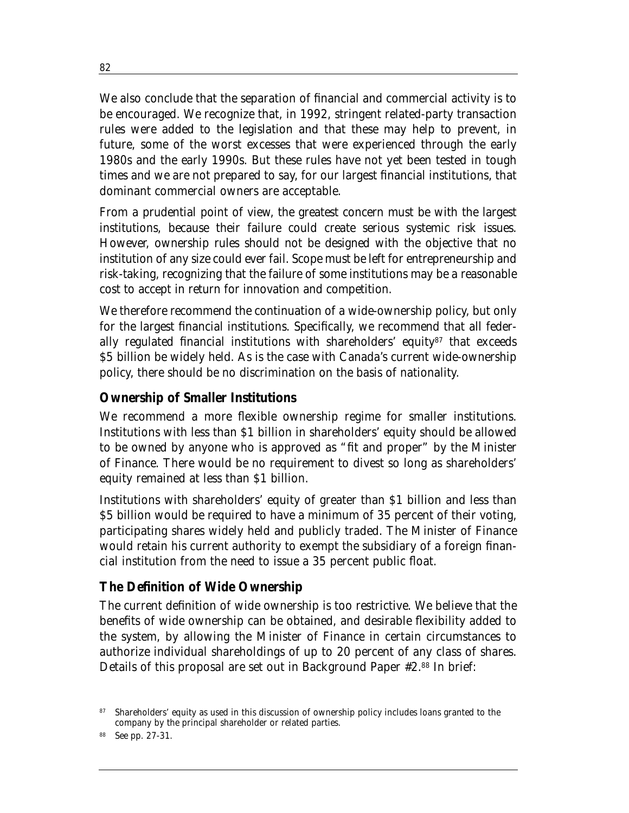We also conclude that the separation of financial and commercial activity is to be encouraged. We recognize that, in 1992, stringent related-party transaction rules were added to the legislation and that these may help to prevent, in future, some of the worst excesses that were experienced through the early 1980s and the early 1990s. But these rules have not yet been tested in tough times and we are not prepared to say, for our largest financial institutions, that dominant commercial owners are acceptable.

From a prudential point of view, the greatest concern must be with the largest institutions, because their failure could create serious systemic risk issues. However, ownership rules should not be designed with the objective that no institution of any size could ever fail. Scope must be left for entrepreneurship and risk-taking, recognizing that the failure of some institutions may be a reasonable cost to accept in return for innovation and competition.

We therefore recommend the continuation of a wide-ownership policy, but only for the largest financial institutions. Specifically, we recommend that all federally regulated financial institutions with shareholders' equity<sup>87</sup> that exceeds \$5 billion be widely held. As is the case with Canada's current wide-ownership policy, there should be no discrimination on the basis of nationality.

#### **Ownership of Smaller Institutions**

We recommend a more flexible ownership regime for smaller institutions. Institutions with less than \$1 billion in shareholders' equity should be allowed to be owned by anyone who is approved as "fit and proper" by the Minister of Finance. There would be no requirement to divest so long as shareholders' equity remained at less than \$1 billion.

Institutions with shareholders' equity of greater than \$1 billion and less than \$5 billion would be required to have a minimum of 35 percent of their voting, participating shares widely held and publicly traded. The Minister of Finance would retain his current authority to exempt the subsidiary of a foreign financial institution from the need to issue a 35 percent public float.

#### **The Definition of Wide Ownership**

The current definition of wide ownership is too restrictive. We believe that the benefits of wide ownership can be obtained, and desirable flexibility added to the system, by allowing the Minister of Finance in certain circumstances to authorize individual shareholdings of up to 20 percent of any class of shares. Details of this proposal are set out in Background Paper #2.88 In brief:

<sup>87</sup> Shareholders' equity as used in this discussion of ownership policy includes loans granted to the company by the principal shareholder or related parties.

See pp. 27-31.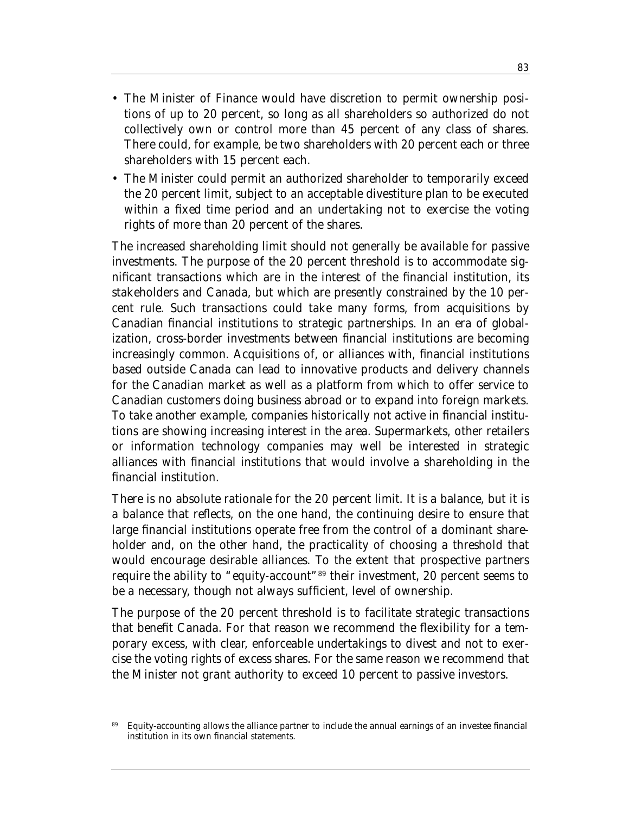- The Minister of Finance would have discretion to permit ownership positions of up to 20 percent, so long as all shareholders so authorized do not collectively own or control more than 45 percent of any class of shares. There could, for example, be two shareholders with 20 percent each or three shareholders with 15 percent each.
- The Minister could permit an authorized shareholder to temporarily exceed the 20 percent limit, subject to an acceptable divestiture plan to be executed within a fixed time period and an undertaking not to exercise the voting rights of more than 20 percent of the shares.

The increased shareholding limit should not generally be available for passive investments. The purpose of the 20 percent threshold is to accommodate significant transactions which are in the interest of the financial institution, its stakeholders and Canada, but which are presently constrained by the 10 percent rule. Such transactions could take many forms, from acquisitions by Canadian financial institutions to strategic partnerships. In an era of globalization, cross-border investments between financial institutions are becoming increasingly common. Acquisitions of, or alliances with, financial institutions based outside Canada can lead to innovative products and delivery channels for the Canadian market as well as a platform from which to offer service to Canadian customers doing business abroad or to expand into foreign markets. To take another example, companies historically not active in financial institutions are showing increasing interest in the area. Supermarkets, other retailers or information technology companies may well be interested in strategic alliances with financial institutions that would involve a shareholding in the financial institution.

There is no absolute rationale for the 20 percent limit. It is a balance, but it is a balance that reflects, on the one hand, the continuing desire to ensure that large financial institutions operate free from the control of a dominant shareholder and, on the other hand, the practicality of choosing a threshold that would encourage desirable alliances. To the extent that prospective partners require the ability to "equity-account"89 their investment, 20 percent seems to be a necessary, though not always sufficient, level of ownership.

The purpose of the 20 percent threshold is to facilitate strategic transactions that benefit Canada. For that reason we recommend the flexibility for a temporary excess, with clear, enforceable undertakings to divest and not to exercise the voting rights of excess shares. For the same reason we recommend that the Minister not grant authority to exceed 10 percent to passive investors.

<sup>89</sup> Equity-accounting allows the alliance partner to include the annual earnings of an investee financial institution in its own financial statements.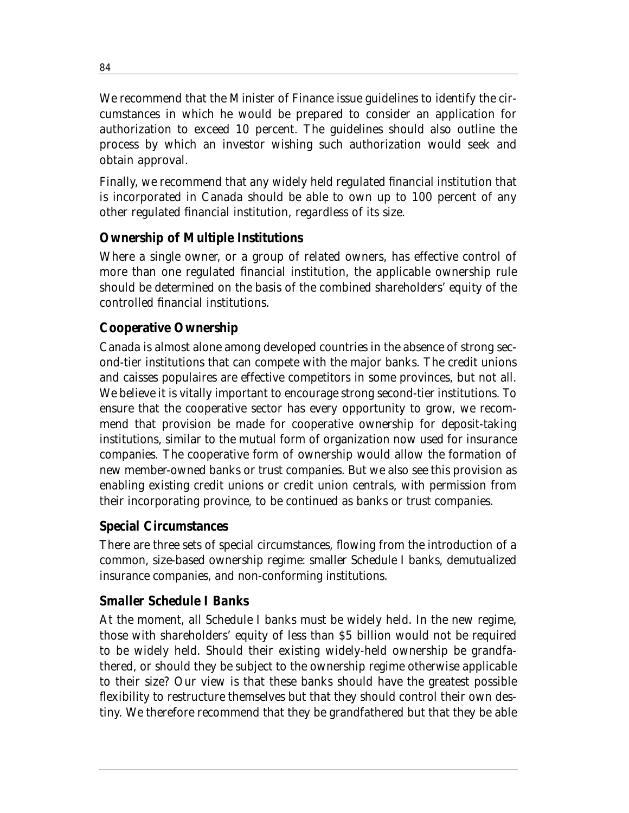We recommend that the Minister of Finance issue guidelines to identify the circumstances in which he would be prepared to consider an application for authorization to exceed 10 percent. The guidelines should also outline the process by which an investor wishing such authorization would seek and obtain approval.

Finally, we recommend that any widely held regulated financial institution that is incorporated in Canada should be able to own up to 100 percent of any other regulated financial institution, regardless of its size.

#### **Ownership of Multiple Institutions**

Where a single owner, or a group of related owners, has effective control of more than one regulated financial institution, the applicable ownership rule should be determined on the basis of the combined shareholders' equity of the controlled financial institutions.

#### **Cooperative Ownership**

Canada is almost alone among developed countries in the absence of strong second-tier institutions that can compete with the major banks. The credit unions and caisses populaires are effective competitors in some provinces, but not all. We believe it is vitally important to encourage strong second-tier institutions. To ensure that the cooperative sector has every opportunity to grow, we recommend that provision be made for cooperative ownership for deposit-taking institutions, similar to the mutual form of organization now used for insurance companies. The cooperative form of ownership would allow the formation of new member-owned banks or trust companies. But we also see this provision as enabling existing credit unions or credit union centrals, with permission from their incorporating province, to be continued as banks or trust companies.

#### **Special Circumstances**

There are three sets of special circumstances, flowing from the introduction of a common, size-based ownership regime: smaller Schedule I banks, demutualized insurance companies, and non-conforming institutions.

#### *Smaller Schedule I Banks*

At the moment, all Schedule I banks must be widely held. In the new regime, those with shareholders' equity of less than \$5 billion would not be required to be widely held. Should their existing widely-held ownership be grandfathered, or should they be subject to the ownership regime otherwise applicable to their size? Our view is that these banks should have the greatest possible flexibility to restructure themselves but that they should control their own destiny. We therefore recommend that they be grandfathered but that they be able

84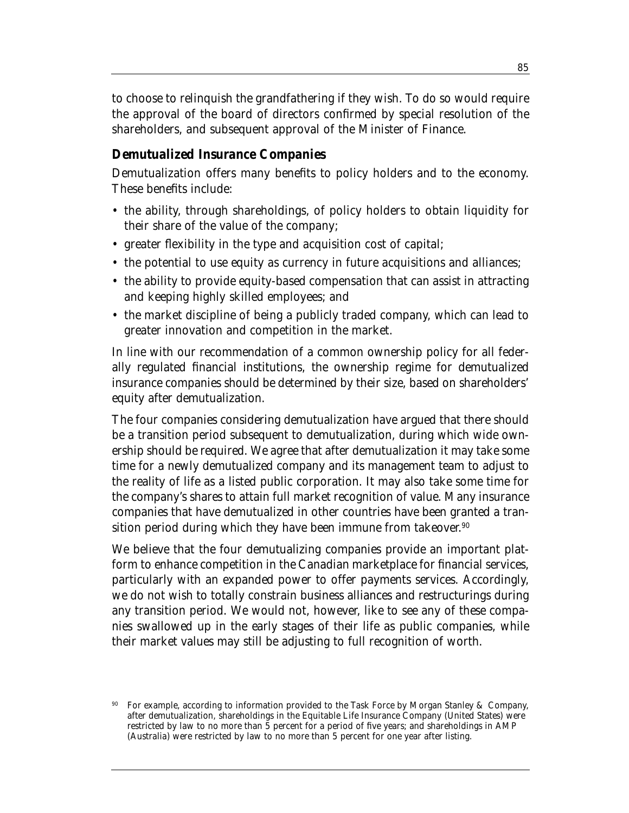to choose to relinquish the grandfathering if they wish. To do so would require the approval of the board of directors confirmed by special resolution of the shareholders, and subsequent approval of the Minister of Finance.

#### *Demutualized Insurance Companies*

Demutualization offers many benefits to policy holders and to the economy. These benefits include:

- the ability, through shareholdings, of policy holders to obtain liquidity for their share of the value of the company;
- greater flexibility in the type and acquisition cost of capital;
- the potential to use equity as currency in future acquisitions and alliances;
- the ability to provide equity-based compensation that can assist in attracting and keeping highly skilled employees; and
- the market discipline of being a publicly traded company, which can lead to greater innovation and competition in the market.

In line with our recommendation of a common ownership policy for all federally regulated financial institutions, the ownership regime for demutualized insurance companies should be determined by their size, based on shareholders' equity after demutualization.

The four companies considering demutualization have argued that there should be a transition period subsequent to demutualization, during which wide ownership should be required. We agree that after demutualization it may take some time for a newly demutualized company and its management team to adjust to the reality of life as a listed public corporation. It may also take some time for the company's shares to attain full market recognition of value. Many insurance companies that have demutualized in other countries have been granted a transition period during which they have been immune from takeover. 90

We believe that the four demutualizing companies provide an important platform to enhance competition in the Canadian marketplace for financial services, particularly with an expanded power to offer payments services. Accordingly, we do not wish to totally constrain business alliances and restructurings during any transition period. We would not, however, like to see any of these companies swallowed up in the early stages of their life as public companies, while their market values may still be adjusting to full recognition of worth.

<sup>90</sup> For example, according to information provided to the Task Force by Morgan Stanley & Company, after demutualization, shareholdings in the Equitable Life Insurance Company (United States) were restricted by law to no more than 5 percent for a period of five years; and shareholdings in AMP (Australia) were restricted by law to no more than 5 percent for one year after listing.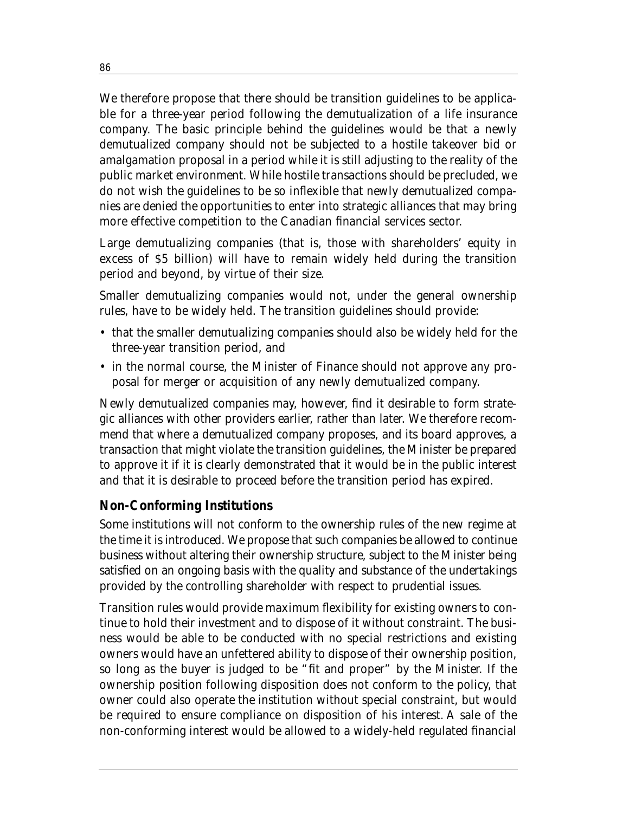We therefore propose that there should be transition guidelines to be applicable for a three-year period following the demutualization of a life insurance company. The basic principle behind the guidelines would be that a newly demutualized company should not be subjected to a hostile takeover bid or amalgamation proposal in a period while it is still adjusting to the reality of the public market environment. While hostile transactions should be precluded, we do not wish the guidelines to be so inflexible that newly demutualized companies are denied the opportunities to enter into strategic alliances that may bring more effective competition to the Canadian financial services sector.

Large demutualizing companies (that is, those with shareholders' equity in excess of \$5 billion) will have to remain widely held during the transition period and beyond, by virtue of their size.

Smaller demutualizing companies would not, under the general ownership rules, have to be widely held. The transition guidelines should provide:

- that the smaller demutualizing companies should also be widely held for the three-year transition period, and
- in the normal course, the Minister of Finance should not approve any proposal for merger or acquisition of any newly demutualized company.

Newly demutualized companies may, however, find it desirable to form strategic alliances with other providers earlier, rather than later. We therefore recommend that where a demutualized company proposes, and its board approves, a transaction that might violate the transition guidelines, the Minister be prepared to approve it if it is clearly demonstrated that it would be in the public interest and that it is desirable to proceed before the transition period has expired.

#### *Non-Conforming Institutions*

Some institutions will not conform to the ownership rules of the new regime at the time it is introduced. We propose that such companies be allowed to continue business without altering their ownership structure, subject to the Minister being satisfied on an ongoing basis with the quality and substance of the undertakings provided by the controlling shareholder with respect to prudential issues.

Transition rules would provide maximum flexibility for existing owners to continue to hold their investment and to dispose of it without constraint. The business would be able to be conducted with no special restrictions and existing owners would have an unfettered ability to dispose of their ownership position, so long as the buyer is judged to be "fit and proper" by the Minister. If the ownership position following disposition does not conform to the policy, that owner could also operate the institution without special constraint, but would be required to ensure compliance on disposition of his interest. A sale of the non-conforming interest would be allowed to a widely-held regulated financial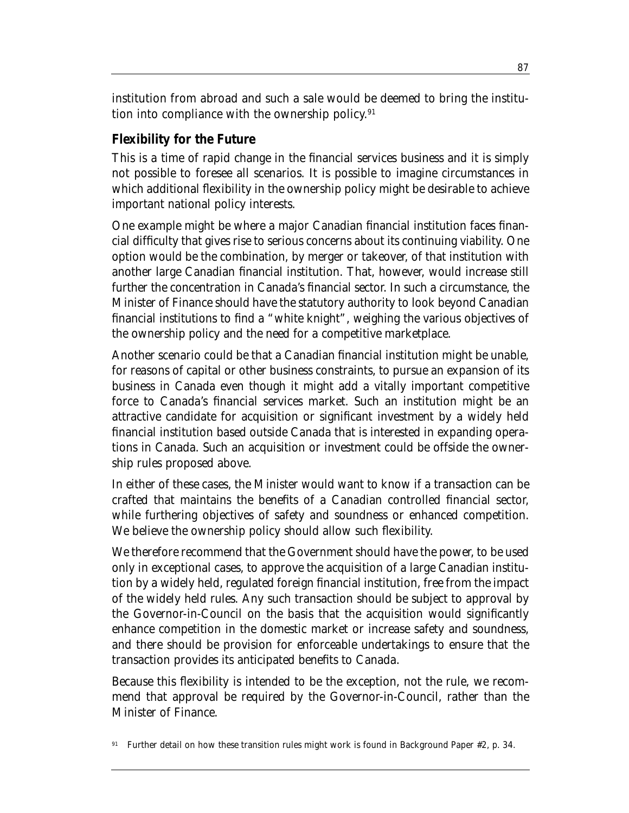institution from abroad and such a sale would be deemed to bring the institution into compliance with the ownership policy.<sup>91</sup>

#### **Flexibility for the Future**

This is a time of rapid change in the financial services business and it is simply not possible to foresee all scenarios. It is possible to imagine circumstances in which additional flexibility in the ownership policy might be desirable to achieve important national policy interests.

One example might be where a major Canadian financial institution faces financial difficulty that gives rise to serious concerns about its continuing viability. One option would be the combination, by merger or takeover, of that institution with another large Canadian financial institution. That, however, would increase still further the concentration in Canada's financial sector. In such a circumstance, the Minister of Finance should have the statutory authority to look beyond Canadian financial institutions to find a "white knight", weighing the various objectives of the ownership policy and the need for a competitive marketplace.

Another scenario could be that a Canadian financial institution might be unable, for reasons of capital or other business constraints, to pursue an expansion of its business in Canada even though it might add a vitally important competitive force to Canada's financial services market. Such an institution might be an attractive candidate for acquisition or significant investment by a widely held financial institution based outside Canada that is interested in expanding operations in Canada. Such an acquisition or investment could be offside the ownership rules proposed above.

In either of these cases, the Minister would want to know if a transaction can be crafted that maintains the benefits of a Canadian controlled financial sector, while furthering objectives of safety and soundness or enhanced competition. We believe the ownership policy should allow such flexibility.

We therefore recommend that the Government should have the power, to be used only in exceptional cases, to approve the acquisition of a large Canadian institution by a widely held, regulated foreign financial institution, free from the impact of the widely held rules. Any such transaction should be subject to approval by the Governor-in-Council on the basis that the acquisition would significantly enhance competition in the domestic market or increase safety and soundness, and there should be provision for enforceable undertakings to ensure that the transaction provides its anticipated benefits to Canada.

Because this flexibility is intended to be the exception, not the rule, we recommend that approval be required by the Governor-in-Council, rather than the Minister of Finance.

<sup>91</sup> Further detail on how these transition rules might work is found in Background Paper #2, p. 34.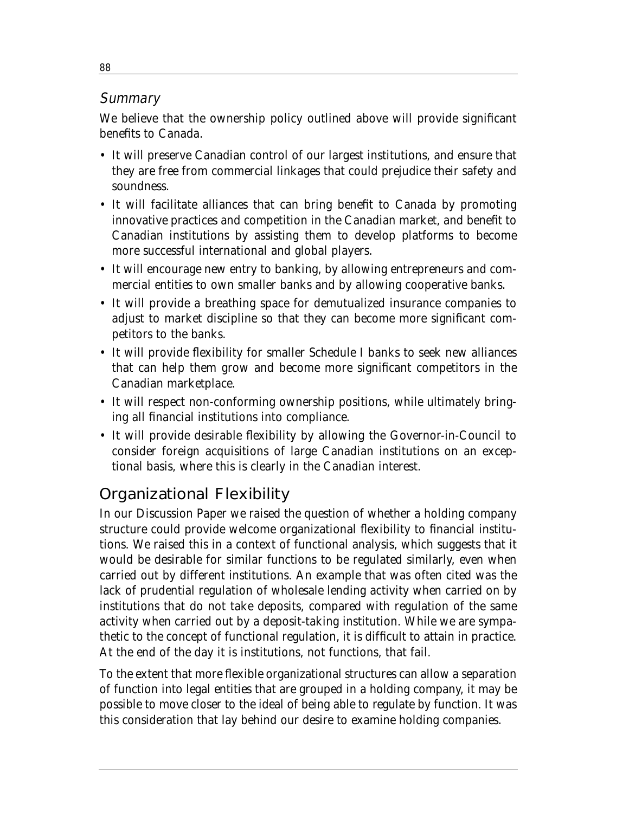#### **Summary**

We believe that the ownership policy outlined above will provide significant benefits to Canada.

- It will preserve Canadian control of our largest institutions, and ensure that they are free from commercial linkages that could prejudice their safety and soundness.
- It will facilitate alliances that can bring benefit to Canada by promoting innovative practices and competition in the Canadian market, and benefit to Canadian institutions by assisting them to develop platforms to become more successful international and global players.
- It will encourage new entry to banking, by allowing entrepreneurs and commercial entities to own smaller banks and by allowing cooperative banks.
- It will provide a breathing space for demutualized insurance companies to adjust to market discipline so that they can become more significant competitors to the banks.
- It will provide flexibility for smaller Schedule I banks to seek new alliances that can help them grow and become more significant competitors in the Canadian marketplace.
- It will respect non-conforming ownership positions, while ultimately bringing all financial institutions into compliance.
- It will provide desirable flexibility by allowing the Governor-in-Council to consider foreign acquisitions of large Canadian institutions on an exceptional basis, where this is clearly in the Canadian interest.

# Organizational Flexibility

In our Discussion Paper we raised the question of whether a holding company structure could provide welcome organizational flexibility to financial institutions. We raised this in a context of functional analysis, which suggests that it would be desirable for similar functions to be regulated similarly, even when carried out by different institutions. An example that was often cited was the lack of prudential regulation of wholesale lending activity when carried on by institutions that do not take deposits, compared with regulation of the same activity when carried out by a deposit-taking institution. While we are sympathetic to the concept of functional regulation, it is difficult to attain in practice. At the end of the day it is institutions, not functions, that fail.

To the extent that more flexible organizational structures can allow a separation of function into legal entities that are grouped in a holding company, it may be possible to move closer to the ideal of being able to regulate by function. It was this consideration that lay behind our desire to examine holding companies.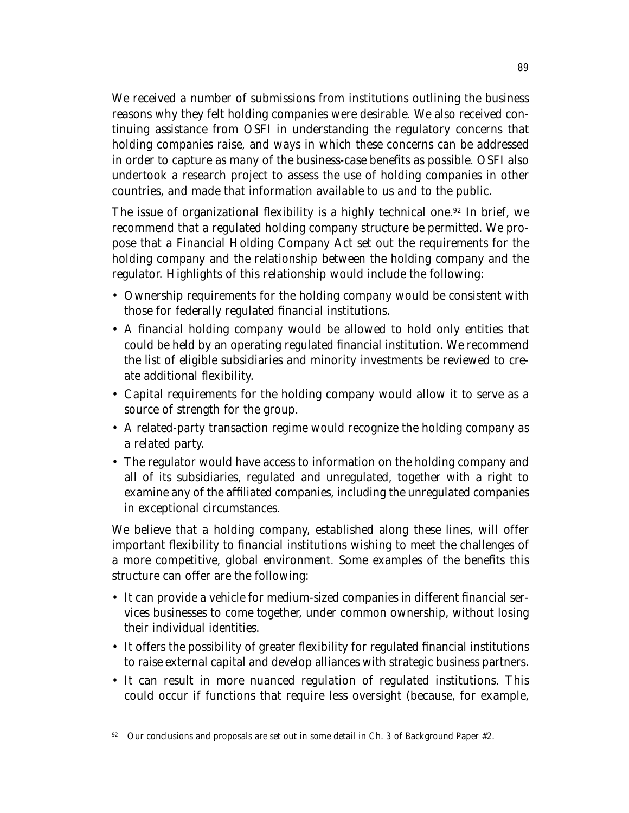We received a number of submissions from institutions outlining the business reasons why they felt holding companies were desirable. We also received continuing assistance from OSFI in understanding the regulatory concerns that holding companies raise, and ways in which these concerns can be addressed in order to capture as many of the business-case benefits as possible. OSFI also undertook a research project to assess the use of holding companies in other countries, and made that information available to us and to the public.

The issue of organizational flexibility is a highly technical one.<sup>92</sup> In brief, we recommend that a regulated holding company structure be permitted. We propose that a Financial Holding Company Act set out the requirements for the holding company and the relationship between the holding company and the regulator. Highlights of this relationship would include the following:

- Ownership requirements for the holding company would be consistent with those for federally regulated financial institutions.
- A financial holding company would be allowed to hold only entities that could be held by an operating regulated financial institution. We recommend the list of eligible subsidiaries and minority investments be reviewed to create additional flexibility.
- Capital requirements for the holding company would allow it to serve as a source of strength for the group.
- A related-party transaction regime would recognize the holding company as a related party.
- The regulator would have access to information on the holding company and all of its subsidiaries, regulated and unregulated, together with a right to examine any of the affiliated companies, including the unregulated companies in exceptional circumstances.

We believe that a holding company, established along these lines, will offer important flexibility to financial institutions wishing to meet the challenges of a more competitive, global environment. Some examples of the benefits this structure can offer are the following:

- It can provide a vehicle for medium-sized companies in different financial services businesses to come together, under common ownership, without losing their individual identities.
- It offers the possibility of greater flexibility for regulated financial institutions to raise external capital and develop alliances with strategic business partners.
- It can result in more nuanced regulation of regulated institutions. This could occur if functions that require less oversight (because, for example,

92 Our conclusions and proposals are set out in some detail in Ch. 3 of Background Paper #2.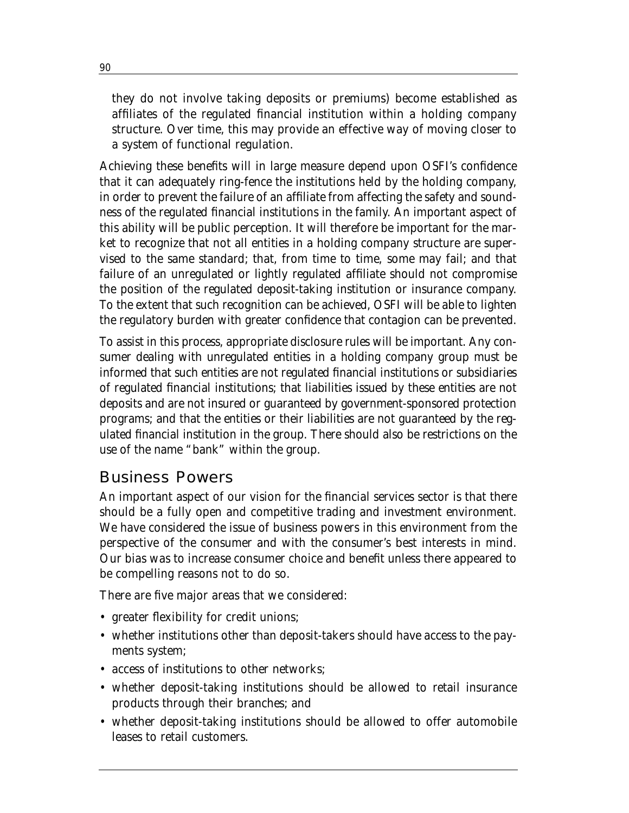they do not involve taking deposits or premiums) become established as affiliates of the regulated financial institution within a holding company structure. Over time, this may provide an effective way of moving closer to a system of functional regulation.

Achieving these benefits will in large measure depend upon OSFI's confidence that it can adequately ring-fence the institutions held by the holding company, in order to prevent the failure of an affiliate from affecting the safety and soundness of the regulated financial institutions in the family. An important aspect of this ability will be public perception. It will therefore be important for the market to recognize that not all entities in a holding company structure are supervised to the same standard; that, from time to time, some may fail; and that failure of an unregulated or lightly regulated affiliate should not compromise the position of the regulated deposit-taking institution or insurance company. To the extent that such recognition can be achieved, OSFI will be able to lighten the regulatory burden with greater confidence that contagion can be prevented.

To assist in this process, appropriate disclosure rules will be important. Any consumer dealing with unregulated entities in a holding company group must be informed that such entities are not regulated financial institutions or subsidiaries of regulated financial institutions; that liabilities issued by these entities are not deposits and are not insured or guaranteed by government-sponsored protection programs; and that the entities or their liabilities are not guaranteed by the regulated financial institution in the group. There should also be restrictions on the use of the name "bank" within the group.

## Business Powers

An important aspect of our vision for the financial services sector is that there should be a fully open and competitive trading and investment environment. We have considered the issue of business powers in this environment from the perspective of the consumer and with the consumer's best interests in mind. Our bias was to increase consumer choice and benefit unless there appeared to be compelling reasons not to do so.

There are five major areas that we considered:

- greater flexibility for credit unions;
- whether institutions other than deposit-takers should have access to the payments system;
- access of institutions to other networks;
- whether deposit-taking institutions should be allowed to retail insurance products through their branches; and
- whether deposit-taking institutions should be allowed to offer automobile leases to retail customers.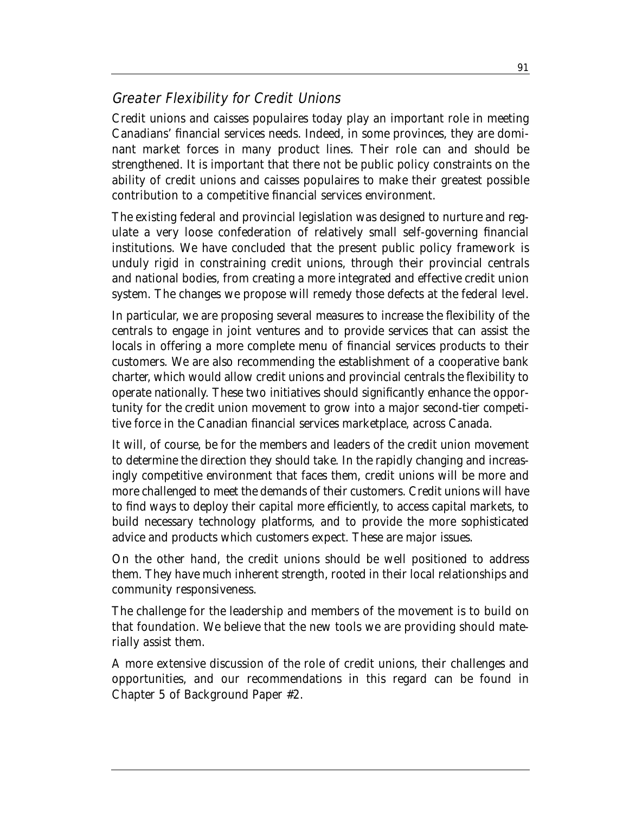## Greater Flexibility for Credit Unions

Credit unions and caisses populaires today play an important role in meeting Canadians' financial services needs. Indeed, in some provinces, they are dominant market forces in many product lines. Their role can and should be strengthened. It is important that there not be public policy constraints on the ability of credit unions and caisses populaires to make their greatest possible contribution to a competitive financial services environment.

The existing federal and provincial legislation was designed to nurture and regulate a very loose confederation of relatively small self-governing financial institutions. We have concluded that the present public policy framework is unduly rigid in constraining credit unions, through their provincial centrals and national bodies, from creating a more integrated and effective credit union system. The changes we propose will remedy those defects at the federal level.

In particular, we are proposing several measures to increase the flexibility of the centrals to engage in joint ventures and to provide services that can assist the locals in offering a more complete menu of financial services products to their customers. We are also recommending the establishment of a cooperative bank charter, which would allow credit unions and provincial centrals the flexibility to operate nationally. These two initiatives should significantly enhance the opportunity for the credit union movement to grow into a major second-tier competitive force in the Canadian financial services marketplace, across Canada.

It will, of course, be for the members and leaders of the credit union movement to determine the direction they should take. In the rapidly changing and increasingly competitive environment that faces them, credit unions will be more and more challenged to meet the demands of their customers. Credit unions will have to find ways to deploy their capital more efficiently, to access capital markets, to build necessary technology platforms, and to provide the more sophisticated advice and products which customers expect. These are major issues.

On the other hand, the credit unions should be well positioned to address them. They have much inherent strength, rooted in their local relationships and community responsiveness.

The challenge for the leadership and members of the movement is to build on that foundation. We believe that the new tools we are providing should materially assist them.

A more extensive discussion of the role of credit unions, their challenges and opportunities, and our recommendations in this regard can be found in Chapter 5 of Background Paper #2.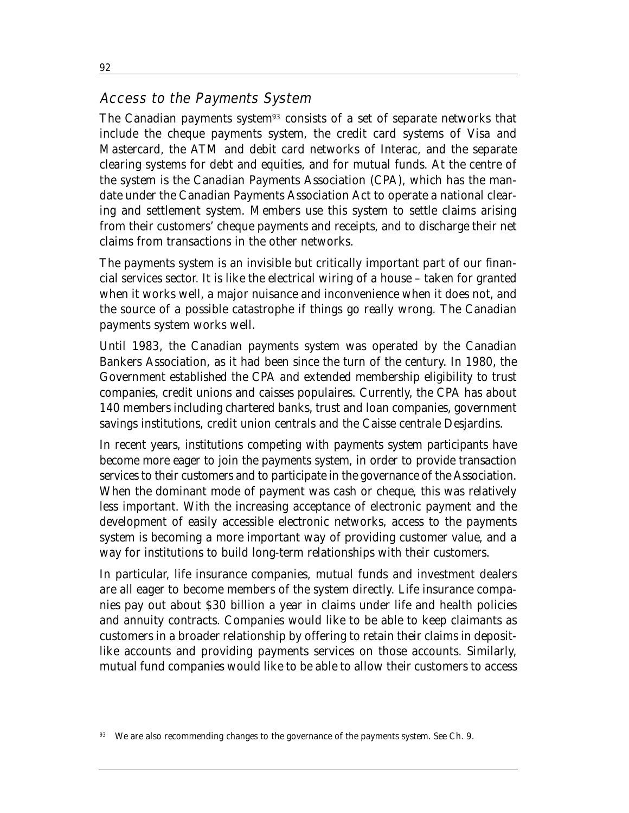#### Access to the Payments System

The Canadian payments system<sup>93</sup> consists of a set of separate networks that include the cheque payments system, the credit card systems of Visa and Mastercard, the ATM and debit card networks of Interac, and the separate clearing systems for debt and equities, and for mutual funds. At the centre of the system is the Canadian Payments Association (CPA), which has the mandate under the Canadian Payments Association Act to operate a national clearing and settlement system. Members use this system to settle claims arising from their customers' cheque payments and receipts, and to discharge their net claims from transactions in the other networks.

The payments system is an invisible but critically important part of our financial services sector. It is like the electrical wiring of a house – taken for granted when it works well, a major nuisance and inconvenience when it does not, and the source of a possible catastrophe if things go really wrong. The Canadian payments system works well.

Until 1983, the Canadian payments system was operated by the Canadian Bankers Association, as it had been since the turn of the century. In 1980, the Government established the CPA and extended membership eligibility to trust companies, credit unions and caisses populaires. Currently, the CPA has about 140 members including chartered banks, trust and loan companies, government savings institutions, credit union centrals and the Caisse centrale Desjardins.

In recent years, institutions competing with payments system participants have become more eager to join the payments system, in order to provide transaction services to their customers and to participate in the governance of the Association. When the dominant mode of payment was cash or cheque, this was relatively less important. With the increasing acceptance of electronic payment and the development of easily accessible electronic networks, access to the payments system is becoming a more important way of providing customer value, and a way for institutions to build long-term relationships with their customers.

In particular, life insurance companies, mutual funds and investment dealers are all eager to become members of the system directly. Life insurance companies pay out about \$30 billion a year in claims under life and health policies and annuity contracts. Companies would like to be able to keep claimants as customers in a broader relationship by offering to retain their claims in depositlike accounts and providing payments services on those accounts. Similarly, mutual fund companies would like to be able to allow their customers to access

We are also recommending changes to the governance of the payments system. See Ch. 9.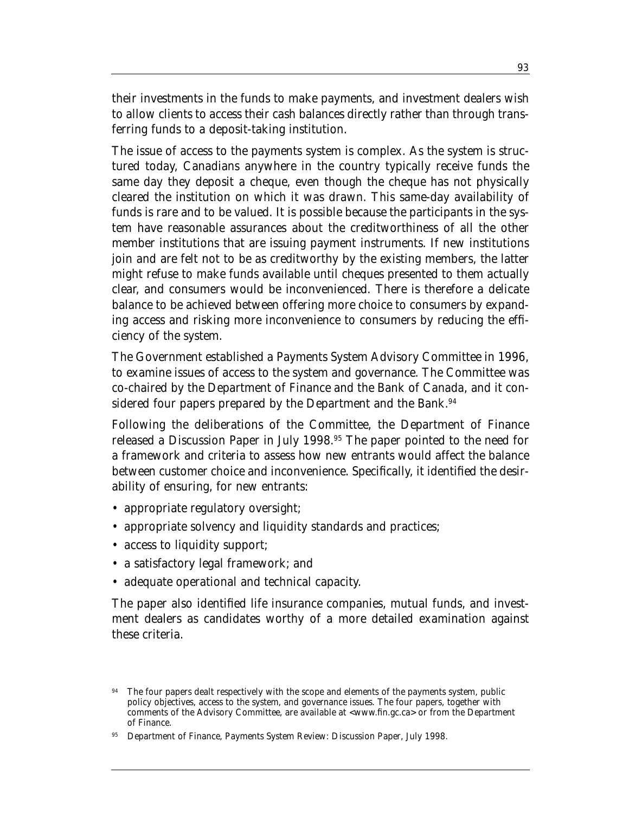their investments in the funds to make payments, and investment dealers wish to allow clients to access their cash balances directly rather than through transferring funds to a deposit-taking institution.

The issue of access to the payments system is complex. As the system is structured today, Canadians anywhere in the country typically receive funds the same day they deposit a cheque, even though the cheque has not physically cleared the institution on which it was drawn. This same-day availability of funds is rare and to be valued. It is possible because the participants in the system have reasonable assurances about the creditworthiness of all the other member institutions that are issuing payment instruments. If new institutions join and are felt not to be as creditworthy by the existing members, the latter might refuse to make funds available until cheques presented to them actually clear, and consumers would be inconvenienced. There is therefore a delicate balance to be achieved between offering more choice to consumers by expanding access and risking more inconvenience to consumers by reducing the efficiency of the system.

The Government established a Payments System Advisory Committee in 1996, to examine issues of access to the system and governance. The Committee was co-chaired by the Department of Finance and the Bank of Canada, and it considered four papers prepared by the Department and the Bank.<sup>94</sup>

Following the deliberations of the Committee, the Department of Finance released a Discussion Paper in July 1998.95 The paper pointed to the need for a framework and criteria to assess how new entrants would affect the balance between customer choice and inconvenience. Specifically, it identified the desirability of ensuring, for new entrants:

- appropriate regulatory oversight;
- appropriate solvency and liquidity standards and practices;
- access to liquidity support;
- a satisfactory legal framework; and
- adequate operational and technical capacity.

The paper also identified life insurance companies, mutual funds, and investment dealers as candidates worthy of a more detailed examination against these criteria.

The four papers dealt respectively with the scope and elements of the payments system, public policy objectives, access to the system, and governance issues. The four papers, together with comments of the Advisory Committee, are available at <www.fin.gc.ca> or from the Department of Finance.

<sup>95</sup> Department of Finance, *Payments System Review: Discussion Paper*, July 1998.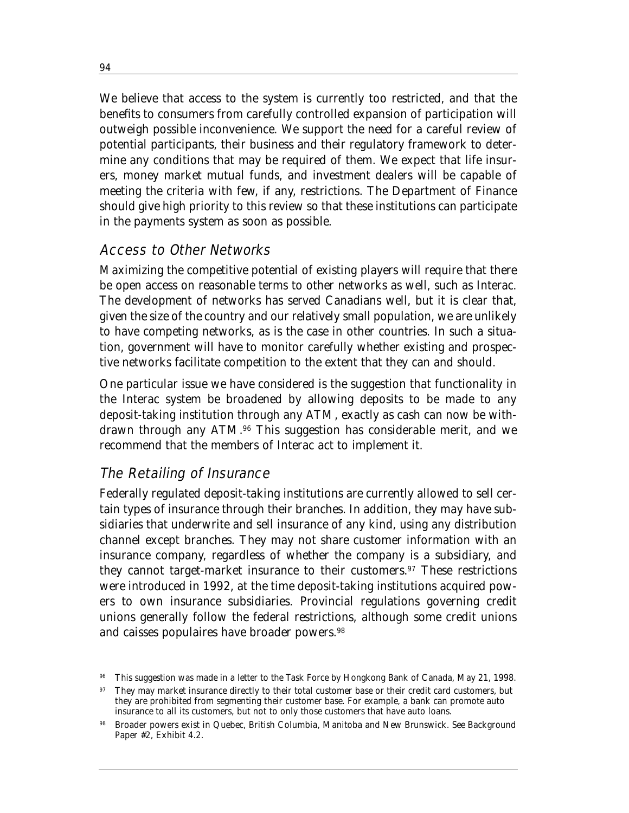We believe that access to the system is currently too restricted, and that the benefits to consumers from carefully controlled expansion of participation will outweigh possible inconvenience. We support the need for a careful review of potential participants, their business and their regulatory framework to determine any conditions that may be required of them. We expect that life insurers, money market mutual funds, and investment dealers will be capable of meeting the criteria with few, if any, restrictions. The Department of Finance should give high priority to this review so that these institutions can participate in the payments system as soon as possible.

#### Access to Other Networks

Maximizing the competitive potential of existing players will require that there be open access on reasonable terms to other networks as well, such as Interac. The development of networks has served Canadians well, but it is clear that, given the size of the country and our relatively small population, we are unlikely to have competing networks, as is the case in other countries. In such a situation, government will have to monitor carefully whether existing and prospective networks facilitate competition to the extent that they can and should.

One particular issue we have considered is the suggestion that functionality in the Interac system be broadened by allowing deposits to be made to any deposit-taking institution through any ATM, exactly as cash can now be withdrawn through any ATM.96 This suggestion has considerable merit, and we recommend that the members of Interac act to implement it.

## The Retailing of Insurance

Federally regulated deposit-taking institutions are currently allowed to sell certain types of insurance through their branches. In addition, they may have subsidiaries that underwrite and sell insurance of any kind, using any distribution channel except branches. They may not share customer information with an insurance company, regardless of whether the company is a subsidiary, and they cannot target-market insurance to their customers.97 These restrictions were introduced in 1992, at the time deposit-taking institutions acquired powers to own insurance subsidiaries. Provincial regulations governing credit unions generally follow the federal restrictions, although some credit unions and caisses populaires have broader powers.98

<sup>96</sup> This suggestion was made in a letter to the Task Force by Hongkong Bank of Canada, May 21, 1998.

<sup>&</sup>lt;sup>97</sup> They may market insurance directly to their total customer base or their credit card customers, but they are prohibited from segmenting their customer base. For example, a bank can promote auto insurance to all its customers, but not to only those customers that have auto loans.

<sup>98</sup> Broader powers exist in Quebec, British Columbia, Manitoba and New Brunswick. See Background Paper #2, Exhibit 4.2.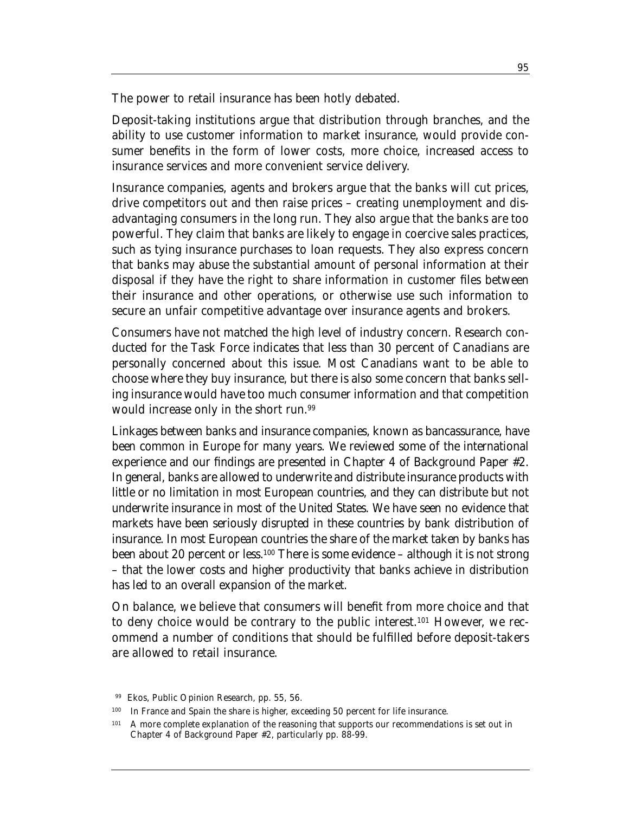The power to retail insurance has been hotly debated.

Deposit-taking institutions argue that distribution through branches, and the ability to use customer information to market insurance, would provide consumer benefits in the form of lower costs, more choice, increased access to insurance services and more convenient service delivery.

Insurance companies, agents and brokers argue that the banks will cut prices, drive competitors out and then raise prices – creating unemployment and disadvantaging consumers in the long run. They also argue that the banks are too powerful. They claim that banks are likely to engage in coercive sales practices, such as tying insurance purchases to loan requests. They also express concern that banks may abuse the substantial amount of personal information at their disposal if they have the right to share information in customer files between their insurance and other operations, or otherwise use such information to secure an unfair competitive advantage over insurance agents and brokers.

Consumers have not matched the high level of industry concern. Research conducted for the Task Force indicates that less than 30 percent of Canadians are personally concerned about this issue. Most Canadians want to be able to choose where they buy insurance, but there is also some concern that banks selling insurance would have too much consumer information and that competition would increase only in the short run.99

Linkages between banks and insurance companies, known as bancassurance, have been common in Europe for many years. We reviewed some of the international experience and our findings are presented in Chapter 4 of Background Paper #2. In general, banks are allowed to underwrite and distribute insurance products with little or no limitation in most European countries, and they can distribute but not underwrite insurance in most of the United States. We have seen no evidence that markets have been seriously disrupted in these countries by bank distribution of insurance. In most European countries the share of the market taken by banks has been about 20 percent or less.100 There is some evidence – although it is not strong – that the lower costs and higher productivity that banks achieve in distribution has led to an overall expansion of the market.

On balance, we believe that consumers will benefit from more choice and that to deny choice would be contrary to the public interest.101 However, we recommend a number of conditions that should be fulfilled before deposit-takers are allowed to retail insurance.

<sup>99</sup> Ekos, *Public Opinion Research*, pp. 55, 56.

<sup>100</sup> In France and Spain the share is higher, exceeding 50 percent for life insurance.

<sup>&</sup>lt;sup>101</sup> A more complete explanation of the reasoning that supports our recommendations is set out in Chapter 4 of Background Paper #2, particularly pp. 88-99.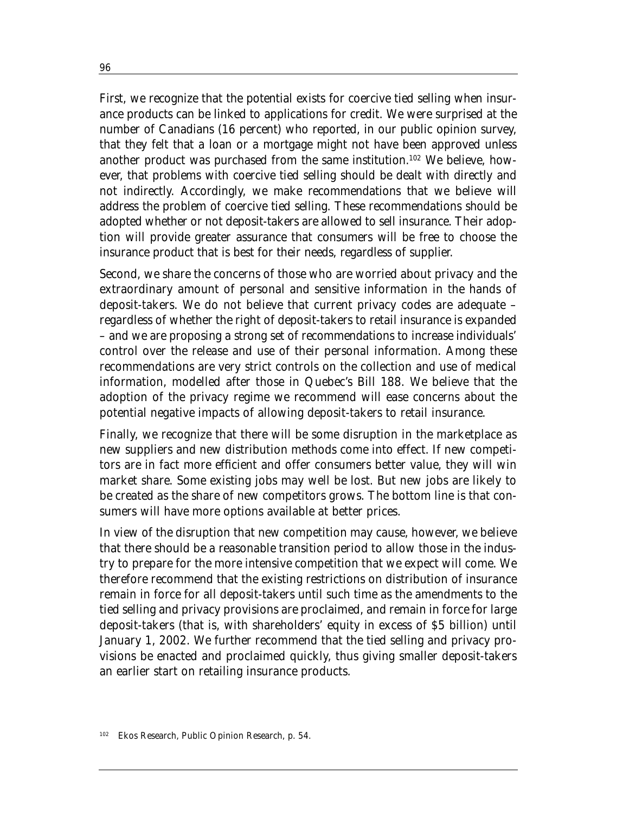First, we recognize that the potential exists for coercive tied selling when insurance products can be linked to applications for credit. We were surprised at the number of Canadians (16 percent) who reported, in our public opinion survey, that they felt that a loan or a mortgage might not have been approved unless another product was purchased from the same institution.102 We believe, however, that problems with coercive tied selling should be dealt with directly and not indirectly. Accordingly, we make recommendations that we believe will address the problem of coercive tied selling. These recommendations should be adopted whether or not deposit-takers are allowed to sell insurance. Their adoption will provide greater assurance that consumers will be free to choose the insurance product that is best for their needs, regardless of supplier.

Second, we share the concerns of those who are worried about privacy and the extraordinary amount of personal and sensitive information in the hands of deposit-takers. We do not believe that current privacy codes are adequate – regardless of whether the right of deposit-takers to retail insurance is expanded – and we are proposing a strong set of recommendations to increase individuals' control over the release and use of their personal information. Among these recommendations are very strict controls on the collection and use of medical information, modelled after those in Quebec's Bill 188. We believe that the adoption of the privacy regime we recommend will ease concerns about the potential negative impacts of allowing deposit-takers to retail insurance.

Finally, we recognize that there will be some disruption in the marketplace as new suppliers and new distribution methods come into effect. If new competitors are in fact more efficient and offer consumers better value, they will win market share. Some existing jobs may well be lost. But new jobs are likely to be created as the share of new competitors grows. The bottom line is that consumers will have more options available at better prices.

In view of the disruption that new competition may cause, however, we believe that there should be a reasonable transition period to allow those in the industry to prepare for the more intensive competition that we expect will come. We therefore recommend that the existing restrictions on distribution of insurance remain in force for all deposit-takers until such time as the amendments to the tied selling and privacy provisions are proclaimed, and remain in force for large deposit-takers (that is, with shareholders' equity in excess of \$5 billion) until January 1, 2002. We further recommend that the tied selling and privacy provisions be enacted and proclaimed quickly, thus giving smaller deposit-takers an earlier start on retailing insurance products.

<sup>102</sup> Ekos Research, *Public Opinion Research*, p. 54.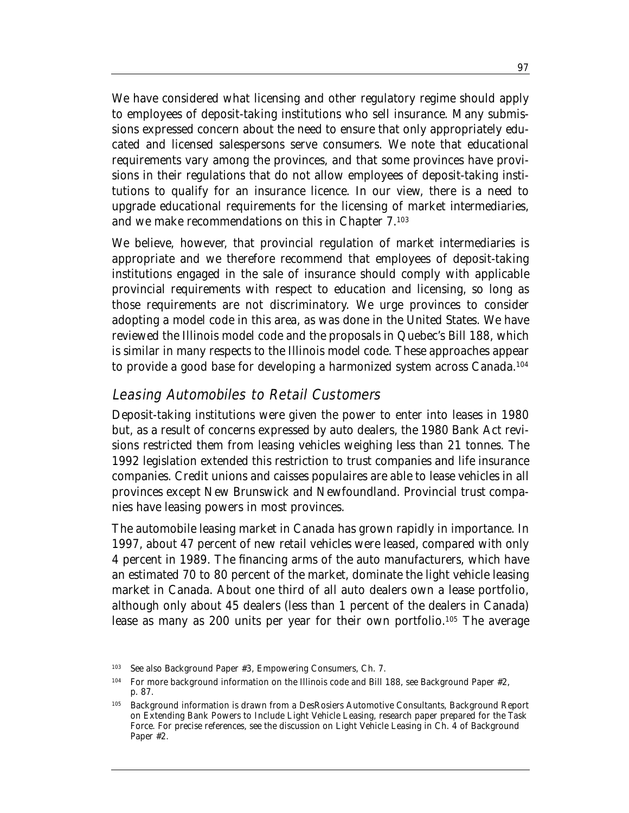We have considered what licensing and other regulatory regime should apply to employees of deposit-taking institutions who sell insurance. Many submissions expressed concern about the need to ensure that only appropriately educated and licensed salespersons serve consumers. We note that educational requirements vary among the provinces, and that some provinces have provisions in their regulations that do not allow employees of deposit-taking institutions to qualify for an insurance licence. In our view, there is a need to upgrade educational requirements for the licensing of market intermediaries, and we make recommendations on this in Chapter 7.103

We believe, however, that provincial regulation of market intermediaries is appropriate and we therefore recommend that employees of deposit-taking institutions engaged in the sale of insurance should comply with applicable provincial requirements with respect to education and licensing, so long as those requirements are not discriminatory. We urge provinces to consider adopting a model code in this area, as was done in the United States. We have reviewed the Illinois model code and the proposals in Quebec's Bill 188, which is similar in many respects to the Illinois model code. These approaches appear to provide a good base for developing a harmonized system across Canada.104

#### Leasing Automobiles to Retail Customers

Deposit-taking institutions were given the power to enter into leases in 1980 but, as a result of concerns expressed by auto dealers, the 1980 Bank Act revisions restricted them from leasing vehicles weighing less than 21 tonnes. The 1992 legislation extended this restriction to trust companies and life insurance companies. Credit unions and caisses populaires are able to lease vehicles in all provinces except New Brunswick and Newfoundland. Provincial trust companies have leasing powers in most provinces.

The automobile leasing market in Canada has grown rapidly in importance. In 1997, about 47 percent of new retail vehicles were leased, compared with only 4 percent in 1989. The financing arms of the auto manufacturers, which have an estimated 70 to 80 percent of the market, dominate the light vehicle leasing market in Canada. About one third of all auto dealers own a lease portfolio, although only about 45 dealers (less than 1 percent of the dealers in Canada) lease as many as 200 units per year for their own portfolio.<sup>105</sup> The average

<sup>103</sup> See also Background Paper #3, *Empowering Consumers*, Ch. 7.

<sup>104</sup> For more background information on the Illinois code and Bill 188, see Background Paper #2, p. 87.

<sup>105</sup> Background information is drawn from a DesRosiers Automotive Consultants, *Background Report on Extending Bank Powers to Include Light Vehicle Leasing,* research paper prepared for the Task Force. For precise references, see the discussion on Light Vehicle Leasing in Ch. 4 of Background Paper #2.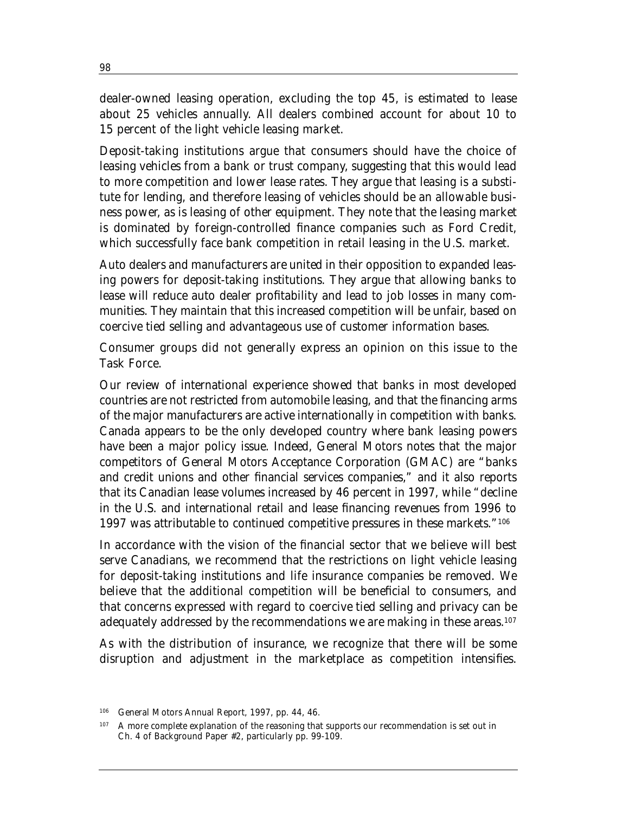dealer-owned leasing operation, excluding the top 45, is estimated to lease about 25 vehicles annually. All dealers combined account for about 10 to 15 percent of the light vehicle leasing market.

Deposit-taking institutions argue that consumers should have the choice of leasing vehicles from a bank or trust company, suggesting that this would lead to more competition and lower lease rates. They argue that leasing is a substitute for lending, and therefore leasing of vehicles should be an allowable business power, as is leasing of other equipment. They note that the leasing market is dominated by foreign-controlled finance companies such as Ford Credit, which successfully face bank competition in retail leasing in the U.S. market.

Auto dealers and manufacturers are united in their opposition to expanded leasing powers for deposit-taking institutions. They argue that allowing banks to lease will reduce auto dealer profitability and lead to job losses in many communities. They maintain that this increased competition will be unfair, based on coercive tied selling and advantageous use of customer information bases.

Consumer groups did not generally express an opinion on this issue to the Task Force.

Our review of international experience showed that banks in most developed countries are not restricted from automobile leasing, and that the financing arms of the major manufacturers are active internationally in competition with banks. Canada appears to be the only developed country where bank leasing powers have been a major policy issue. Indeed, General Motors notes that the major competitors of General Motors Acceptance Corporation (GMAC) are "banks and credit unions and other financial services companies," and it also reports that its Canadian lease volumes increased by 46 percent in 1997, while "decline in the U.S. and international retail and lease financing revenues from 1996 to 1997 was attributable to continued competitive pressures in these markets."106

In accordance with the vision of the financial sector that we believe will best serve Canadians, we recommend that the restrictions on light vehicle leasing for deposit-taking institutions and life insurance companies be removed. We believe that the additional competition will be beneficial to consumers, and that concerns expressed with regard to coercive tied selling and privacy can be adequately addressed by the recommendations we are making in these areas.<sup>107</sup>

As with the distribution of insurance, we recognize that there will be some disruption and adjustment in the marketplace as competition intensifies.

<sup>106</sup> General Motors Annual Report, 1997, pp. 44, 46.

<sup>&</sup>lt;sup>107</sup> A more complete explanation of the reasoning that supports our recommendation is set out in Ch. 4 of Background Paper #2, particularly pp. 99-109.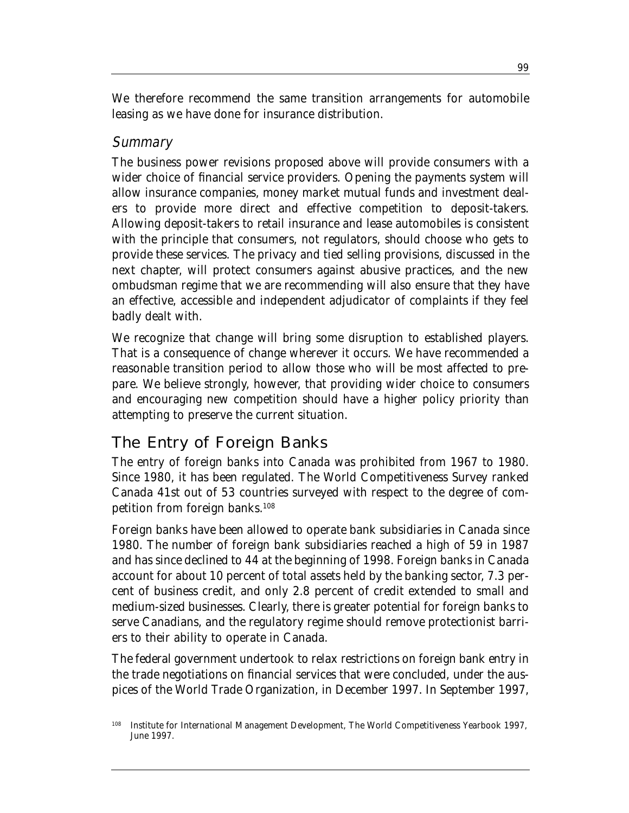We therefore recommend the same transition arrangements for automobile leasing as we have done for insurance distribution.

#### **Summary**

The business power revisions proposed above will provide consumers with a wider choice of financial service providers. Opening the payments system will allow insurance companies, money market mutual funds and investment dealers to provide more direct and effective competition to deposit-takers. Allowing deposit-takers to retail insurance and lease automobiles is consistent with the principle that consumers, not regulators, should choose who gets to provide these services. The privacy and tied selling provisions, discussed in the next chapter, will protect consumers against abusive practices, and the new ombudsman regime that we are recommending will also ensure that they have an effective, accessible and independent adjudicator of complaints if they feel badly dealt with.

We recognize that change will bring some disruption to established players. That is a consequence of change wherever it occurs. We have recommended a reasonable transition period to allow those who will be most affected to prepare. We believe strongly, however, that providing wider choice to consumers and encouraging new competition should have a higher policy priority than attempting to preserve the current situation.

# The Entry of Foreign Banks

The entry of foreign banks into Canada was prohibited from 1967 to 1980. Since 1980, it has been regulated. The World Competitiveness Survey ranked Canada 41st out of 53 countries surveyed with respect to the degree of competition from foreign banks.108

Foreign banks have been allowed to operate bank subsidiaries in Canada since 1980. The number of foreign bank subsidiaries reached a high of 59 in 1987 and has since declined to 44 at the beginning of 1998. Foreign banks in Canada account for about 10 percent of total assets held by the banking sector, 7.3 percent of business credit, and only 2.8 percent of credit extended to small and medium-sized businesses. Clearly, there is greater potential for foreign banks to serve Canadians, and the regulatory regime should remove protectionist barriers to their ability to operate in Canada.

The federal government undertook to relax restrictions on foreign bank entry in the trade negotiations on financial services that were concluded, under the auspices of the World Trade Organization, in December 1997. In September 1997,

<sup>108</sup> Institute for International Management Development, *The World Competitiveness Yearbook 1997*, June 1997.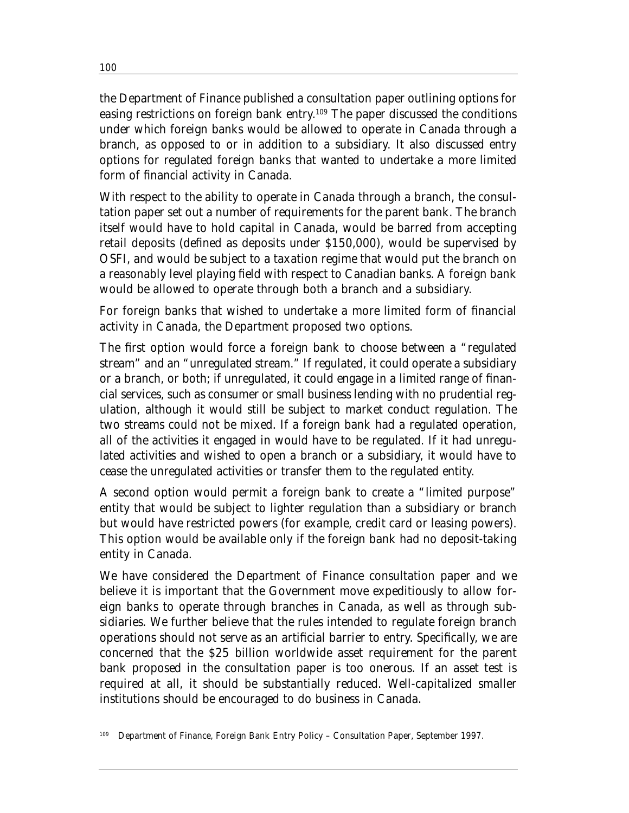the Department of Finance published a consultation paper outlining options for easing restrictions on foreign bank entry. <sup>109</sup> The paper discussed the conditions under which foreign banks would be allowed to operate in Canada through a branch, as opposed to or in addition to a subsidiary. It also discussed entry options for regulated foreign banks that wanted to undertake a more limited form of financial activity in Canada.

With respect to the ability to operate in Canada through a branch, the consultation paper set out a number of requirements for the parent bank. The branch itself would have to hold capital in Canada, would be barred from accepting retail deposits (defined as deposits under \$150,000), would be supervised by OSFI, and would be subject to a taxation regime that would put the branch on a reasonably level playing field with respect to Canadian banks. A foreign bank would be allowed to operate through both a branch and a subsidiary.

For foreign banks that wished to undertake a more limited form of financial activity in Canada, the Department proposed two options.

The first option would force a foreign bank to choose between a "regulated stream" and an "unregulated stream." If regulated, it could operate a subsidiary or a branch, or both; if unregulated, it could engage in a limited range of financial services, such as consumer or small business lending with no prudential regulation, although it would still be subject to market conduct regulation. The two streams could not be mixed. If a foreign bank had a regulated operation, all of the activities it engaged in would have to be regulated. If it had unregulated activities and wished to open a branch or a subsidiary, it would have to cease the unregulated activities or transfer them to the regulated entity.

A second option would permit a foreign bank to create a "limited purpose" entity that would be subject to lighter regulation than a subsidiary or branch but would have restricted powers (for example, credit card or leasing powers). This option would be available only if the foreign bank had no deposit-taking entity in Canada.

We have considered the Department of Finance consultation paper and we believe it is important that the Government move expeditiously to allow foreign banks to operate through branches in Canada, as well as through subsidiaries. We further believe that the rules intended to regulate foreign branch operations should not serve as an artificial barrier to entry. Specifically, we are concerned that the \$25 billion worldwide asset requirement for the parent bank proposed in the consultation paper is too onerous. If an asset test is required at all, it should be substantially reduced. Well-capitalized smaller institutions should be encouraged to do business in Canada.

109 Department of Finance, *Foreign Bank Entry Policy – Consultation Paper*, September 1997.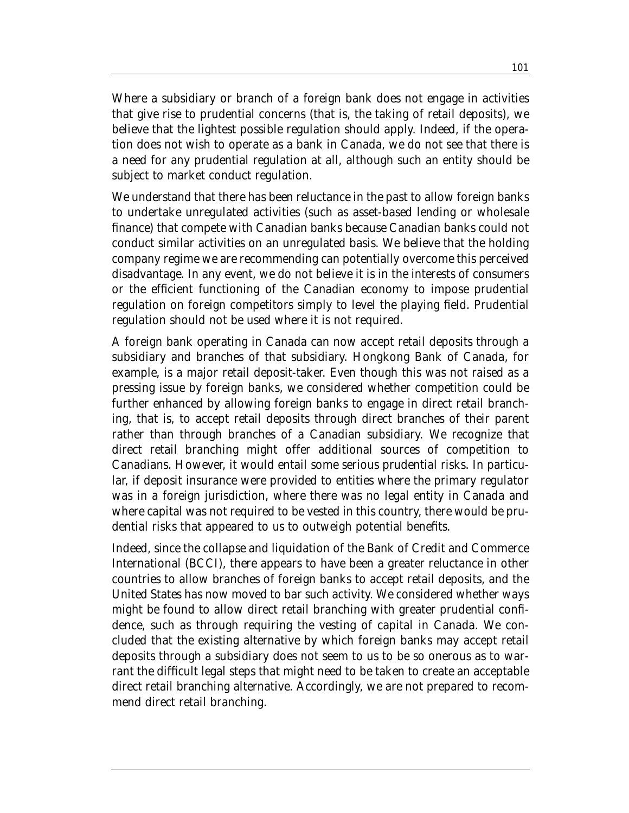Where a subsidiary or branch of a foreign bank does not engage in activities that give rise to prudential concerns (that is, the taking of retail deposits), we believe that the lightest possible regulation should apply. Indeed, if the operation does not wish to operate as a bank in Canada, we do not see that there is a need for any prudential regulation at all, although such an entity should be subject to market conduct regulation.

We understand that there has been reluctance in the past to allow foreign banks to undertake unregulated activities (such as asset-based lending or wholesale finance) that compete with Canadian banks because Canadian banks could not conduct similar activities on an unregulated basis. We believe that the holding company regime we are recommending can potentially overcome this perceived disadvantage. In any event, we do not believe it is in the interests of consumers or the efficient functioning of the Canadian economy to impose prudential regulation on foreign competitors simply to level the playing field. Prudential regulation should not be used where it is not required.

A foreign bank operating in Canada can now accept retail deposits through a subsidiary and branches of that subsidiary. Hongkong Bank of Canada, for example, is a major retail deposit-taker. Even though this was not raised as a pressing issue by foreign banks, we considered whether competition could be further enhanced by allowing foreign banks to engage in direct retail branching, that is, to accept retail deposits through direct branches of their parent rather than through branches of a Canadian subsidiary. We recognize that direct retail branching might offer additional sources of competition to Canadians. However, it would entail some serious prudential risks. In particular, if deposit insurance were provided to entities where the primary regulator was in a foreign jurisdiction, where there was no legal entity in Canada and where capital was not required to be vested in this country, there would be prudential risks that appeared to us to outweigh potential benefits.

Indeed, since the collapse and liquidation of the Bank of Credit and Commerce International (BCCI), there appears to have been a greater reluctance in other countries to allow branches of foreign banks to accept retail deposits, and the United States has now moved to bar such activity. We considered whether ways might be found to allow direct retail branching with greater prudential confidence, such as through requiring the vesting of capital in Canada. We concluded that the existing alternative by which foreign banks may accept retail deposits through a subsidiary does not seem to us to be so onerous as to warrant the difficult legal steps that might need to be taken to create an acceptable direct retail branching alternative. Accordingly, we are not prepared to recommend direct retail branching.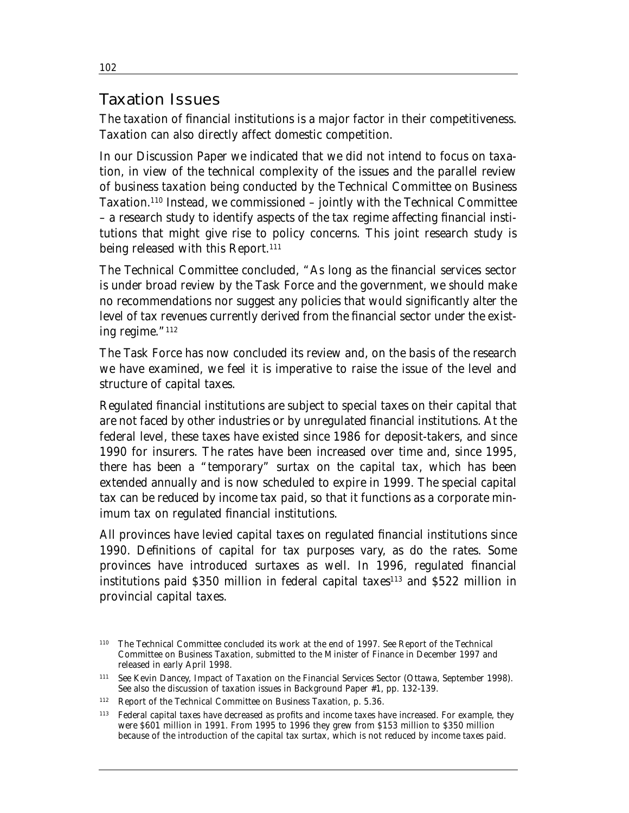## Taxation Issues

The taxation of financial institutions is a major factor in their competitiveness. Taxation can also directly affect domestic competition.

In our Discussion Paper we indicated that we did not intend to focus on taxation, in view of the technical complexity of the issues and the parallel review of business taxation being conducted by the Technical Committee on Business Taxation.110 Instead, we commissioned – jointly with the Technical Committee – a research study to identify aspects of the tax regime affecting financial institutions that might give rise to policy concerns. This joint research study is being released with this Report.<sup>111</sup>

The Technical Committee concluded, "As long as the financial services sector is under broad review by the Task Force and the government, we should make no recommendations nor suggest any policies that would significantly alter the level of tax revenues currently derived from the financial sector under the existing regime."112

The Task Force has now concluded its review and, on the basis of the research we have examined, we feel it is imperative to raise the issue of the level and structure of capital taxes.

Regulated financial institutions are subject to special taxes on their capital that are not faced by other industries or by unregulated financial institutions. At the federal level, these taxes have existed since 1986 for deposit-takers, and since 1990 for insurers. The rates have been increased over time and, since 1995, there has been a "temporary" surtax on the capital tax, which has been extended annually and is now scheduled to expire in 1999. The special capital tax can be reduced by income tax paid, so that it functions as a corporate minimum tax on regulated financial institutions.

All provinces have levied capital taxes on regulated financial institutions since 1990. Definitions of capital for tax purposes vary, as do the rates. Some provinces have introduced surtaxes as well. In 1996, regulated financial institutions paid  $$350$  million in federal capital taxes<sup>113</sup> and  $$522$  million in provincial capital taxes.

<sup>110</sup> The Technical Committee concluded its work at the end of 1997. See *Report of the Technical Committee on Business Taxation*, submitted to the Minister of Finance in December 1997 and released in early April 1998.

<sup>111</sup> See Kevin Dancey, *Impact of Taxation on the Financial Services Sector* (Ottawa, September 1998). See also the discussion of taxation issues in Background Paper #1, pp. 132-139.

<sup>112</sup>*Report of the Technical Committee on Business Taxation*, p. 5.36.

<sup>113</sup> Federal capital taxes have decreased as profits and income taxes have increased. For example, they were \$601 million in 1991. From 1995 to 1996 they grew from \$153 million to \$350 million because of the introduction of the capital tax surtax, which is not reduced by income taxes paid.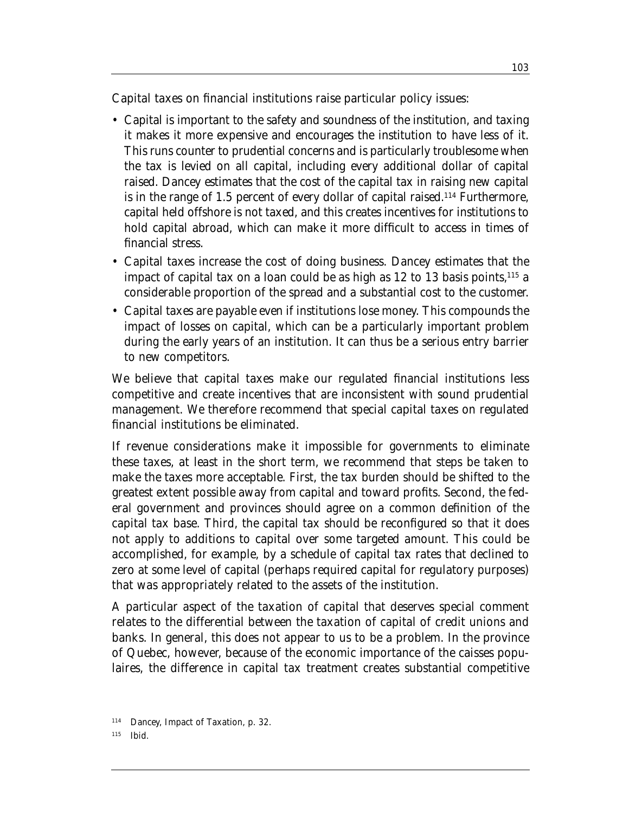Capital taxes on financial institutions raise particular policy issues:

- Capital is important to the safety and soundness of the institution, and taxing it makes it more expensive and encourages the institution to have less of it. This runs counter to prudential concerns and is particularly troublesome when the tax is levied on all capital, including every additional dollar of capital raised. Dancey estimates that the cost of the capital tax in raising new capital is in the range of 1.5 percent of every dollar of capital raised.<sup>114</sup> Furthermore, capital held offshore is not taxed, and this creates incentives for institutions to hold capital abroad, which can make it more difficult to access in times of financial stress.
- Capital taxes increase the cost of doing business. Dancey estimates that the impact of capital tax on a loan could be as high as  $12$  to  $13$  basis points,  $^{115}$  a considerable proportion of the spread and a substantial cost to the customer.
- Capital taxes are payable even if institutions lose money. This compounds the impact of losses on capital, which can be a particularly important problem during the early years of an institution. It can thus be a serious entry barrier to new competitors.

We believe that capital taxes make our regulated financial institutions less competitive and create incentives that are inconsistent with sound prudential management. We therefore recommend that special capital taxes on regulated financial institutions be eliminated.

If revenue considerations make it impossible for governments to eliminate these taxes, at least in the short term, we recommend that steps be taken to make the taxes more acceptable. First, the tax burden should be shifted to the greatest extent possible away from capital and toward profits. Second, the federal government and provinces should agree on a common definition of the capital tax base. Third, the capital tax should be reconfigured so that it does not apply to additions to capital over some targeted amount. This could be accomplished, for example, by a schedule of capital tax rates that declined to zero at some level of capital (perhaps required capital for regulatory purposes) that was appropriately related to the assets of the institution.

A particular aspect of the taxation of capital that deserves special comment relates to the differential between the taxation of capital of credit unions and banks. In general, this does not appear to us to be a problem. In the province of Quebec, however, because of the economic importance of the caisses populaires, the difference in capital tax treatment creates substantial competitive

<sup>114</sup> Dancey, *Impact of Taxation*, p. 32.

<sup>115</sup> Ibid.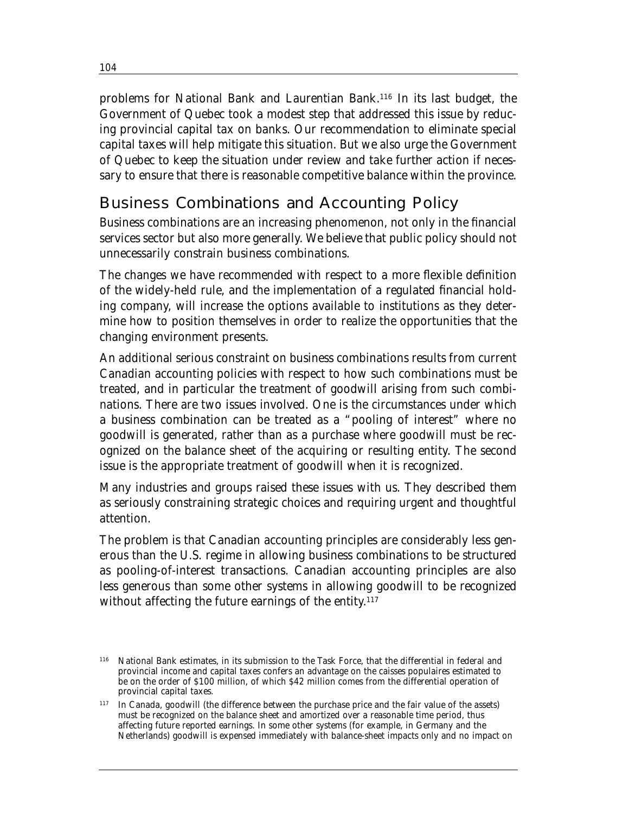problems for National Bank and Laurentian Bank.116 In its last budget, the Government of Quebec took a modest step that addressed this issue by reducing provincial capital tax on banks. Our recommendation to eliminate special capital taxes will help mitigate this situation. But we also urge the Government of Quebec to keep the situation under review and take further action if necessary to ensure that there is reasonable competitive balance within the province.

# Business Combinations and Accounting Policy

Business combinations are an increasing phenomenon, not only in the financial services sector but also more generally. We believe that public policy should not unnecessarily constrain business combinations.

The changes we have recommended with respect to a more flexible definition of the widely-held rule, and the implementation of a regulated financial holding company, will increase the options available to institutions as they determine how to position themselves in order to realize the opportunities that the changing environment presents.

An additional serious constraint on business combinations results from current Canadian accounting policies with respect to how such combinations must be treated, and in particular the treatment of goodwill arising from such combinations. There are two issues involved. One is the circumstances under which a business combination can be treated as a "pooling of interest" where no goodwill is generated, rather than as a purchase where goodwill must be recognized on the balance sheet of the acquiring or resulting entity. The second issue is the appropriate treatment of goodwill when it is recognized.

Many industries and groups raised these issues with us. They described them as seriously constraining strategic choices and requiring urgent and thoughtful attention.

The problem is that Canadian accounting principles are considerably less generous than the U.S. regime in allowing business combinations to be structured as pooling-of-interest transactions. Canadian accounting principles are also less generous than some other systems in allowing goodwill to be recognized without affecting the future earnings of the entity. 117

<sup>116</sup> National Bank estimates, in its submission to the Task Force, that the differential in federal and provincial income and capital taxes confers an advantage on the caisses populaires estimated to be on the order of \$100 million, of which \$42 million comes from the differential operation of provincial capital taxes.

<sup>117</sup> In Canada, goodwill (the difference between the purchase price and the fair value of the assets) must be recognized on the balance sheet and amortized over a reasonable time period, thus affecting future reported earnings. In some other systems (for example, in Germany and the Netherlands) goodwill is expensed immediately with balance-sheet impacts only and no impact on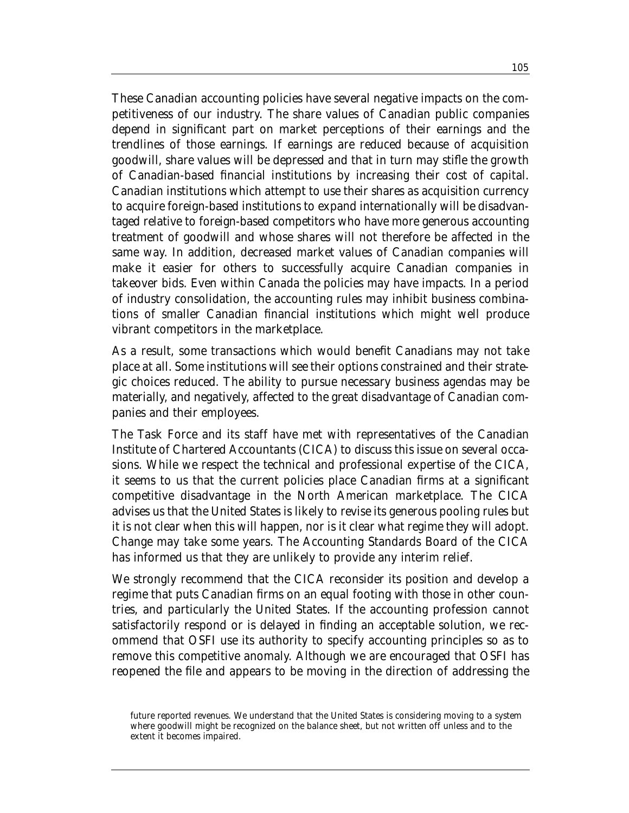These Canadian accounting policies have several negative impacts on the competitiveness of our industry. The share values of Canadian public companies depend in significant part on market perceptions of their earnings and the trendlines of those earnings. If earnings are reduced because of acquisition goodwill, share values will be depressed and that in turn may stifle the growth of Canadian-based financial institutions by increasing their cost of capital. Canadian institutions which attempt to use their shares as acquisition currency to acquire foreign-based institutions to expand internationally will be disadvantaged relative to foreign-based competitors who have more generous accounting treatment of goodwill and whose shares will not therefore be affected in the same way. In addition, decreased market values of Canadian companies will make it easier for others to successfully acquire Canadian companies in takeover bids. Even within Canada the policies may have impacts. In a period of industry consolidation, the accounting rules may inhibit business combinations of smaller Canadian financial institutions which might well produce vibrant competitors in the marketplace.

As a result, some transactions which would benefit Canadians may not take place at all. Some institutions will see their options constrained and their strategic choices reduced. The ability to pursue necessary business agendas may be materially, and negatively, affected to the great disadvantage of Canadian companies and their employees.

The Task Force and its staff have met with representatives of the Canadian Institute of Chartered Accountants (CICA) to discuss this issue on several occasions. While we respect the technical and professional expertise of the CICA, it seems to us that the current policies place Canadian firms at a significant competitive disadvantage in the North American marketplace. The CICA advises us that the United States is likely to revise its generous pooling rules but it is not clear when this will happen, nor is it clear what regime they will adopt. Change may take some years. The Accounting Standards Board of the CICA has informed us that they are unlikely to provide any interim relief.

We strongly recommend that the CICA reconsider its position and develop a regime that puts Canadian firms on an equal footing with those in other countries, and particularly the United States. If the accounting profession cannot satisfactorily respond or is delayed in finding an acceptable solution, we recommend that OSFI use its authority to specify accounting principles so as to remove this competitive anomaly. Although we are encouraged that OSFI has reopened the file and appears to be moving in the direction of addressing the

future reported revenues. We understand that the United States is considering moving to a system where goodwill might be recognized on the balance sheet, but not written off unless and to the extent it becomes impaired.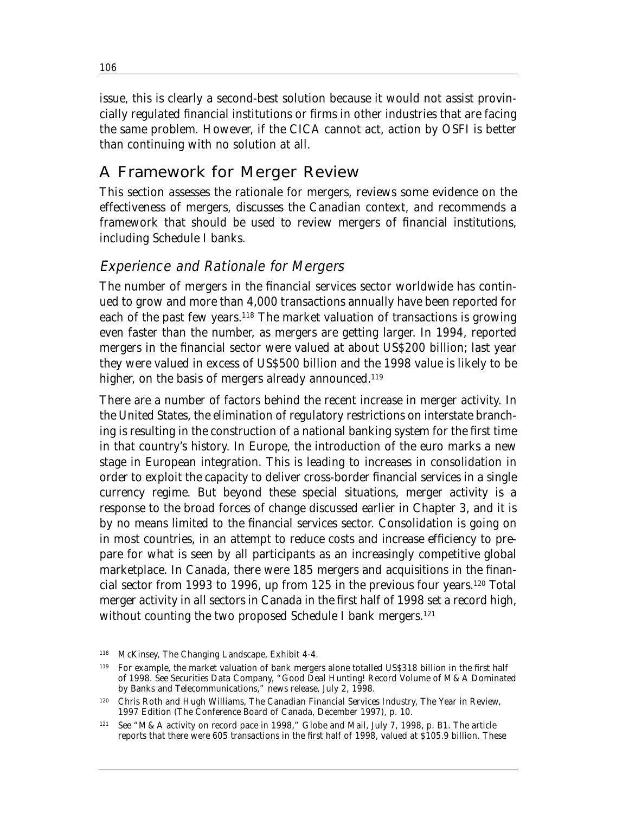issue, this is clearly a second-best solution because it would not assist provincially regulated financial institutions or firms in other industries that are facing the same problem. However, if the CICA cannot act, action by OSFI is better than continuing with no solution at all.

# A Framework for Merger Review

This section assesses the rationale for mergers, reviews some evidence on the effectiveness of mergers, discusses the Canadian context, and recommends a framework that should be used to review mergers of financial institutions, including Schedule I banks.

#### Experience and Rationale for Mergers

The number of mergers in the financial services sector worldwide has continued to grow and more than 4,000 transactions annually have been reported for each of the past few years.<sup>118</sup> The market valuation of transactions is growing even faster than the number, as mergers are getting larger. In 1994, reported mergers in the financial sector were valued at about US\$200 billion; last year they were valued in excess of US\$500 billion and the 1998 value is likely to be higher, on the basis of mergers already announced.<sup>119</sup>

There are a number of factors behind the recent increase in merger activity. In the United States, the elimination of regulatory restrictions on interstate branching is resulting in the construction of a national banking system for the first time in that country's history. In Europe, the introduction of the euro marks a new stage in European integration. This is leading to increases in consolidation in order to exploit the capacity to deliver cross-border financial services in a single currency regime. But beyond these special situations, merger activity is a response to the broad forces of change discussed earlier in Chapter 3, and it is by no means limited to the financial services sector. Consolidation is going on in most countries, in an attempt to reduce costs and increase efficiency to prepare for what is seen by all participants as an increasingly competitive global marketplace. In Canada, there were 185 mergers and acquisitions in the financial sector from 1993 to 1996, up from 125 in the previous four years.120 Total merger activity in all sectors in Canada in the first half of 1998 set a record high, without counting the two proposed Schedule I bank mergers.<sup>121</sup>

106

<sup>118</sup> McKinsey, *The Changing Landscape*, Exhibit 4-4.

<sup>119</sup> For example, the market valuation of bank mergers alone totalled US\$318 billion in the first half of 1998. See Securities Data Company, "Good Deal Hunting! Record Volume of M&A Dominated by Banks and Telecommunications," news release, July 2, 1998.

<sup>120</sup> Chris Roth and Hugh Williams, *The Canadian Financial Services Industry, The Year in Review, 1997 Edition* (The Conference Board of Canada, December 1997), p. 10.

<sup>121</sup> See "M&A activity on record pace in 1998," *Globe and Mail*, July 7, 1998, p. B1. The article reports that there were 605 transactions in the first half of 1998, valued at \$105.9 billion. These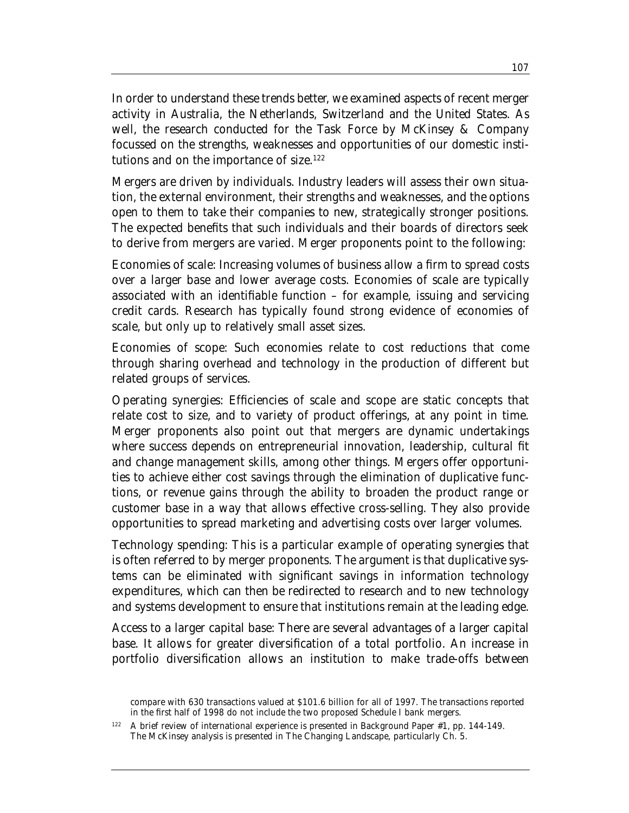In order to understand these trends better, we examined aspects of recent merger activity in Australia, the Netherlands, Switzerland and the United States. As well, the research conducted for the Task Force by McKinsey & Company focussed on the strengths, weaknesses and opportunities of our domestic institutions and on the importance of size.<sup>122</sup>

Mergers are driven by individuals. Industry leaders will assess their own situation, the external environment, their strengths and weaknesses, and the options open to them to take their companies to new, strategically stronger positions. The expected benefits that such individuals and their boards of directors seek to derive from mergers are varied. Merger proponents point to the following:

*Economies of scale*: Increasing volumes of business allow a firm to spread costs over a larger base and lower average costs. Economies of scale are typically associated with an identifiable function – for example, issuing and servicing credit cards. Research has typically found strong evidence of economies of scale, but only up to relatively small asset sizes.

*Economies of scope*: Such economies relate to cost reductions that come through sharing overhead and technology in the production of different but related groups of services.

*Operating synergies*: Efficiencies of scale and scope are static concepts that relate cost to size, and to variety of product offerings, at any point in time. Merger proponents also point out that mergers are dynamic undertakings where success depends on entrepreneurial innovation, leadership, cultural fit and change management skills, among other things. Mergers offer opportunities to achieve either cost savings through the elimination of duplicative functions, or revenue gains through the ability to broaden the product range or customer base in a way that allows effective cross-selling. They also provide opportunities to spread marketing and advertising costs over larger volumes.

*Technology spending*: This is a particular example of operating synergies that is often referred to by merger proponents. The argument is that duplicative systems can be eliminated with significant savings in information technology expenditures, which can then be redirected to research and to new technology and systems development to ensure that institutions remain at the leading edge.

*Access to a larger capital base*: There are several advantages of a larger capital base. It allows for greater diversification of a total portfolio. An increase in portfolio diversification allows an institution to make trade-offs between

compare with 630 transactions valued at \$101.6 billion for all of 1997. The transactions reported in the first half of 1998 do not include the two proposed Schedule I bank mergers.

<sup>122</sup> A brief review of international experience is presented in Background Paper #1, pp. 144-149. The McKinsey analysis is presented in *The Changing Landscape*, particularly Ch. 5.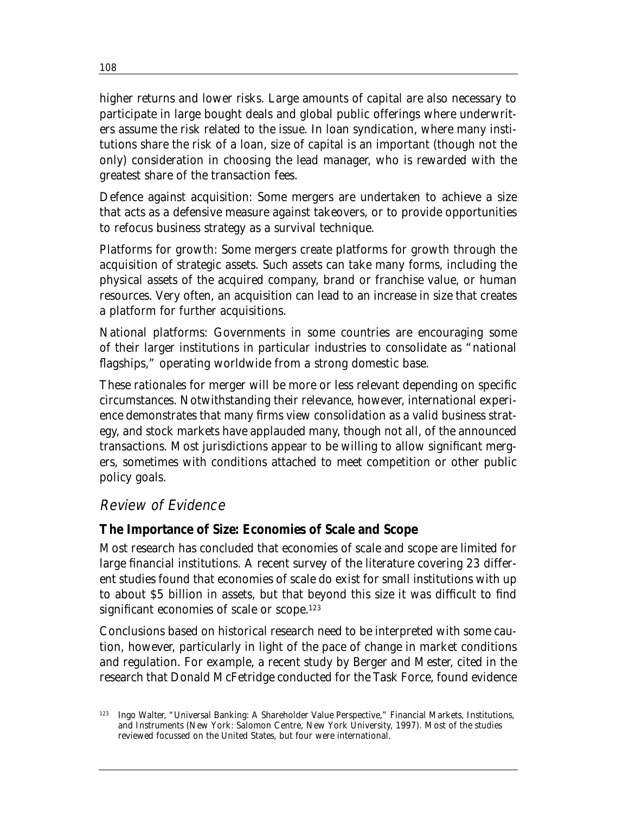higher returns and lower risks. Large amounts of capital are also necessary to participate in large bought deals and global public offerings where underwriters assume the risk related to the issue. In loan syndication, where many institutions share the risk of a loan, size of capital is an important (though not the only) consideration in choosing the lead manager, who is rewarded with the greatest share of the transaction fees.

*Defence against acquisition*: Some mergers are undertaken to achieve a size that acts as a defensive measure against takeovers, or to provide opportunities to refocus business strategy as a survival technique.

*Platforms for growth*: Some mergers create platforms for growth through the acquisition of strategic assets. Such assets can take many forms, including the physical assets of the acquired company, brand or franchise value, or human resources. Very often, an acquisition can lead to an increase in size that creates a platform for further acquisitions.

*National platforms*: Governments in some countries are encouraging some of their larger institutions in particular industries to consolidate as "national flagships," operating worldwide from a strong domestic base.

These rationales for merger will be more or less relevant depending on specific circumstances. Notwithstanding their relevance, however, international experience demonstrates that many firms view consolidation as a valid business strategy, and stock markets have applauded many, though not all, of the announced transactions. Most jurisdictions appear to be willing to allow significant mergers, sometimes with conditions attached to meet competition or other public policy goals.

#### Review of Evidence

#### **The Importance of Size: Economies of Scale and Scope**

Most research has concluded that economies of scale and scope are limited for large financial institutions. A recent survey of the literature covering 23 different studies found that economies of scale do exist for small institutions with up to about \$5 billion in assets, but that beyond this size it was difficult to find significant economies of scale or scope.<sup>123</sup>

Conclusions based on historical research need to be interpreted with some caution, however, particularly in light of the pace of change in market conditions and regulation. For example, a recent study by Berger and Mester, cited in the research that Donald McFetridge conducted for the Task Force, found evidence

<sup>123</sup> Ingo Walter, "Universal Banking: A Shareholder Value Perspective," *Financial Markets, Institutions, and Instruments* (New York: Salomon Centre, New York University, 1997). Most of the studies reviewed focussed on the United States, but four were international.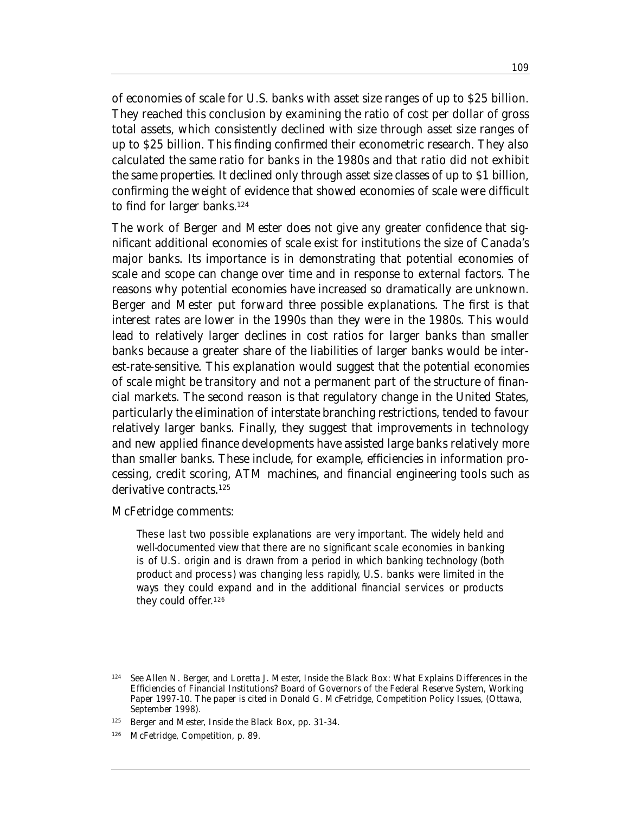of economies of scale for U.S. banks with asset size ranges of up to \$25 billion. They reached this conclusion by examining the ratio of cost per dollar of gross total assets, which consistently declined with size through asset size ranges of up to \$25 billion. This finding confirmed their econometric research. They also calculated the same ratio for banks in the 1980s and that ratio did not exhibit the same properties. It declined only through asset size classes of up to \$1 billion, confirming the weight of evidence that showed economies of scale were difficult to find for larger banks.<sup>124</sup>

The work of Berger and Mester does not give any greater confidence that significant additional economies of scale exist for institutions the size of Canada's major banks. Its importance is in demonstrating that potential economies of scale and scope can change over time and in response to external factors. The reasons why potential economies have increased so dramatically are unknown. Berger and Mester put forward three possible explanations. The first is that interest rates are lower in the 1990s than they were in the 1980s. This would lead to relatively larger declines in cost ratios for larger banks than smaller banks because a greater share of the liabilities of larger banks would be interest-rate-sensitive. This explanation would suggest that the potential economies of scale might be transitory and not a permanent part of the structure of financial markets. The second reason is that regulatory change in the United States, particularly the elimination of interstate branching restrictions, tended to favour relatively larger banks. Finally, they suggest that improvements in technology and new applied finance developments have assisted large banks relatively more than smaller banks. These include, for example, efficiencies in information processing, credit scoring, ATM machines, and financial engineering tools such as derivative contracts.<sup>125</sup>

#### McFetridge comments:

These last two possible explanations are very important. The widely held and well-documented view that there are no significant scale economies in banking is of U.S. origin and is drawn from a period in which banking technology (both product and process) was changing less rapidly, U.S. banks were limited in the ways they could expand and in the additional financial services or products they could offer.126

126 McFetridge, *Competition*, p. 89.

<sup>124</sup> See Allen N. Berger, and Loretta J. Mester, *Inside the Black Box: What Explains Differences in the Efficiencies of Financial Institutions?* Board of Governors of the Federal Reserve System, Working Paper 1997-10. The paper is cited in Donald G. McFetridge, *Competition Policy Issues*, (Ottawa, September 1998).

<sup>125</sup> Berger and Mester, *Inside the Black Box*, pp. 31-34.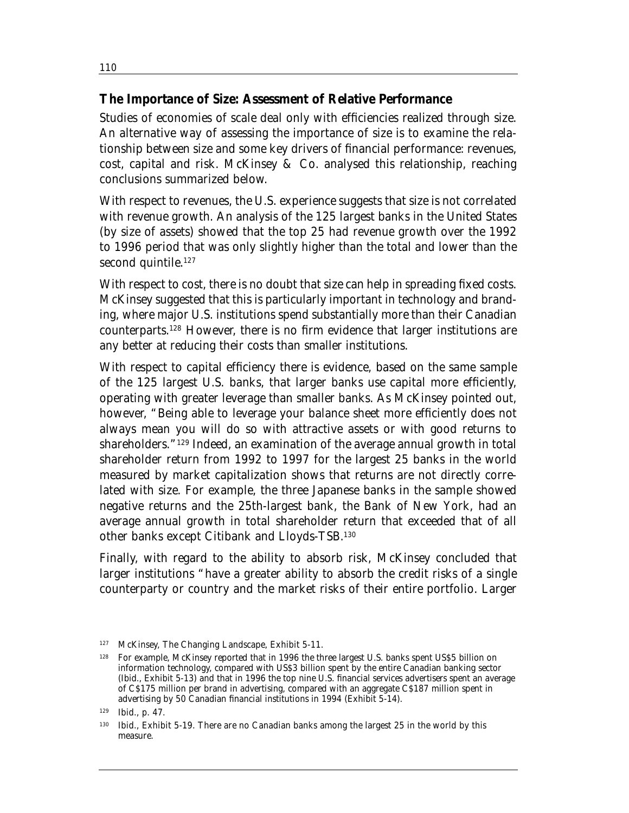#### **The Importance of Size: Assessment of Relative Performance**

Studies of economies of scale deal only with efficiencies realized through size. An alternative way of assessing the importance of size is to examine the relationship between size and some key drivers of financial performance: revenues, cost, capital and risk. McKinsey & Co. analysed this relationship, reaching conclusions summarized below.

With respect to revenues, the U.S. experience suggests that size is not correlated with revenue growth. An analysis of the 125 largest banks in the United States (by size of assets) showed that the top 25 had revenue growth over the 1992 to 1996 period that was only slightly higher than the total and lower than the second quintile.<sup>127</sup>

With respect to cost, there is no doubt that size can help in spreading fixed costs. McKinsey suggested that this is particularly important in technology and branding, where major U.S. institutions spend substantially more than their Canadian counterparts.128 However, there is no firm evidence that larger institutions are any better at reducing their costs than smaller institutions.

With respect to capital efficiency there is evidence, based on the same sample of the 125 largest U.S. banks, that larger banks use capital more efficiently, operating with greater leverage than smaller banks. As McKinsey pointed out, however, "Being able to leverage your balance sheet more efficiently does not always mean you will do so with attractive assets or with good returns to shareholders."129 Indeed, an examination of the average annual growth in total shareholder return from 1992 to 1997 for the largest 25 banks in the world measured by market capitalization shows that returns are not directly correlated with size. For example, the three Japanese banks in the sample showed negative returns and the 25th-largest bank, the Bank of New York, had an average annual growth in total shareholder return that exceeded that of all other banks except Citibank and Lloyds-TSB.130

Finally, with regard to the ability to absorb risk, McKinsey concluded that larger institutions "have a greater ability to absorb the credit risks of a single counterparty or country and the market risks of their entire portfolio. Larger

<sup>127</sup> McKinsey, *The Changing Landscape*, Exhibit 5-11.

<sup>128</sup> For example, McKinsey reported that in 1996 the three largest U.S. banks spent US\$5 billion on information technology, compared with US\$3 billion spent by the entire Canadian banking sector (Ibid., Exhibit 5-13) and that in 1996 the top nine U.S. financial services advertisers spent an average of C\$175 million per brand in advertising, compared with an aggregate C\$187 million spent in advertising by 50 Canadian financial institutions in 1994 (Exhibit 5-14).

<sup>129</sup> Ibid., p. 47.

<sup>130</sup> Ibid., Exhibit 5-19. There are no Canadian banks among the largest 25 in the world by this measure.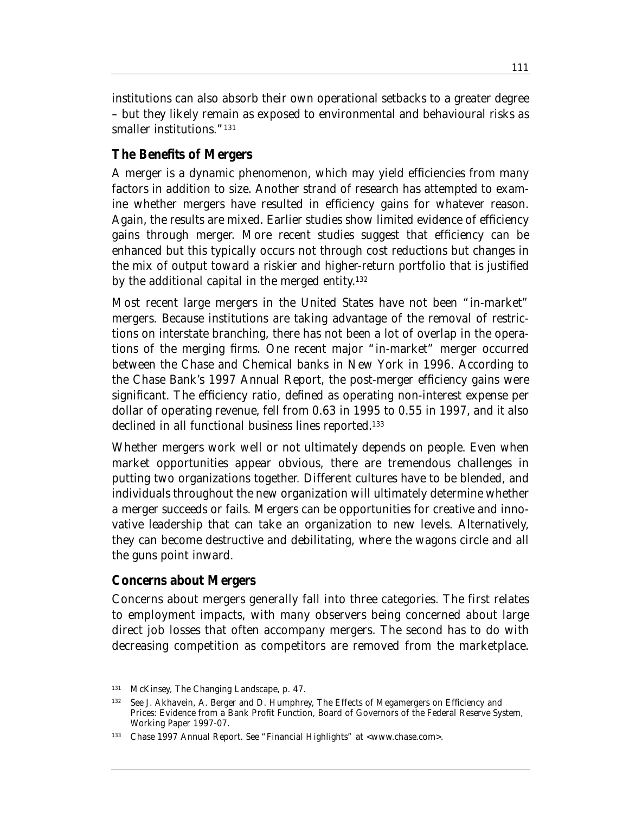institutions can also absorb their own operational setbacks to a greater degree – but they likely remain as exposed to environmental and behavioural risks as smaller institutions."<sup>131</sup>

## **The Benefits of Mergers**

A merger is a dynamic phenomenon, which may yield efficiencies from many factors in addition to size. Another strand of research has attempted to examine whether mergers have resulted in efficiency gains for whatever reason. Again, the results are mixed. Earlier studies show limited evidence of efficiency gains through merger. More recent studies suggest that efficiency can be enhanced but this typically occurs not through cost reductions but changes in the mix of output toward a riskier and higher-return portfolio that is justified by the additional capital in the merged entity. 132

Most recent large mergers in the United States have not been "in-market" mergers. Because institutions are taking advantage of the removal of restrictions on interstate branching, there has not been a lot of overlap in the operations of the merging firms. One recent major "in-market" merger occurred between the Chase and Chemical banks in New York in 1996. According to the Chase Bank's 1997 Annual Report, the post-merger efficiency gains were significant. The efficiency ratio, defined as operating non-interest expense per dollar of operating revenue, fell from 0.63 in 1995 to 0.55 in 1997, and it also declined in all functional business lines reported.<sup>133</sup>

Whether mergers work well or not ultimately depends on people. Even when market opportunities appear obvious, there are tremendous challenges in putting two organizations together. Different cultures have to be blended, and individuals throughout the new organization will ultimately determine whether a merger succeeds or fails. Mergers can be opportunities for creative and innovative leadership that can take an organization to new levels. Alternatively, they can become destructive and debilitating, where the wagons circle and all the guns point inward.

#### **Concerns about Mergers**

Concerns about mergers generally fall into three categories. The first relates to employment impacts, with many observers being concerned about large direct job losses that often accompany mergers. The second has to do with decreasing competition as competitors are removed from the marketplace.

<sup>131</sup> McKinsey, *The Changing Landscape,* p. 47.

<sup>132</sup> See J. Akhavein, A. Berger and D. Humphrey, *The Effects of Megamergers on Efficiency and Prices: Evidence from a Bank Profit Function*, Board of Governors of the Federal Reserve System, Working Paper 1997-07.

<sup>133</sup> Chase 1997 Annual Report. See "Financial Highlights" at <www.chase.com>.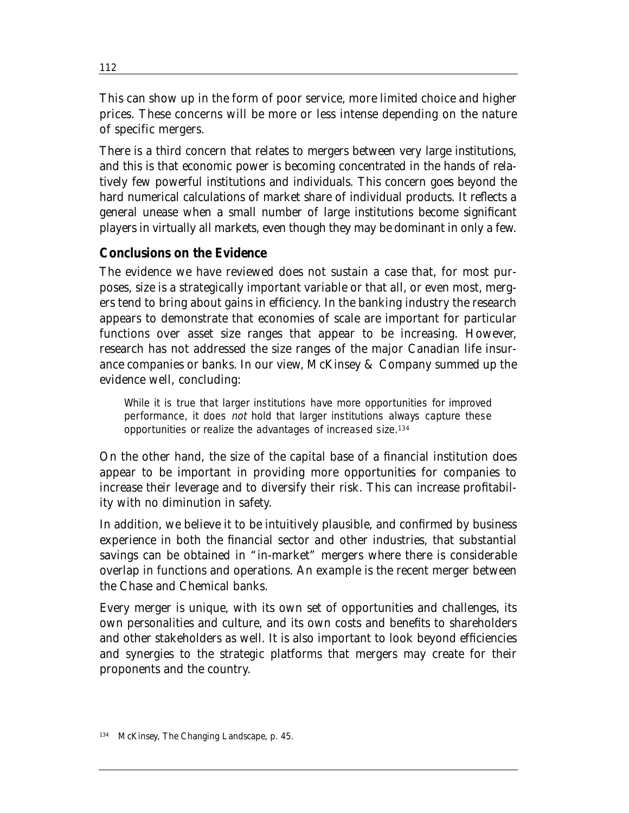This can show up in the form of poor service, more limited choice and higher prices. These concerns will be more or less intense depending on the nature of specific mergers.

There is a third concern that relates to mergers between very large institutions, and this is that economic power is becoming concentrated in the hands of relatively few powerful institutions and individuals. This concern goes beyond the hard numerical calculations of market share of individual products. It reflects a general unease when a small number of large institutions become significant players in virtually all markets, even though they may be dominant in only a few.

### **Conclusions on the Evidence**

The evidence we have reviewed does not sustain a case that, for most purposes, size is a strategically important variable or that all, or even most, mergers tend to bring about gains in efficiency. In the banking industry the research appears to demonstrate that economies of scale are important for particular functions over asset size ranges that appear to be increasing. However, research has not addressed the size ranges of the major Canadian life insurance companies or banks. In our view, McKinsey & Company summed up the evidence well, concluding:

While it is true that larger institutions have more opportunities for improved performance, it does not hold that larger institutions always capture these opportunities or realize the advantages of increased size.134

On the other hand, the size of the capital base of a financial institution does appear to be important in providing more opportunities for companies to increase their leverage and to diversify their risk. This can increase profitability with no diminution in safety.

In addition, we believe it to be intuitively plausible, and confirmed by business experience in both the financial sector and other industries, that substantial savings can be obtained in "in-market" mergers where there is considerable overlap in functions and operations. An example is the recent merger between the Chase and Chemical banks.

Every merger is unique, with its own set of opportunities and challenges, its own personalities and culture, and its own costs and benefits to shareholders and other stakeholders as well. It is also important to look beyond efficiencies and synergies to the strategic platforms that mergers may create for their proponents and the country.

<sup>112</sup>

<sup>134</sup> McKinsey, *The Changing Landscape*, p. 45.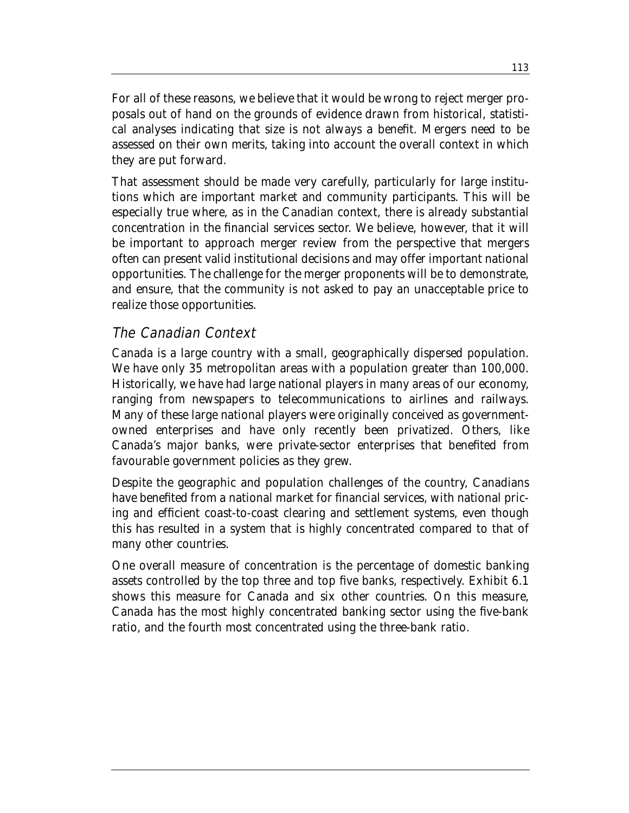For all of these reasons, we believe that it would be wrong to reject merger proposals out of hand on the grounds of evidence drawn from historical, statistical analyses indicating that size is not always a benefit. Mergers need to be assessed on their own merits, taking into account the overall context in which they are put forward.

That assessment should be made very carefully, particularly for large institutions which are important market and community participants. This will be especially true where, as in the Canadian context, there is already substantial concentration in the financial services sector. We believe, however, that it will be important to approach merger review from the perspective that mergers often can present valid institutional decisions and may offer important national opportunities. The challenge for the merger proponents will be to demonstrate, and ensure, that the community is not asked to pay an unacceptable price to realize those opportunities.

## The Canadian Context

Canada is a large country with a small, geographically dispersed population. We have only 35 metropolitan areas with a population greater than 100,000. Historically, we have had large national players in many areas of our economy, ranging from newspapers to telecommunications to airlines and railways. Many of these large national players were originally conceived as governmentowned enterprises and have only recently been privatized. Others, like Canada's major banks, were private-sector enterprises that benefited from favourable government policies as they grew.

Despite the geographic and population challenges of the country, Canadians have benefited from a national market for financial services, with national pricing and efficient coast-to-coast clearing and settlement systems, even though this has resulted in a system that is highly concentrated compared to that of many other countries.

One overall measure of concentration is the percentage of domestic banking assets controlled by the top three and top five banks, respectively. Exhibit 6.1 shows this measure for Canada and six other countries. On this measure, Canada has the most highly concentrated banking sector using the five-bank ratio, and the fourth most concentrated using the three-bank ratio.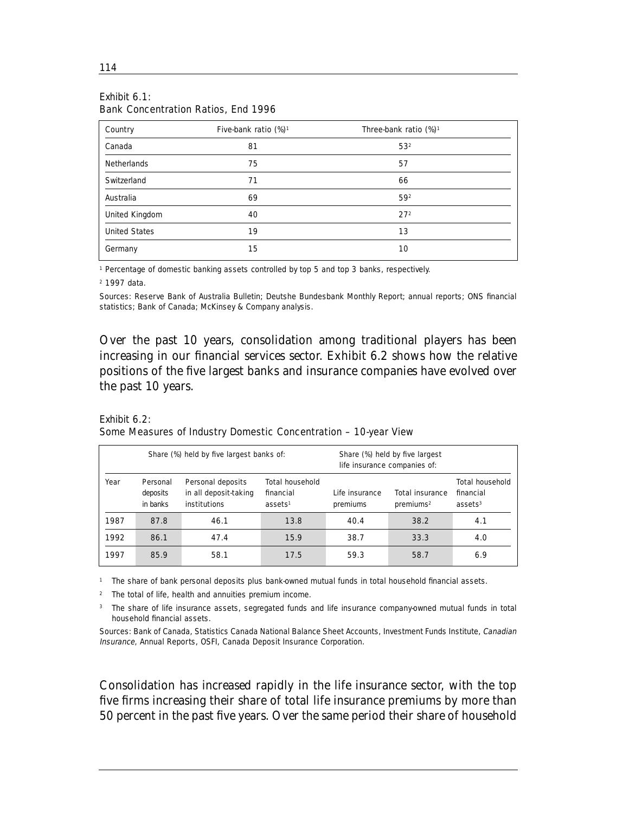| Country              | Five-bank ratio $(\%)^1$ | Three-bank ratio $(\%)^1$ |  |  |
|----------------------|--------------------------|---------------------------|--|--|
| Canada               | 81                       | 532                       |  |  |
| <b>Netherlands</b>   | 75                       | 57                        |  |  |
| Switzerland          | 71                       | 66                        |  |  |
| Australia            | 69                       | 592                       |  |  |
| United Kingdom       | 40                       | 27 <sup>2</sup>           |  |  |
| <b>United States</b> | 19                       | 13                        |  |  |
| Germany              | 15                       | 10                        |  |  |

#### Exhibit 6.1: Bank Concentration Ratios, End 1996

<sup>1</sup> Percentage of domestic banking assets controlled by top 5 and top 3 banks, respectively.

<sup>2</sup> 1997 data.

Sources: Reserve Bank of Australia Bulletin; Deutshe Bundesbank Monthly Report; annual reports; ONS financial statistics; Bank of Canada; McKinsey & Company analysis.

Over the past 10 years, consolidation among traditional players has been increasing in our financial services sector. Exhibit 6.2 shows how the relative positions of the five largest banks and insurance companies have evolved over the past 10 years.

| Exhibit $6.2$ :                                                 |  |
|-----------------------------------------------------------------|--|
| Some Measures of Industry Domestic Concentration - 10-year View |  |

| Share (%) held by five largest banks of: |                                  |                                                                   |                                                          | Share (%) held by five largest<br>life insurance companies of: |                                                 |                                                   |  |
|------------------------------------------|----------------------------------|-------------------------------------------------------------------|----------------------------------------------------------|----------------------------------------------------------------|-------------------------------------------------|---------------------------------------------------|--|
| Year                                     | Personal<br>deposits<br>in banks | Personal deposits<br>in all deposit taking<br><b>institutions</b> | <b>Total household</b><br>financial<br>ases <sup>1</sup> | Life insurance<br>premiums                                     | <b>Total insurance</b><br>preminus <sup>2</sup> | <b>Total household</b><br>financial<br>assets $3$ |  |
| 1987                                     | 87.8                             | 46.1                                                              | 13.8                                                     | 40.4                                                           | 38.2                                            | 4.1                                               |  |
| 1992                                     | 86.1                             | 47.4                                                              | 15.9                                                     | 38.7                                                           | 33.3                                            | 4.0                                               |  |
| 1997                                     | 85.9                             | 58.1                                                              | 17.5                                                     | 59.3                                                           | 58.7                                            | 6.9                                               |  |

<sup>1</sup> The share of bank personal deposits plus bank-owned mutual funds in total household financial assets.

<sup>2</sup> The total of life, health and annuities premium income.

<sup>3</sup> The share of life insurance assets, segregated funds and life insurance company-owned mutual funds in total household financial assets.

Sources: Bank of Canada, Statistics Canada National Balance Sheet Accounts, Investment Funds Institute, Canadian Insurance, Annual Reports, OSFI, Canada Deposit Insurance Corporation.

Consolidation has increased rapidly in the life insurance sector, with the top five firms increasing their share of total life insurance premiums by more than 50 percent in the past five years. Over the same period their share of household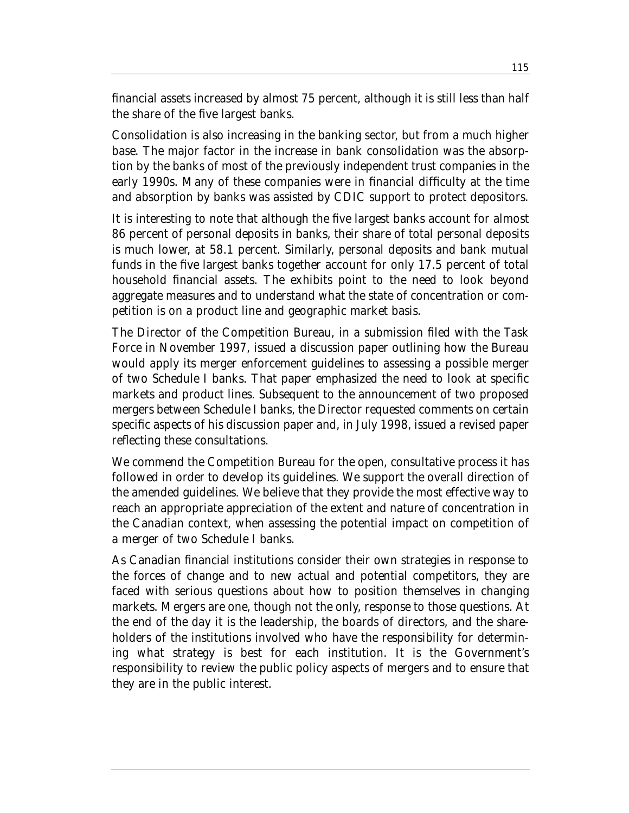financial assets increased by almost 75 percent, although it is still less than half the share of the five largest banks.

Consolidation is also increasing in the banking sector, but from a much higher base. The major factor in the increase in bank consolidation was the absorption by the banks of most of the previously independent trust companies in the early 1990s. Many of these companies were in financial difficulty at the time and absorption by banks was assisted by CDIC support to protect depositors.

It is interesting to note that although the five largest banks account for almost 86 percent of personal deposits in banks, their share of total personal deposits is much lower, at 58.1 percent. Similarly, personal deposits and bank mutual funds in the five largest banks together account for only 17.5 percent of total household financial assets. The exhibits point to the need to look beyond aggregate measures and to understand what the state of concentration or competition is on a product line and geographic market basis.

The Director of the Competition Bureau, in a submission filed with the Task Force in November 1997, issued a discussion paper outlining how the Bureau would apply its merger enforcement guidelines to assessing a possible merger of two Schedule I banks. That paper emphasized the need to look at specific markets and product lines. Subsequent to the announcement of two proposed mergers between Schedule I banks, the Director requested comments on certain specific aspects of his discussion paper and, in July 1998, issued a revised paper reflecting these consultations.

We commend the Competition Bureau for the open, consultative process it has followed in order to develop its guidelines. We support the overall direction of the amended guidelines. We believe that they provide the most effective way to reach an appropriate appreciation of the extent and nature of concentration in the Canadian context, when assessing the potential impact on competition of a merger of two Schedule I banks.

As Canadian financial institutions consider their own strategies in response to the forces of change and to new actual and potential competitors, they are faced with serious questions about how to position themselves in changing markets. Mergers are one, though not the only, response to those questions. At the end of the day it is the leadership, the boards of directors, and the shareholders of the institutions involved who have the responsibility for determining what strategy is best for each institution. It is the Government's responsibility to review the public policy aspects of mergers and to ensure that they are in the public interest.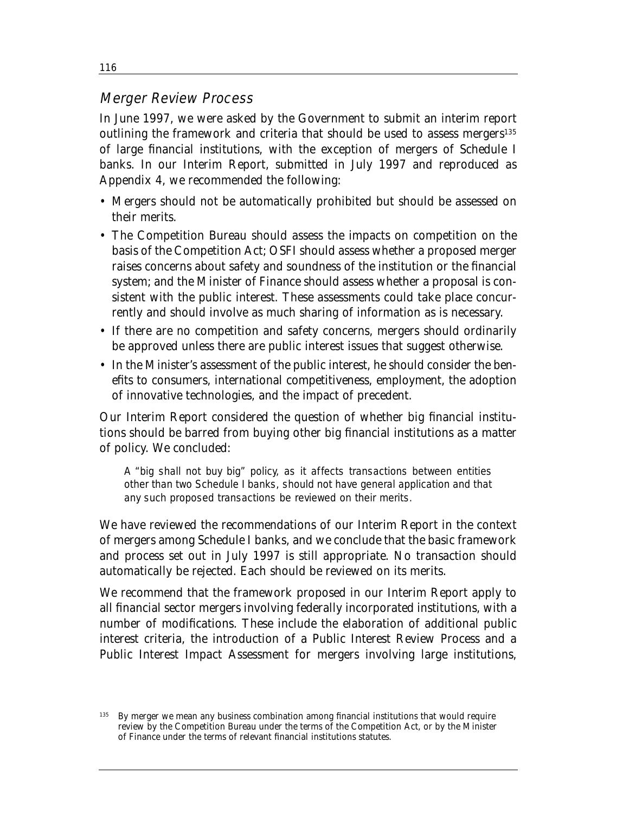### Merger Review Process

In June 1997, we were asked by the Government to submit an interim report outlining the framework and criteria that should be used to assess mergers<sup>135</sup> of large financial institutions, with the exception of mergers of Schedule I banks. In our Interim Report, submitted in July 1997 and reproduced as Appendix 4, we recommended the following:

- Mergers should not be automatically prohibited but should be assessed on their merits.
- The Competition Bureau should assess the impacts on competition on the basis of the Competition Act; OSFI should assess whether a proposed merger raises concerns about safety and soundness of the institution or the financial system; and the Minister of Finance should assess whether a proposal is consistent with the public interest. These assessments could take place concurrently and should involve as much sharing of information as is necessary.
- If there are no competition and safety concerns, mergers should ordinarily be approved unless there are public interest issues that suggest otherwise.
- In the Minister's assessment of the public interest, he should consider the benefits to consumers, international competitiveness, employment, the adoption of innovative technologies, and the impact of precedent.

Our Interim Report considered the question of whether big financial institutions should be barred from buying other big financial institutions as a matter of policy. We concluded:

A "big shall not buy big" policy, as it affects transactions between entities other than two Schedule I banks, should not have general application and that any such proposed transactions be reviewed on their merits.

We have reviewed the recommendations of our Interim Report in the context of mergers among Schedule I banks, and we conclude that the basic framework and process set out in July 1997 is still appropriate. No transaction should automatically be rejected. Each should be reviewed on its merits.

We recommend that the framework proposed in our Interim Report apply to all financial sector mergers involving federally incorporated institutions, with a number of modifications. These include the elaboration of additional public interest criteria, the introduction of a Public Interest Review Process and a Public Interest Impact Assessment for mergers involving large institutions,

116

By merger we mean any business combination among financial institutions that would require review by the Competition Bureau under the terms of the Competition Act, or by the Minister of Finance under the terms of relevant financial institutions statutes.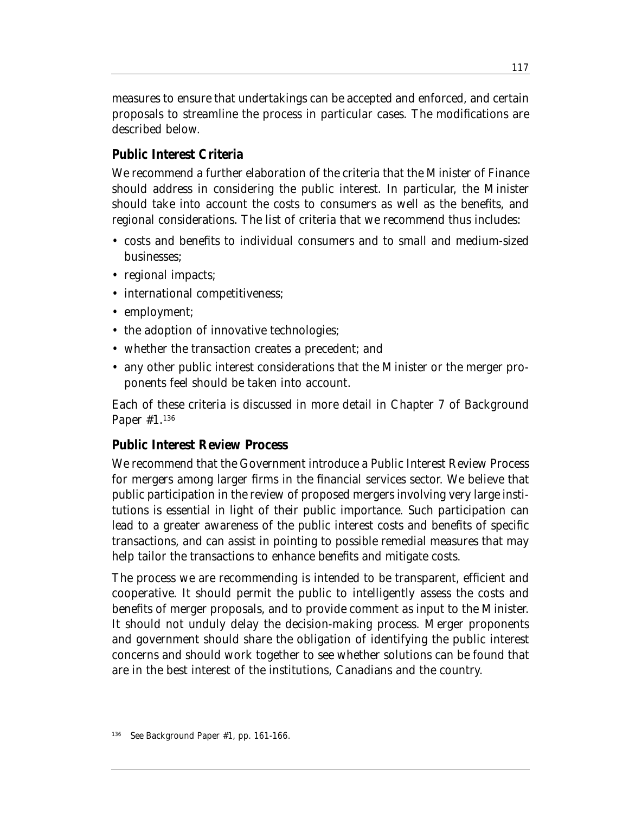measures to ensure that undertakings can be accepted and enforced, and certain proposals to streamline the process in particular cases. The modifications are described below.

#### **Public Interest Criteria**

We recommend a further elaboration of the criteria that the Minister of Finance should address in considering the public interest. In particular, the Minister should take into account the costs to consumers as well as the benefits, and regional considerations. The list of criteria that we recommend thus includes:

- costs and benefits to individual consumers and to small and medium-sized businesses;
- regional impacts;
- international competitiveness;
- employment;
- the adoption of innovative technologies;
- whether the transaction creates a precedent; and
- any other public interest considerations that the Minister or the merger proponents feel should be taken into account.

Each of these criteria is discussed in more detail in Chapter 7 of Background Paper #1.136

### **Public Interest Review Process**

We recommend that the Government introduce a Public Interest Review Process for mergers among larger firms in the financial services sector. We believe that public participation in the review of proposed mergers involving very large institutions is essential in light of their public importance. Such participation can lead to a greater awareness of the public interest costs and benefits of specific transactions, and can assist in pointing to possible remedial measures that may help tailor the transactions to enhance benefits and mitigate costs.

The process we are recommending is intended to be transparent, efficient and cooperative. It should permit the public to intelligently assess the costs and benefits of merger proposals, and to provide comment as input to the Minister. It should not unduly delay the decision-making process. Merger proponents and government should share the obligation of identifying the public interest concerns and should work together to see whether solutions can be found that are in the best interest of the institutions, Canadians and the country.

See Background Paper #1, pp. 161-166.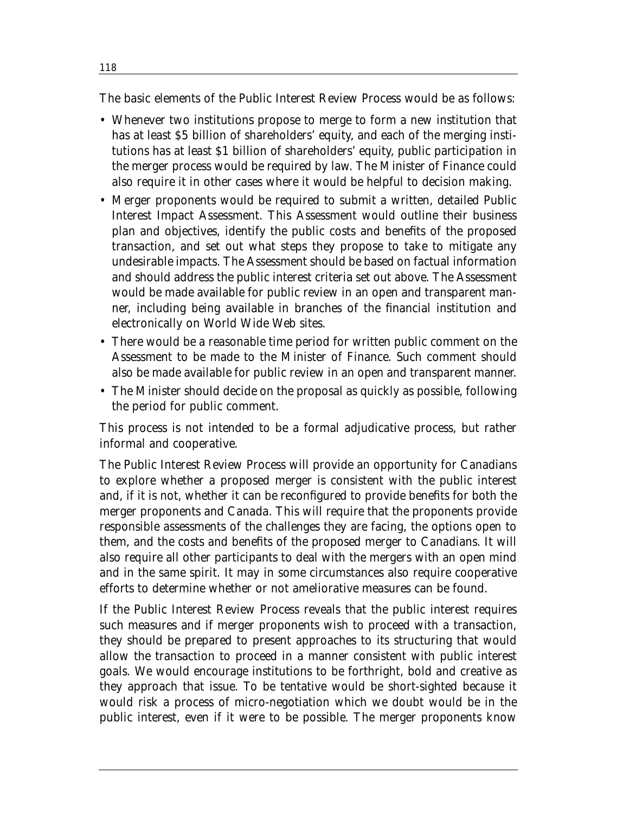The basic elements of the Public Interest Review Process would be as follows:

- Whenever two institutions propose to merge to form a new institution that has at least \$5 billion of shareholders' equity, and each of the merging institutions has at least \$1 billion of shareholders' equity, public participation in the merger process would be required by law. The Minister of Finance could also require it in other cases where it would be helpful to decision making.
- Merger proponents would be required to submit a written, detailed Public Interest Impact Assessment. This Assessment would outline their business plan and objectives, identify the public costs and benefits of the proposed transaction, and set out what steps they propose to take to mitigate any undesirable impacts. The Assessment should be based on factual information and should address the public interest criteria set out above. The Assessment would be made available for public review in an open and transparent manner, including being available in branches of the financial institution and electronically on World Wide Web sites.
- There would be a reasonable time period for written public comment on the Assessment to be made to the Minister of Finance. Such comment should also be made available for public review in an open and transparent manner.
- The Minister should decide on the proposal as quickly as possible, following the period for public comment.

This process is not intended to be a formal adjudicative process, but rather informal and cooperative.

The Public Interest Review Process will provide an opportunity for Canadians to explore whether a proposed merger is consistent with the public interest and, if it is not, whether it can be reconfigured to provide benefits for both the merger proponents and Canada. This will require that the proponents provide responsible assessments of the challenges they are facing, the options open to them, and the costs and benefits of the proposed merger to Canadians. It will also require all other participants to deal with the mergers with an open mind and in the same spirit. It may in some circumstances also require cooperative efforts to determine whether or not ameliorative measures can be found.

If the Public Interest Review Process reveals that the public interest requires such measures and if merger proponents wish to proceed with a transaction, they should be prepared to present approaches to its structuring that would allow the transaction to proceed in a manner consistent with public interest goals. We would encourage institutions to be forthright, bold and creative as they approach that issue. To be tentative would be short-sighted because it would risk a process of micro-negotiation which we doubt would be in the public interest, even if it were to be possible. The merger proponents know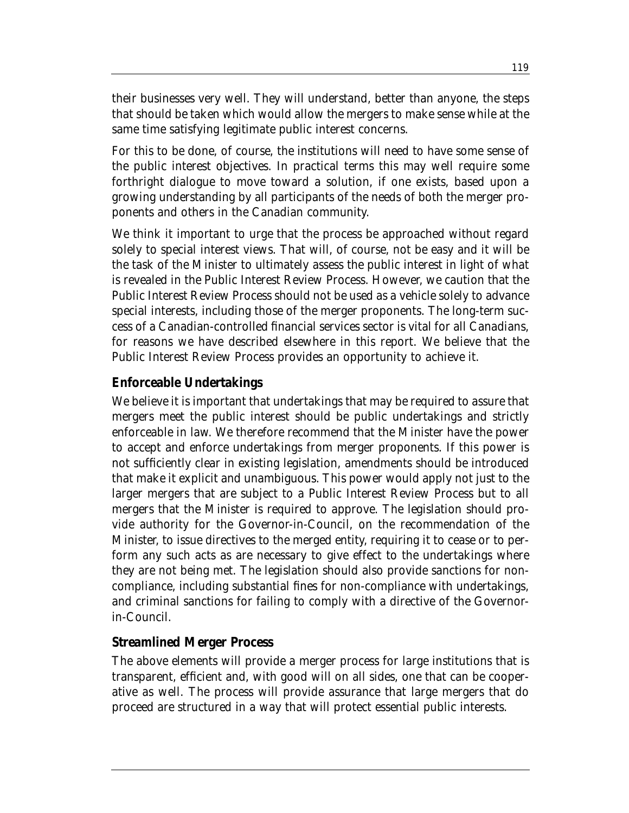their businesses very well. They will understand, better than anyone, the steps that should be taken which would allow the mergers to make sense while at the same time satisfying legitimate public interest concerns.

For this to be done, of course, the institutions will need to have some sense of the public interest objectives. In practical terms this may well require some forthright dialogue to move toward a solution, if one exists, based upon a growing understanding by all participants of the needs of both the merger proponents and others in the Canadian community.

We think it important to urge that the process be approached without regard solely to special interest views. That will, of course, not be easy and it will be the task of the Minister to ultimately assess the public interest in light of what is revealed in the Public Interest Review Process. However, we caution that the Public Interest Review Process should not be used as a vehicle solely to advance special interests, including those of the merger proponents. The long-term success of a Canadian-controlled financial services sector is vital for all Canadians, for reasons we have described elsewhere in this report. We believe that the Public Interest Review Process provides an opportunity to achieve it.

#### **Enforceable Undertakings**

We believe it is important that undertakings that may be required to assure that mergers meet the public interest should be public undertakings and strictly enforceable in law. We therefore recommend that the Minister have the power to accept and enforce undertakings from merger proponents. If this power is not sufficiently clear in existing legislation, amendments should be introduced that make it explicit and unambiguous. This power would apply not just to the larger mergers that are subject to a Public Interest Review Process but to all mergers that the Minister is required to approve. The legislation should provide authority for the Governor-in-Council, on the recommendation of the Minister, to issue directives to the merged entity, requiring it to cease or to perform any such acts as are necessary to give effect to the undertakings where they are not being met. The legislation should also provide sanctions for noncompliance, including substantial fines for non-compliance with undertakings, and criminal sanctions for failing to comply with a directive of the Governorin-Council.

### **Streamlined Merger Process**

The above elements will provide a merger process for large institutions that is transparent, efficient and, with good will on all sides, one that can be cooperative as well. The process will provide assurance that large mergers that do proceed are structured in a way that will protect essential public interests.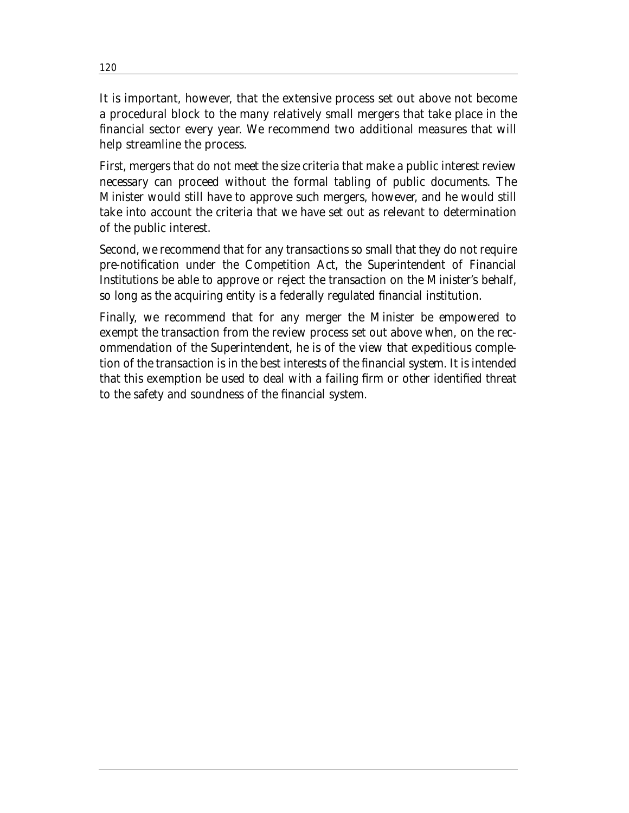It is important, however, that the extensive process set out above not become a procedural block to the many relatively small mergers that take place in the financial sector every year. We recommend two additional measures that will help streamline the process.

First, mergers that do not meet the size criteria that make a public interest review necessary can proceed without the formal tabling of public documents. The Minister would still have to approve such mergers, however, and he would still take into account the criteria that we have set out as relevant to determination of the public interest.

Second, we recommend that for any transactions so small that they do not require pre-notification under the Competition Act, the Superintendent of Financial Institutions be able to approve or reject the transaction on the Minister's behalf, so long as the acquiring entity is a federally regulated financial institution.

Finally, we recommend that for any merger the Minister be empowered to exempt the transaction from the review process set out above when, on the recommendation of the Superintendent, he is of the view that expeditious completion of the transaction is in the best interests of the financial system. It is intended that this exemption be used to deal with a failing firm or other identified threat to the safety and soundness of the financial system.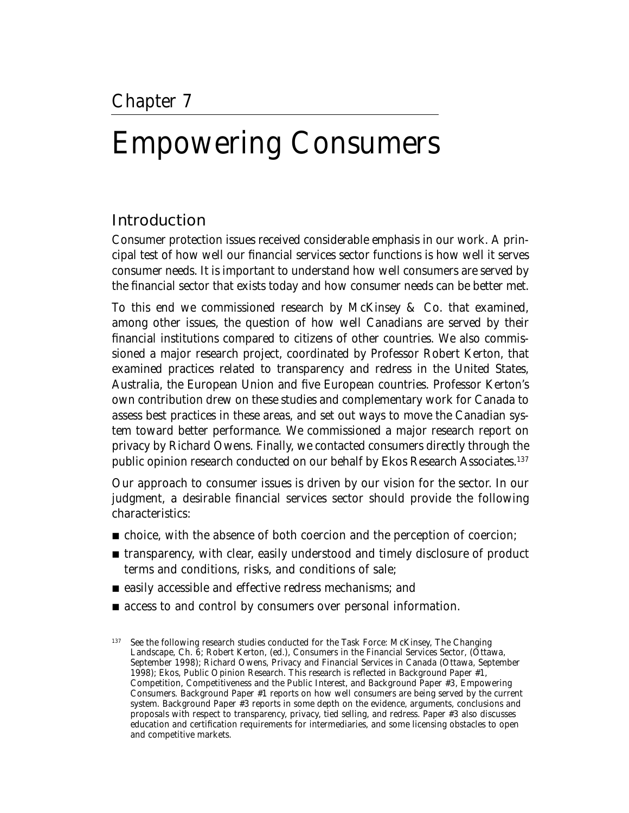# Empowering Consumers

## Introduction

Consumer protection issues received considerable emphasis in our work. A principal test of how well our financial services sector functions is how well it serves consumer needs. It is important to understand how well consumers are served by the financial sector that exists today and how consumer needs can be better met.

To this end we commissioned research by McKinsey & Co. that examined, among other issues, the question of how well Canadians are served by their financial institutions compared to citizens of other countries. We also commissioned a major research project, coordinated by Professor Robert Kerton, that examined practices related to transparency and redress in the United States, Australia, the European Union and five European countries. Professor Kerton's own contribution drew on these studies and complementary work for Canada to assess best practices in these areas, and set out ways to move the Canadian system toward better performance. We commissioned a major research report on privacy by Richard Owens. Finally, we contacted consumers directly through the public opinion research conducted on our behalf by Ekos Research Associates.137

Our approach to consumer issues is driven by our vision for the sector. In our judgment, a desirable financial services sector should provide the following characteristics:

- choice, with the absence of both coercion and the perception of coercion;
- transparency, with clear, easily understood and timely disclosure of product terms and conditions, risks, and conditions of sale;
- easily accessible and effective redress mechanisms; and
- access to and control by consumers over personal information.

<sup>137</sup> See the following research studies conducted for the Task Force: McKinsey, *The Changing Landscape*, Ch. 6; Robert Kerton, (ed.), *Consumers in the Financial Services Sector*, (Ottawa, September 1998); Richard Owens, *Privacy and Financial Services in Canada* (Ottawa, September 1998); Ekos, *Public Opinion Research*. This research is reflected in Background Paper #1, *Competition, Competitiveness and the Public Interest*, and Background Paper #3, *Empowering Consumers*. Background Paper #1 reports on how well consumers are being served by the current system. Background Paper #3 reports in some depth on the evidence, arguments, conclusions and proposals with respect to transparency, privacy, tied selling, and redress. Paper #3 also discusses education and certification requirements for intermediaries, and some licensing obstacles to open and competitive markets.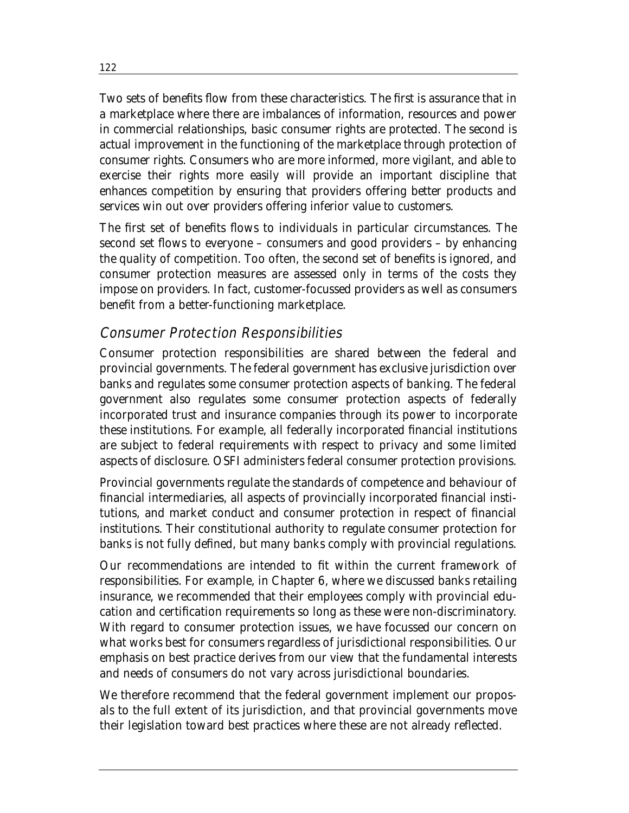Two sets of benefits flow from these characteristics. The first is assurance that in a marketplace where there are imbalances of information, resources and power in commercial relationships, basic consumer rights are protected. The second is actual improvement in the functioning of the marketplace through protection of consumer rights. Consumers who are more informed, more vigilant, and able to exercise their rights more easily will provide an important discipline that enhances competition by ensuring that providers offering better products and services win out over providers offering inferior value to customers.

The first set of benefits flows to individuals in particular circumstances. The second set flows to everyone – consumers and good providers – by enhancing the quality of competition. Too often, the second set of benefits is ignored, and consumer protection measures are assessed only in terms of the costs they impose on providers. In fact, customer-focussed providers as well as consumers benefit from a better-functioning marketplace.

## Consumer Protection Responsibilities

Consumer protection responsibilities are shared between the federal and provincial governments. The federal government has exclusive jurisdiction over banks and regulates some consumer protection aspects of banking. The federal government also regulates some consumer protection aspects of federally incorporated trust and insurance companies through its power to incorporate these institutions. For example, all federally incorporated financial institutions are subject to federal requirements with respect to privacy and some limited aspects of disclosure. OSFI administers federal consumer protection provisions.

Provincial governments regulate the standards of competence and behaviour of financial intermediaries, all aspects of provincially incorporated financial institutions, and market conduct and consumer protection in respect of financial institutions. Their constitutional authority to regulate consumer protection for banks is not fully defined, but many banks comply with provincial regulations.

Our recommendations are intended to fit within the current framework of responsibilities. For example, in Chapter 6, where we discussed banks retailing insurance, we recommended that their employees comply with provincial education and certification requirements so long as these were non-discriminatory. With regard to consumer protection issues, we have focussed our concern on what works best for consumers regardless of jurisdictional responsibilities. Our emphasis on best practice derives from our view that the fundamental interests and needs of consumers do not vary across jurisdictional boundaries.

We therefore recommend that the federal government implement our proposals to the full extent of its jurisdiction, and that provincial governments move their legislation toward best practices where these are not already reflected.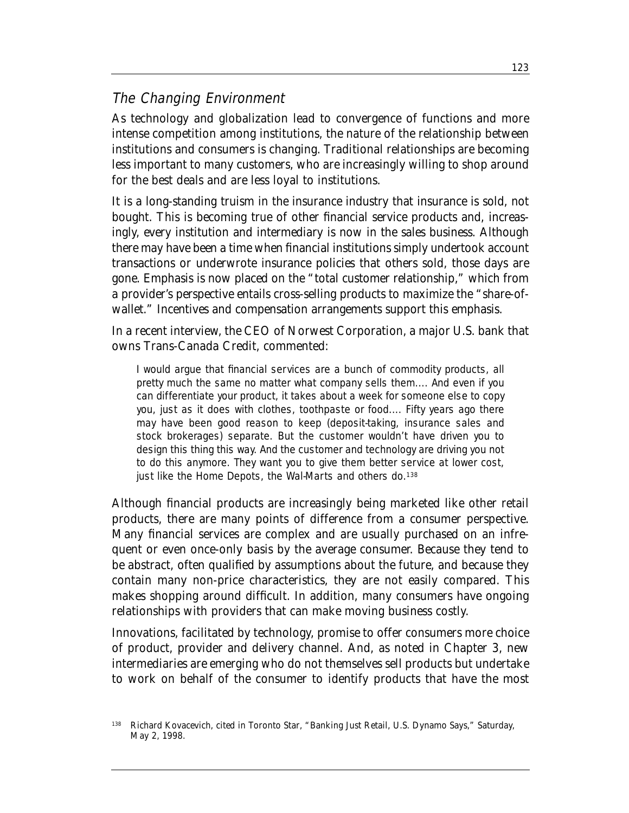## The Changing Environment

As technology and globalization lead to convergence of functions and more intense competition among institutions, the nature of the relationship between institutions and consumers is changing. Traditional relationships are becoming less important to many customers, who are increasingly willing to shop around for the best deals and are less loyal to institutions.

It is a long-standing truism in the insurance industry that insurance is sold, not bought. This is becoming true of other financial service products and, increasingly, every institution and intermediary is now in the sales business. Although there may have been a time when financial institutions simply undertook account transactions or underwrote insurance policies that others sold, those days are gone. Emphasis is now placed on the "total customer relationship," which from a provider's perspective entails cross-selling products to maximize the "share-ofwallet." Incentives and compensation arrangements support this emphasis.

In a recent interview, the CEO of Norwest Corporation, a major U.S. bank that owns Trans-Canada Credit, commented:

I would argue that financial services are a bunch of commodity products, all pretty much the same no matter what company sells them.... And even if you can differentiate your product, it takes about a week for someone else to copy you, just as it does with clothes, toothpaste or food.... Fifty years ago there may have been good reason to keep (deposit-taking, insurance sales and stock brokerages) separate. But the customer wouldn't have driven you to design this thing this way. And the customer and technology are driving you not to do this anymore. They want you to give them better service at lower cost, just like the Home Depots, the Wal-Marts and others do.<sup>138</sup>

Although financial products are increasingly being marketed like other retail products, there are many points of difference from a consumer perspective. Many financial services are complex and are usually purchased on an infrequent or even once-only basis by the average consumer. Because they tend to be abstract, often qualified by assumptions about the future, and because they contain many non-price characteristics, they are not easily compared. This makes shopping around difficult. In addition, many consumers have ongoing relationships with providers that can make moving business costly.

Innovations, facilitated by technology, promise to offer consumers more choice of product, provider and delivery channel. And, as noted in Chapter 3, new intermediaries are emerging who do not themselves sell products but undertake to work on behalf of the consumer to identify products that have the most

<sup>138</sup> Richard Kovacevich, cited in Toronto *Star*, "Banking Just Retail, U.S. Dynamo Says," Saturday, May 2, 1998.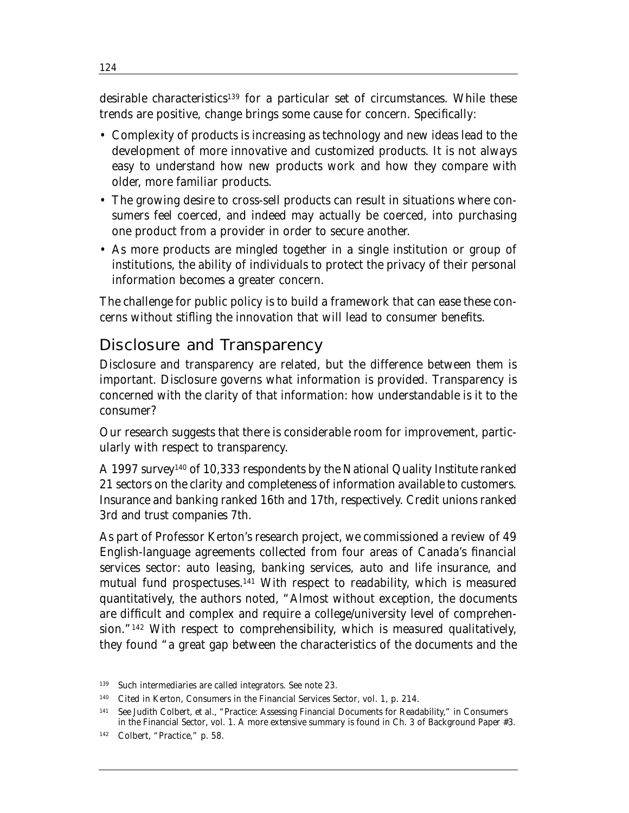desirable characteristics<sup>139</sup> for a particular set of circumstances. While these trends are positive, change brings some cause for concern. Specifically:

- Complexity of products is increasing as technology and new ideas lead to the development of more innovative and customized products. It is not always easy to understand how new products work and how they compare with older, more familiar products.
- The growing desire to cross-sell products can result in situations where consumers feel coerced, and indeed may actually be coerced, into purchasing one product from a provider in order to secure another.
- As more products are mingled together in a single institution or group of institutions, the ability of individuals to protect the privacy of their personal information becomes a greater concern.

The challenge for public policy is to build a framework that can ease these concerns without stifling the innovation that will lead to consumer benefits.

## Disclosure and Transparency

Disclosure and transparency are related, but the difference between them is important. Disclosure governs what information is provided. Transparency is concerned with the clarity of that information: how understandable is it to the consumer?

Our research suggests that there is considerable room for improvement, particularly with respect to transparency.

A 1997 survey140 of 10,333 respondents by the National Quality Institute ranked 21 sectors on the clarity and completeness of information available to customers. Insurance and banking ranked 16th and 17th, respectively. Credit unions ranked 3rd and trust companies 7th.

As part of Professor Kerton's research project, we commissioned a review of 49 English-language agreements collected from four areas of Canada's financial services sector: auto leasing, banking services, auto and life insurance, and mutual fund prospectuses.141 With respect to readability, which is measured quantitatively, the authors noted, "Almost without exception, the documents are difficult and complex and require a college/university level of comprehension."142 With respect to comprehensibility, which is measured qualitatively, they found "a great gap between the characteristics of the documents and the

<sup>139</sup> Such intermediaries are called integrators. See note 23.

<sup>140</sup> Cited in Kerton, *Consumers in the Financial Services Sector*, vol. 1, p. 214.

<sup>141</sup> See Judith Colbert, et al., "Practice: Assessing Financial Documents for Readability," in *Consumers in the Financial Sector*, vol. 1. A more extensive summary is found in Ch. 3 of Background Paper #3.

<sup>142</sup> Colbert, "Practice," p. 58.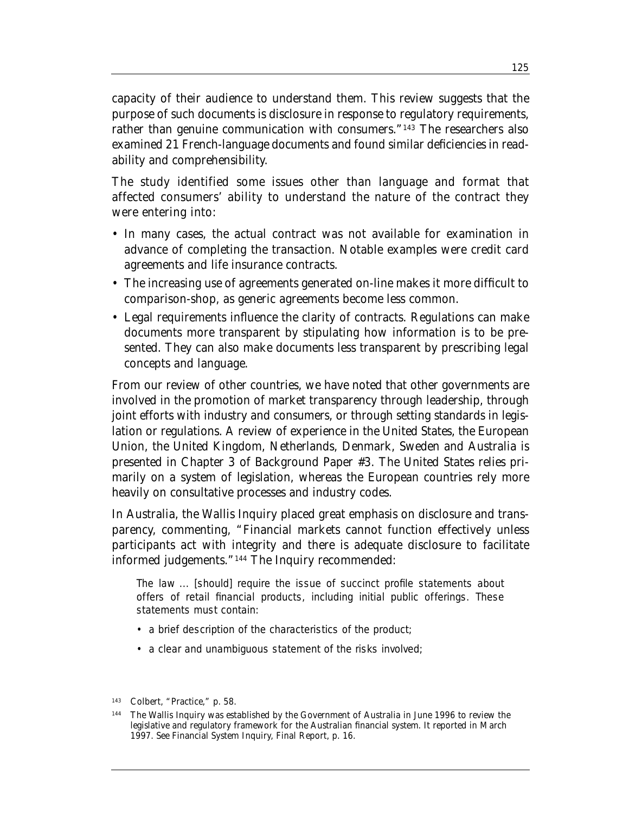capacity of their audience to understand them. This review suggests that the purpose of such documents is disclosure in response to regulatory requirements, rather than genuine communication with consumers."<sup>143</sup> The researchers also examined 21 French-language documents and found similar deficiencies in readability and comprehensibility.

The study identified some issues other than language and format that affected consumers' ability to understand the nature of the contract they were entering into:

- In many cases, the actual contract was not available for examination in advance of completing the transaction. Notable examples were credit card agreements and life insurance contracts.
- The increasing use of agreements generated on-line makes it more difficult to comparison-shop, as generic agreements become less common.
- Legal requirements influence the clarity of contracts. Regulations can make documents more transparent by stipulating how information is to be presented. They can also make documents less transparent by prescribing legal concepts and language.

From our review of other countries, we have noted that other governments are involved in the promotion of market transparency through leadership, through joint efforts with industry and consumers, or through setting standards in legislation or regulations. A review of experience in the United States, the European Union, the United Kingdom, Netherlands, Denmark, Sweden and Australia is presented in Chapter 3 of Background Paper #3. The United States relies primarily on a system of legislation, whereas the European countries rely more heavily on consultative processes and industry codes.

In Australia, the Wallis Inquiry placed great emphasis on disclosure and transparency, commenting, "Financial markets cannot function effectively unless participants act with integrity and there is adequate disclosure to facilitate informed judgements."144 The Inquiry recommended:

The law ... [should] require the issue of succinct profile statements about offers of retail financial products, including initial public offerings. These statements must contain:

- a brief description of the characteristics of the product;
- a clear and unambiguous statement of the risks involved;

<sup>143</sup> Colbert, "Practice," p. 58.

<sup>144</sup> The Wallis Inquiry was established by the Government of Australia in June 1996 to review the legislative and regulatory framework for the Australian financial system. It reported in March 1997. See *Financial System Inquiry, Final Report*, p. 16.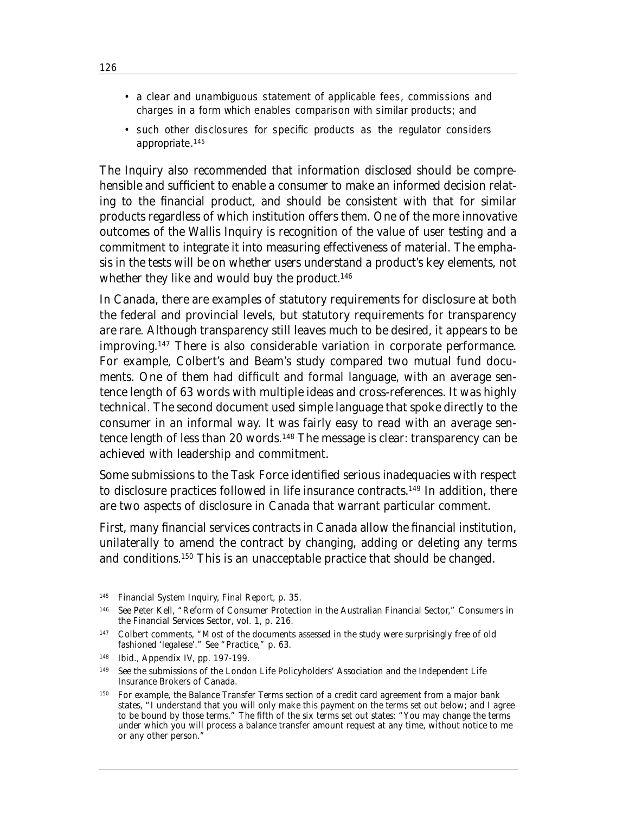- a clear and unambiguous statement of applicable fees, commissions and charges in a form which enables comparison with similar products; and
- such other disclosures for specific products as the regulator considers appropriate.145

The Inquiry also recommended that information disclosed should be comprehensible and sufficient to enable a consumer to make an informed decision relating to the financial product, and should be consistent with that for similar products regardless of which institution offers them. One of the more innovative outcomes of the Wallis Inquiry is recognition of the value of user testing and a commitment to integrate it into measuring effectiveness of material. The emphasis in the tests will be on whether users understand a product's key elements, not whether they like and would buy the product.<sup>146</sup>

In Canada, there are examples of statutory requirements for disclosure at both the federal and provincial levels, but statutory requirements for transparency are rare. Although transparency still leaves much to be desired, it appears to be improving.147 There is also considerable variation in corporate performance. For example, Colbert's and Beam's study compared two mutual fund documents. One of them had difficult and formal language, with an average sentence length of 63 words with multiple ideas and cross-references. It was highly technical. The second document used simple language that spoke directly to the consumer in an informal way. It was fairly easy to read with an average sentence length of less than 20 words.<sup>148</sup> The message is clear: transparency can be achieved with leadership and commitment.

Some submissions to the Task Force identified serious inadequacies with respect to disclosure practices followed in life insurance contracts.149 In addition, there are two aspects of disclosure in Canada that warrant particular comment.

First, many financial services contracts in Canada allow the financial institution, unilaterally to amend the contract by changing, adding or deleting any terms and conditions.150 This is an unacceptable practice that should be changed.

148 Ibid., Appendix IV, pp. 197-199.

<sup>145</sup> *Financial System Inquiry, Final Report*, p. 35.

<sup>146</sup> See Peter Kell, "Reform of Consumer Protection in the Australian Financial Sector," *Consumers in the Financial Services Sector*, vol. 1, p. 216.

<sup>&</sup>lt;sup>147</sup> Colbert comments, "Most of the documents assessed in the study were surprisingly free of old fashioned 'legalese'." See "Practice," p. 63.

<sup>149</sup> See the submissions of the London Life Policyholders' Association and the Independent Life Insurance Brokers of Canada.

<sup>150</sup> For example, the Balance Transfer Terms section of a credit card agreement from a major bank states, "I understand that you will only make this payment on the terms set out below; and I agree to be bound by those terms." The fifth of the six terms set out states: "You may change the terms under which you will process a balance transfer amount request at any time, without notice to me or any other person."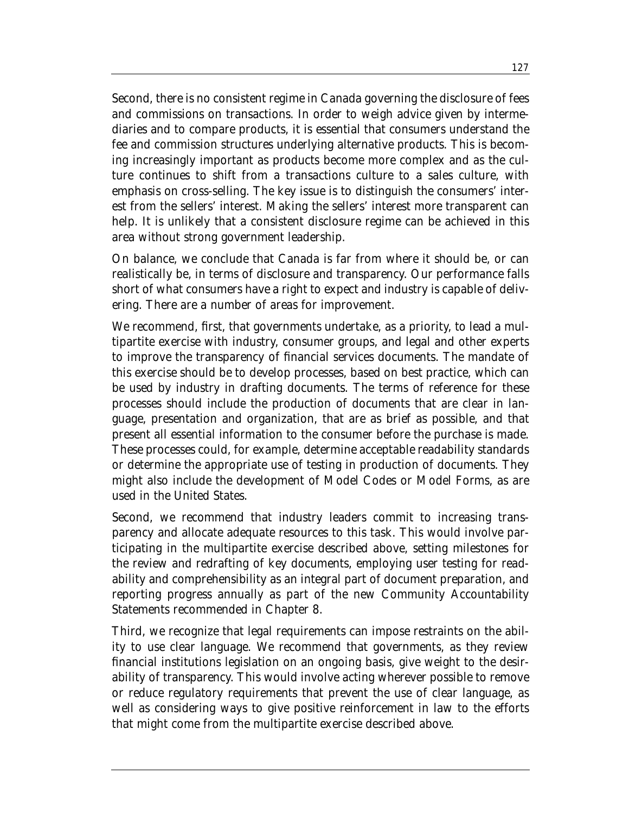Second, there is no consistent regime in Canada governing the disclosure of fees and commissions on transactions. In order to weigh advice given by intermediaries and to compare products, it is essential that consumers understand the fee and commission structures underlying alternative products. This is becoming increasingly important as products become more complex and as the culture continues to shift from a transactions culture to a sales culture, with emphasis on cross-selling. The key issue is to distinguish the consumers' interest from the sellers' interest. Making the sellers' interest more transparent can help. It is unlikely that a consistent disclosure regime can be achieved in this area without strong government leadership.

On balance, we conclude that Canada is far from where it should be, or can realistically be, in terms of disclosure and transparency. Our performance falls short of what consumers have a right to expect and industry is capable of delivering. There are a number of areas for improvement.

We recommend, first, that governments undertake, as a priority, to lead a multipartite exercise with industry, consumer groups, and legal and other experts to improve the transparency of financial services documents. The mandate of this exercise should be to develop processes, based on best practice, which can be used by industry in drafting documents. The terms of reference for these processes should include the production of documents that are clear in language, presentation and organization, that are as brief as possible, and that present all essential information to the consumer before the purchase is made. These processes could, for example, determine acceptable readability standards or determine the appropriate use of testing in production of documents. They might also include the development of Model Codes or Model Forms, as are used in the United States.

Second, we recommend that industry leaders commit to increasing transparency and allocate adequate resources to this task. This would involve participating in the multipartite exercise described above, setting milestones for the review and redrafting of key documents, employing user testing for readability and comprehensibility as an integral part of document preparation, and reporting progress annually as part of the new Community Accountability Statements recommended in Chapter 8.

Third, we recognize that legal requirements can impose restraints on the ability to use clear language. We recommend that governments, as they review financial institutions legislation on an ongoing basis, give weight to the desirability of transparency. This would involve acting wherever possible to remove or reduce regulatory requirements that prevent the use of clear language, as well as considering ways to give positive reinforcement in law to the efforts that might come from the multipartite exercise described above.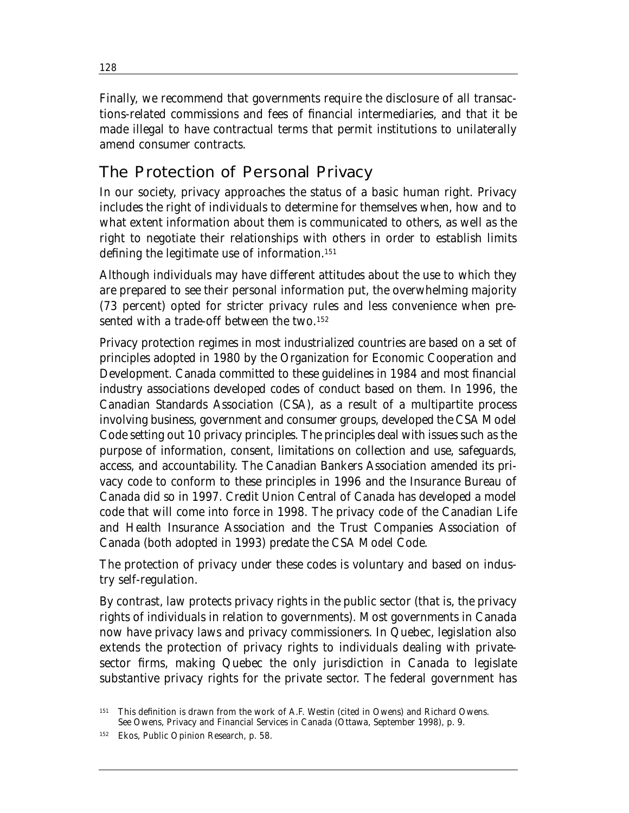Finally, we recommend that governments require the disclosure of all transactions-related commissions and fees of financial intermediaries, and that it be made illegal to have contractual terms that permit institutions to unilaterally amend consumer contracts.

## The Protection of Personal Privacy

In our society, privacy approaches the status of a basic human right. Privacy includes the right of individuals to determine for themselves when, how and to what extent information about them is communicated to others, as well as the right to negotiate their relationships with others in order to establish limits defining the legitimate use of information.<sup>151</sup>

Although individuals may have different attitudes about the use to which they are prepared to see their personal information put, the overwhelming majority (73 percent) opted for stricter privacy rules and less convenience when presented with a trade-off between the two.152

Privacy protection regimes in most industrialized countries are based on a set of principles adopted in 1980 by the Organization for Economic Cooperation and Development. Canada committed to these guidelines in 1984 and most financial industry associations developed codes of conduct based on them. In 1996, the Canadian Standards Association (CSA), as a result of a multipartite process involving business, government and consumer groups, developed the CSA Model Code setting out 10 privacy principles. The principles deal with issues such as the purpose of information, consent, limitations on collection and use, safeguards, access, and accountability. The Canadian Bankers Association amended its privacy code to conform to these principles in 1996 and the Insurance Bureau of Canada did so in 1997. Credit Union Central of Canada has developed a model code that will come into force in 1998. The privacy code of the Canadian Life and Health Insurance Association and the Trust Companies Association of Canada (both adopted in 1993) predate the CSA Model Code.

The protection of privacy under these codes is voluntary and based on industry self-regulation.

By contrast, law protects privacy rights in the public sector (that is, the privacy rights of individuals in relation to governments). Most governments in Canada now have privacy laws and privacy commissioners. In Quebec, legislation also extends the protection of privacy rights to individuals dealing with privatesector firms, making Quebec the only jurisdiction in Canada to legislate substantive privacy rights for the private sector. The federal government has

<sup>151</sup> This definition is drawn from the work of A.F. Westin (cited in Owens) and Richard Owens. See Owens, *Privacy and Financial Services in Canada* (Ottawa, September 1998), p. 9.

<sup>152</sup> Ekos, *Public Opinion Research*, p. 58.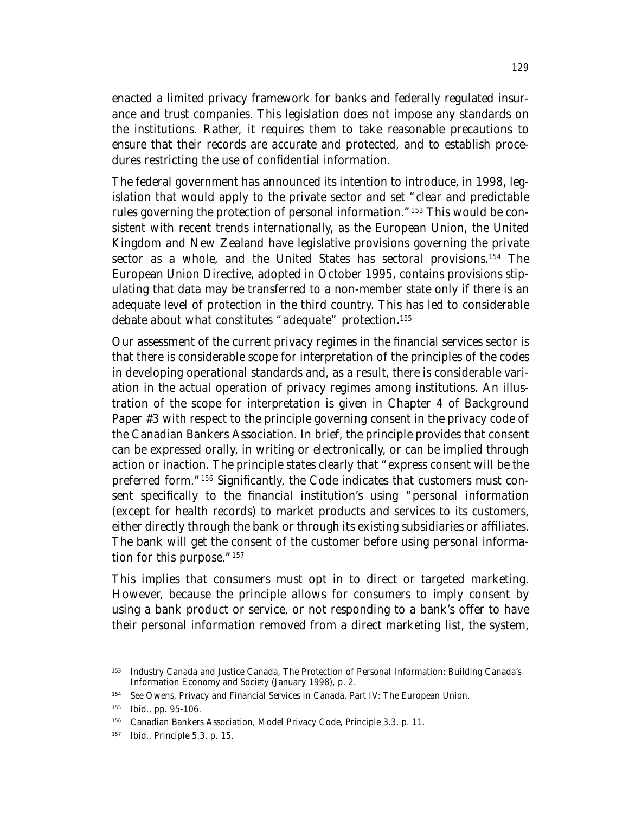enacted a limited privacy framework for banks and federally regulated insurance and trust companies. This legislation does not impose any standards on the institutions. Rather, it requires them to take reasonable precautions to ensure that their records are accurate and protected, and to establish procedures restricting the use of confidential information.

The federal government has announced its intention to introduce, in 1998, legislation that would apply to the private sector and set "clear and predictable rules governing the protection of personal information."153 This would be consistent with recent trends internationally, as the European Union, the United Kingdom and New Zealand have legislative provisions governing the private sector as a whole, and the United States has sectoral provisions.<sup>154</sup> The European Union Directive, adopted in October 1995, contains provisions stipulating that data may be transferred to a non-member state only if there is an adequate level of protection in the third country. This has led to considerable debate about what constitutes "adequate" protection.155

Our assessment of the current privacy regimes in the financial services sector is that there is considerable scope for interpretation of the principles of the codes in developing operational standards and, as a result, there is considerable variation in the actual operation of privacy regimes among institutions. An illustration of the scope for interpretation is given in Chapter 4 of Background Paper #3 with respect to the principle governing consent in the privacy code of the Canadian Bankers Association. In brief, the principle provides that consent can be expressed orally, in writing or electronically, or can be implied through action or inaction. The principle states clearly that "express consent will be the preferred form."156 Significantly, the Code indicates that customers must consent specifically to the financial institution's using "personal information (except for health records) to market products and services to its customers, either directly through the bank or through its existing subsidiaries or affiliates. The bank will get the consent of the customer before using personal information for this purpose."<sup>157</sup>

This implies that consumers must opt in to direct or targeted marketing. However, because the principle allows for consumers to imply consent by using a bank product or service, or not responding to a bank's offer to have their personal information removed from a direct marketing list, the system,

<sup>153</sup> Industry Canada and Justice Canada, *The Protection of Personal Information: Building Canada's Information Economy and Society* (January 1998), p. 2.

<sup>154</sup> See Owens, *Privacy and Financial Services in Canada*, Part IV: The European Union.

<sup>155</sup> Ibid., pp. 95-106.

<sup>156</sup> Canadian Bankers Association, *Model Privacy Code*, Principle 3.3, p. 11.

<sup>157</sup> Ibid., Principle 5.3, p. 15.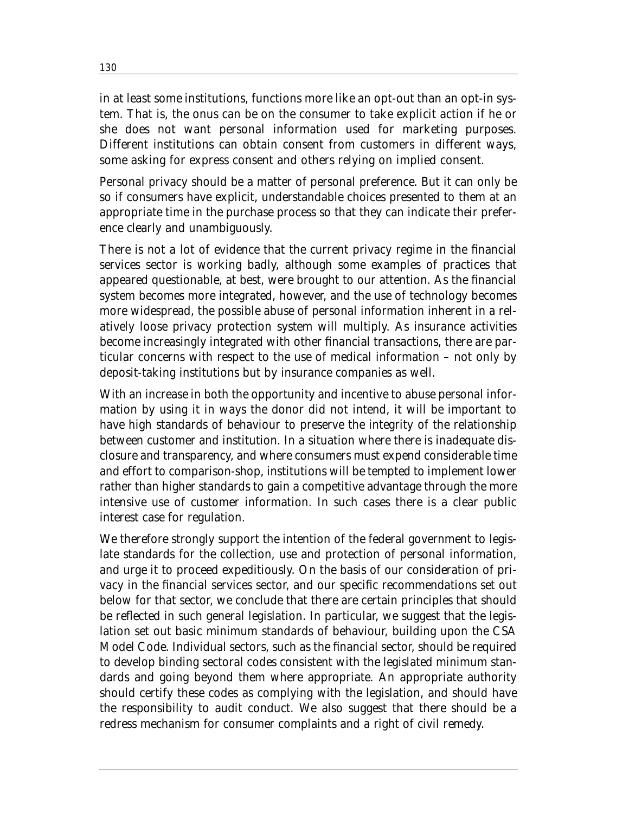in at least some institutions, functions more like an opt-out than an opt-in system. That is, the onus can be on the consumer to take explicit action if he or she does not want personal information used for marketing purposes. Different institutions can obtain consent from customers in different ways, some asking for express consent and others relying on implied consent.

Personal privacy should be a matter of personal preference. But it can only be so if consumers have explicit, understandable choices presented to them at an appropriate time in the purchase process so that they can indicate their preference clearly and unambiguously.

There is not a lot of evidence that the current privacy regime in the financial services sector is working badly, although some examples of practices that appeared questionable, at best, were brought to our attention. As the financial system becomes more integrated, however, and the use of technology becomes more widespread, the possible abuse of personal information inherent in a relatively loose privacy protection system will multiply. As insurance activities become increasingly integrated with other financial transactions, there are particular concerns with respect to the use of medical information – not only by deposit-taking institutions but by insurance companies as well.

With an increase in both the opportunity and incentive to abuse personal information by using it in ways the donor did not intend, it will be important to have high standards of behaviour to preserve the integrity of the relationship between customer and institution. In a situation where there is inadequate disclosure and transparency, and where consumers must expend considerable time and effort to comparison-shop, institutions will be tempted to implement lower rather than higher standards to gain a competitive advantage through the more intensive use of customer information. In such cases there is a clear public interest case for regulation.

We therefore strongly support the intention of the federal government to legislate standards for the collection, use and protection of personal information, and urge it to proceed expeditiously. On the basis of our consideration of privacy in the financial services sector, and our specific recommendations set out below for that sector, we conclude that there are certain principles that should be reflected in such general legislation. In particular, we suggest that the legislation set out basic minimum standards of behaviour, building upon the CSA Model Code. Individual sectors, such as the financial sector, should be required to develop binding sectoral codes consistent with the legislated minimum standards and going beyond them where appropriate. An appropriate authority should certify these codes as complying with the legislation, and should have the responsibility to audit conduct. We also suggest that there should be a redress mechanism for consumer complaints and a right of civil remedy.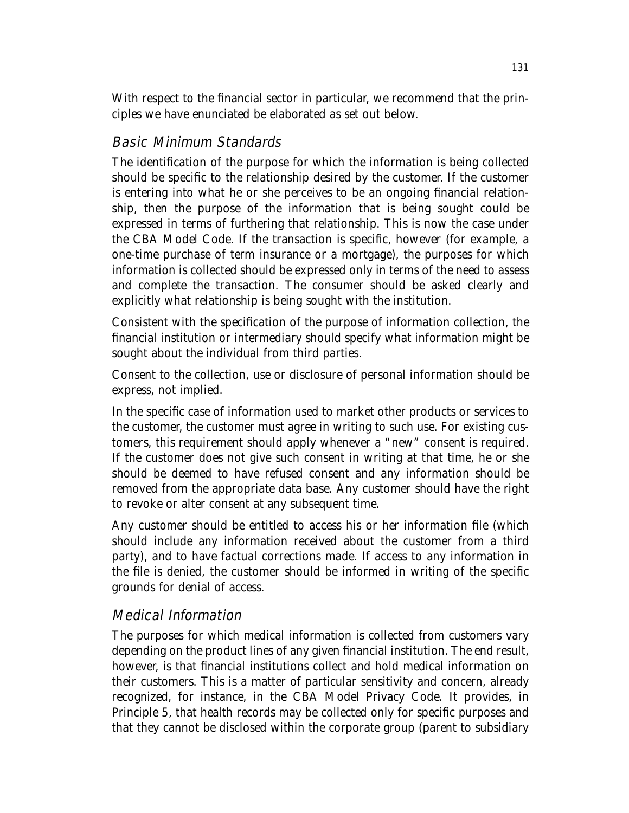With respect to the financial sector in particular, we recommend that the principles we have enunciated be elaborated as set out below.

## Basic Minimum Standards

The identification of the purpose for which the information is being collected should be specific to the relationship desired by the customer. If the customer is entering into what he or she perceives to be an ongoing financial relationship, then the purpose of the information that is being sought could be expressed in terms of furthering that relationship. This is now the case under the CBA Model Code. If the transaction is specific, however (for example, a one-time purchase of term insurance or a mortgage), the purposes for which information is collected should be expressed only in terms of the need to assess and complete the transaction. The consumer should be asked clearly and explicitly what relationship is being sought with the institution.

Consistent with the specification of the purpose of information collection, the financial institution or intermediary should specify what information might be sought about the individual from third parties.

Consent to the collection, use or disclosure of personal information should be express, not implied.

In the specific case of information used to market other products or services to the customer, the customer must agree in writing to such use. For existing customers, this requirement should apply whenever a "new" consent is required. If the customer does not give such consent in writing at that time, he or she should be deemed to have refused consent and any information should be removed from the appropriate data base. Any customer should have the right to revoke or alter consent at any subsequent time.

Any customer should be entitled to access his or her information file (which should include any information received about the customer from a third party), and to have factual corrections made. If access to any information in the file is denied, the customer should be informed in writing of the specific grounds for denial of access.

## Medical Information

The purposes for which medical information is collected from customers vary depending on the product lines of any given financial institution. The end result, however, is that financial institutions collect and hold medical information on their customers. This is a matter of particular sensitivity and concern, already recognized, for instance, in the CBA Model Privacy Code. It provides, in Principle 5, that health records may be collected only for specific purposes and that they cannot be disclosed within the corporate group (parent to subsidiary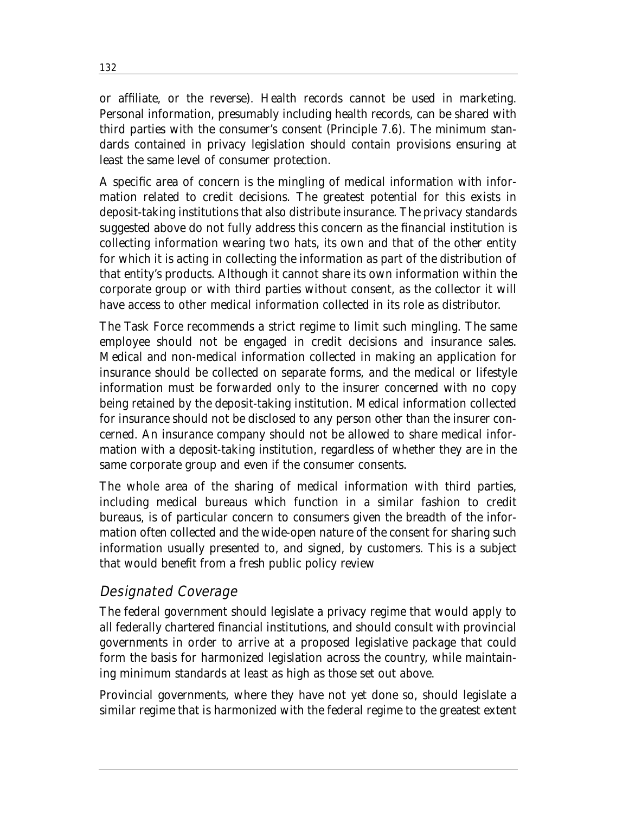or affiliate, or the reverse). Health records cannot be used in marketing. Personal information, presumably including health records, can be shared with third parties with the consumer's consent (Principle 7.6). The minimum standards contained in privacy legislation should contain provisions ensuring at least the same level of consumer protection.

A specific area of concern is the mingling of medical information with information related to credit decisions. The greatest potential for this exists in deposit-taking institutions that also distribute insurance. The privacy standards suggested above do not fully address this concern as the financial institution is collecting information wearing two hats, its own and that of the other entity for which it is acting in collecting the information as part of the distribution of that entity's products. Although it cannot share its own information within the corporate group or with third parties without consent, as the collector it will have access to other medical information collected in its role as distributor.

The Task Force recommends a strict regime to limit such mingling. The same employee should not be engaged in credit decisions and insurance sales. Medical and non-medical information collected in making an application for insurance should be collected on separate forms, and the medical or lifestyle information must be forwarded only to the insurer concerned with no copy being retained by the deposit-taking institution. Medical information collected for insurance should not be disclosed to any person other than the insurer concerned. An insurance company should not be allowed to share medical information with a deposit-taking institution, regardless of whether they are in the same corporate group and even if the consumer consents.

The whole area of the sharing of medical information with third parties, including medical bureaus which function in a similar fashion to credit bureaus, is of particular concern to consumers given the breadth of the information often collected and the wide-open nature of the consent for sharing such information usually presented to, and signed, by customers. This is a subject that would benefit from a fresh public policy review

### Designated Coverage

The federal government should legislate a privacy regime that would apply to all federally chartered financial institutions, and should consult with provincial governments in order to arrive at a proposed legislative package that could form the basis for harmonized legislation across the country, while maintaining minimum standards at least as high as those set out above.

Provincial governments, where they have not yet done so, should legislate a similar regime that is harmonized with the federal regime to the greatest extent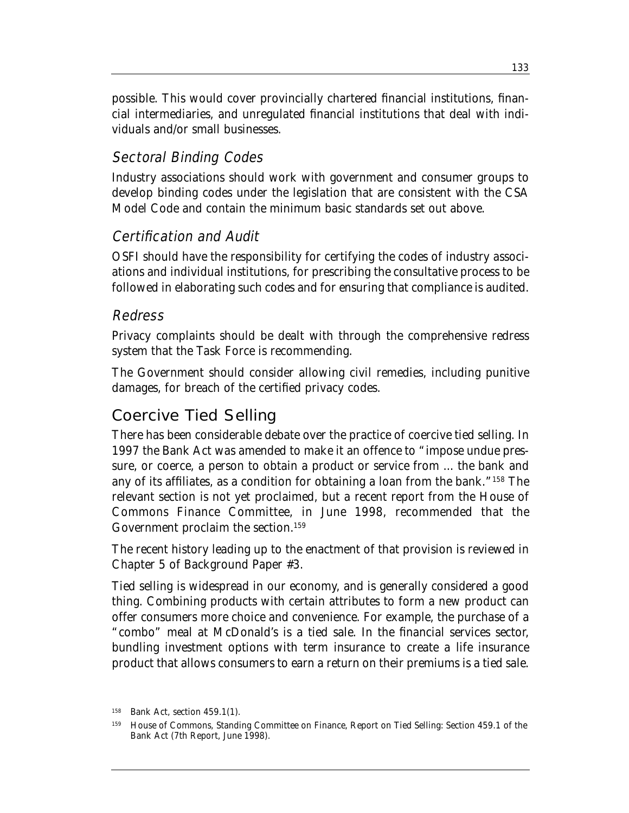possible. This would cover provincially chartered financial institutions, financial intermediaries, and unregulated financial institutions that deal with individuals and/or small businesses.

## Sectoral Binding Codes

Industry associations should work with government and consumer groups to develop binding codes under the legislation that are consistent with the CSA Model Code and contain the minimum basic standards set out above.

## Certification and Audit

OSFI should have the responsibility for certifying the codes of industry associations and individual institutions, for prescribing the consultative process to be followed in elaborating such codes and for ensuring that compliance is audited.

## Redress

Privacy complaints should be dealt with through the comprehensive redress system that the Task Force is recommending.

The Government should consider allowing civil remedies, including punitive damages, for breach of the certified privacy codes.

## Coercive Tied Selling

There has been considerable debate over the practice of coercive tied selling. In 1997 the Bank Act was amended to make it an offence to "impose undue pressure, or coerce, a person to obtain a product or service from ... the bank and any of its affiliates, as a condition for obtaining a loan from the bank."158 The relevant section is not yet proclaimed, but a recent report from the House of Commons Finance Committee, in June 1998, recommended that the Government proclaim the section.<sup>159</sup>

The recent history leading up to the enactment of that provision is reviewed in Chapter 5 of Background Paper #3.

Tied selling is widespread in our economy, and is generally considered a good thing. Combining products with certain attributes to form a new product can offer consumers more choice and convenience. For example, the purchase of a "combo" meal at McDonald's is a tied sale. In the financial services sector, bundling investment options with term insurance to create a life insurance product that allows consumers to earn a return on their premiums is a tied sale.

<sup>158</sup> Bank Act, section 459.1(1).

<sup>159</sup> House of Commons, Standing Committee on Finance, *Report on Tied Selling: Section 459.1 of the* Bank Act (7th Report, June 1998).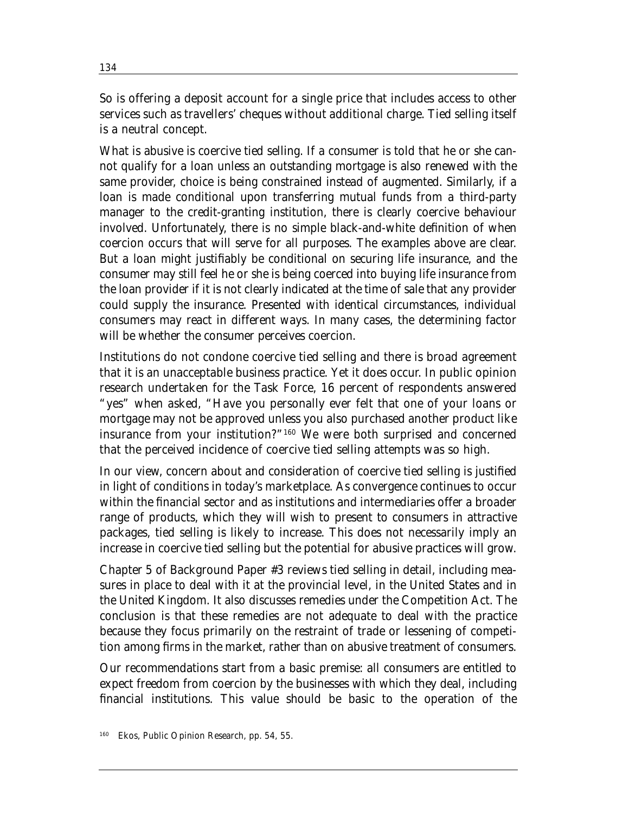So is offering a deposit account for a single price that includes access to other services such as travellers' cheques without additional charge. Tied selling itself is a neutral concept.

What is abusive is coercive tied selling. If a consumer is told that he or she cannot qualify for a loan unless an outstanding mortgage is also renewed with the same provider, choice is being constrained instead of augmented. Similarly, if a loan is made conditional upon transferring mutual funds from a third-party manager to the credit-granting institution, there is clearly coercive behaviour involved. Unfortunately, there is no simple black-and-white definition of when coercion occurs that will serve for all purposes. The examples above are clear. But a loan might justifiably be conditional on securing life insurance, and the consumer may still feel he or she is being coerced into buying life insurance from the loan provider if it is not clearly indicated at the time of sale that any provider could supply the insurance. Presented with identical circumstances, individual consumers may react in different ways. In many cases, the determining factor will be whether the consumer perceives coercion.

Institutions do not condone coercive tied selling and there is broad agreement that it is an unacceptable business practice. Yet it does occur. In public opinion research undertaken for the Task Force, 16 percent of respondents answered "yes" when asked, "Have you personally ever felt that one of your loans or mortgage may not be approved unless you also purchased another product like insurance from your institution?"160 We were both surprised and concerned that the perceived incidence of coercive tied selling attempts was so high.

In our view, concern about and consideration of coercive tied selling is justified in light of conditions in today's marketplace. As convergence continues to occur within the financial sector and as institutions and intermediaries offer a broader range of products, which they will wish to present to consumers in attractive packages, tied selling is likely to increase. This does not necessarily imply an increase in coercive tied selling but the potential for abusive practices will grow.

Chapter 5 of Background Paper #3 reviews tied selling in detail, including measures in place to deal with it at the provincial level, in the United States and in the United Kingdom. It also discusses remedies under the Competition Act. The conclusion is that these remedies are not adequate to deal with the practice because they focus primarily on the restraint of trade or lessening of competition among firms in the market, rather than on abusive treatment of consumers.

Our recommendations start from a basic premise: all consumers are entitled to expect freedom from coercion by the businesses with which they deal, including financial institutions. This value should be basic to the operation of the

<sup>160</sup> Ekos, *Public Opinion Research*, pp. 54, 55.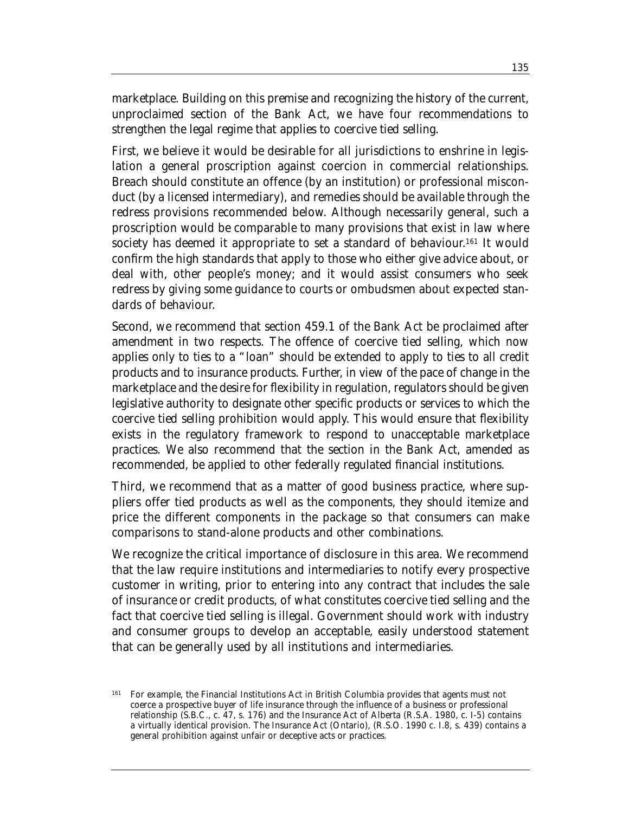marketplace. Building on this premise and recognizing the history of the current, unproclaimed section of the Bank Act, we have four recommendations to strengthen the legal regime that applies to coercive tied selling.

First, we believe it would be desirable for all jurisdictions to enshrine in legislation a general proscription against coercion in commercial relationships. Breach should constitute an offence (by an institution) or professional misconduct (by a licensed intermediary), and remedies should be available through the redress provisions recommended below. Although necessarily general, such a proscription would be comparable to many provisions that exist in law where society has deemed it appropriate to set a standard of behaviour. <sup>161</sup> It would confirm the high standards that apply to those who either give advice about, or deal with, other people's money; and it would assist consumers who seek redress by giving some guidance to courts or ombudsmen about expected standards of behaviour.

Second, we recommend that section 459.1 of the Bank Act be proclaimed after amendment in two respects. The offence of coercive tied selling, which now applies only to ties to a "loan" should be extended to apply to ties to all credit products and to insurance products. Further, in view of the pace of change in the marketplace and the desire for flexibility in regulation, regulators should be given legislative authority to designate other specific products or services to which the coercive tied selling prohibition would apply. This would ensure that flexibility exists in the regulatory framework to respond to unacceptable marketplace practices. We also recommend that the section in the Bank Act, amended as recommended, be applied to other federally regulated financial institutions.

Third, we recommend that as a matter of good business practice, where suppliers offer tied products as well as the components, they should itemize and price the different components in the package so that consumers can make comparisons to stand-alone products and other combinations.

We recognize the critical importance of disclosure in this area. We recommend that the law require institutions and intermediaries to notify every prospective customer in writing, prior to entering into any contract that includes the sale of insurance or credit products, of what constitutes coercive tied selling and the fact that coercive tied selling is illegal. Government should work with industry and consumer groups to develop an acceptable, easily understood statement that can be generally used by all institutions and intermediaries.

<sup>161</sup> For example, the Financial Institutions Act in British Columbia provides that agents must not coerce a prospective buyer of life insurance through the influence of a business or professional relationship (S.B.C., c. 47, s. 176) and the Insurance Act of Alberta (R.S.A. 1980, c. I-5) contains a virtually identical provision. The Insurance Act (Ontario), (R.S.O. 1990 c. I.8, s. 439) contains a general prohibition against unfair or deceptive acts or practices.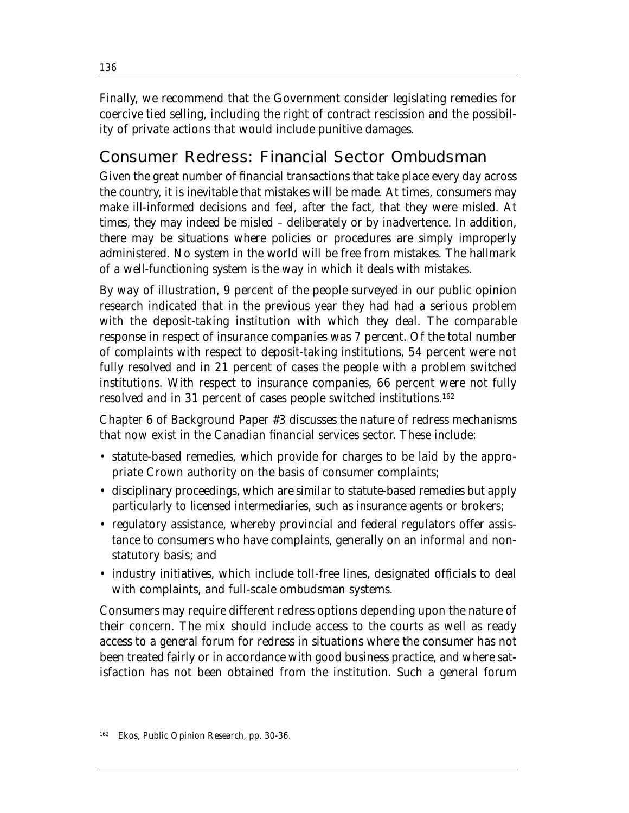Finally, we recommend that the Government consider legislating remedies for coercive tied selling, including the right of contract rescission and the possibility of private actions that would include punitive damages.

# Consumer Redress: Financial Sector Ombudsman

Given the great number of financial transactions that take place every day across the country, it is inevitable that mistakes will be made. At times, consumers may make ill-informed decisions and feel, after the fact, that they were misled. At times, they may indeed be misled – deliberately or by inadvertence. In addition, there may be situations where policies or procedures are simply improperly administered. No system in the world will be free from mistakes. The hallmark of a well-functioning system is the way in which it deals with mistakes.

By way of illustration, 9 percent of the people surveyed in our public opinion research indicated that in the previous year they had had a serious problem with the deposit-taking institution with which they deal. The comparable response in respect of insurance companies was 7 percent. Of the total number of complaints with respect to deposit-taking institutions, 54 percent were not fully resolved and in 21 percent of cases the people with a problem switched institutions. With respect to insurance companies, 66 percent were not fully resolved and in 31 percent of cases people switched institutions.162

Chapter 6 of Background Paper #3 discusses the nature of redress mechanisms that now exist in the Canadian financial services sector. These include:

- statute-based remedies, which provide for charges to be laid by the appropriate Crown authority on the basis of consumer complaints;
- disciplinary proceedings, which are similar to statute-based remedies but apply particularly to licensed intermediaries, such as insurance agents or brokers;
- regulatory assistance, whereby provincial and federal regulators offer assistance to consumers who have complaints, generally on an informal and nonstatutory basis; and
- industry initiatives, which include toll-free lines, designated officials to deal with complaints, and full-scale ombudsman systems.

Consumers may require different redress options depending upon the nature of their concern. The mix should include access to the courts as well as ready access to a general forum for redress in situations where the consumer has not been treated fairly or in accordance with good business practice, and where satisfaction has not been obtained from the institution. Such a general forum

<sup>162</sup> Ekos, *Public Opinion Research*, pp. 30-36.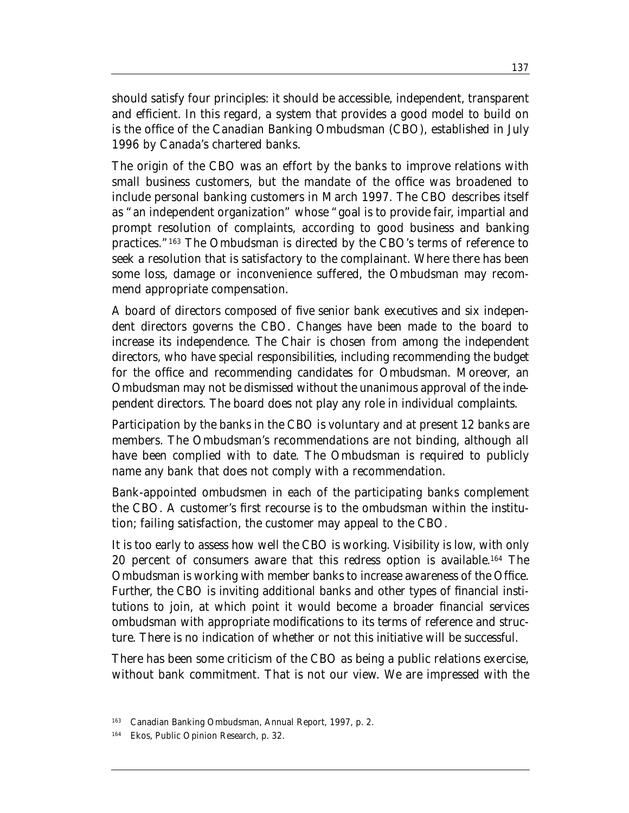should satisfy four principles: it should be accessible, independent, transparent and efficient. In this regard, a system that provides a good model to build on is the office of the Canadian Banking Ombudsman (CBO), established in July 1996 by Canada's chartered banks.

The origin of the CBO was an effort by the banks to improve relations with small business customers, but the mandate of the office was broadened to include personal banking customers in March 1997. The CBO describes itself as "an independent organization" whose "goal is to provide fair, impartial and prompt resolution of complaints, according to good business and banking practices."163 The Ombudsman is directed by the CBO's terms of reference to seek a resolution that is satisfactory to the complainant. Where there has been some loss, damage or inconvenience suffered, the Ombudsman may recommend appropriate compensation.

A board of directors composed of five senior bank executives and six independent directors governs the CBO. Changes have been made to the board to increase its independence. The Chair is chosen from among the independent directors, who have special responsibilities, including recommending the budget for the office and recommending candidates for Ombudsman. Moreover, an Ombudsman may not be dismissed without the unanimous approval of the independent directors. The board does not play any role in individual complaints.

Participation by the banks in the CBO is voluntary and at present 12 banks are members. The Ombudsman's recommendations are not binding, although all have been complied with to date. The Ombudsman is required to publicly name any bank that does not comply with a recommendation.

Bank-appointed ombudsmen in each of the participating banks complement the CBO. A customer's first recourse is to the ombudsman within the institution; failing satisfaction, the customer may appeal to the CBO.

It is too early to assess how well the CBO is working. Visibility is low, with only 20 percent of consumers aware that this redress option is available.164 The Ombudsman is working with member banks to increase awareness of the Office. Further, the CBO is inviting additional banks and other types of financial institutions to join, at which point it would become a broader financial services ombudsman with appropriate modifications to its terms of reference and structure. There is no indication of whether or not this initiative will be successful.

There has been some criticism of the CBO as being a public relations exercise, without bank commitment. That is not our view. We are impressed with the

<sup>163</sup> Canadian Banking Ombudsman, Annual Report, 1997, p. 2.

<sup>164</sup> Ekos, *Public Opinion Research*, p. 32.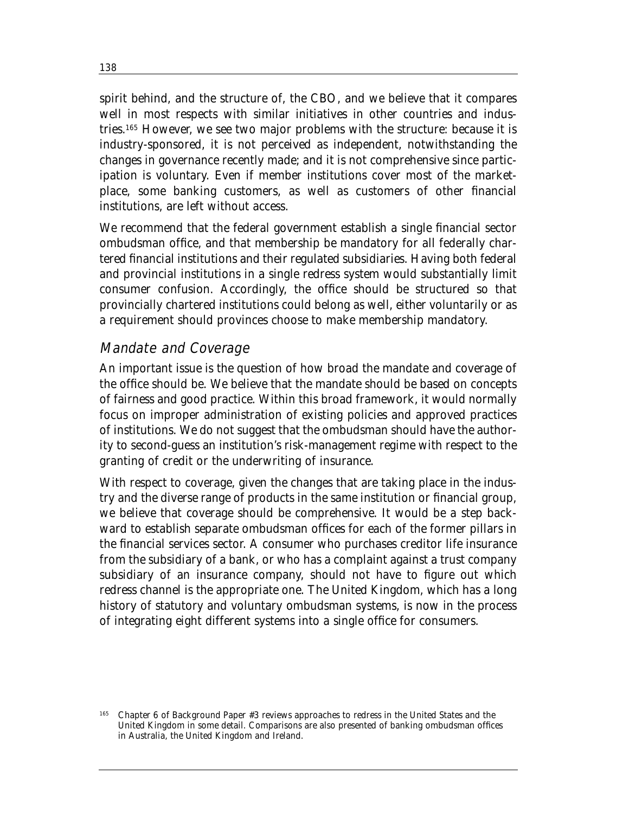spirit behind, and the structure of, the CBO, and we believe that it compares well in most respects with similar initiatives in other countries and industries.165 However, we see two major problems with the structure: because it is industry-sponsored, it is not perceived as independent, notwithstanding the changes in governance recently made; and it is not comprehensive since participation is voluntary. Even if member institutions cover most of the marketplace, some banking customers, as well as customers of other financial institutions, are left without access.

We recommend that the federal government establish a single financial sector ombudsman office, and that membership be mandatory for all federally chartered financial institutions and their regulated subsidiaries. Having both federal and provincial institutions in a single redress system would substantially limit consumer confusion. Accordingly, the office should be structured so that provincially chartered institutions could belong as well, either voluntarily or as a requirement should provinces choose to make membership mandatory.

### Mandate and Coverage

An important issue is the question of how broad the mandate and coverage of the office should be. We believe that the mandate should be based on concepts of fairness and good practice. Within this broad framework, it would normally focus on improper administration of existing policies and approved practices of institutions. We do not suggest that the ombudsman should have the authority to second-guess an institution's risk-management regime with respect to the granting of credit or the underwriting of insurance.

With respect to coverage, given the changes that are taking place in the industry and the diverse range of products in the same institution or financial group, we believe that coverage should be comprehensive. It would be a step backward to establish separate ombudsman offices for each of the former pillars in the financial services sector. A consumer who purchases creditor life insurance from the subsidiary of a bank, or who has a complaint against a trust company subsidiary of an insurance company, should not have to figure out which redress channel is the appropriate one. The United Kingdom, which has a long history of statutory and voluntary ombudsman systems, is now in the process of integrating eight different systems into a single office for consumers.

<sup>165</sup> Chapter 6 of Background Paper #3 reviews approaches to redress in the United States and the United Kingdom in some detail. Comparisons are also presented of banking ombudsman offices in Australia, the United Kingdom and Ireland.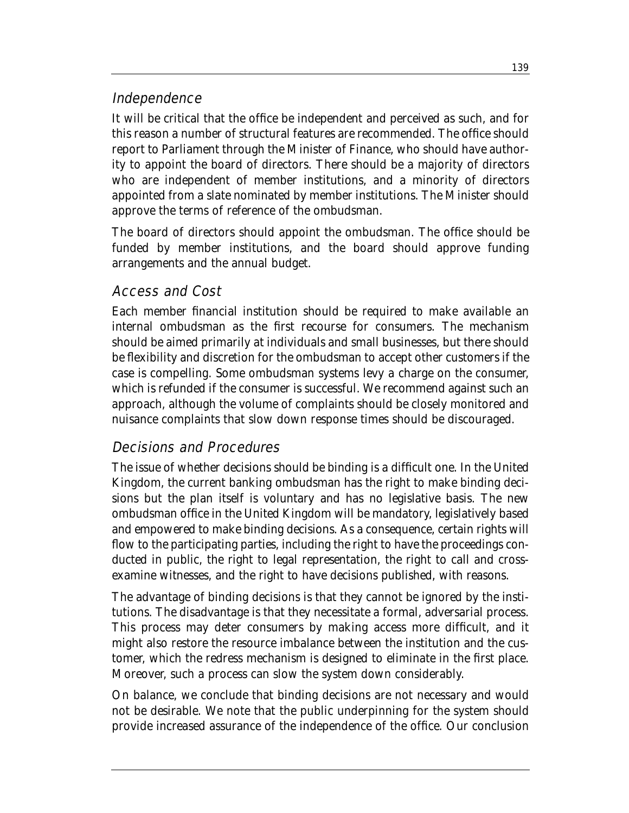## Independence

It will be critical that the office be independent and perceived as such, and for this reason a number of structural features are recommended. The office should report to Parliament through the Minister of Finance, who should have authority to appoint the board of directors. There should be a majority of directors who are independent of member institutions, and a minority of directors appointed from a slate nominated by member institutions. The Minister should approve the terms of reference of the ombudsman.

The board of directors should appoint the ombudsman. The office should be funded by member institutions, and the board should approve funding arrangements and the annual budget.

## Access and Cost

Each member financial institution should be required to make available an internal ombudsman as the first recourse for consumers. The mechanism should be aimed primarily at individuals and small businesses, but there should be flexibility and discretion for the ombudsman to accept other customers if the case is compelling. Some ombudsman systems levy a charge on the consumer, which is refunded if the consumer is successful. We recommend against such an approach, although the volume of complaints should be closely monitored and nuisance complaints that slow down response times should be discouraged.

## Decisions and Procedures

The issue of whether decisions should be binding is a difficult one. In the United Kingdom, the current banking ombudsman has the right to make binding decisions but the plan itself is voluntary and has no legislative basis. The new ombudsman office in the United Kingdom will be mandatory, legislatively based and empowered to make binding decisions. As a consequence, certain rights will flow to the participating parties, including the right to have the proceedings conducted in public, the right to legal representation, the right to call and crossexamine witnesses, and the right to have decisions published, with reasons.

The advantage of binding decisions is that they cannot be ignored by the institutions. The disadvantage is that they necessitate a formal, adversarial process. This process may deter consumers by making access more difficult, and it might also restore the resource imbalance between the institution and the customer, which the redress mechanism is designed to eliminate in the first place. Moreover, such a process can slow the system down considerably.

On balance, we conclude that binding decisions are not necessary and would not be desirable. We note that the public underpinning for the system should provide increased assurance of the independence of the office. Our conclusion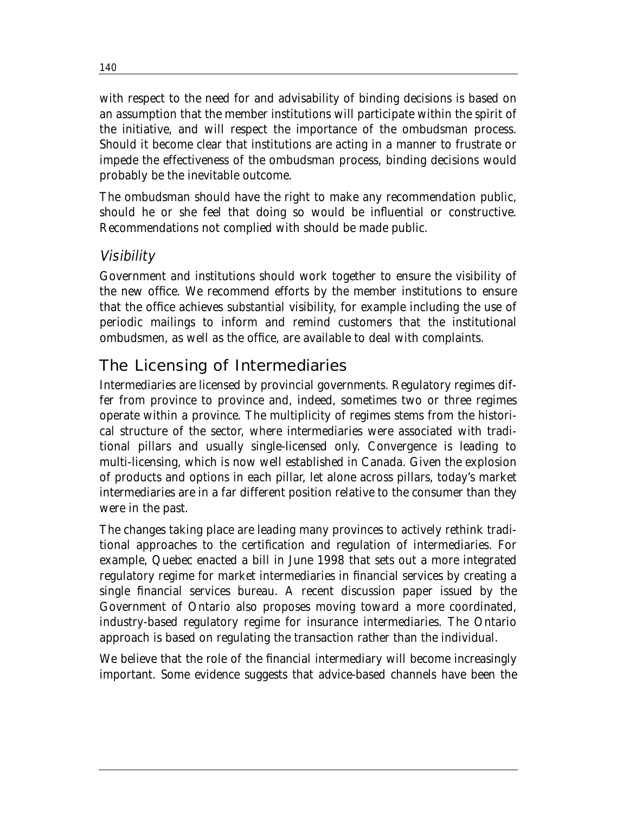with respect to the need for and advisability of binding decisions is based on an assumption that the member institutions will participate within the spirit of the initiative, and will respect the importance of the ombudsman process. Should it become clear that institutions are acting in a manner to frustrate or impede the effectiveness of the ombudsman process, binding decisions would probably be the inevitable outcome.

The ombudsman should have the right to make any recommendation public, should he or she feel that doing so would be influential or constructive. Recommendations not complied with should be made public.

## Visibility

Government and institutions should work together to ensure the visibility of the new office. We recommend efforts by the member institutions to ensure that the office achieves substantial visibility, for example including the use of periodic mailings to inform and remind customers that the institutional ombudsmen, as well as the office, are available to deal with complaints.

## The Licensing of Intermediaries

Intermediaries are licensed by provincial governments. Regulatory regimes differ from province to province and, indeed, sometimes two or three regimes operate within a province. The multiplicity of regimes stems from the historical structure of the sector, where intermediaries were associated with traditional pillars and usually single-licensed only. Convergence is leading to multi-licensing, which is now well established in Canada. Given the explosion of products and options in each pillar, let alone across pillars, today's market intermediaries are in a far different position relative to the consumer than they were in the past.

The changes taking place are leading many provinces to actively rethink traditional approaches to the certification and regulation of intermediaries. For example, Quebec enacted a bill in June 1998 that sets out a more integrated regulatory regime for market intermediaries in financial services by creating a single financial services bureau. A recent discussion paper issued by the Government of Ontario also proposes moving toward a more coordinated, industry-based regulatory regime for insurance intermediaries. The Ontario approach is based on regulating the transaction rather than the individual.

We believe that the role of the financial intermediary will become increasingly important. Some evidence suggests that advice-based channels have been the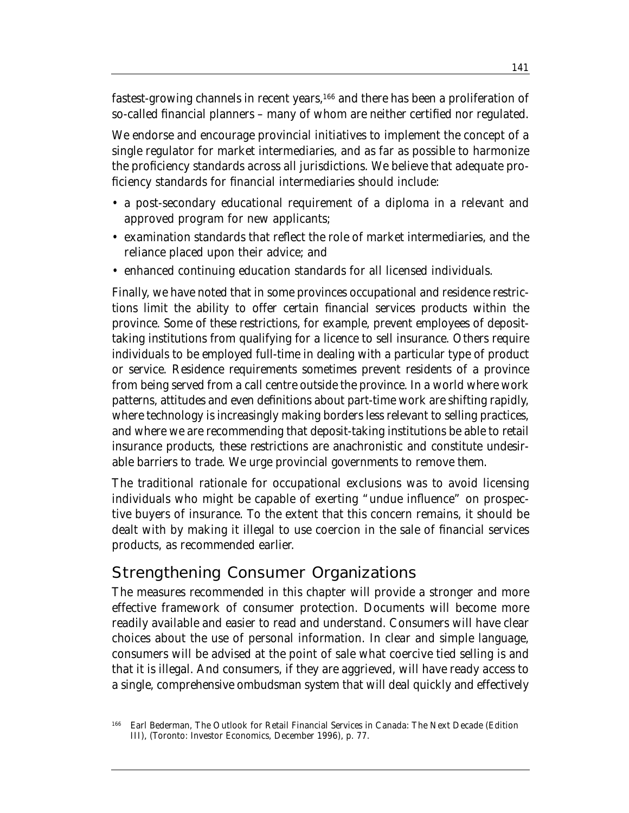fastest-growing channels in recent years,166 and there has been a proliferation of so-called financial planners – many of whom are neither certified nor regulated.

We endorse and encourage provincial initiatives to implement the concept of a single regulator for market intermediaries, and as far as possible to harmonize the proficiency standards across all jurisdictions. We believe that adequate proficiency standards for financial intermediaries should include:

- a post-secondary educational requirement of a diploma in a relevant and approved program for new applicants;
- examination standards that reflect the role of market intermediaries, and the reliance placed upon their advice; and
- enhanced continuing education standards for all licensed individuals.

Finally, we have noted that in some provinces occupational and residence restrictions limit the ability to offer certain financial services products within the province. Some of these restrictions, for example, prevent employees of deposittaking institutions from qualifying for a licence to sell insurance. Others require individuals to be employed full-time in dealing with a particular type of product or service. Residence requirements sometimes prevent residents of a province from being served from a call centre outside the province. In a world where work patterns, attitudes and even definitions about part-time work are shifting rapidly, where technology is increasingly making borders less relevant to selling practices, and where we are recommending that deposit-taking institutions be able to retail insurance products, these restrictions are anachronistic and constitute undesirable barriers to trade. We urge provincial governments to remove them.

The traditional rationale for occupational exclusions was to avoid licensing individuals who might be capable of exerting "undue influence" on prospective buyers of insurance. To the extent that this concern remains, it should be dealt with by making it illegal to use coercion in the sale of financial services products, as recommended earlier.

## Strengthening Consumer Organizations

The measures recommended in this chapter will provide a stronger and more effective framework of consumer protection. Documents will become more readily available and easier to read and understand. Consumers will have clear choices about the use of personal information. In clear and simple language, consumers will be advised at the point of sale what coercive tied selling is and that it is illegal. And consumers, if they are aggrieved, will have ready access to a single, comprehensive ombudsman system that will deal quickly and effectively

<sup>166</sup> Earl Bederman, *The Outlook for Retail Financial Services in Canada: The Next Decade (Edition III)*, (Toronto: Investor Economics, December 1996), p. 77.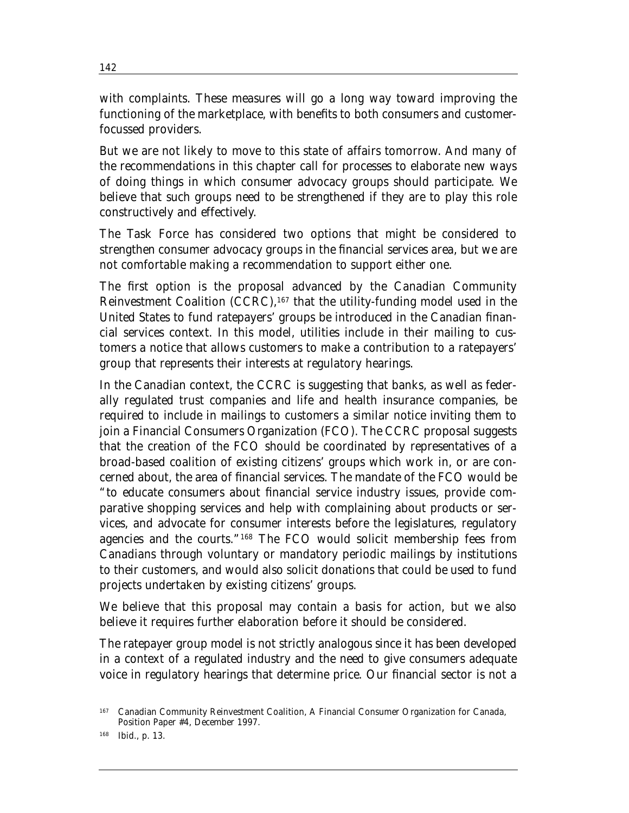with complaints. These measures will go a long way toward improving the functioning of the marketplace, with benefits to both consumers and customerfocussed providers.

But we are not likely to move to this state of affairs tomorrow. And many of the recommendations in this chapter call for processes to elaborate new ways of doing things in which consumer advocacy groups should participate. We believe that such groups need to be strengthened if they are to play this role constructively and effectively.

The Task Force has considered two options that might be considered to strengthen consumer advocacy groups in the financial services area, but we are not comfortable making a recommendation to support either one.

The first option is the proposal advanced by the Canadian Community Reinvestment Coalition (CCRC),167 that the utility-funding model used in the United States to fund ratepayers' groups be introduced in the Canadian financial services context. In this model, utilities include in their mailing to customers a notice that allows customers to make a contribution to a ratepayers' group that represents their interests at regulatory hearings.

In the Canadian context, the CCRC is suggesting that banks, as well as federally regulated trust companies and life and health insurance companies, be required to include in mailings to customers a similar notice inviting them to join a Financial Consumers Organization (FCO). The CCRC proposal suggests that the creation of the FCO should be coordinated by representatives of a broad-based coalition of existing citizens' groups which work in, or are concerned about, the area of financial services. The mandate of the FCO would be "to educate consumers about financial service industry issues, provide comparative shopping services and help with complaining about products or services, and advocate for consumer interests before the legislatures, regulatory agencies and the courts."168 The FCO would solicit membership fees from Canadians through voluntary or mandatory periodic mailings by institutions to their customers, and would also solicit donations that could be used to fund projects undertaken by existing citizens' groups.

We believe that this proposal may contain a basis for action, but we also believe it requires further elaboration before it should be considered.

The ratepayer group model is not strictly analogous since it has been developed in a context of a regulated industry and the need to give consumers adequate voice in regulatory hearings that determine price. Our financial sector is not a

<sup>167</sup> Canadian Community Reinvestment Coalition, *A Financial Consumer Organization for Canada*, Position Paper #4, December 1997.

<sup>168</sup> Ibid., p. 13.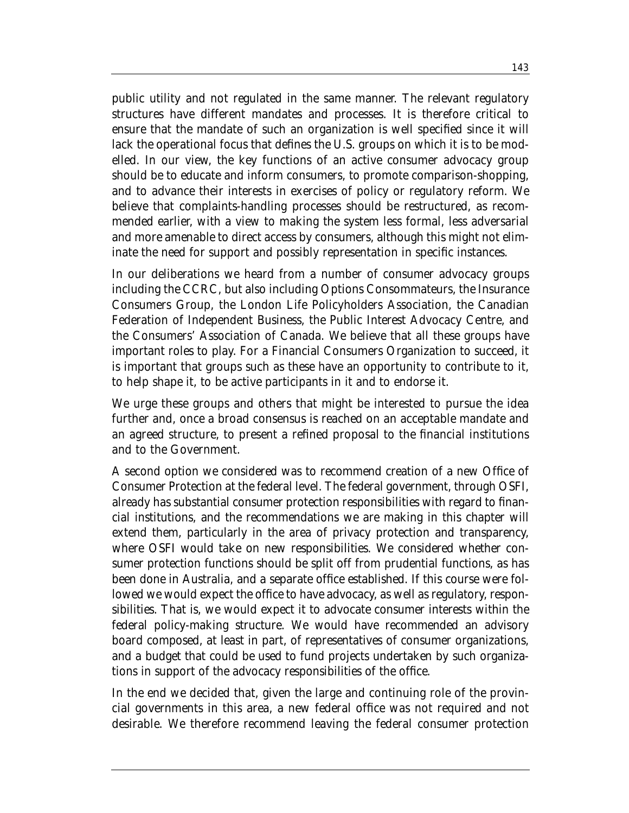public utility and not regulated in the same manner. The relevant regulatory structures have different mandates and processes. It is therefore critical to ensure that the mandate of such an organization is well specified since it will lack the operational focus that defines the U.S. groups on which it is to be modelled. In our view, the key functions of an active consumer advocacy group should be to educate and inform consumers, to promote comparison-shopping, and to advance their interests in exercises of policy or regulatory reform. We believe that complaints-handling processes should be restructured, as recommended earlier, with a view to making the system less formal, less adversarial and more amenable to direct access by consumers, although this might not eliminate the need for support and possibly representation in specific instances.

In our deliberations we heard from a number of consumer advocacy groups including the CCRC, but also including Options Consommateurs, the Insurance Consumers Group, the London Life Policyholders Association, the Canadian Federation of Independent Business, the Public Interest Advocacy Centre, and the Consumers' Association of Canada. We believe that all these groups have important roles to play. For a Financial Consumers Organization to succeed, it is important that groups such as these have an opportunity to contribute to it, to help shape it, to be active participants in it and to endorse it.

We urge these groups and others that might be interested to pursue the idea further and, once a broad consensus is reached on an acceptable mandate and an agreed structure, to present a refined proposal to the financial institutions and to the Government.

A second option we considered was to recommend creation of a new Office of Consumer Protection at the federal level. The federal government, through OSFI, already has substantial consumer protection responsibilities with regard to financial institutions, and the recommendations we are making in this chapter will extend them, particularly in the area of privacy protection and transparency, where OSFI would take on new responsibilities. We considered whether consumer protection functions should be split off from prudential functions, as has been done in Australia, and a separate office established. If this course were followed we would expect the office to have advocacy, as well as regulatory, responsibilities. That is, we would expect it to advocate consumer interests within the federal policy-making structure. We would have recommended an advisory board composed, at least in part, of representatives of consumer organizations, and a budget that could be used to fund projects undertaken by such organizations in support of the advocacy responsibilities of the office.

In the end we decided that, given the large and continuing role of the provincial governments in this area, a new federal office was not required and not desirable. We therefore recommend leaving the federal consumer protection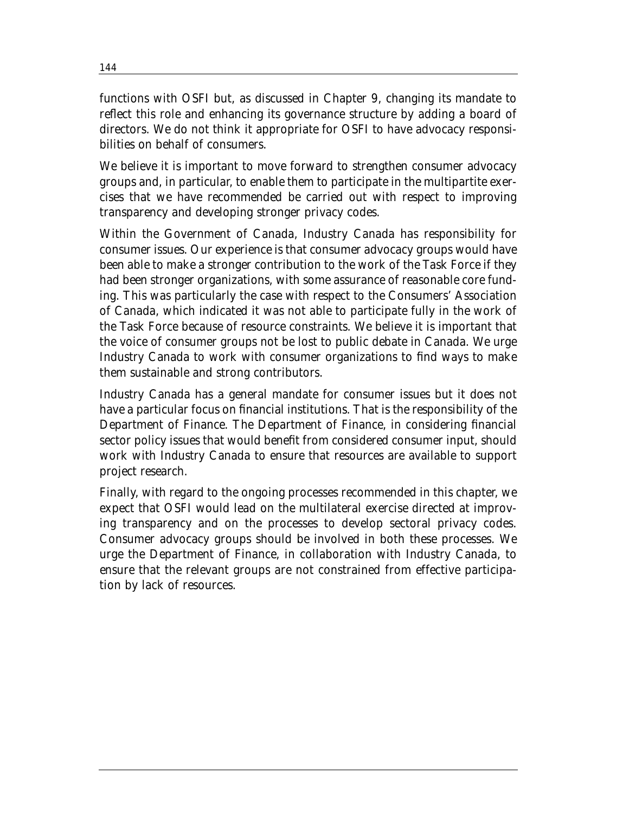functions with OSFI but, as discussed in Chapter 9, changing its mandate to reflect this role and enhancing its governance structure by adding a board of directors. We do not think it appropriate for OSFI to have advocacy responsibilities on behalf of consumers.

We believe it is important to move forward to strengthen consumer advocacy groups and, in particular, to enable them to participate in the multipartite exercises that we have recommended be carried out with respect to improving transparency and developing stronger privacy codes.

Within the Government of Canada, Industry Canada has responsibility for consumer issues. Our experience is that consumer advocacy groups would have been able to make a stronger contribution to the work of the Task Force if they had been stronger organizations, with some assurance of reasonable core funding. This was particularly the case with respect to the Consumers' Association of Canada, which indicated it was not able to participate fully in the work of the Task Force because of resource constraints. We believe it is important that the voice of consumer groups not be lost to public debate in Canada. We urge Industry Canada to work with consumer organizations to find ways to make them sustainable and strong contributors.

Industry Canada has a general mandate for consumer issues but it does not have a particular focus on financial institutions. That is the responsibility of the Department of Finance. The Department of Finance, in considering financial sector policy issues that would benefit from considered consumer input, should work with Industry Canada to ensure that resources are available to support project research.

Finally, with regard to the ongoing processes recommended in this chapter, we expect that OSFI would lead on the multilateral exercise directed at improving transparency and on the processes to develop sectoral privacy codes. Consumer advocacy groups should be involved in both these processes. We urge the Department of Finance, in collaboration with Industry Canada, to ensure that the relevant groups are not constrained from effective participation by lack of resources.

144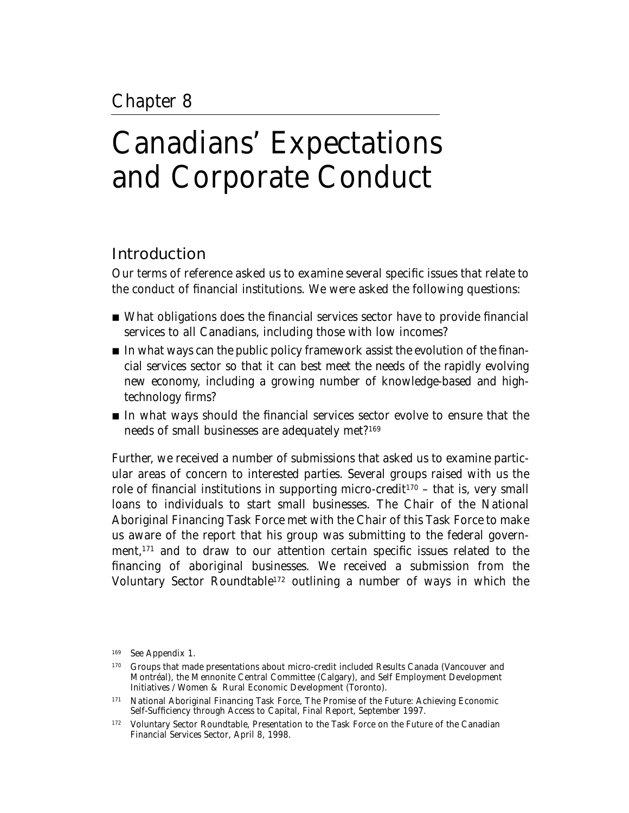# Canadians' Expectations and Corporate Conduct

# Introduction

Our terms of reference asked us to examine several specific issues that relate to the conduct of financial institutions. We were asked the following questions:

- What obligations does the financial services sector have to provide financial services to all Canadians, including those with low incomes?
- In what ways can the public policy framework assist the evolution of the financial services sector so that it can best meet the needs of the rapidly evolving new economy, including a growing number of knowledge-based and hightechnology firms?
- In what ways should the financial services sector evolve to ensure that the needs of small businesses are adequately met?169

Further, we received a number of submissions that asked us to examine particular areas of concern to interested parties. Several groups raised with us the role of financial institutions in supporting micro-credit<sup>170</sup> – that is, very small loans to individuals to start small businesses. The Chair of the National Aboriginal Financing Task Force met with the Chair of this Task Force to make us aware of the report that his group was submitting to the federal government,171 and to draw to our attention certain specific issues related to the financing of aboriginal businesses. We received a submission from the Voluntary Sector Roundtable172 outlining a number of ways in which the

<sup>169</sup> See Appendix 1.

<sup>170</sup> Groups that made presentations about micro-credit included Results Canada (Vancouver and Montréal), the Mennonite Central Committee (Calgary), and Self Employment Development Initiatives / Women & Rural Economic Development (Toronto).

<sup>171</sup> National Aboriginal Financing Task Force, *The Promise of the Future: Achieving Economic Self-Sufficiency through Access to Capital*, Final Report, September 1997.

<sup>172</sup> Voluntary Sector Roundtable, *Presentation to the Task Force on the Future of the Canadian Financial Services Sector*, April 8, 1998.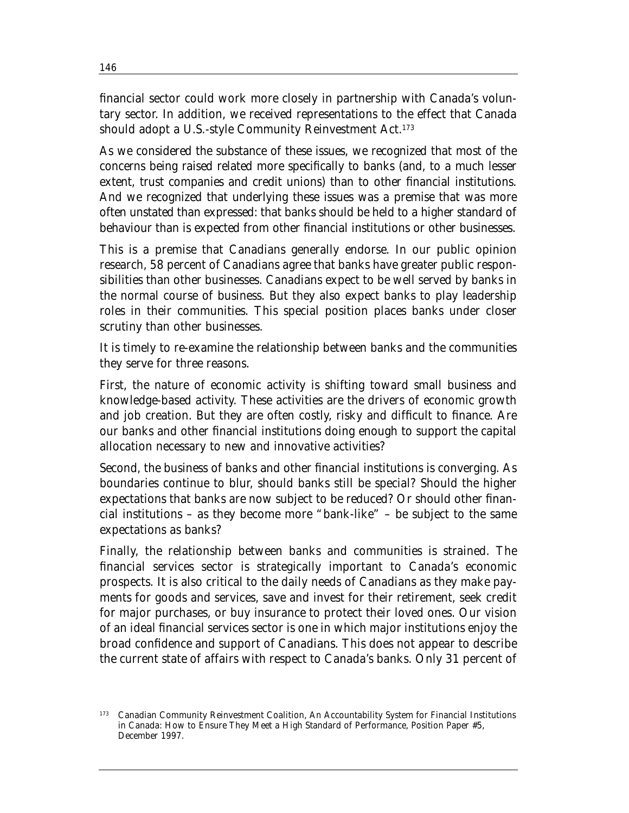financial sector could work more closely in partnership with Canada's voluntary sector. In addition, we received representations to the effect that Canada should adopt a U.S.-style Community Reinvestment Act.<sup>173</sup>

As we considered the substance of these issues, we recognized that most of the concerns being raised related more specifically to banks (and, to a much lesser extent, trust companies and credit unions) than to other financial institutions. And we recognized that underlying these issues was a premise that was more often unstated than expressed: that banks should be held to a higher standard of behaviour than is expected from other financial institutions or other businesses.

This is a premise that Canadians generally endorse. In our public opinion research, 58 percent of Canadians agree that banks have greater public responsibilities than other businesses. Canadians expect to be well served by banks in the normal course of business. But they also expect banks to play leadership roles in their communities. This special position places banks under closer scrutiny than other businesses.

It is timely to re-examine the relationship between banks and the communities they serve for three reasons.

First, the nature of economic activity is shifting toward small business and knowledge-based activity. These activities are the drivers of economic growth and job creation. But they are often costly, risky and difficult to finance. Are our banks and other financial institutions doing enough to support the capital allocation necessary to new and innovative activities?

Second, the business of banks and other financial institutions is converging. As boundaries continue to blur, should banks still be special? Should the higher expectations that banks are now subject to be reduced? Or should other financial institutions – as they become more "bank-like" – be subject to the same expectations as banks?

Finally, the relationship between banks and communities is strained. The financial services sector is strategically important to Canada's economic prospects. It is also critical to the daily needs of Canadians as they make payments for goods and services, save and invest for their retirement, seek credit for major purchases, or buy insurance to protect their loved ones. Our vision of an ideal financial services sector is one in which major institutions enjoy the broad confidence and support of Canadians. This does not appear to describe the current state of affairs with respect to Canada's banks. Only 31 percent of

<sup>173</sup> Canadian Community Reinvestment Coalition, *An Accountability System for Financial Institutions in Canada: How to Ensure They Meet a High Standard of Performance*, Position Paper #5, December 1997.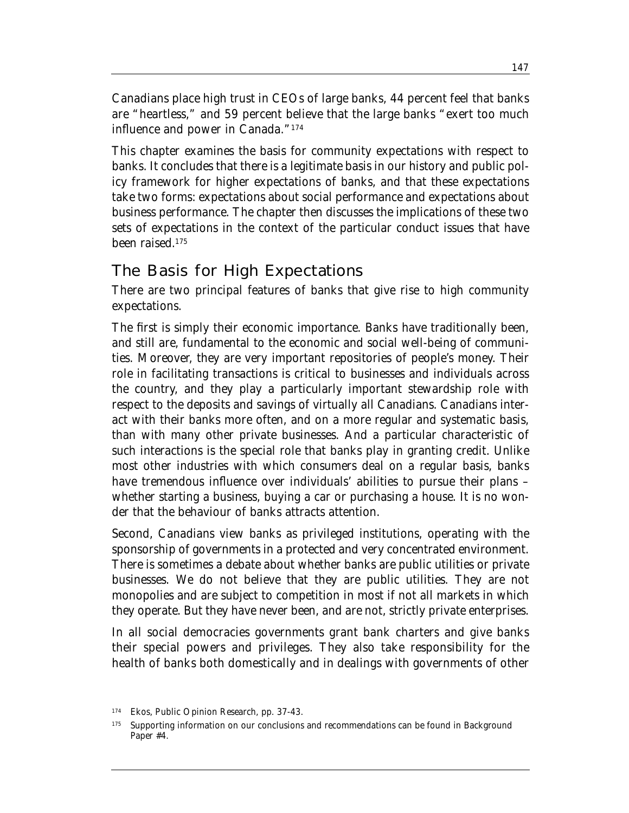Canadians place high trust in CEOs of large banks, 44 percent feel that banks are "heartless," and 59 percent believe that the large banks "exert too much influence and power in Canada."174

This chapter examines the basis for community expectations with respect to banks. It concludes that there is a legitimate basis in our history and public policy framework for higher expectations of banks, and that these expectations take two forms: expectations about social performance and expectations about business performance. The chapter then discusses the implications of these two sets of expectations in the context of the particular conduct issues that have been raised.175

# The Basis for High Expectations

There are two principal features of banks that give rise to high community expectations.

The first is simply their economic importance. Banks have traditionally been, and still are, fundamental to the economic and social well-being of communities. Moreover, they are very important repositories of people's money. Their role in facilitating transactions is critical to businesses and individuals across the country, and they play a particularly important stewardship role with respect to the deposits and savings of virtually all Canadians. Canadians interact with their banks more often, and on a more regular and systematic basis, than with many other private businesses. And a particular characteristic of such interactions is the special role that banks play in granting credit. Unlike most other industries with which consumers deal on a regular basis, banks have tremendous influence over individuals' abilities to pursue their plans – whether starting a business, buying a car or purchasing a house. It is no wonder that the behaviour of banks attracts attention.

Second, Canadians view banks as privileged institutions, operating with the sponsorship of governments in a protected and very concentrated environment. There is sometimes a debate about whether banks are public utilities or private businesses. We do not believe that they are public utilities. They are not monopolies and are subject to competition in most if not all markets in which they operate. But they have never been, and are not, strictly private enterprises.

In all social democracies governments grant bank charters and give banks their special powers and privileges. They also take responsibility for the health of banks both domestically and in dealings with governments of other

<sup>174</sup> Ekos, *Public Opinion Research*, pp. 37-43.

<sup>&</sup>lt;sup>175</sup> Supporting information on our conclusions and recommendations can be found in Background Paper #4.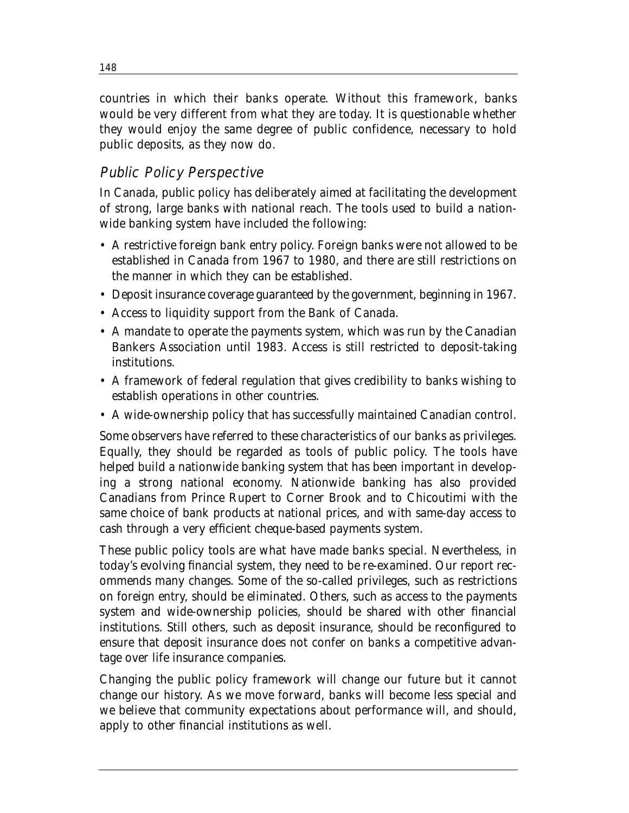countries in which their banks operate. Without this framework, banks would be very different from what they are today. It is questionable whether they would enjoy the same degree of public confidence, necessary to hold public deposits, as they now do.

## Public Policy Perspective

In Canada, public policy has deliberately aimed at facilitating the development of strong, large banks with national reach. The tools used to build a nationwide banking system have included the following:

- A restrictive foreign bank entry policy. Foreign banks were not allowed to be established in Canada from 1967 to 1980, and there are still restrictions on the manner in which they can be established.
- Deposit insurance coverage guaranteed by the government, beginning in 1967.
- Access to liquidity support from the Bank of Canada.
- A mandate to operate the payments system, which was run by the Canadian Bankers Association until 1983. Access is still restricted to deposit-taking institutions.
- A framework of federal regulation that gives credibility to banks wishing to establish operations in other countries.
- A wide-ownership policy that has successfully maintained Canadian control.

Some observers have referred to these characteristics of our banks as privileges. Equally, they should be regarded as tools of public policy. The tools have helped build a nationwide banking system that has been important in developing a strong national economy. Nationwide banking has also provided Canadians from Prince Rupert to Corner Brook and to Chicoutimi with the same choice of bank products at national prices, and with same-day access to cash through a very efficient cheque-based payments system.

These public policy tools are what have made banks special. Nevertheless, in today's evolving financial system, they need to be re-examined. Our report recommends many changes. Some of the so-called privileges, such as restrictions on foreign entry, should be eliminated. Others, such as access to the payments system and wide-ownership policies, should be shared with other financial institutions. Still others, such as deposit insurance, should be reconfigured to ensure that deposit insurance does not confer on banks a competitive advantage over life insurance companies.

Changing the public policy framework will change our future but it cannot change our history. As we move forward, banks will become less special and we believe that community expectations about performance will, and should, apply to other financial institutions as well.

148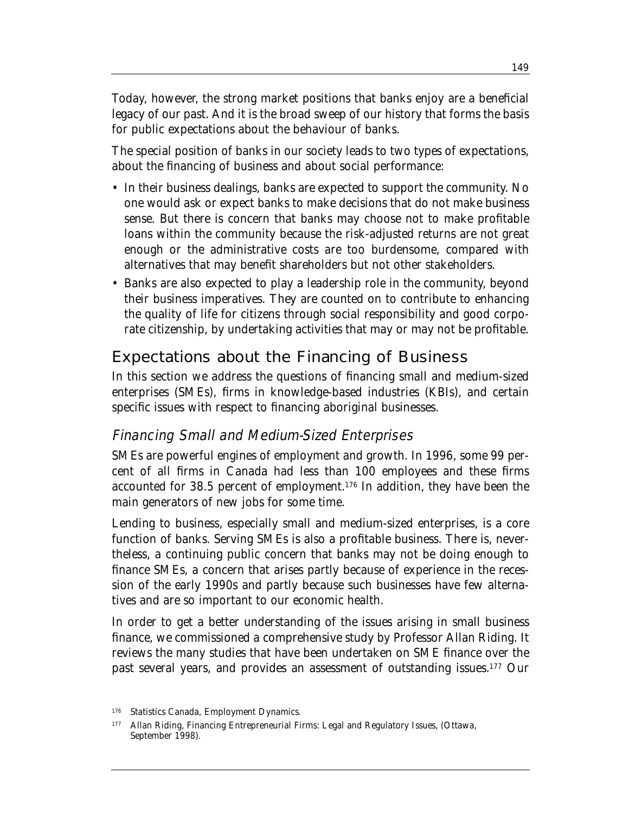Today, however, the strong market positions that banks enjoy are a beneficial legacy of our past. And it is the broad sweep of our history that forms the basis for public expectations about the behaviour of banks.

The special position of banks in our society leads to two types of expectations, about the financing of business and about social performance:

- In their business dealings, banks are expected to support the community. No one would ask or expect banks to make decisions that do not make business sense. But there is concern that banks may choose not to make profitable loans within the community because the risk-adjusted returns are not great enough or the administrative costs are too burdensome, compared with alternatives that may benefit shareholders but not other stakeholders.
- Banks are also expected to play a leadership role in the community, beyond their business imperatives. They are counted on to contribute to enhancing the quality of life for citizens through social responsibility and good corporate citizenship, by undertaking activities that may or may not be profitable.

# Expectations about the Financing of Business

In this section we address the questions of financing small and medium-sized enterprises (SMEs), firms in knowledge-based industries (KBIs), and certain specific issues with respect to financing aboriginal businesses.

# Financing Small and Medium-Sized Enterprises

SMEs are powerful engines of employment and growth. In 1996, some 99 percent of all firms in Canada had less than 100 employees and these firms accounted for 38.5 percent of employment.176 In addition, they have been the main generators of new jobs for some time.

Lending to business, especially small and medium-sized enterprises, is a core function of banks. Serving SMEs is also a profitable business. There is, nevertheless, a continuing public concern that banks may not be doing enough to finance SMEs, a concern that arises partly because of experience in the recession of the early 1990s and partly because such businesses have few alternatives and are so important to our economic health.

In order to get a better understanding of the issues arising in small business finance, we commissioned a comprehensive study by Professor Allan Riding. It reviews the many studies that have been undertaken on SME finance over the past several years, and provides an assessment of outstanding issues.177 Our

<sup>176</sup> Statistics Canada, *Employment Dynamics*.

<sup>177</sup> Allan Riding, *Financing Entrepreneurial Firms: Legal and Regulatory Issues*, (Ottawa, September 1998).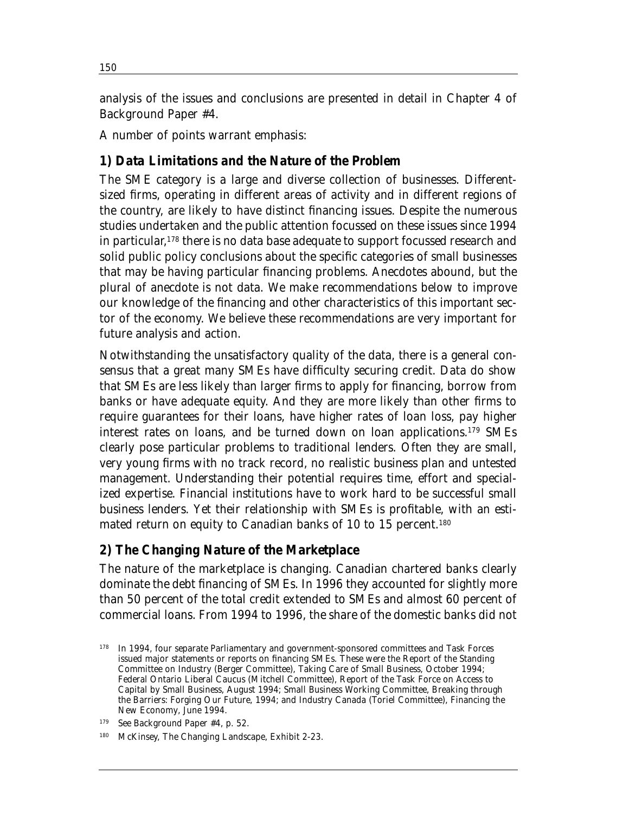150

analysis of the issues and conclusions are presented in detail in Chapter 4 of Background Paper #4.

A number of points warrant emphasis:

### *1) Data Limitations and the Nature of the Problem*

The SME category is a large and diverse collection of businesses. Differentsized firms, operating in different areas of activity and in different regions of the country, are likely to have distinct financing issues. Despite the numerous studies undertaken and the public attention focussed on these issues since 1994 in particular, <sup>178</sup> there is no data base adequate to support focussed research and solid public policy conclusions about the specific categories of small businesses that may be having particular financing problems. Anecdotes abound, but the plural of anecdote is not data. We make recommendations below to improve our knowledge of the financing and other characteristics of this important sector of the economy. We believe these recommendations are very important for future analysis and action.

Notwithstanding the unsatisfactory quality of the data, there is a general consensus that a great many SMEs have difficulty securing credit. Data do show that SMEs are less likely than larger firms to apply for financing, borrow from banks or have adequate equity. And they are more likely than other firms to require guarantees for their loans, have higher rates of loan loss, pay higher interest rates on loans, and be turned down on loan applications.179 SMEs clearly pose particular problems to traditional lenders. Often they are small, very young firms with no track record, no realistic business plan and untested management. Understanding their potential requires time, effort and specialized expertise. Financial institutions have to work hard to be successful small business lenders. Yet their relationship with SMEs is profitable, with an estimated return on equity to Canadian banks of 10 to 15 percent.<sup>180</sup>

### *2) The Changing Nature of the Marketplace*

The nature of the marketplace is changing. Canadian chartered banks clearly dominate the debt financing of SMEs. In 1996 they accounted for slightly more than 50 percent of the total credit extended to SMEs and almost 60 percent of commercial loans. From 1994 to 1996, the share of the domestic banks did not

<sup>&</sup>lt;sup>178</sup> In 1994, four separate Parliamentary and government-sponsored committees and Task Forces issued major statements or reports on financing SMEs. These were the Report of the Standing Committee on Industry (Berger Committee), *Taking Care of Small Business*, October 1994; Federal Ontario Liberal Caucus (Mitchell Committee), *Report of the Task Force on Access to Capital by Small Business*, August 1994; Small Business Working Committee, *Breaking through the Barriers: Forging Our Future*, 1994; and Industry Canada (Toriel Committee), *Financing the New Economy*, June 1994.

<sup>179</sup> See Background Paper #4, p. 52.

<sup>180</sup> McKinsey, *The Changing Landscape*, Exhibit 2-23.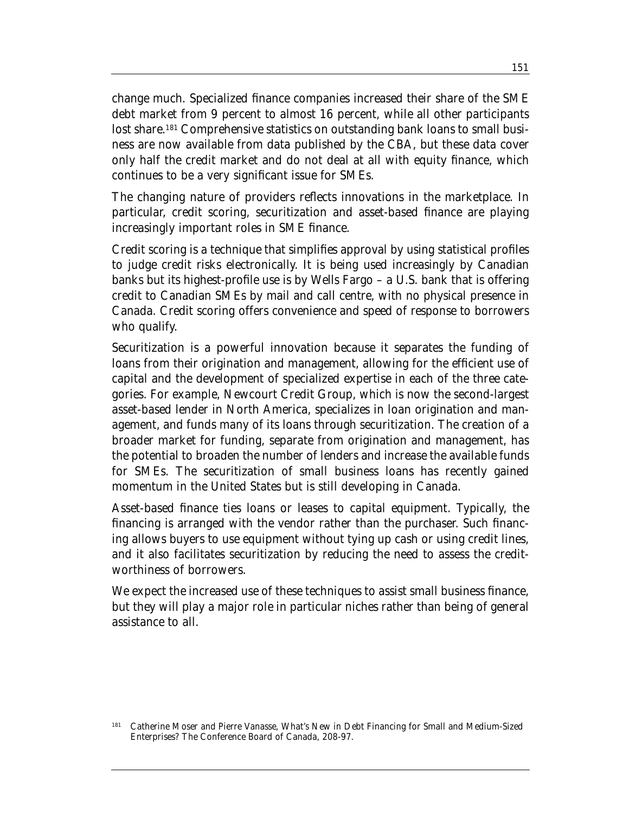change much. Specialized finance companies increased their share of the SME debt market from 9 percent to almost 16 percent, while all other participants lost share.<sup>181</sup> Comprehensive statistics on outstanding bank loans to small business are now available from data published by the CBA, but these data cover only half the credit market and do not deal at all with equity finance, which continues to be a very significant issue for SMEs.

The changing nature of providers reflects innovations in the marketplace. In particular, credit scoring, securitization and asset-based finance are playing increasingly important roles in SME finance.

Credit scoring is a technique that simplifies approval by using statistical profiles to judge credit risks electronically. It is being used increasingly by Canadian banks but its highest-profile use is by Wells Fargo – a U.S. bank that is offering credit to Canadian SMEs by mail and call centre, with no physical presence in Canada. Credit scoring offers convenience and speed of response to borrowers who qualify.

Securitization is a powerful innovation because it separates the funding of loans from their origination and management, allowing for the efficient use of capital and the development of specialized expertise in each of the three categories. For example, Newcourt Credit Group, which is now the second-largest asset-based lender in North America, specializes in loan origination and management, and funds many of its loans through securitization. The creation of a broader market for funding, separate from origination and management, has the potential to broaden the number of lenders and increase the available funds for SMEs. The securitization of small business loans has recently gained momentum in the United States but is still developing in Canada.

Asset-based finance ties loans or leases to capital equipment. Typically, the financing is arranged with the vendor rather than the purchaser. Such financing allows buyers to use equipment without tying up cash or using credit lines, and it also facilitates securitization by reducing the need to assess the creditworthiness of borrowers.

We expect the increased use of these techniques to assist small business finance, but they will play a major role in particular niches rather than being of general assistance to all.

<sup>181</sup> Catherine Moser and Pierre Vanasse, *What's New in Debt Financing for Small and Medium-Sized Enterprises?* The Conference Board of Canada, 208-97.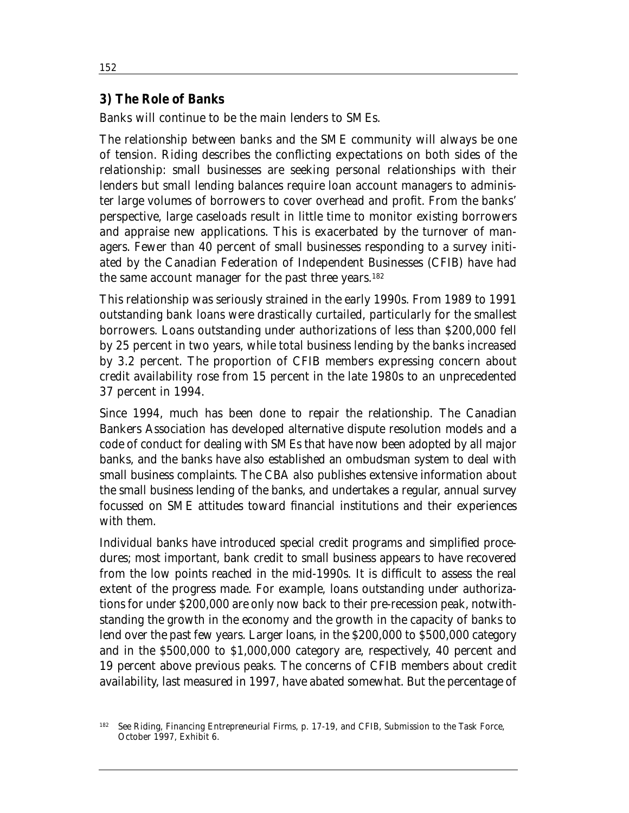#### *3) The Role of Banks*

Banks will continue to be the main lenders to SMEs.

The relationship between banks and the SME community will always be one of tension. Riding describes the conflicting expectations on both sides of the relationship: small businesses are seeking personal relationships with their lenders but small lending balances require loan account managers to administer large volumes of borrowers to cover overhead and profit. From the banks' perspective, large caseloads result in little time to monitor existing borrowers and appraise new applications. This is exacerbated by the turnover of managers. Fewer than 40 percent of small businesses responding to a survey initiated by the Canadian Federation of Independent Businesses (CFIB) have had the same account manager for the past three years.<sup>182</sup>

This relationship was seriously strained in the early 1990s. From 1989 to 1991 outstanding bank loans were drastically curtailed, particularly for the smallest borrowers. Loans outstanding under authorizations of less than \$200,000 fell by 25 percent in two years, while total business lending by the banks increased by 3.2 percent. The proportion of CFIB members expressing concern about credit availability rose from 15 percent in the late 1980s to an unprecedented 37 percent in 1994.

Since 1994, much has been done to repair the relationship. The Canadian Bankers Association has developed alternative dispute resolution models and a code of conduct for dealing with SMEs that have now been adopted by all major banks, and the banks have also established an ombudsman system to deal with small business complaints. The CBA also publishes extensive information about the small business lending of the banks, and undertakes a regular, annual survey focussed on SME attitudes toward financial institutions and their experiences with them.

Individual banks have introduced special credit programs and simplified procedures; most important, bank credit to small business appears to have recovered from the low points reached in the mid-1990s. It is difficult to assess the real extent of the progress made. For example, loans outstanding under authorizations for under \$200,000 are only now back to their pre-recession peak, notwithstanding the growth in the economy and the growth in the capacity of banks to lend over the past few years. Larger loans, in the \$200,000 to \$500,000 category and in the \$500,000 to \$1,000,000 category are, respectively, 40 percent and 19 percent above previous peaks. The concerns of CFIB members about credit availability, last measured in 1997, have abated somewhat. But the percentage of

<sup>182</sup> See Riding, *Financing Entrepreneurial Firms*, p. 17-19, and CFIB, Submission to the Task Force, October 1997, Exhibit 6.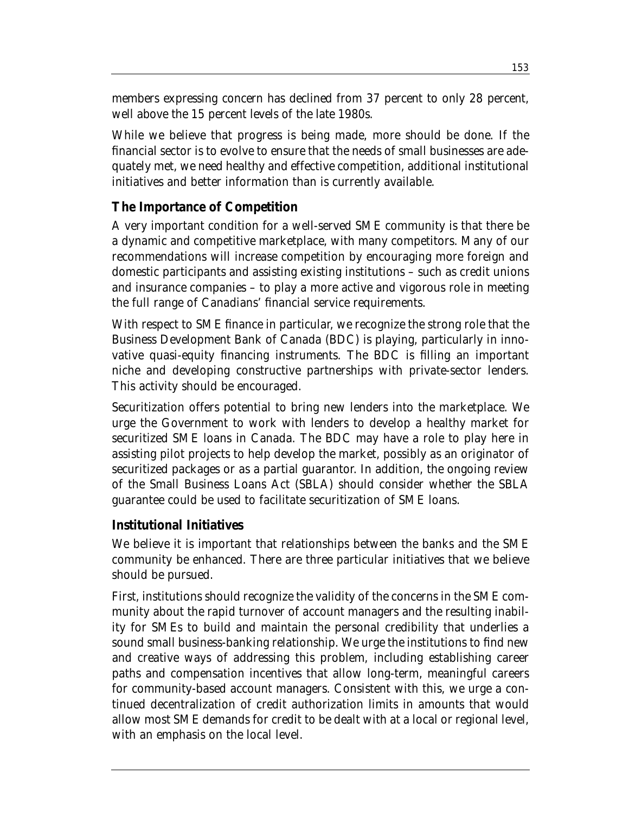members expressing concern has declined from 37 percent to only 28 percent, well above the 15 percent levels of the late 1980s.

While we believe that progress is being made, more should be done. If the financial sector is to evolve to ensure that the needs of small businesses are adequately met, we need healthy and effective competition, additional institutional initiatives and better information than is currently available.

## **The Importance of Competition**

A very important condition for a well-served SME community is that there be a dynamic and competitive marketplace, with many competitors. Many of our recommendations will increase competition by encouraging more foreign and domestic participants and assisting existing institutions – such as credit unions and insurance companies – to play a more active and vigorous role in meeting the full range of Canadians' financial service requirements.

With respect to SME finance in particular, we recognize the strong role that the Business Development Bank of Canada (BDC) is playing, particularly in innovative quasi-equity financing instruments. The BDC is filling an important niche and developing constructive partnerships with private-sector lenders. This activity should be encouraged.

Securitization offers potential to bring new lenders into the marketplace. We urge the Government to work with lenders to develop a healthy market for securitized SME loans in Canada. The BDC may have a role to play here in assisting pilot projects to help develop the market, possibly as an originator of securitized packages or as a partial guarantor. In addition, the ongoing review of the Small Business Loans Act (SBLA) should consider whether the SBLA guarantee could be used to facilitate securitization of SME loans.

#### **Institutional Initiatives**

We believe it is important that relationships between the banks and the SME community be enhanced. There are three particular initiatives that we believe should be pursued.

First, institutions should recognize the validity of the concerns in the SME community about the rapid turnover of account managers and the resulting inability for SMEs to build and maintain the personal credibility that underlies a sound small business-banking relationship. We urge the institutions to find new and creative ways of addressing this problem, including establishing career paths and compensation incentives that allow long-term, meaningful careers for community-based account managers. Consistent with this, we urge a continued decentralization of credit authorization limits in amounts that would allow most SME demands for credit to be dealt with at a local or regional level, with an emphasis on the local level.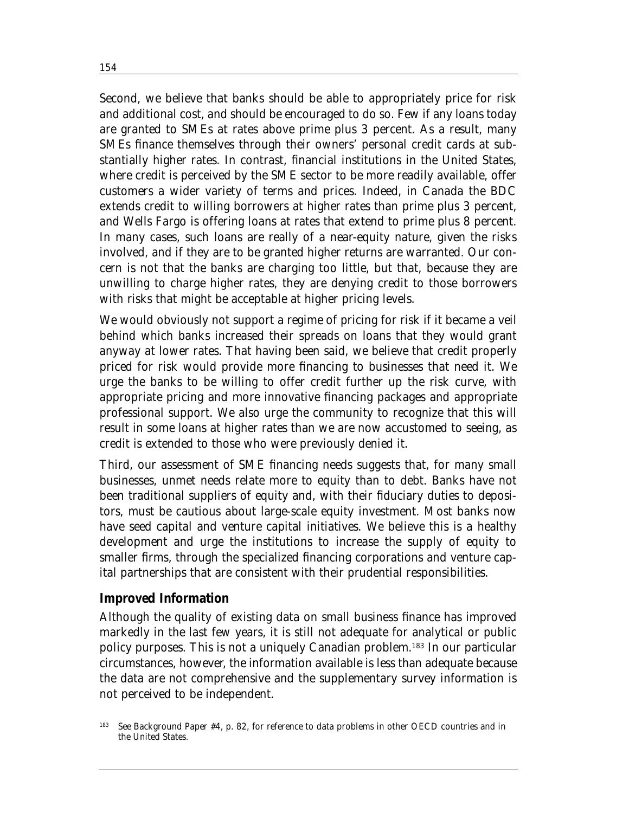Second, we believe that banks should be able to appropriately price for risk and additional cost, and should be encouraged to do so. Few if any loans today are granted to SMEs at rates above prime plus 3 percent. As a result, many SMEs finance themselves through their owners' personal credit cards at substantially higher rates. In contrast, financial institutions in the United States, where credit is perceived by the SME sector to be more readily available, offer customers a wider variety of terms and prices. Indeed, in Canada the BDC extends credit to willing borrowers at higher rates than prime plus 3 percent, and Wells Fargo is offering loans at rates that extend to prime plus 8 percent. In many cases, such loans are really of a near-equity nature, given the risks involved, and if they are to be granted higher returns are warranted. Our concern is not that the banks are charging too little, but that, because they are unwilling to charge higher rates, they are denying credit to those borrowers with risks that might be acceptable at higher pricing levels.

We would obviously not support a regime of pricing for risk if it became a veil behind which banks increased their spreads on loans that they would grant anyway at lower rates. That having been said, we believe that credit properly priced for risk would provide more financing to businesses that need it. We urge the banks to be willing to offer credit further up the risk curve, with appropriate pricing and more innovative financing packages and appropriate professional support. We also urge the community to recognize that this will result in some loans at higher rates than we are now accustomed to seeing, as credit is extended to those who were previously denied it.

Third, our assessment of SME financing needs suggests that, for many small businesses, unmet needs relate more to equity than to debt. Banks have not been traditional suppliers of equity and, with their fiduciary duties to depositors, must be cautious about large-scale equity investment. Most banks now have seed capital and venture capital initiatives. We believe this is a healthy development and urge the institutions to increase the supply of equity to smaller firms, through the specialized financing corporations and venture capital partnerships that are consistent with their prudential responsibilities.

#### **Improved Information**

Although the quality of existing data on small business finance has improved markedly in the last few years, it is still not adequate for analytical or public policy purposes. This is not a uniquely Canadian problem.183 In our particular circumstances, however, the information available is less than adequate because the data are not comprehensive and the supplementary survey information is not perceived to be independent.

<sup>&</sup>lt;sup>183</sup> See Background Paper #4, p. 82, for reference to data problems in other OECD countries and in the United States.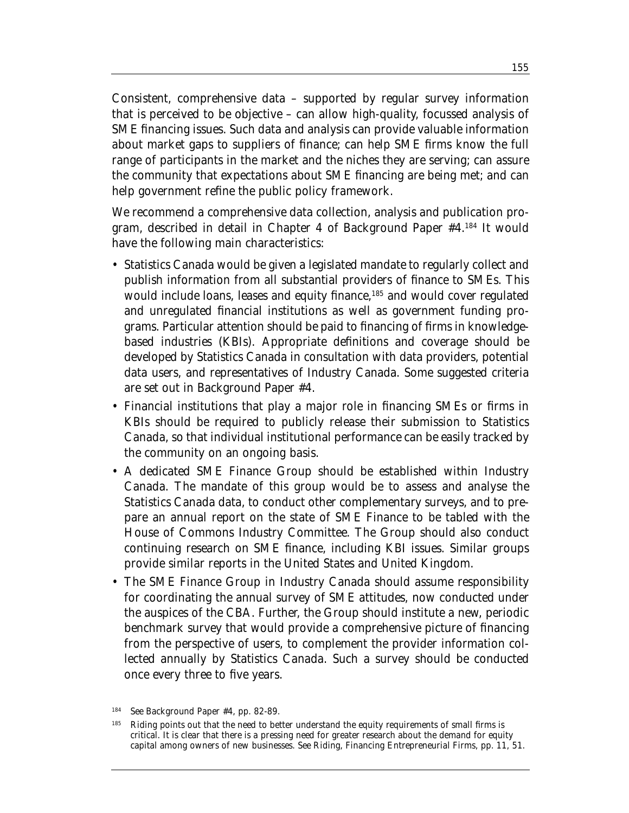Consistent, comprehensive data – supported by regular survey information that is perceived to be objective – can allow high-quality, focussed analysis of SME financing issues. Such data and analysis can provide valuable information about market gaps to suppliers of finance; can help SME firms know the full range of participants in the market and the niches they are serving; can assure the community that expectations about SME financing are being met; and can help government refine the public policy framework.

We recommend a comprehensive data collection, analysis and publication program, described in detail in Chapter 4 of Background Paper #4.184 It would have the following main characteristics:

- Statistics Canada would be given a legislated mandate to regularly collect and publish information from all substantial providers of finance to SMEs. This would include loans, leases and equity finance,<sup>185</sup> and would cover regulated and unregulated financial institutions as well as government funding programs. Particular attention should be paid to financing of firms in knowledgebased industries (KBIs). Appropriate definitions and coverage should be developed by Statistics Canada in consultation with data providers, potential data users, and representatives of Industry Canada. Some suggested criteria are set out in Background Paper #4.
- Financial institutions that play a major role in financing SMEs or firms in KBIs should be required to publicly release their submission to Statistics Canada, so that individual institutional performance can be easily tracked by the community on an ongoing basis.
- A dedicated SME Finance Group should be established within Industry Canada. The mandate of this group would be to assess and analyse the Statistics Canada data, to conduct other complementary surveys, and to prepare an annual report on the state of SME Finance to be tabled with the House of Commons Industry Committee. The Group should also conduct continuing research on SME finance, including KBI issues. Similar groups provide similar reports in the United States and United Kingdom.
- The SME Finance Group in Industry Canada should assume responsibility for coordinating the annual survey of SME attitudes, now conducted under the auspices of the CBA. Further, the Group should institute a new, periodic benchmark survey that would provide a comprehensive picture of financing from the perspective of users, to complement the provider information collected annually by Statistics Canada. Such a survey should be conducted once every three to five years.

<sup>184</sup> See Background Paper #4, pp. 82-89.

<sup>&</sup>lt;sup>185</sup> Riding points out that the need to better understand the equity requirements of small firms is critical. It is clear that there is a pressing need for greater research about the demand for equity capital among owners of new businesses. See Riding, *Financing Entrepreneurial Firms*, pp. 11, 51.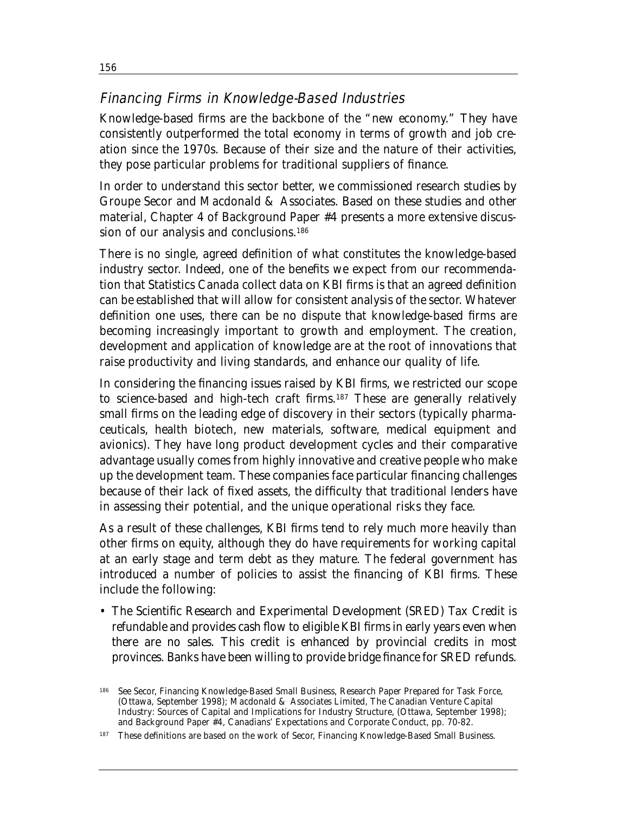# Financing Firms in Knowledge-Based Industries

Knowledge-based firms are the backbone of the "new economy." They have consistently outperformed the total economy in terms of growth and job creation since the 1970s. Because of their size and the nature of their activities, they pose particular problems for traditional suppliers of finance.

In order to understand this sector better, we commissioned research studies by Groupe Secor and Macdonald & Associates. Based on these studies and other material, Chapter 4 of Background Paper #4 presents a more extensive discussion of our analysis and conclusions.<sup>186</sup>

There is no single, agreed definition of what constitutes the knowledge-based industry sector. Indeed, one of the benefits we expect from our recommendation that Statistics Canada collect data on KBI firms is that an agreed definition can be established that will allow for consistent analysis of the sector. Whatever definition one uses, there can be no dispute that knowledge-based firms are becoming increasingly important to growth and employment. The creation, development and application of knowledge are at the root of innovations that raise productivity and living standards, and enhance our quality of life.

In considering the financing issues raised by KBI firms, we restricted our scope to science-based and high-tech craft firms.187 These are generally relatively small firms on the leading edge of discovery in their sectors (typically pharmaceuticals, health biotech, new materials, software, medical equipment and avionics). They have long product development cycles and their comparative advantage usually comes from highly innovative and creative people who make up the development team. These companies face particular financing challenges because of their lack of fixed assets, the difficulty that traditional lenders have in assessing their potential, and the unique operational risks they face.

As a result of these challenges, KBI firms tend to rely much more heavily than other firms on equity, although they do have requirements for working capital at an early stage and term debt as they mature. The federal government has introduced a number of policies to assist the financing of KBI firms. These include the following:

• The Scientific Research and Experimental Development (SRED) Tax Credit is refundable and provides cash flow to eligible KBI firms in early years even when there are no sales. This credit is enhanced by provincial credits in most provinces. Banks have been willing to provide bridge finance for SRED refunds.

<sup>186</sup> See Secor, *Financing Knowledge-Based Small Business*, Research Paper Prepared for Task Force, (Ottawa, September 1998); Macdonald & Associates Limited, *The Canadian Venture Capital Industry: Sources of Capital and Implications for Industry Structure*, (Ottawa, September 1998); and Background Paper #4, *Canadians' Expectations and Corporate Conduct*, pp. 70-82.

<sup>187</sup> These definitions are based on the work of Secor, *Financing Knowledge-Based Small Business*.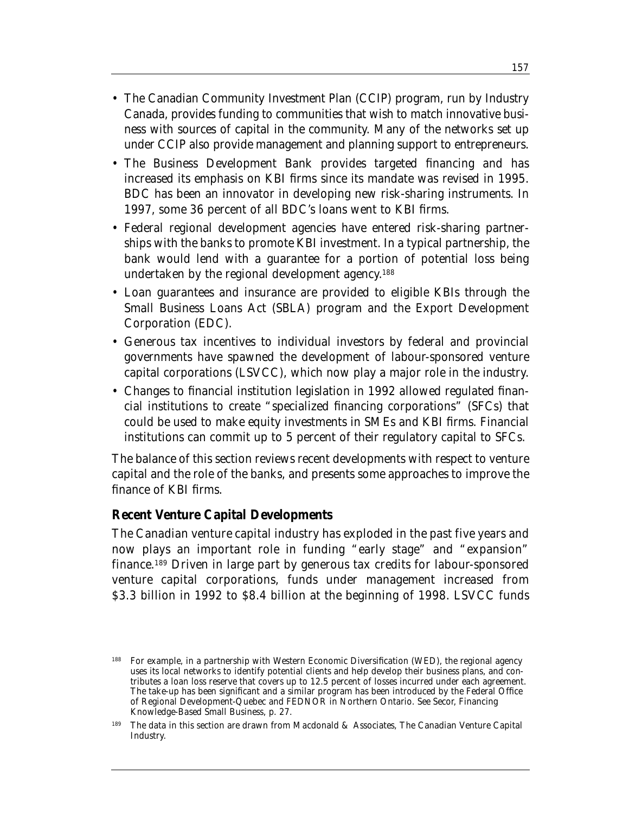- The Canadian Community Investment Plan (CCIP) program, run by Industry Canada, provides funding to communities that wish to match innovative business with sources of capital in the community. Many of the networks set up under CCIP also provide management and planning support to entrepreneurs.
- The Business Development Bank provides targeted financing and has increased its emphasis on KBI firms since its mandate was revised in 1995. BDC has been an innovator in developing new risk-sharing instruments. In 1997, some 36 percent of all BDC's loans went to KBI firms.
- Federal regional development agencies have entered risk-sharing partnerships with the banks to promote KBI investment. In a typical partnership, the bank would lend with a guarantee for a portion of potential loss being undertaken by the regional development agency. 188
- Loan guarantees and insurance are provided to eligible KBIs through the Small Business Loans Act (SBLA) program and the Export Development Corporation (EDC).
- Generous tax incentives to individual investors by federal and provincial governments have spawned the development of labour-sponsored venture capital corporations (LSVCC), which now play a major role in the industry.
- Changes to financial institution legislation in 1992 allowed regulated financial institutions to create "specialized financing corporations" (SFCs) that could be used to make equity investments in SMEs and KBI firms. Financial institutions can commit up to 5 percent of their regulatory capital to SFCs.

The balance of this section reviews recent developments with respect to venture capital and the role of the banks, and presents some approaches to improve the finance of KBI firms.

#### **Recent Venture Capital Developments**

The Canadian venture capital industry has exploded in the past five years and now plays an important role in funding "early stage" and "expansion" finance.189 Driven in large part by generous tax credits for labour-sponsored venture capital corporations, funds under management increased from \$3.3 billion in 1992 to \$8.4 billion at the beginning of 1998. LSVCC funds

<sup>&</sup>lt;sup>188</sup> For example, in a partnership with Western Economic Diversification (WED), the regional agency uses its local networks to identify potential clients and help develop their business plans, and contributes a loan loss reserve that covers up to 12.5 percent of losses incurred under each agreement. The take-up has been significant and a similar program has been introduced by the Federal Office of Regional Development-Quebec and FEDNOR in Northern Ontario. See Secor, *Financing Knowledge-Based Small Business*, p. 27.

<sup>189</sup> The data in this section are drawn from Macdonald & Associates, *The Canadian Venture Capital Industry.*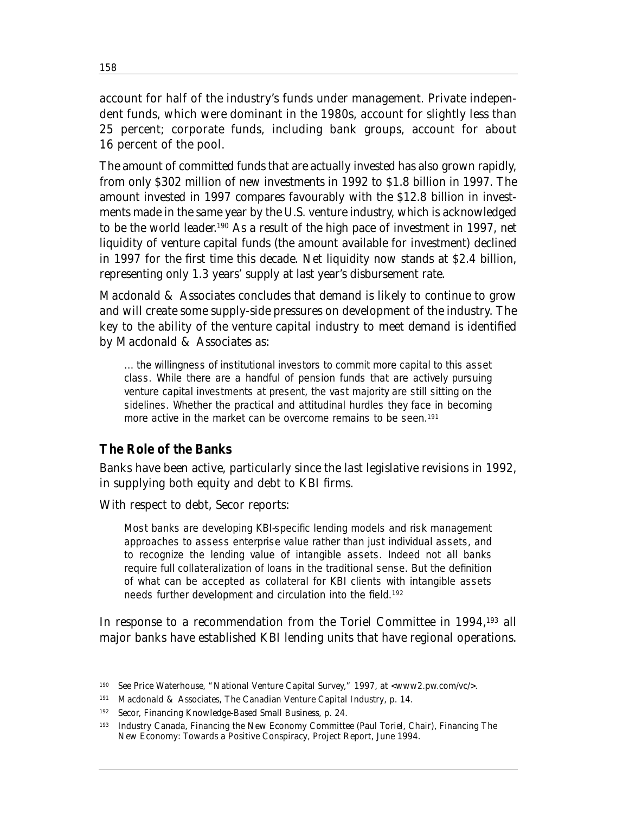account for half of the industry's funds under management. Private independent funds, which were dominant in the 1980s, account for slightly less than 25 percent; corporate funds, including bank groups, account for about 16 percent of the pool.

The amount of committed funds that are actually invested has also grown rapidly, from only \$302 million of new investments in 1992 to \$1.8 billion in 1997. The amount invested in 1997 compares favourably with the \$12.8 billion in investments made in the same year by the U.S. venture industry, which is acknowledged to be the world leader. <sup>190</sup> As a result of the high pace of investment in 1997, net liquidity of venture capital funds (the amount available for investment) declined in 1997 for the first time this decade. Net liquidity now stands at \$2.4 billion, representing only 1.3 years' supply at last year's disbursement rate.

Macdonald & Associates concludes that demand is likely to continue to grow and will create some supply-side pressures on development of the industry. The key to the ability of the venture capital industry to meet demand is identified by Macdonald & Associates as:

... the willingness of institutional investors to commit more capital to this asset class. While there are a handful of pension funds that are actively pursuing venture capital investments at present, the vast majority are still sitting on the sidelines. Whether the practical and attitudinal hurdles they face in becoming more active in the market can be overcome remains to be seen.<sup>191</sup>

#### **The Role of the Banks**

Banks have been active, particularly since the last legislative revisions in 1992, in supplying both equity and debt to KBI firms.

With respect to debt, Secor reports:

Most banks are developing KBI-specific lending models and risk management approaches to assess enterprise value rather than just individual assets, and to recognize the lending value of intangible assets. Indeed not all banks require full collateralization of loans in the traditional sense. But the definition of what can be accepted as collateral for KBI clients with intangible assets needs further development and circulation into the field.192

In response to a recommendation from the Toriel Committee in 1994,193 all major banks have established KBI lending units that have regional operations.

<sup>190</sup> See Price Waterhouse, "National Venture Capital Survey," 1997, at <www2.pw.com/vc/>.

<sup>191</sup> Macdonald & Associates, *The Canadian Venture Capital Industry*, p. 14.

<sup>192</sup> Secor, *Financing Knowledge-Based Small Business*, p. 24.

<sup>193</sup> Industry Canada, Financing the New Economy Committee (Paul Toriel, Chair), *Financing The New Economy: Towards a Positive Conspiracy*, Project Report, June 1994.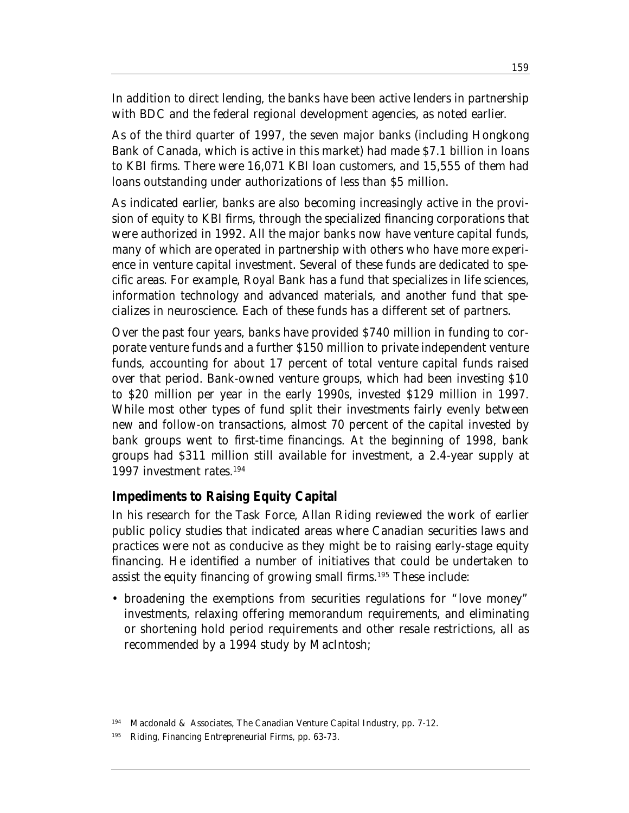In addition to direct lending, the banks have been active lenders in partnership with BDC and the federal regional development agencies, as noted earlier.

As of the third quarter of 1997, the seven major banks (including Hongkong Bank of Canada, which is active in this market) had made \$7.1 billion in loans to KBI firms. There were 16,071 KBI loan customers, and 15,555 of them had loans outstanding under authorizations of less than \$5 million.

As indicated earlier, banks are also becoming increasingly active in the provision of equity to KBI firms, through the specialized financing corporations that were authorized in 1992. All the major banks now have venture capital funds, many of which are operated in partnership with others who have more experience in venture capital investment. Several of these funds are dedicated to specific areas. For example, Royal Bank has a fund that specializes in life sciences, information technology and advanced materials, and another fund that specializes in neuroscience. Each of these funds has a different set of partners.

Over the past four years, banks have provided \$740 million in funding to corporate venture funds and a further \$150 million to private independent venture funds, accounting for about 17 percent of total venture capital funds raised over that period. Bank-owned venture groups, which had been investing \$10 to \$20 million per year in the early 1990s, invested \$129 million in 1997. While most other types of fund split their investments fairly evenly between new and follow-on transactions, almost 70 percent of the capital invested by bank groups went to first-time financings. At the beginning of 1998, bank groups had \$311 million still available for investment, a 2.4-year supply at 1997 investment rates.194

#### **Impediments to Raising Equity Capital**

In his research for the Task Force, Allan Riding reviewed the work of earlier public policy studies that indicated areas where Canadian securities laws and practices were not as conducive as they might be to raising early-stage equity financing. He identified a number of initiatives that could be undertaken to assist the equity financing of growing small firms.195 These include:

• broadening the exemptions from securities regulations for "love money" investments, relaxing offering memorandum requirements, and eliminating or shortening hold period requirements and other resale restrictions, all as recommended by a 1994 study by MacIntosh;

<sup>194</sup> Macdonald & Associates, *The Canadian Venture Capital Industry*, pp. 7-12.

<sup>195</sup> Riding, *Financing Entrepreneurial Firms*, pp. 63-73.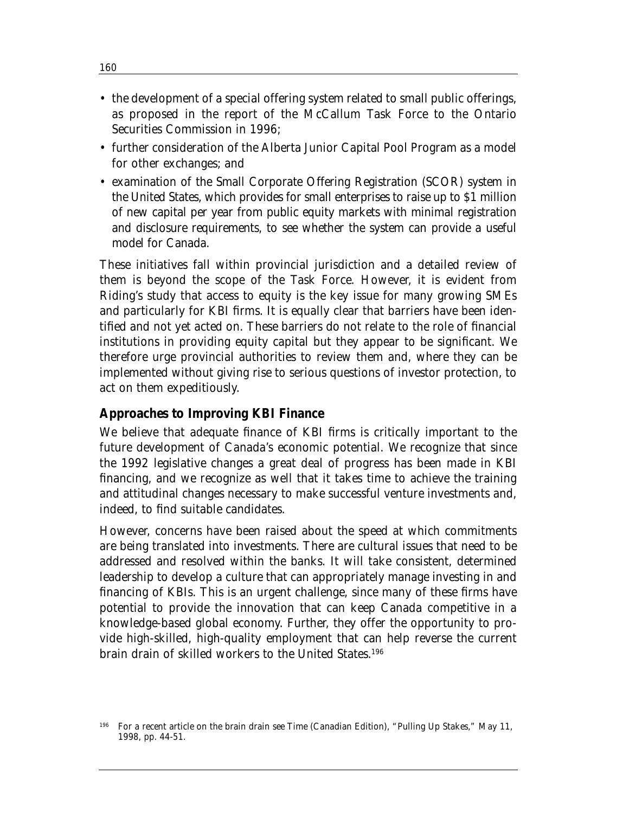- the development of a special offering system related to small public offerings, as proposed in the report of the McCallum Task Force to the Ontario Securities Commission in 1996;
- further consideration of the Alberta Junior Capital Pool Program as a model for other exchanges; and
- examination of the Small Corporate Offering Registration (SCOR) system in the United States, which provides for small enterprises to raise up to \$1 million of new capital per year from public equity markets with minimal registration and disclosure requirements, to see whether the system can provide a useful model for Canada.

These initiatives fall within provincial jurisdiction and a detailed review of them is beyond the scope of the Task Force. However, it is evident from Riding's study that access to equity is the key issue for many growing SMEs and particularly for KBI firms. It is equally clear that barriers have been identified and not yet acted on. These barriers do not relate to the role of financial institutions in providing equity capital but they appear to be significant. We therefore urge provincial authorities to review them and, where they can be implemented without giving rise to serious questions of investor protection, to act on them expeditiously.

#### **Approaches to Improving KBI Finance**

We believe that adequate finance of KBI firms is critically important to the future development of Canada's economic potential. We recognize that since the 1992 legislative changes a great deal of progress has been made in KBI financing, and we recognize as well that it takes time to achieve the training and attitudinal changes necessary to make successful venture investments and, indeed, to find suitable candidates.

However, concerns have been raised about the speed at which commitments are being translated into investments. There are cultural issues that need to be addressed and resolved within the banks. It will take consistent, determined leadership to develop a culture that can appropriately manage investing in and financing of KBIs. This is an urgent challenge, since many of these firms have potential to provide the innovation that can keep Canada competitive in a knowledge-based global economy. Further, they offer the opportunity to provide high-skilled, high-quality employment that can help reverse the current brain drain of skilled workers to the United States.196

<sup>196</sup> For a recent article on the brain drain see *Time* (Canadian Edition), "Pulling Up Stakes," May 11, 1998, pp. 44-51.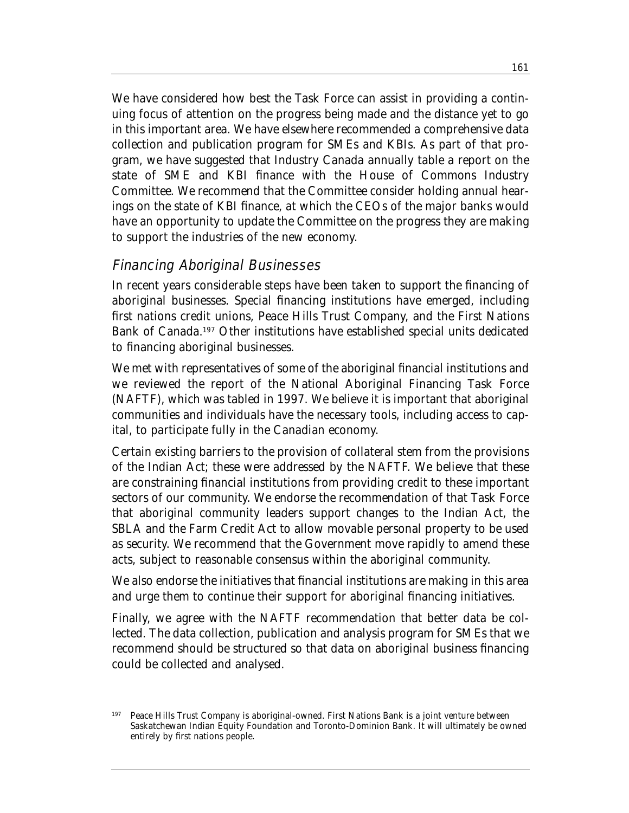We have considered how best the Task Force can assist in providing a continuing focus of attention on the progress being made and the distance yet to go in this important area. We have elsewhere recommended a comprehensive data collection and publication program for SMEs and KBIs. As part of that program, we have suggested that Industry Canada annually table a report on the state of SME and KBI finance with the House of Commons Industry Committee. We recommend that the Committee consider holding annual hearings on the state of KBI finance, at which the CEOs of the major banks would have an opportunity to update the Committee on the progress they are making to support the industries of the new economy.

### Financing Aboriginal Businesses

In recent years considerable steps have been taken to support the financing of aboriginal businesses. Special financing institutions have emerged, including first nations credit unions, Peace Hills Trust Company, and the First Nations Bank of Canada.197 Other institutions have established special units dedicated to financing aboriginal businesses.

We met with representatives of some of the aboriginal financial institutions and we reviewed the report of the National Aboriginal Financing Task Force (NAFTF), which was tabled in 1997. We believe it is important that aboriginal communities and individuals have the necessary tools, including access to capital, to participate fully in the Canadian economy.

Certain existing barriers to the provision of collateral stem from the provisions of the Indian Act; these were addressed by the NAFTF. We believe that these are constraining financial institutions from providing credit to these important sectors of our community. We endorse the recommendation of that Task Force that aboriginal community leaders support changes to the Indian Act, the SBLA and the Farm Credit Act to allow movable personal property to be used as security. We recommend that the Government move rapidly to amend these acts, subject to reasonable consensus within the aboriginal community.

We also endorse the initiatives that financial institutions are making in this area and urge them to continue their support for aboriginal financing initiatives.

Finally, we agree with the NAFTF recommendation that better data be collected. The data collection, publication and analysis program for SMEs that we recommend should be structured so that data on aboriginal business financing could be collected and analysed.

Peace Hills Trust Company is aboriginal-owned. First Nations Bank is a joint venture between Saskatchewan Indian Equity Foundation and Toronto-Dominion Bank. It will ultimately be owned entirely by first nations people.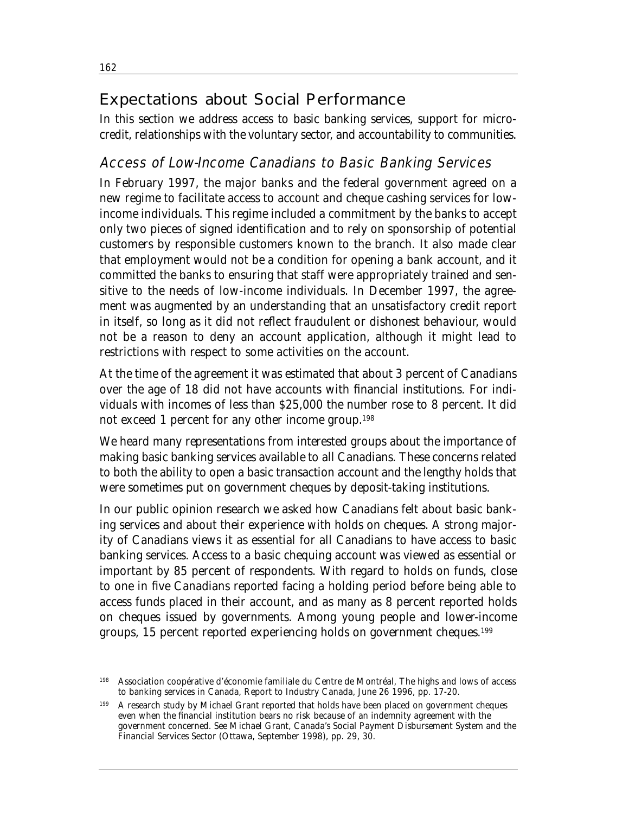# Expectations about Social Performance

In this section we address access to basic banking services, support for microcredit, relationships with the voluntary sector, and accountability to communities.

## Access of Low-Income Canadians to Basic Banking Services

In February 1997, the major banks and the federal government agreed on a new regime to facilitate access to account and cheque cashing services for lowincome individuals. This regime included a commitment by the banks to accept only two pieces of signed identification and to rely on sponsorship of potential customers by responsible customers known to the branch. It also made clear that employment would not be a condition for opening a bank account, and it committed the banks to ensuring that staff were appropriately trained and sensitive to the needs of low-income individuals. In December 1997, the agreement was augmented by an understanding that an unsatisfactory credit report in itself, so long as it did not reflect fraudulent or dishonest behaviour, would not be a reason to deny an account application, although it might lead to restrictions with respect to some activities on the account.

At the time of the agreement it was estimated that about 3 percent of Canadians over the age of 18 did not have accounts with financial institutions. For individuals with incomes of less than \$25,000 the number rose to 8 percent. It did not exceed 1 percent for any other income group.198

We heard many representations from interested groups about the importance of making basic banking services available to all Canadians. These concerns related to both the ability to open a basic transaction account and the lengthy holds that were sometimes put on government cheques by deposit-taking institutions.

In our public opinion research we asked how Canadians felt about basic banking services and about their experience with holds on cheques. A strong majority of Canadians views it as essential for all Canadians to have access to basic banking services. Access to a basic chequing account was viewed as essential or important by 85 percent of respondents. With regard to holds on funds, close to one in five Canadians reported facing a holding period before being able to access funds placed in their account, and as many as 8 percent reported holds on cheques issued by governments. Among young people and lower-income groups, 15 percent reported experiencing holds on government cheques.199

<sup>198</sup> Association coopérative d'économie familiale du Centre de Montréal, *The highs and lows of access to banking services in Canada*, Report to Industry Canada, June 26 1996, pp. 17-20.

<sup>199</sup> A research study by Michael Grant reported that holds have been placed on government cheques even when the financial institution bears no risk because of an indemnity agreement with the government concerned. See Michael Grant, *Canada's Social Payment Disbursement System and the Financial Services Sector* (Ottawa, September 1998), pp. 29, 30.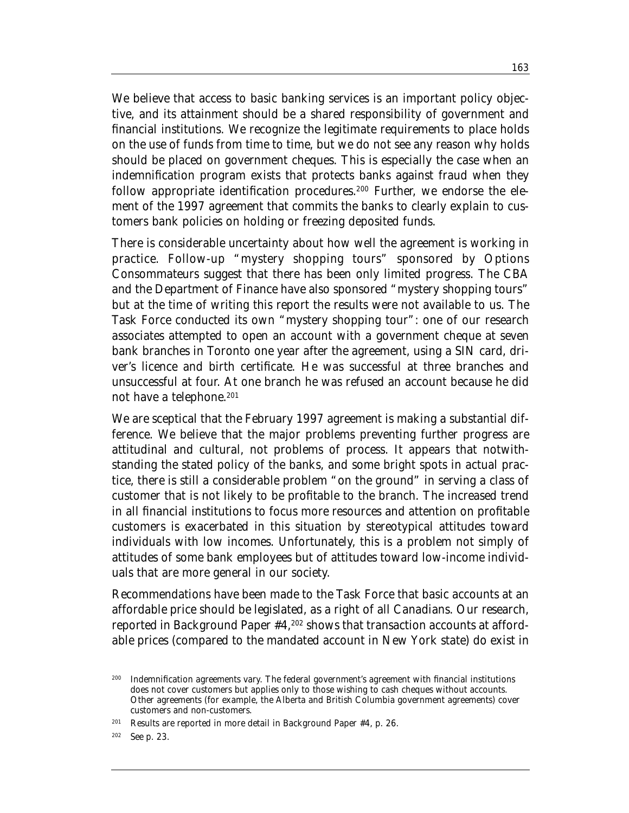We believe that access to basic banking services is an important policy objective, and its attainment should be a shared responsibility of government and financial institutions. We recognize the legitimate requirements to place holds on the use of funds from time to time, but we do not see any reason why holds should be placed on government cheques. This is especially the case when an indemnification program exists that protects banks against fraud when they follow appropriate identification procedures.<sup>200</sup> Further, we endorse the element of the 1997 agreement that commits the banks to clearly explain to customers bank policies on holding or freezing deposited funds.

There is considerable uncertainty about how well the agreement is working in practice. Follow-up "mystery shopping tours" sponsored by Options Consommateurs suggest that there has been only limited progress. The CBA and the Department of Finance have also sponsored "mystery shopping tours" but at the time of writing this report the results were not available to us. The Task Force conducted its own "mystery shopping tour": one of our research associates attempted to open an account with a government cheque at seven bank branches in Toronto one year after the agreement, using a SIN card, driver's licence and birth certificate. He was successful at three branches and unsuccessful at four. At one branch he was refused an account because he did not have a telephone.<sup>201</sup>

We are sceptical that the February 1997 agreement is making a substantial difference. We believe that the major problems preventing further progress are attitudinal and cultural, not problems of process. It appears that notwithstanding the stated policy of the banks, and some bright spots in actual practice, there is still a considerable problem "on the ground" in serving a class of customer that is not likely to be profitable to the branch. The increased trend in all financial institutions to focus more resources and attention on profitable customers is exacerbated in this situation by stereotypical attitudes toward individuals with low incomes. Unfortunately, this is a problem not simply of attitudes of some bank employees but of attitudes toward low-income individuals that are more general in our society.

Recommendations have been made to the Task Force that basic accounts at an affordable price should be legislated, as a right of all Canadians. Our research, reported in Background Paper #4,202 shows that transaction accounts at affordable prices (compared to the mandated account in New York state) do exist in

<sup>200</sup> Indemnification agreements vary. The federal government's agreement with financial institutions does not cover customers but applies only to those wishing to cash cheques without accounts. Other agreements (for example, the Alberta and British Columbia government agreements) cover customers and non-customers.

<sup>201</sup> Results are reported in more detail in Background Paper #4, p. 26.

<sup>202</sup> See p. 23.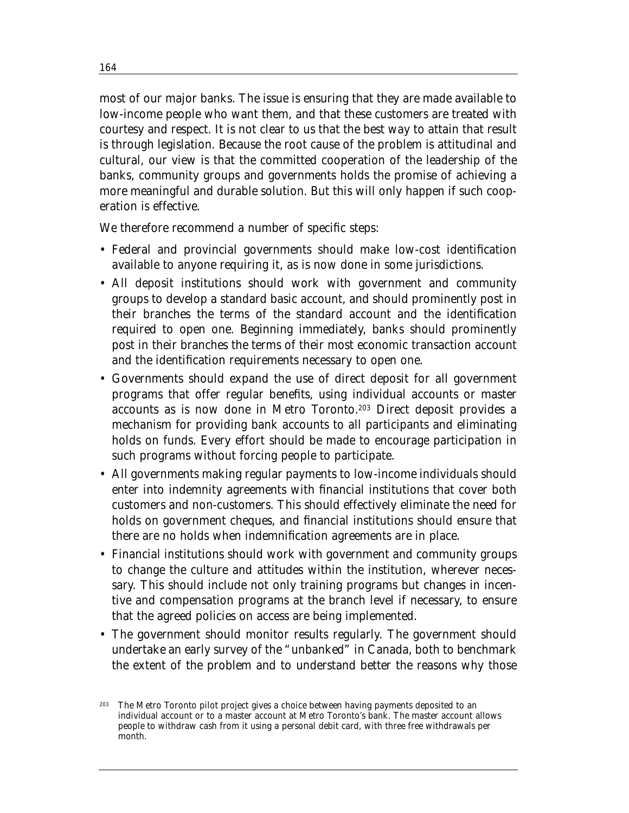most of our major banks. The issue is ensuring that they are made available to low-income people who want them, and that these customers are treated with courtesy and respect. It is not clear to us that the best way to attain that result is through legislation. Because the root cause of the problem is attitudinal and cultural, our view is that the committed cooperation of the leadership of the banks, community groups and governments holds the promise of achieving a more meaningful and durable solution. But this will only happen if such cooperation is effective.

We therefore recommend a number of specific steps:

- Federal and provincial governments should make low-cost identification available to anyone requiring it, as is now done in some jurisdictions.
- All deposit institutions should work with government and community groups to develop a standard basic account, and should prominently post in their branches the terms of the standard account and the identification required to open one. Beginning immediately, banks should prominently post in their branches the terms of their most economic transaction account and the identification requirements necessary to open one.
- Governments should expand the use of direct deposit for all government programs that offer regular benefits, using individual accounts or master accounts as is now done in Metro Toronto.203 Direct deposit provides a mechanism for providing bank accounts to all participants and eliminating holds on funds. Every effort should be made to encourage participation in such programs without forcing people to participate.
- All governments making regular payments to low-income individuals should enter into indemnity agreements with financial institutions that cover both customers and non-customers. This should effectively eliminate the need for holds on government cheques, and financial institutions should ensure that there are no holds when indemnification agreements are in place.
- Financial institutions should work with government and community groups to change the culture and attitudes within the institution, wherever necessary. This should include not only training programs but changes in incentive and compensation programs at the branch level if necessary, to ensure that the agreed policies on access are being implemented.
- The government should monitor results regularly. The government should undertake an early survey of the "unbanked" in Canada, both to benchmark the extent of the problem and to understand better the reasons why those

The Metro Toronto pilot project gives a choice between having payments deposited to an individual account or to a master account at Metro Toronto's bank. The master account allows people to withdraw cash from it using a personal debit card, with three free withdrawals per month.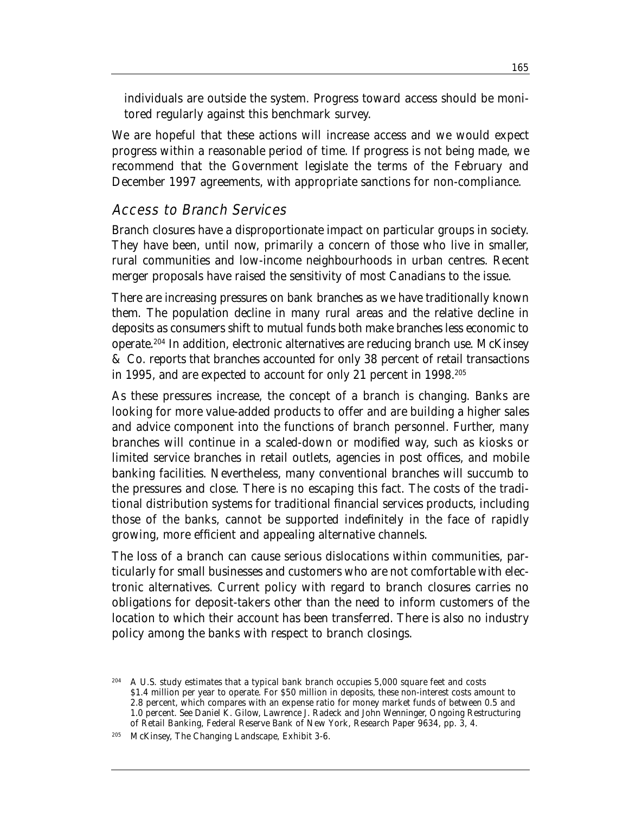individuals are outside the system. Progress toward access should be monitored regularly against this benchmark survey.

We are hopeful that these actions will increase access and we would expect progress within a reasonable period of time. If progress is not being made, we recommend that the Government legislate the terms of the February and December 1997 agreements, with appropriate sanctions for non-compliance.

## Access to Branch Services

Branch closures have a disproportionate impact on particular groups in society. They have been, until now, primarily a concern of those who live in smaller, rural communities and low-income neighbourhoods in urban centres. Recent merger proposals have raised the sensitivity of most Canadians to the issue.

There are increasing pressures on bank branches as we have traditionally known them. The population decline in many rural areas and the relative decline in deposits as consumers shift to mutual funds both make branches less economic to operate.204 In addition, electronic alternatives are reducing branch use. McKinsey & Co. reports that branches accounted for only 38 percent of retail transactions in 1995, and are expected to account for only 21 percent in 1998.205

As these pressures increase, the concept of a branch is changing. Banks are looking for more value-added products to offer and are building a higher sales and advice component into the functions of branch personnel. Further, many branches will continue in a scaled-down or modified way, such as kiosks or limited service branches in retail outlets, agencies in post offices, and mobile banking facilities. Nevertheless, many conventional branches will succumb to the pressures and close. There is no escaping this fact. The costs of the traditional distribution systems for traditional financial services products, including those of the banks, cannot be supported indefinitely in the face of rapidly growing, more efficient and appealing alternative channels.

The loss of a branch can cause serious dislocations within communities, particularly for small businesses and customers who are not comfortable with electronic alternatives. Current policy with regard to branch closures carries no obligations for deposit-takers other than the need to inform customers of the location to which their account has been transferred. There is also no industry policy among the banks with respect to branch closings.

<sup>&</sup>lt;sup>204</sup> A U.S. study estimates that a typical bank branch occupies 5,000 square feet and costs \$1.4 million per year to operate. For \$50 million in deposits, these non-interest costs amount to 2.8 percent, which compares with an expense ratio for money market funds of between 0.5 and 1.0 percent. See Daniel K. Gilow, Lawrence J. Radeck and John Wenninger, *Ongoing Restructuring of Retail Banking*, Federal Reserve Bank of New York, Research Paper 9634, pp. 3, 4.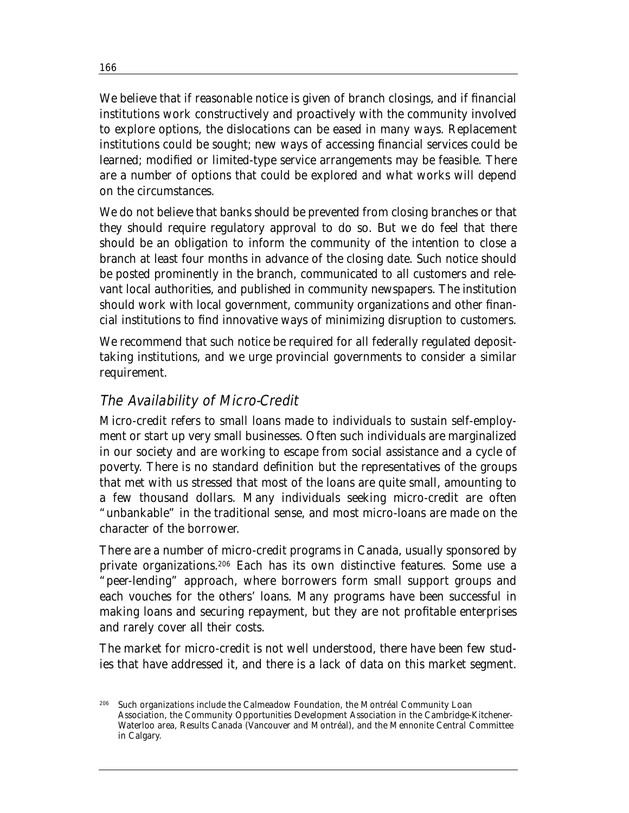We believe that if reasonable notice is given of branch closings, and if financial institutions work constructively and proactively with the community involved to explore options, the dislocations can be eased in many ways. Replacement institutions could be sought; new ways of accessing financial services could be learned; modified or limited-type service arrangements may be feasible. There are a number of options that could be explored and what works will depend on the circumstances.

We do not believe that banks should be prevented from closing branches or that they should require regulatory approval to do so. But we do feel that there should be an obligation to inform the community of the intention to close a branch at least four months in advance of the closing date. Such notice should be posted prominently in the branch, communicated to all customers and relevant local authorities, and published in community newspapers. The institution should work with local government, community organizations and other financial institutions to find innovative ways of minimizing disruption to customers.

We recommend that such notice be required for all federally regulated deposittaking institutions, and we urge provincial governments to consider a similar requirement.

## The Availability of Micro-Credit

Micro-credit refers to small loans made to individuals to sustain self-employment or start up very small businesses. Often such individuals are marginalized in our society and are working to escape from social assistance and a cycle of poverty. There is no standard definition but the representatives of the groups that met with us stressed that most of the loans are quite small, amounting to a few thousand dollars. Many individuals seeking micro-credit are often "unbankable" in the traditional sense, and most micro-loans are made on the character of the borrower.

There are a number of micro-credit programs in Canada, usually sponsored by private organizations.206 Each has its own distinctive features. Some use a "peer-lending" approach, where borrowers form small support groups and each vouches for the others' loans. Many programs have been successful in making loans and securing repayment, but they are not profitable enterprises and rarely cover all their costs.

The market for micro-credit is not well understood, there have been few studies that have addressed it, and there is a lack of data on this market segment.

<sup>206</sup> Such organizations include the Calmeadow Foundation, the Montréal Community Loan Association, the Community Opportunities Development Association in the Cambridge-Kitchener-Waterloo area, Results Canada (Vancouver and Montréal), and the Mennonite Central Committee in Calgary.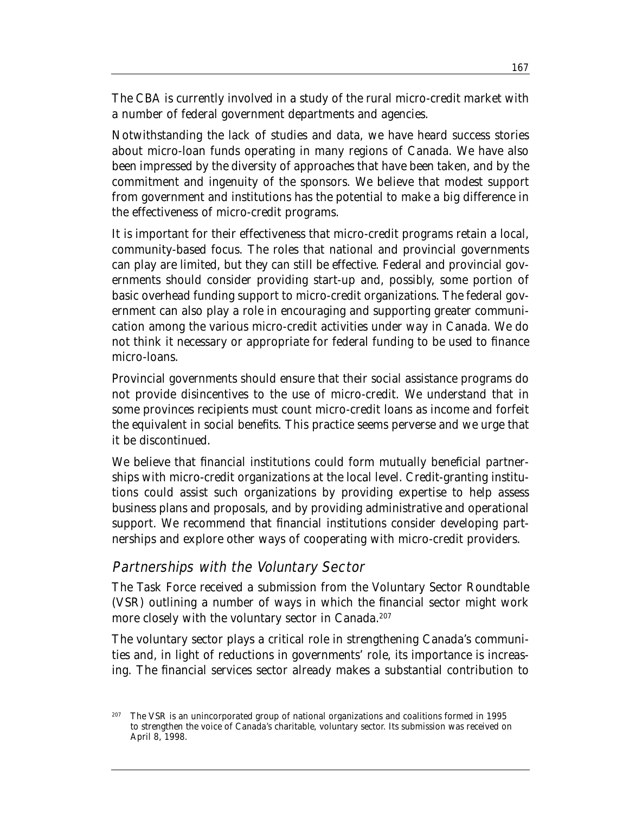The CBA is currently involved in a study of the rural micro-credit market with a number of federal government departments and agencies.

Notwithstanding the lack of studies and data, we have heard success stories about micro-loan funds operating in many regions of Canada. We have also been impressed by the diversity of approaches that have been taken, and by the commitment and ingenuity of the sponsors. We believe that modest support from government and institutions has the potential to make a big difference in the effectiveness of micro-credit programs.

It is important for their effectiveness that micro-credit programs retain a local, community-based focus. The roles that national and provincial governments can play are limited, but they can still be effective. Federal and provincial governments should consider providing start-up and, possibly, some portion of basic overhead funding support to micro-credit organizations. The federal government can also play a role in encouraging and supporting greater communication among the various micro-credit activities under way in Canada. We do not think it necessary or appropriate for federal funding to be used to finance micro-loans.

Provincial governments should ensure that their social assistance programs do not provide disincentives to the use of micro-credit. We understand that in some provinces recipients must count micro-credit loans as income and forfeit the equivalent in social benefits. This practice seems perverse and we urge that it be discontinued.

We believe that financial institutions could form mutually beneficial partnerships with micro-credit organizations at the local level. Credit-granting institutions could assist such organizations by providing expertise to help assess business plans and proposals, and by providing administrative and operational support. We recommend that financial institutions consider developing partnerships and explore other ways of cooperating with micro-credit providers.

#### Partnerships with the Voluntary Sector

The Task Force received a submission from the Voluntary Sector Roundtable (VSR) outlining a number of ways in which the financial sector might work more closely with the voluntary sector in Canada.<sup>207</sup>

The voluntary sector plays a critical role in strengthening Canada's communities and, in light of reductions in governments' role, its importance is increasing. The financial services sector already makes a substantial contribution to

<sup>207</sup> The VSR is an unincorporated group of national organizations and coalitions formed in 1995 to strengthen the voice of Canada's charitable, voluntary sector. Its submission was received on April 8, 1998.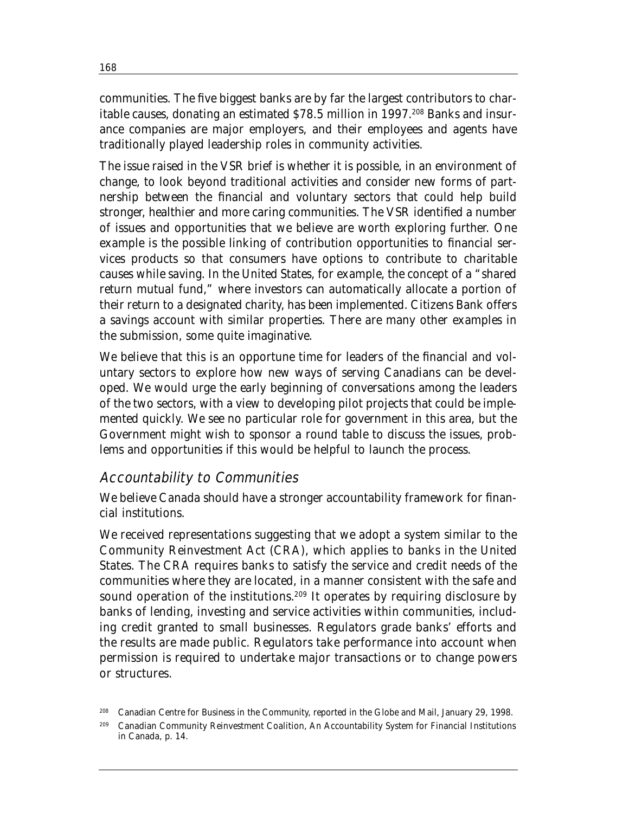communities. The five biggest banks are by far the largest contributors to charitable causes, donating an estimated \$78.5 million in 1997.208 Banks and insurance companies are major employers, and their employees and agents have traditionally played leadership roles in community activities.

The issue raised in the VSR brief is whether it is possible, in an environment of change, to look beyond traditional activities and consider new forms of partnership between the financial and voluntary sectors that could help build stronger, healthier and more caring communities. The VSR identified a number of issues and opportunities that we believe are worth exploring further. One example is the possible linking of contribution opportunities to financial services products so that consumers have options to contribute to charitable causes while saving. In the United States, for example, the concept of a "shared return mutual fund," where investors can automatically allocate a portion of their return to a designated charity, has been implemented. Citizens Bank offers a savings account with similar properties. There are many other examples in the submission, some quite imaginative.

We believe that this is an opportune time for leaders of the financial and voluntary sectors to explore how new ways of serving Canadians can be developed. We would urge the early beginning of conversations among the leaders of the two sectors, with a view to developing pilot projects that could be implemented quickly. We see no particular role for government in this area, but the Government might wish to sponsor a round table to discuss the issues, problems and opportunities if this would be helpful to launch the process.

## Accountability to Communities

We believe Canada should have a stronger accountability framework for financial institutions.

We received representations suggesting that we adopt a system similar to the Community Reinvestment Act (CRA), which applies to banks in the United States. The CRA requires banks to satisfy the service and credit needs of the communities where they are located, in a manner consistent with the safe and sound operation of the institutions.<sup>209</sup> It operates by requiring disclosure by banks of lending, investing and service activities within communities, including credit granted to small businesses. Regulators grade banks' efforts and the results are made public. Regulators take performance into account when permission is required to undertake major transactions or to change powers or structures.

<sup>208</sup> Canadian Centre for Business in the Community, reported in the *Globe and Mail*, January 29, 1998.

<sup>209</sup> Canadian Community Reinvestment Coalition, *An Accountability System for Financial Institutions in Canada*, p. 14.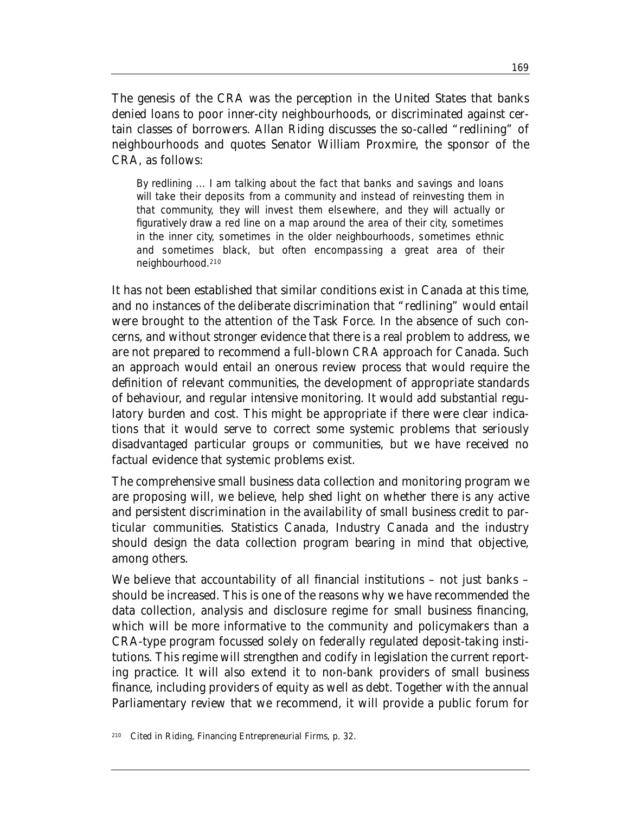The genesis of the CRA was the perception in the United States that banks denied loans to poor inner-city neighbourhoods, or discriminated against certain classes of borrowers. Allan Riding discusses the so-called "redlining" of neighbourhoods and quotes Senator William Proxmire, the sponsor of the CRA, as follows:

By redlining ... I am talking about the fact that banks and savings and loans will take their deposits from a community and instead of reinvesting them in that community, they will invest them elsewhere, and they will actually or figuratively draw a red line on a map around the area of their city, sometimes in the inner city, sometimes in the older neighbourhoods, sometimes ethnic and sometimes black, but often encompassing a great area of their neighbourhood.210

It has not been established that similar conditions exist in Canada at this time, and no instances of the deliberate discrimination that "redlining" would entail were brought to the attention of the Task Force. In the absence of such concerns, and without stronger evidence that there is a real problem to address, we are not prepared to recommend a full-blown CRA approach for Canada. Such an approach would entail an onerous review process that would require the definition of relevant communities, the development of appropriate standards of behaviour, and regular intensive monitoring. It would add substantial regulatory burden and cost. This might be appropriate if there were clear indications that it would serve to correct some systemic problems that seriously disadvantaged particular groups or communities, but we have received no factual evidence that systemic problems exist.

The comprehensive small business data collection and monitoring program we are proposing will, we believe, help shed light on whether there is any active and persistent discrimination in the availability of small business credit to particular communities. Statistics Canada, Industry Canada and the industry should design the data collection program bearing in mind that objective, among others.

We believe that accountability of all financial institutions – not just banks – should be increased. This is one of the reasons why we have recommended the data collection, analysis and disclosure regime for small business financing, which will be more informative to the community and policymakers than a CRA-type program focussed solely on federally regulated deposit-taking institutions. This regime will strengthen and codify in legislation the current reporting practice. It will also extend it to non-bank providers of small business finance, including providers of equity as well as debt. Together with the annual Parliamentary review that we recommend, it will provide a public forum for

<sup>210</sup> Cited in Riding, *Financing Entrepreneurial Firms*, p. 32.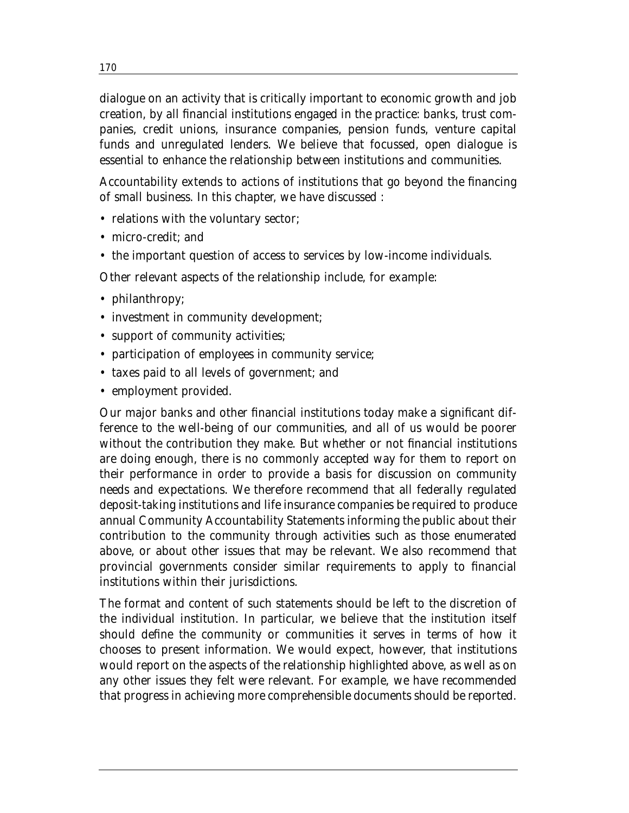dialogue on an activity that is critically important to economic growth and job creation, by all financial institutions engaged in the practice: banks, trust companies, credit unions, insurance companies, pension funds, venture capital funds and unregulated lenders. We believe that focussed, open dialogue is essential to enhance the relationship between institutions and communities.

Accountability extends to actions of institutions that go beyond the financing of small business. In this chapter, we have discussed :

- relations with the voluntary sector;
- micro-credit; and
- the important question of access to services by low-income individuals.

Other relevant aspects of the relationship include, for example:

- philanthropy;
- investment in community development;
- support of community activities;
- participation of employees in community service;
- taxes paid to all levels of government; and
- employment provided.

Our major banks and other financial institutions today make a significant difference to the well-being of our communities, and all of us would be poorer without the contribution they make. But whether or not financial institutions are doing enough, there is no commonly accepted way for them to report on their performance in order to provide a basis for discussion on community needs and expectations. We therefore recommend that all federally regulated deposit-taking institutions and life insurance companies be required to produce annual Community Accountability Statements informing the public about their contribution to the community through activities such as those enumerated above, or about other issues that may be relevant. We also recommend that provincial governments consider similar requirements to apply to financial institutions within their jurisdictions.

The format and content of such statements should be left to the discretion of the individual institution. In particular, we believe that the institution itself should define the community or communities it serves in terms of how it chooses to present information. We would expect, however, that institutions would report on the aspects of the relationship highlighted above, as well as on any other issues they felt were relevant. For example, we have recommended that progress in achieving more comprehensible documents should be reported.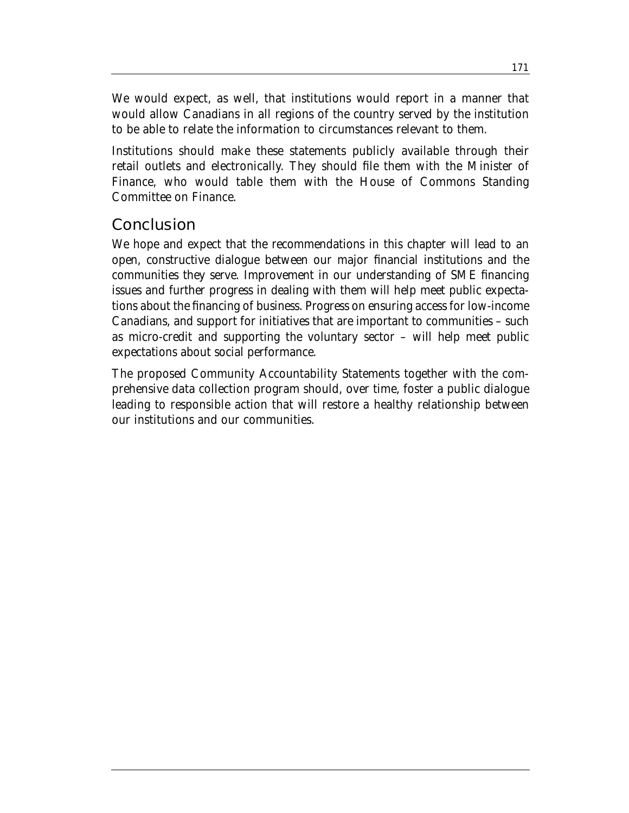We would expect, as well, that institutions would report in a manner that would allow Canadians in all regions of the country served by the institution to be able to relate the information to circumstances relevant to them.

Institutions should make these statements publicly available through their retail outlets and electronically. They should file them with the Minister of Finance, who would table them with the House of Commons Standing Committee on Finance.

# **Conclusion**

We hope and expect that the recommendations in this chapter will lead to an open, constructive dialogue between our major financial institutions and the communities they serve. Improvement in our understanding of SME financing issues and further progress in dealing with them will help meet public expectations about the financing of business. Progress on ensuring access for low-income Canadians, and support for initiatives that are important to communities – such as micro-credit and supporting the voluntary sector – will help meet public expectations about social performance.

The proposed Community Accountability Statements together with the comprehensive data collection program should, over time, foster a public dialogue leading to responsible action that will restore a healthy relationship between our institutions and our communities.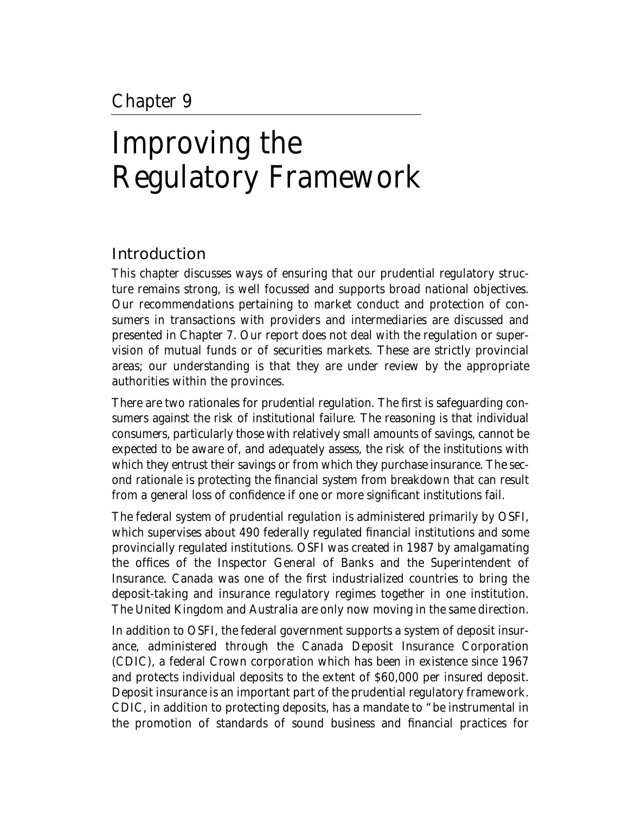# Improving the Regulatory Framework

# Introduction

This chapter discusses ways of ensuring that our prudential regulatory structure remains strong, is well focussed and supports broad national objectives. Our recommendations pertaining to market conduct and protection of consumers in transactions with providers and intermediaries are discussed and presented in Chapter 7. Our report does not deal with the regulation or supervision of mutual funds or of securities markets. These are strictly provincial areas; our understanding is that they are under review by the appropriate authorities within the provinces.

There are two rationales for prudential regulation. The first is safeguarding consumers against the risk of institutional failure. The reasoning is that individual consumers, particularly those with relatively small amounts of savings, cannot be expected to be aware of, and adequately assess, the risk of the institutions with which they entrust their savings or from which they purchase insurance. The second rationale is protecting the financial system from breakdown that can result from a general loss of confidence if one or more significant institutions fail.

The federal system of prudential regulation is administered primarily by OSFI, which supervises about 490 federally regulated financial institutions and some provincially regulated institutions. OSFI was created in 1987 by amalgamating the offices of the Inspector General of Banks and the Superintendent of Insurance. Canada was one of the first industrialized countries to bring the deposit-taking and insurance regulatory regimes together in one institution. The United Kingdom and Australia are only now moving in the same direction.

In addition to OSFI, the federal government supports a system of deposit insurance, administered through the Canada Deposit Insurance Corporation (CDIC), a federal Crown corporation which has been in existence since 1967 and protects individual deposits to the extent of \$60,000 per insured deposit. Deposit insurance is an important part of the prudential regulatory framework. CDIC, in addition to protecting deposits, has a mandate to "be instrumental in the promotion of standards of sound business and financial practices for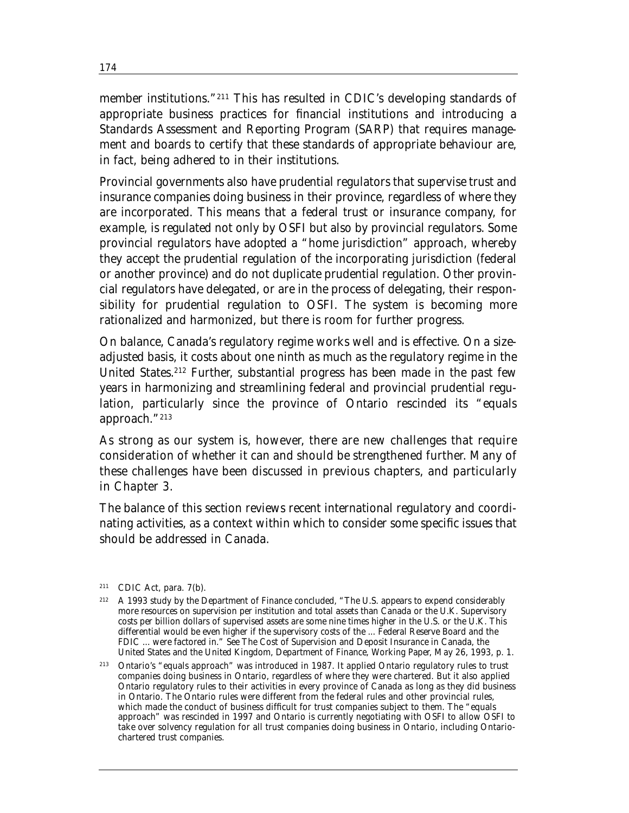member institutions."211 This has resulted in CDIC's developing standards of appropriate business practices for financial institutions and introducing a Standards Assessment and Reporting Program (SARP) that requires management and boards to certify that these standards of appropriate behaviour are, in fact, being adhered to in their institutions.

Provincial governments also have prudential regulators that supervise trust and insurance companies doing business in their province, regardless of where they are incorporated. This means that a federal trust or insurance company, for example, is regulated not only by OSFI but also by provincial regulators. Some provincial regulators have adopted a "home jurisdiction" approach, whereby they accept the prudential regulation of the incorporating jurisdiction (federal or another province) and do not duplicate prudential regulation. Other provincial regulators have delegated, or are in the process of delegating, their responsibility for prudential regulation to OSFI. The system is becoming more rationalized and harmonized, but there is room for further progress.

On balance, Canada's regulatory regime works well and is effective. On a sizeadjusted basis, it costs about one ninth as much as the regulatory regime in the United States.212 Further, substantial progress has been made in the past few years in harmonizing and streamlining federal and provincial prudential regulation, particularly since the province of Ontario rescinded its "equals approach."213

As strong as our system is, however, there are new challenges that require consideration of whether it can and should be strengthened further. Many of these challenges have been discussed in previous chapters, and particularly in Chapter 3.

The balance of this section reviews recent international regulatory and coordinating activities, as a context within which to consider some specific issues that should be addressed in Canada.

<sup>212</sup> A 1993 study by the Department of Finance concluded, "The U.S. appears to expend considerably more resources on supervision per institution and total assets than Canada or the U.K. Supervisory costs per billion dollars of supervised assets are some nine times higher in the U.S. or the U.K. This differential would be even higher if the supervisory costs of the ... Federal Reserve Board and the FDIC ... were factored in." See *The Cost of Supervision and Deposit Insurance in Canada, the United States and the United Kingdom*, Department of Finance, Working Paper, May 26, 1993, p. 1.

213 Ontario's "equals approach" was introduced in 1987. It applied Ontario regulatory rules to trust companies doing business in Ontario, regardless of where they were chartered. But it also applied Ontario regulatory rules to their activities in every province of Canada as long as they did business in Ontario. The Ontario rules were different from the federal rules and other provincial rules, which made the conduct of business difficult for trust companies subject to them. The "equals approach" was rescinded in 1997 and Ontario is currently negotiating with OSFI to allow OSFI to take over solvency regulation for all trust companies doing business in Ontario, including Ontariochartered trust companies.

<sup>211</sup> CDIC Act, para. 7(b).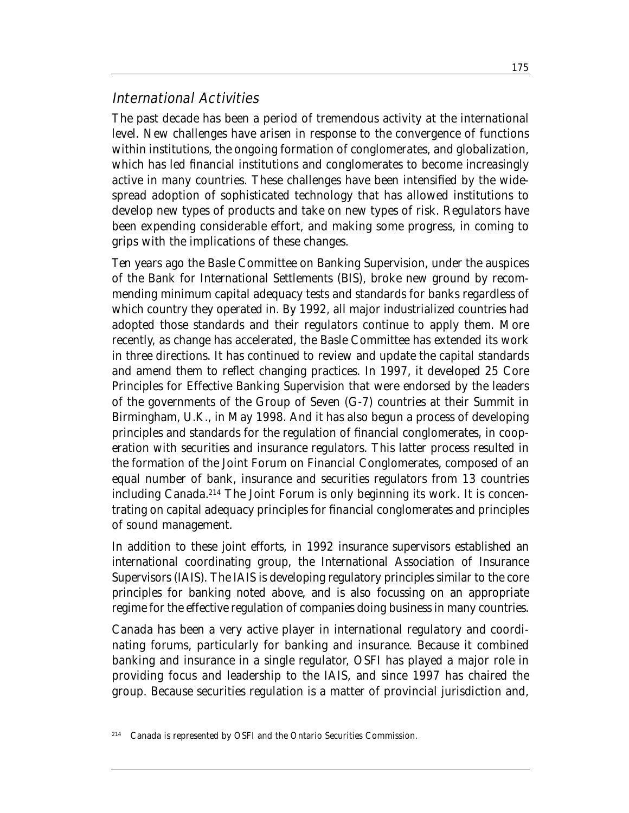## International Activities

The past decade has been a period of tremendous activity at the international level. New challenges have arisen in response to the convergence of functions within institutions, the ongoing formation of conglomerates, and globalization, which has led financial institutions and conglomerates to become increasingly active in many countries. These challenges have been intensified by the widespread adoption of sophisticated technology that has allowed institutions to develop new types of products and take on new types of risk. Regulators have been expending considerable effort, and making some progress, in coming to grips with the implications of these changes.

Ten years ago the Basle Committee on Banking Supervision, under the auspices of the Bank for International Settlements (BIS), broke new ground by recommending minimum capital adequacy tests and standards for banks regardless of which country they operated in. By 1992, all major industrialized countries had adopted those standards and their regulators continue to apply them. More recently, as change has accelerated, the Basle Committee has extended its work in three directions. It has continued to review and update the capital standards and amend them to reflect changing practices. In 1997, it developed 25 Core Principles for Effective Banking Supervision that were endorsed by the leaders of the governments of the Group of Seven (G-7) countries at their Summit in Birmingham, U.K., in May 1998. And it has also begun a process of developing principles and standards for the regulation of financial conglomerates, in cooperation with securities and insurance regulators. This latter process resulted in the formation of the Joint Forum on Financial Conglomerates, composed of an equal number of bank, insurance and securities regulators from 13 countries including Canada.<sup>214</sup> The Joint Forum is only beginning its work. It is concentrating on capital adequacy principles for financial conglomerates and principles of sound management.

In addition to these joint efforts, in 1992 insurance supervisors established an international coordinating group, the International Association of Insurance Supervisors (IAIS). The IAIS is developing regulatory principles similar to the core principles for banking noted above, and is also focussing on an appropriate regime for the effective regulation of companies doing business in many countries.

Canada has been a very active player in international regulatory and coordinating forums, particularly for banking and insurance. Because it combined banking and insurance in a single regulator, OSFI has played a major role in providing focus and leadership to the IAIS, and since 1997 has chaired the group. Because securities regulation is a matter of provincial jurisdiction and,

<sup>214</sup> Canada is represented by OSFI and the Ontario Securities Commission.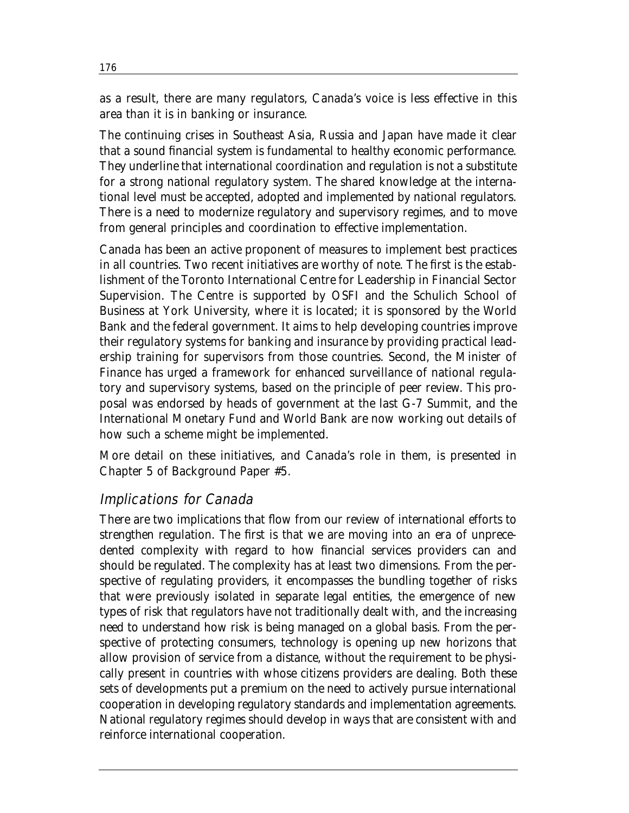as a result, there are many regulators, Canada's voice is less effective in this area than it is in banking or insurance.

The continuing crises in Southeast Asia, Russia and Japan have made it clear that a sound financial system is fundamental to healthy economic performance. They underline that international coordination and regulation is not a substitute for a strong national regulatory system. The shared knowledge at the international level must be accepted, adopted and implemented by national regulators. There is a need to modernize regulatory and supervisory regimes, and to move from general principles and coordination to effective implementation.

Canada has been an active proponent of measures to implement best practices in all countries. Two recent initiatives are worthy of note. The first is the establishment of the Toronto International Centre for Leadership in Financial Sector Supervision. The Centre is supported by OSFI and the Schulich School of Business at York University, where it is located; it is sponsored by the World Bank and the federal government. It aims to help developing countries improve their regulatory systems for banking and insurance by providing practical leadership training for supervisors from those countries. Second, the Minister of Finance has urged a framework for enhanced surveillance of national regulatory and supervisory systems, based on the principle of peer review. This proposal was endorsed by heads of government at the last G-7 Summit, and the International Monetary Fund and World Bank are now working out details of how such a scheme might be implemented.

More detail on these initiatives, and Canada's role in them, is presented in Chapter 5 of Background Paper #5.

### Implications for Canada

There are two implications that flow from our review of international efforts to strengthen regulation. The first is that we are moving into an era of unprecedented complexity with regard to how financial services providers can and should be regulated. The complexity has at least two dimensions. From the perspective of regulating providers, it encompasses the bundling together of risks that were previously isolated in separate legal entities, the emergence of new types of risk that regulators have not traditionally dealt with, and the increasing need to understand how risk is being managed on a global basis. From the perspective of protecting consumers, technology is opening up new horizons that allow provision of service from a distance, without the requirement to be physically present in countries with whose citizens providers are dealing. Both these sets of developments put a premium on the need to actively pursue international cooperation in developing regulatory standards and implementation agreements. National regulatory regimes should develop in ways that are consistent with and reinforce international cooperation.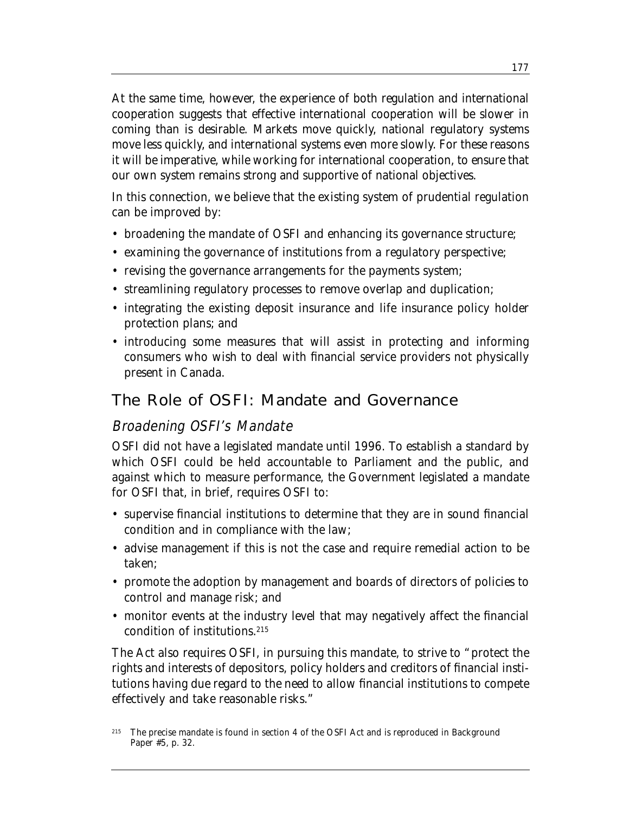At the same time, however, the experience of both regulation and international cooperation suggests that effective international cooperation will be slower in coming than is desirable. Markets move quickly, national regulatory systems move less quickly, and international systems even more slowly. For these reasons it will be imperative, while working for international cooperation, to ensure that our own system remains strong and supportive of national objectives.

In this connection, we believe that the existing system of prudential regulation can be improved by:

- broadening the mandate of OSFI and enhancing its governance structure;
- examining the governance of institutions from a regulatory perspective;
- revising the governance arrangements for the payments system;
- streamlining regulatory processes to remove overlap and duplication;
- integrating the existing deposit insurance and life insurance policy holder protection plans; and
- introducing some measures that will assist in protecting and informing consumers who wish to deal with financial service providers not physically present in Canada.

## The Role of OSFI: Mandate and Governance

### Broadening OSFI's Mandate

OSFI did not have a legislated mandate until 1996. To establish a standard by which OSFI could be held accountable to Parliament and the public, and against which to measure performance, the Government legislated a mandate for OSFI that, in brief, requires OSFI to:

- supervise financial institutions to determine that they are in sound financial condition and in compliance with the law;
- advise management if this is not the case and require remedial action to be taken;
- promote the adoption by management and boards of directors of policies to control and manage risk; and
- monitor events at the industry level that may negatively affect the financial condition of institutions.215

The Act also requires OSFI, in pursuing this mandate, to strive to "protect the rights and interests of depositors, policy holders and creditors of financial institutions having due regard to the need to allow financial institutions to compete effectively and take reasonable risks."

<sup>&</sup>lt;sup>215</sup> The precise mandate is found in section 4 of the OSFI Act and is reproduced in Background Paper #5, p. 32.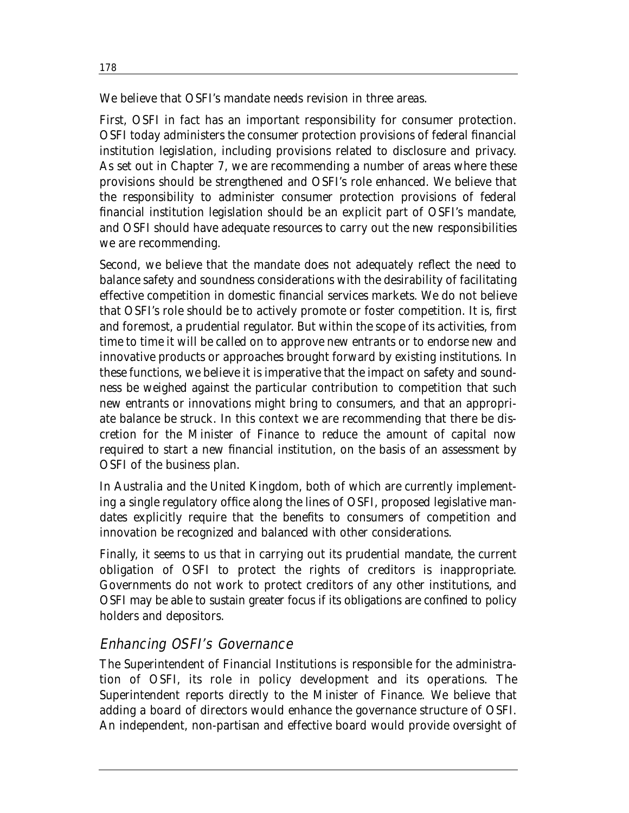We believe that OSFI's mandate needs revision in three areas.

First, OSFI in fact has an important responsibility for consumer protection. OSFI today administers the consumer protection provisions of federal financial institution legislation, including provisions related to disclosure and privacy. As set out in Chapter 7, we are recommending a number of areas where these provisions should be strengthened and OSFI's role enhanced. We believe that the responsibility to administer consumer protection provisions of federal financial institution legislation should be an explicit part of OSFI's mandate, and OSFI should have adequate resources to carry out the new responsibilities we are recommending.

Second, we believe that the mandate does not adequately reflect the need to balance safety and soundness considerations with the desirability of facilitating effective competition in domestic financial services markets. We do not believe that OSFI's role should be to actively promote or foster competition. It is, first and foremost, a prudential regulator. But within the scope of its activities, from time to time it will be called on to approve new entrants or to endorse new and innovative products or approaches brought forward by existing institutions. In these functions, we believe it is imperative that the impact on safety and soundness be weighed against the particular contribution to competition that such new entrants or innovations might bring to consumers, and that an appropriate balance be struck. In this context we are recommending that there be discretion for the Minister of Finance to reduce the amount of capital now required to start a new financial institution, on the basis of an assessment by OSFI of the business plan.

In Australia and the United Kingdom, both of which are currently implementing a single regulatory office along the lines of OSFI, proposed legislative mandates explicitly require that the benefits to consumers of competition and innovation be recognized and balanced with other considerations.

Finally, it seems to us that in carrying out its prudential mandate, the current obligation of OSFI to protect the rights of creditors is inappropriate. Governments do not work to protect creditors of any other institutions, and OSFI may be able to sustain greater focus if its obligations are confined to policy holders and depositors.

# Enhancing OSFI's Governance

The Superintendent of Financial Institutions is responsible for the administration of OSFI, its role in policy development and its operations. The Superintendent reports directly to the Minister of Finance. We believe that adding a board of directors would enhance the governance structure of OSFI. An independent, non-partisan and effective board would provide oversight of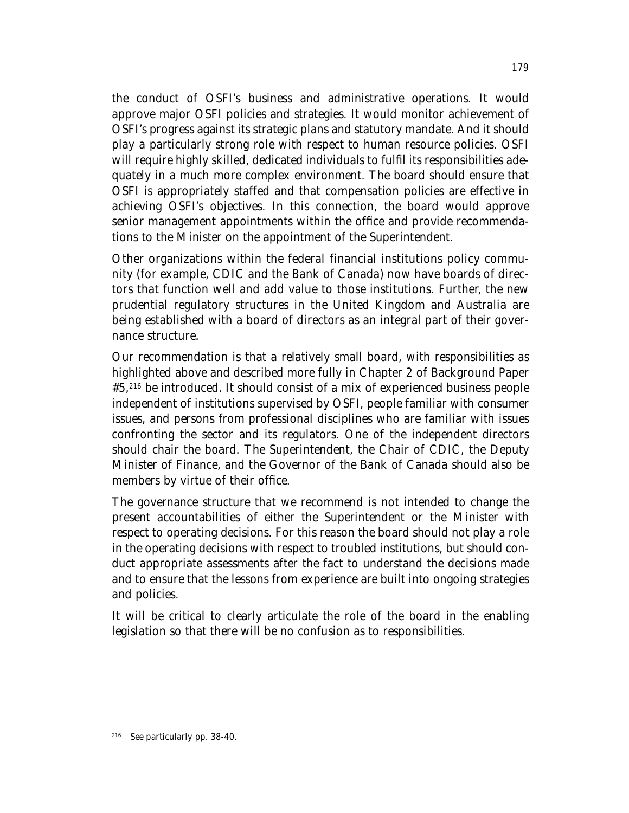the conduct of OSFI's business and administrative operations. It would approve major OSFI policies and strategies. It would monitor achievement of OSFI's progress against its strategic plans and statutory mandate. And it should play a particularly strong role with respect to human resource policies. OSFI will require highly skilled, dedicated individuals to fulfil its responsibilities adequately in a much more complex environment. The board should ensure that OSFI is appropriately staffed and that compensation policies are effective in achieving OSFI's objectives. In this connection, the board would approve senior management appointments within the office and provide recommendations to the Minister on the appointment of the Superintendent.

Other organizations within the federal financial institutions policy community (for example, CDIC and the Bank of Canada) now have boards of directors that function well and add value to those institutions. Further, the new prudential regulatory structures in the United Kingdom and Australia are being established with a board of directors as an integral part of their governance structure.

Our recommendation is that a relatively small board, with responsibilities as highlighted above and described more fully in Chapter 2 of Background Paper #5,216 be introduced. It should consist of a mix of experienced business people independent of institutions supervised by OSFI, people familiar with consumer issues, and persons from professional disciplines who are familiar with issues confronting the sector and its regulators. One of the independent directors should chair the board. The Superintendent, the Chair of CDIC, the Deputy Minister of Finance, and the Governor of the Bank of Canada should also be members by virtue of their office.

The governance structure that we recommend is not intended to change the present accountabilities of either the Superintendent or the Minister with respect to operating decisions. For this reason the board should not play a role in the operating decisions with respect to troubled institutions, but should conduct appropriate assessments after the fact to understand the decisions made and to ensure that the lessons from experience are built into ongoing strategies and policies.

It will be critical to clearly articulate the role of the board in the enabling legislation so that there will be no confusion as to responsibilities.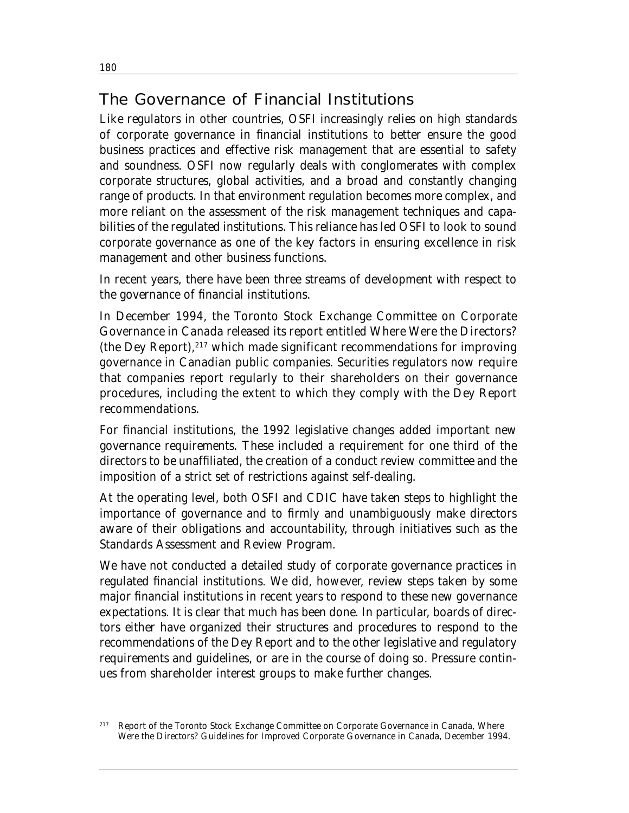# The Governance of Financial Institutions

Like regulators in other countries, OSFI increasingly relies on high standards of corporate governance in financial institutions to better ensure the good business practices and effective risk management that are essential to safety and soundness. OSFI now regularly deals with conglomerates with complex corporate structures, global activities, and a broad and constantly changing range of products. In that environment regulation becomes more complex, and more reliant on the assessment of the risk management techniques and capabilities of the regulated institutions. This reliance has led OSFI to look to sound corporate governance as one of the key factors in ensuring excellence in risk management and other business functions.

In recent years, there have been three streams of development with respect to the governance of financial institutions.

In December 1994, the Toronto Stock Exchange Committee on Corporate Governance in Canada released its report entitled *Where Were the Directors?* (the Dey Report), $217$  which made significant recommendations for improving governance in Canadian public companies. Securities regulators now require that companies report regularly to their shareholders on their governance procedures, including the extent to which they comply with the Dey Report recommendations.

For financial institutions, the 1992 legislative changes added important new governance requirements. These included a requirement for one third of the directors to be unaffiliated, the creation of a conduct review committee and the imposition of a strict set of restrictions against self-dealing.

At the operating level, both OSFI and CDIC have taken steps to highlight the importance of governance and to firmly and unambiguously make directors aware of their obligations and accountability, through initiatives such as the Standards Assessment and Review Program.

We have not conducted a detailed study of corporate governance practices in regulated financial institutions. We did, however, review steps taken by some major financial institutions in recent years to respond to these new governance expectations. It is clear that much has been done. In particular, boards of directors either have organized their structures and procedures to respond to the recommendations of the Dey Report and to the other legislative and regulatory requirements and guidelines, or are in the course of doing so. Pressure continues from shareholder interest groups to make further changes.

<sup>217</sup> Report of the Toronto Stock Exchange Committee on Corporate Governance in Canada, *Where Were the Directors? Guidelines for Improved Corporate Governance in Canada*, December 1994.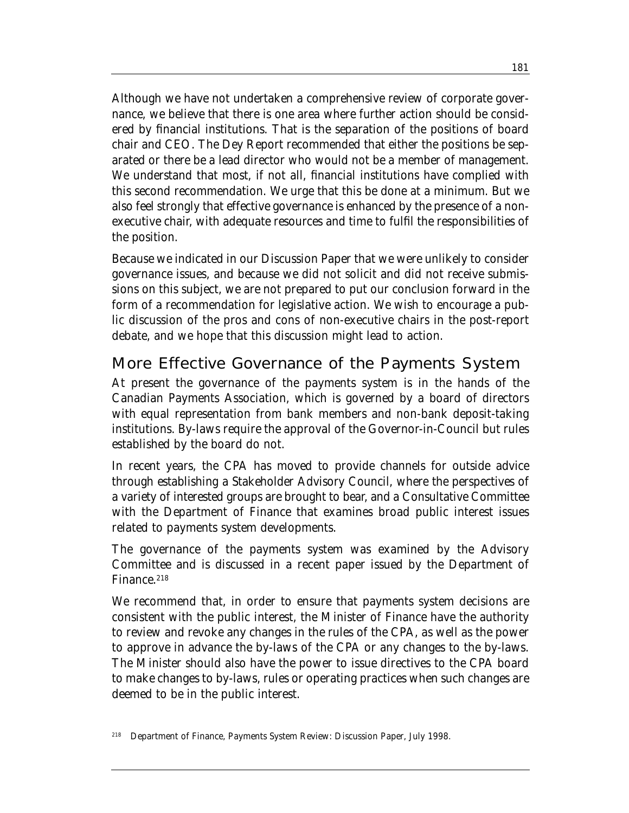Although we have not undertaken a comprehensive review of corporate governance, we believe that there is one area where further action should be considered by financial institutions. That is the separation of the positions of board chair and CEO. The Dey Report recommended that either the positions be separated or there be a lead director who would not be a member of management. We understand that most, if not all, financial institutions have complied with this second recommendation. We urge that this be done at a minimum. But we also feel strongly that effective governance is enhanced by the presence of a nonexecutive chair, with adequate resources and time to fulfil the responsibilities of the position.

Because we indicated in our Discussion Paper that we were unlikely to consider governance issues, and because we did not solicit and did not receive submissions on this subject, we are not prepared to put our conclusion forward in the form of a recommendation for legislative action. We wish to encourage a public discussion of the pros and cons of non-executive chairs in the post-report debate, and we hope that this discussion might lead to action.

## More Effective Governance of the Payments System

At present the governance of the payments system is in the hands of the Canadian Payments Association, which is governed by a board of directors with equal representation from bank members and non-bank deposit-taking institutions. By-laws require the approval of the Governor-in-Council but rules established by the board do not.

In recent years, the CPA has moved to provide channels for outside advice through establishing a Stakeholder Advisory Council, where the perspectives of a variety of interested groups are brought to bear, and a Consultative Committee with the Department of Finance that examines broad public interest issues related to payments system developments.

The governance of the payments system was examined by the Advisory Committee and is discussed in a recent paper issued by the Department of Finance.<sup>218</sup>

We recommend that, in order to ensure that payments system decisions are consistent with the public interest, the Minister of Finance have the authority to review and revoke any changes in the rules of the CPA, as well as the power to approve in advance the by-laws of the CPA or any changes to the by-laws. The Minister should also have the power to issue directives to the CPA board to make changes to by-laws, rules or operating practices when such changes are deemed to be in the public interest.

<sup>218</sup> Department of Finance, *Payments System Review: Discussion Paper*, July 1998.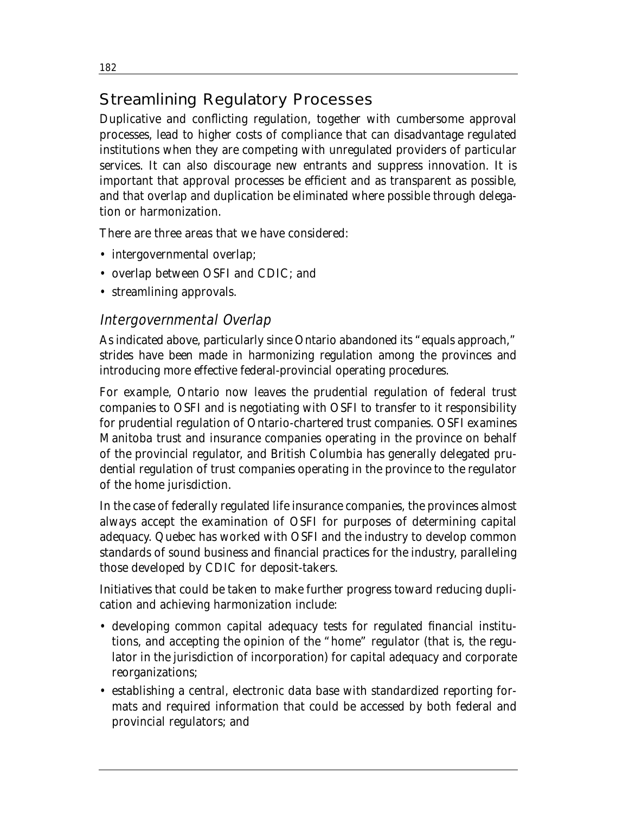# Streamlining Regulatory Processes

Duplicative and conflicting regulation, together with cumbersome approval processes, lead to higher costs of compliance that can disadvantage regulated institutions when they are competing with unregulated providers of particular services. It can also discourage new entrants and suppress innovation. It is important that approval processes be efficient and as transparent as possible, and that overlap and duplication be eliminated where possible through delegation or harmonization.

There are three areas that we have considered:

- intergovernmental overlap;
- overlap between OSFI and CDIC; and
- streamlining approvals.

## Intergovernmental Overlap

As indicated above, particularly since Ontario abandoned its "equals approach," strides have been made in harmonizing regulation among the provinces and introducing more effective federal-provincial operating procedures.

For example, Ontario now leaves the prudential regulation of federal trust companies to OSFI and is negotiating with OSFI to transfer to it responsibility for prudential regulation of Ontario-chartered trust companies. OSFI examines Manitoba trust and insurance companies operating in the province on behalf of the provincial regulator, and British Columbia has generally delegated prudential regulation of trust companies operating in the province to the regulator of the home jurisdiction.

In the case of federally regulated life insurance companies, the provinces almost always accept the examination of OSFI for purposes of determining capital adequacy. Quebec has worked with OSFI and the industry to develop common standards of sound business and financial practices for the industry, paralleling those developed by CDIC for deposit-takers.

Initiatives that could be taken to make further progress toward reducing duplication and achieving harmonization include:

- developing common capital adequacy tests for regulated financial institutions, and accepting the opinion of the "home" regulator (that is, the regulator in the jurisdiction of incorporation) for capital adequacy and corporate reorganizations;
- establishing a central, electronic data base with standardized reporting formats and required information that could be accessed by both federal and provincial regulators; and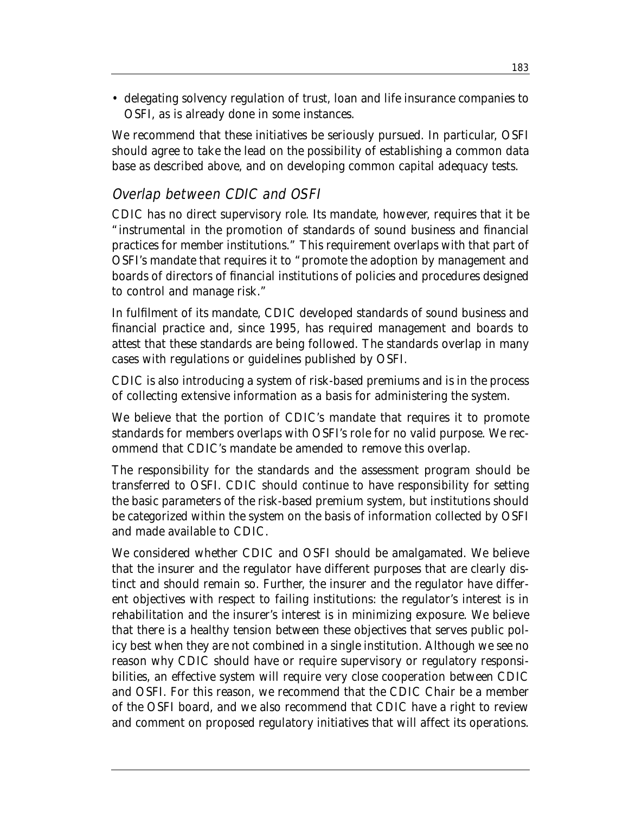• delegating solvency regulation of trust, loan and life insurance companies to OSFI, as is already done in some instances.

We recommend that these initiatives be seriously pursued. In particular, OSFI should agree to take the lead on the possibility of establishing a common data base as described above, and on developing common capital adequacy tests.

## Overlap between CDIC and OSFI

CDIC has no direct supervisory role. Its mandate, however, requires that it be "instrumental in the promotion of standards of sound business and financial practices for member institutions." This requirement overlaps with that part of OSFI's mandate that requires it to "promote the adoption by management and boards of directors of financial institutions of policies and procedures designed to control and manage risk."

In fulfilment of its mandate, CDIC developed standards of sound business and financial practice and, since 1995, has required management and boards to attest that these standards are being followed. The standards overlap in many cases with regulations or guidelines published by OSFI.

CDIC is also introducing a system of risk-based premiums and is in the process of collecting extensive information as a basis for administering the system.

We believe that the portion of CDIC's mandate that requires it to promote standards for members overlaps with OSFI's role for no valid purpose. We recommend that CDIC's mandate be amended to remove this overlap.

The responsibility for the standards and the assessment program should be transferred to OSFI. CDIC should continue to have responsibility for setting the basic parameters of the risk-based premium system, but institutions should be categorized within the system on the basis of information collected by OSFI and made available to CDIC.

We considered whether CDIC and OSFI should be amalgamated. We believe that the insurer and the regulator have different purposes that are clearly distinct and should remain so. Further, the insurer and the regulator have different objectives with respect to failing institutions: the regulator's interest is in rehabilitation and the insurer's interest is in minimizing exposure. We believe that there is a healthy tension between these objectives that serves public policy best when they are not combined in a single institution. Although we see no reason why CDIC should have or require supervisory or regulatory responsibilities, an effective system will require very close cooperation between CDIC and OSFI. For this reason, we recommend that the CDIC Chair be a member of the OSFI board, and we also recommend that CDIC have a right to review and comment on proposed regulatory initiatives that will affect its operations.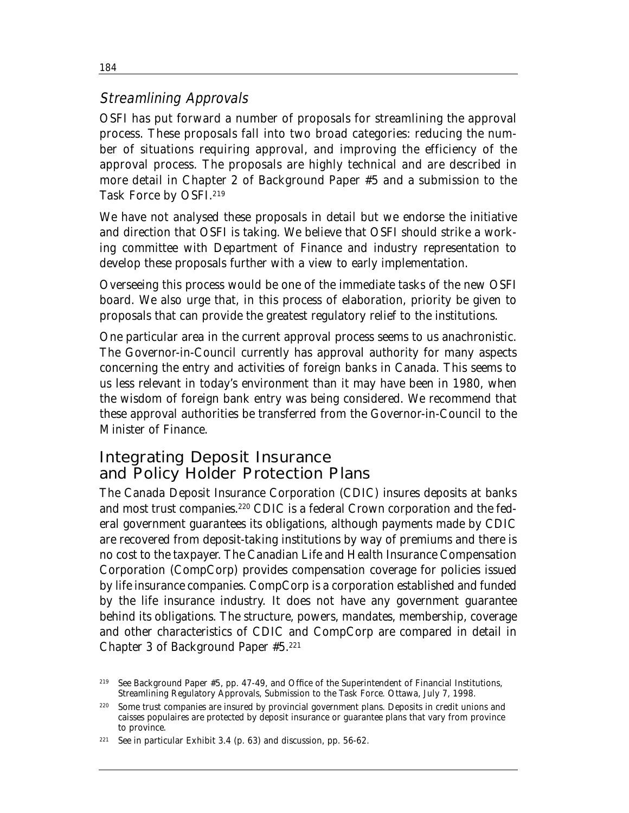## Streamlining Approvals

OSFI has put forward a number of proposals for streamlining the approval process. These proposals fall into two broad categories: reducing the number of situations requiring approval, and improving the efficiency of the approval process. The proposals are highly technical and are described in more detail in Chapter 2 of Background Paper #5 and a submission to the Task Force by OSFI.219

We have not analysed these proposals in detail but we endorse the initiative and direction that OSFI is taking. We believe that OSFI should strike a working committee with Department of Finance and industry representation to develop these proposals further with a view to early implementation.

Overseeing this process would be one of the immediate tasks of the new OSFI board. We also urge that, in this process of elaboration, priority be given to proposals that can provide the greatest regulatory relief to the institutions.

One particular area in the current approval process seems to us anachronistic. The Governor-in-Council currently has approval authority for many aspects concerning the entry and activities of foreign banks in Canada. This seems to us less relevant in today's environment than it may have been in 1980, when the wisdom of foreign bank entry was being considered. We recommend that these approval authorities be transferred from the Governor-in-Council to the Minister of Finance.

# Integrating Deposit Insurance and Policy Holder Protection Plans

The Canada Deposit Insurance Corporation (CDIC) insures deposits at banks and most trust companies.<sup>220</sup> CDIC is a federal Crown corporation and the federal government guarantees its obligations, although payments made by CDIC are recovered from deposit-taking institutions by way of premiums and there is no cost to the taxpayer. The Canadian Life and Health Insurance Compensation Corporation (CompCorp) provides compensation coverage for policies issued by life insurance companies. CompCorp is a corporation established and funded by the life insurance industry. It does not have any government guarantee behind its obligations. The structure, powers, mandates, membership, coverage and other characteristics of CDIC and CompCorp are compared in detail in Chapter 3 of Background Paper #5.221

184

<sup>219</sup> See Background Paper #5, pp. 47-49, and Office of the Superintendent of Financial Institutions, *Streamlining Regulatory Approvals*, Submission to the Task Force. Ottawa, July 7, 1998.

Some trust companies are insured by provincial government plans. Deposits in credit unions and caisses populaires are protected by deposit insurance or guarantee plans that vary from province to province.

<sup>&</sup>lt;sup>221</sup> See in particular Exhibit 3.4 (p. 63) and discussion, pp. 56-62.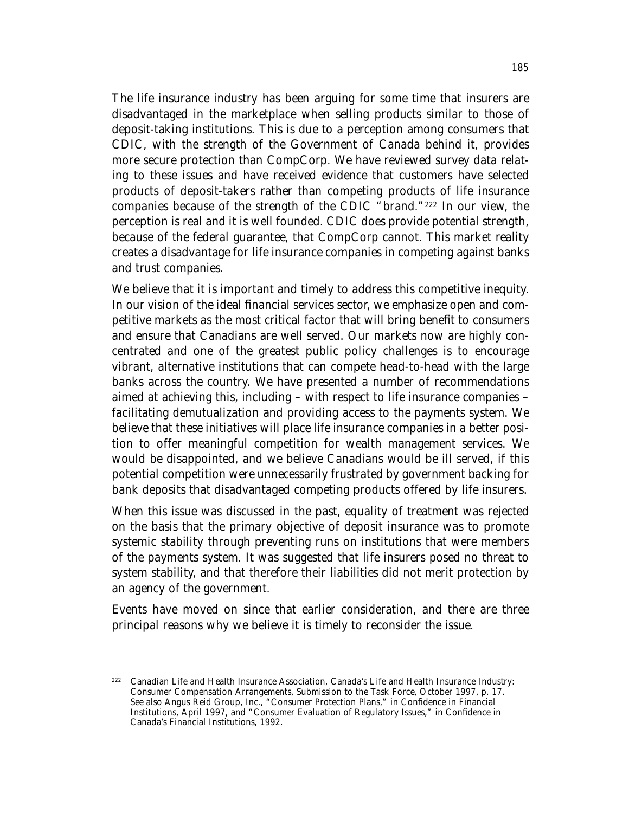The life insurance industry has been arguing for some time that insurers are disadvantaged in the marketplace when selling products similar to those of deposit-taking institutions. This is due to a perception among consumers that CDIC, with the strength of the Government of Canada behind it, provides more secure protection than CompCorp. We have reviewed survey data relating to these issues and have received evidence that customers have selected products of deposit-takers rather than competing products of life insurance companies because of the strength of the CDIC "brand."222 In our view, the perception is real and it is well founded. CDIC does provide potential strength, because of the federal guarantee, that CompCorp cannot. This market reality creates a disadvantage for life insurance companies in competing against banks and trust companies.

We believe that it is important and timely to address this competitive inequity. In our vision of the ideal financial services sector, we emphasize open and competitive markets as the most critical factor that will bring benefit to consumers and ensure that Canadians are well served. Our markets now are highly concentrated and one of the greatest public policy challenges is to encourage vibrant, alternative institutions that can compete head-to-head with the large banks across the country. We have presented a number of recommendations aimed at achieving this, including – with respect to life insurance companies – facilitating demutualization and providing access to the payments system. We believe that these initiatives will place life insurance companies in a better position to offer meaningful competition for wealth management services. We would be disappointed, and we believe Canadians would be ill served, if this potential competition were unnecessarily frustrated by government backing for bank deposits that disadvantaged competing products offered by life insurers.

When this issue was discussed in the past, equality of treatment was rejected on the basis that the primary objective of deposit insurance was to promote systemic stability through preventing runs on institutions that were members of the payments system. It was suggested that life insurers posed no threat to system stability, and that therefore their liabilities did not merit protection by an agency of the government.

Events have moved on since that earlier consideration, and there are three principal reasons why we believe it is timely to reconsider the issue.

<sup>222</sup> Canadian Life and Health Insurance Association, *Canada's Life and Health Insurance Industry: Consumer Compensation Arrangements*, Submission to the Task Force, October 1997, p. 17. See also Angus Reid Group, Inc., "Consumer Protection Plans," in *Confidence in Financial Institutions*, April 1997, and "Consumer Evaluation of Regulatory Issues," in *Confidence in Canada's Financial Institutions*, 1992.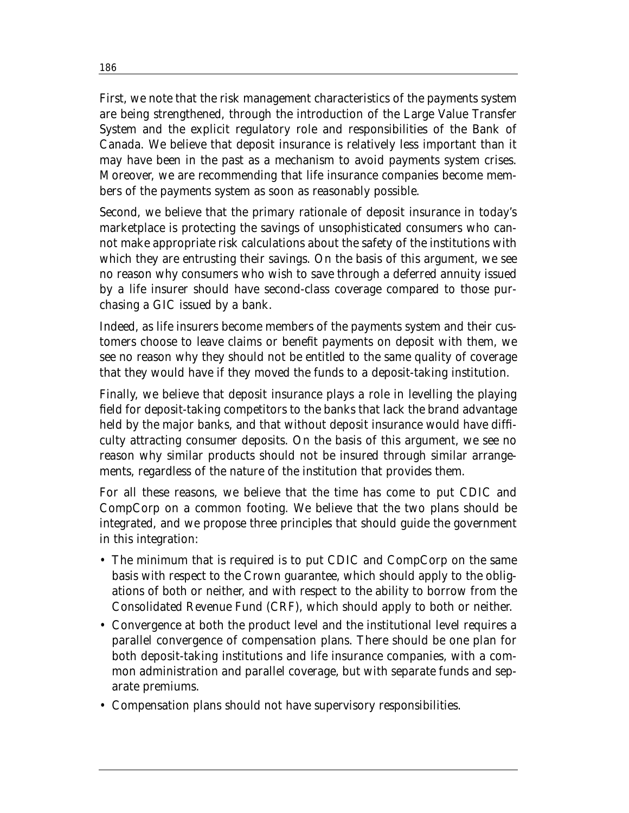First, we note that the risk management characteristics of the payments system are being strengthened, through the introduction of the Large Value Transfer System and the explicit regulatory role and responsibilities of the Bank of Canada. We believe that deposit insurance is relatively less important than it may have been in the past as a mechanism to avoid payments system crises. Moreover, we are recommending that life insurance companies become members of the payments system as soon as reasonably possible.

Second, we believe that the primary rationale of deposit insurance in today's marketplace is protecting the savings of unsophisticated consumers who cannot make appropriate risk calculations about the safety of the institutions with which they are entrusting their savings. On the basis of this argument, we see no reason why consumers who wish to save through a deferred annuity issued by a life insurer should have second-class coverage compared to those purchasing a GIC issued by a bank.

Indeed, as life insurers become members of the payments system and their customers choose to leave claims or benefit payments on deposit with them, we see no reason why they should not be entitled to the same quality of coverage that they would have if they moved the funds to a deposit-taking institution.

Finally, we believe that deposit insurance plays a role in levelling the playing field for deposit-taking competitors to the banks that lack the brand advantage held by the major banks, and that without deposit insurance would have difficulty attracting consumer deposits. On the basis of this argument, we see no reason why similar products should not be insured through similar arrangements, regardless of the nature of the institution that provides them.

For all these reasons, we believe that the time has come to put CDIC and CompCorp on a common footing. We believe that the two plans should be integrated, and we propose three principles that should guide the government in this integration:

- The minimum that is required is to put CDIC and CompCorp on the same basis with respect to the Crown guarantee, which should apply to the obligations of both or neither, and with respect to the ability to borrow from the Consolidated Revenue Fund (CRF), which should apply to both or neither.
- Convergence at both the product level and the institutional level requires a parallel convergence of compensation plans. There should be one plan for both deposit-taking institutions and life insurance companies, with a common administration and parallel coverage, but with separate funds and separate premiums.
- Compensation plans should not have supervisory responsibilities.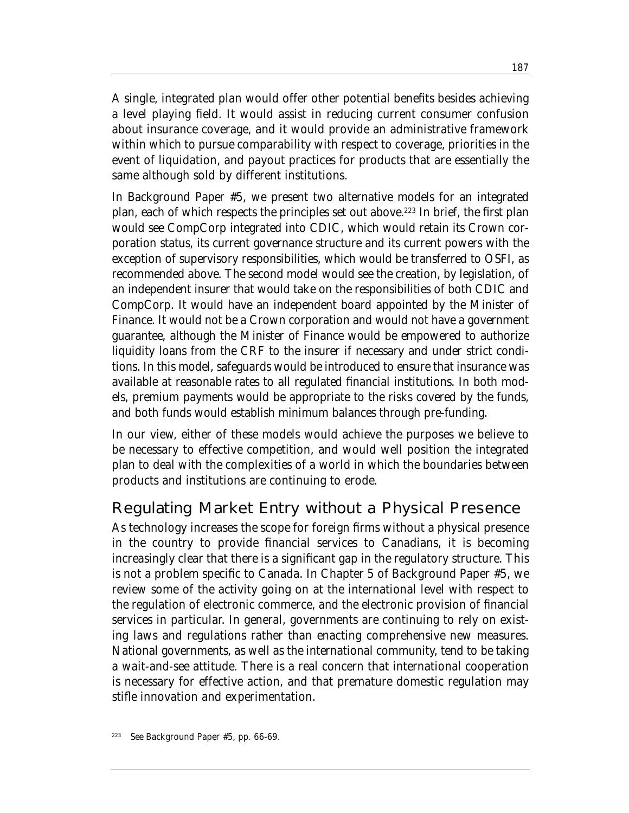A single, integrated plan would offer other potential benefits besides achieving a level playing field. It would assist in reducing current consumer confusion about insurance coverage, and it would provide an administrative framework within which to pursue comparability with respect to coverage, priorities in the event of liquidation, and payout practices for products that are essentially the same although sold by different institutions.

In Background Paper #5, we present two alternative models for an integrated plan, each of which respects the principles set out above.223 In brief, the first plan would see CompCorp integrated into CDIC, which would retain its Crown corporation status, its current governance structure and its current powers with the exception of supervisory responsibilities, which would be transferred to OSFI, as recommended above. The second model would see the creation, by legislation, of an independent insurer that would take on the responsibilities of both CDIC and CompCorp. It would have an independent board appointed by the Minister of Finance. It would not be a Crown corporation and would not have a government guarantee, although the Minister of Finance would be empowered to authorize liquidity loans from the CRF to the insurer if necessary and under strict conditions. In this model, safeguards would be introduced to ensure that insurance was available at reasonable rates to all regulated financial institutions. In both models, premium payments would be appropriate to the risks covered by the funds, and both funds would establish minimum balances through pre-funding.

In our view, either of these models would achieve the purposes we believe to be necessary to effective competition, and would well position the integrated plan to deal with the complexities of a world in which the boundaries between products and institutions are continuing to erode.

## Regulating Market Entry without a Physical Presence

As technology increases the scope for foreign firms without a physical presence in the country to provide financial services to Canadians, it is becoming increasingly clear that there is a significant gap in the regulatory structure. This is not a problem specific to Canada. In Chapter 5 of Background Paper #5, we review some of the activity going on at the international level with respect to the regulation of electronic commerce, and the electronic provision of financial services in particular. In general, governments are continuing to rely on existing laws and regulations rather than enacting comprehensive new measures. National governments, as well as the international community, tend to be taking a wait-and-see attitude. There is a real concern that international cooperation is necessary for effective action, and that premature domestic regulation may stifle innovation and experimentation.

See Background Paper #5, pp. 66-69.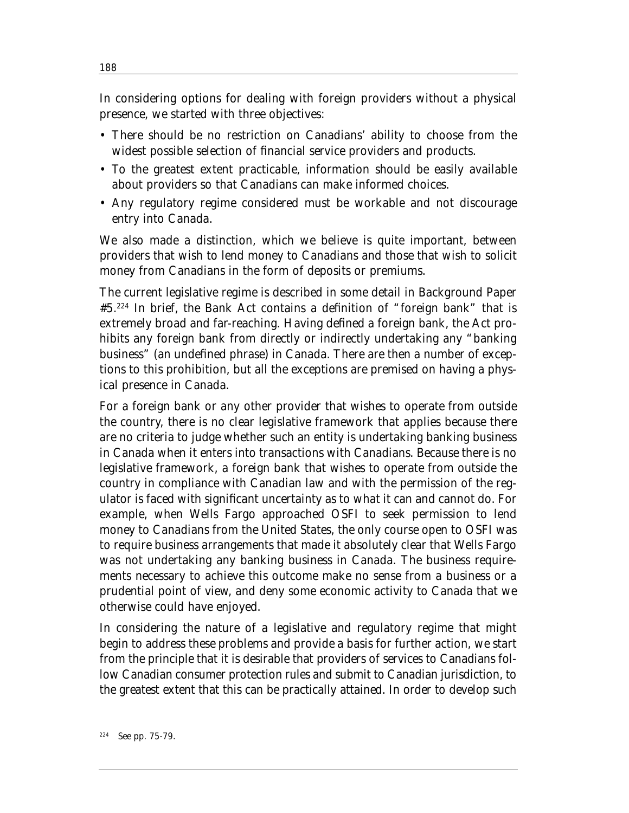In considering options for dealing with foreign providers without a physical presence, we started with three objectives:

- There should be no restriction on Canadians' ability to choose from the widest possible selection of financial service providers and products.
- To the greatest extent practicable, information should be easily available about providers so that Canadians can make informed choices.
- Any regulatory regime considered must be workable and not discourage entry into Canada.

We also made a distinction, which we believe is quite important, between providers that wish to lend money to Canadians and those that wish to solicit money from Canadians in the form of deposits or premiums.

The current legislative regime is described in some detail in Background Paper #5.224 In brief, the Bank Act contains a definition of "foreign bank" that is extremely broad and far-reaching. Having defined a foreign bank, the Act prohibits any foreign bank from directly or indirectly undertaking any "banking business" (an undefined phrase) in Canada. There are then a number of exceptions to this prohibition, but all the exceptions are premised on having a physical presence in Canada.

For a foreign bank or any other provider that wishes to operate from outside the country, there is no clear legislative framework that applies because there are no criteria to judge whether such an entity is undertaking banking business in Canada when it enters into transactions with Canadians. Because there is no legislative framework, a foreign bank that wishes to operate from outside the country in compliance with Canadian law and with the permission of the regulator is faced with significant uncertainty as to what it can and cannot do. For example, when Wells Fargo approached OSFI to seek permission to lend money to Canadians from the United States, the only course open to OSFI was to require business arrangements that made it absolutely clear that Wells Fargo was not undertaking any banking business in Canada. The business requirements necessary to achieve this outcome make no sense from a business or a prudential point of view, and deny some economic activity to Canada that we otherwise could have enjoyed.

In considering the nature of a legislative and regulatory regime that might begin to address these problems and provide a basis for further action, we start from the principle that it is desirable that providers of services to Canadians follow Canadian consumer protection rules and submit to Canadian jurisdiction, to the greatest extent that this can be practically attained. In order to develop such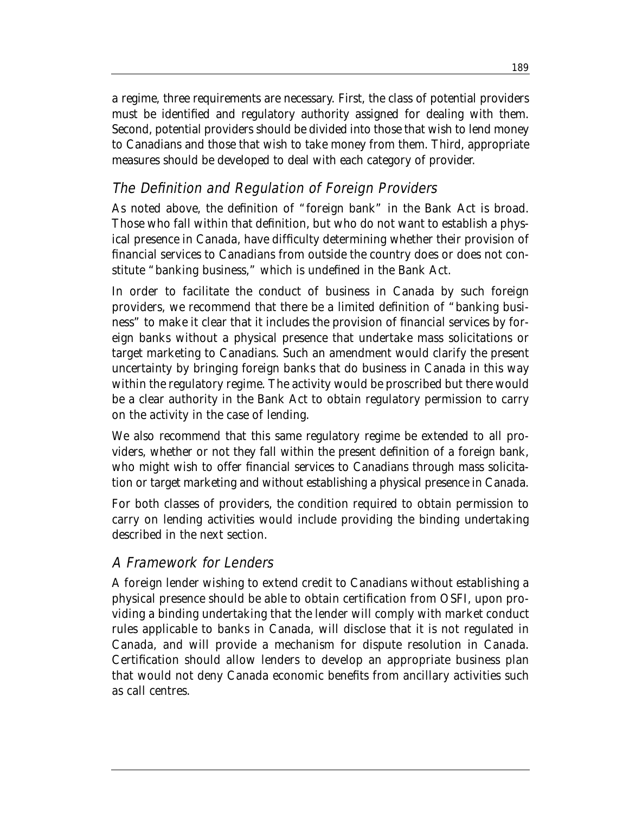a regime, three requirements are necessary. First, the class of potential providers must be identified and regulatory authority assigned for dealing with them. Second, potential providers should be divided into those that wish to lend money to Canadians and those that wish to take money from them. Third, appropriate measures should be developed to deal with each category of provider.

# The Definition and Regulation of Foreign Providers

As noted above, the definition of "foreign bank" in the Bank Act is broad. Those who fall within that definition, but who do not want to establish a physical presence in Canada, have difficulty determining whether their provision of financial services to Canadians from outside the country does or does not constitute "banking business," which is undefined in the Bank Act.

In order to facilitate the conduct of business in Canada by such foreign providers, we recommend that there be a limited definition of "banking business" to make it clear that it includes the provision of financial services by foreign banks without a physical presence that undertake mass solicitations or target marketing to Canadians. Such an amendment would clarify the present uncertainty by bringing foreign banks that do business in Canada in this way within the regulatory regime. The activity would be proscribed but there would be a clear authority in the Bank Act to obtain regulatory permission to carry on the activity in the case of lending.

We also recommend that this same regulatory regime be extended to all providers, whether or not they fall within the present definition of a foreign bank, who might wish to offer financial services to Canadians through mass solicitation or target marketing and without establishing a physical presence in Canada.

For both classes of providers, the condition required to obtain permission to carry on lending activities would include providing the binding undertaking described in the next section.

## A Framework for Lenders

A foreign lender wishing to extend credit to Canadians without establishing a physical presence should be able to obtain certification from OSFI, upon providing a binding undertaking that the lender will comply with market conduct rules applicable to banks in Canada, will disclose that it is not regulated in Canada, and will provide a mechanism for dispute resolution in Canada. Certification should allow lenders to develop an appropriate business plan that would not deny Canada economic benefits from ancillary activities such as call centres.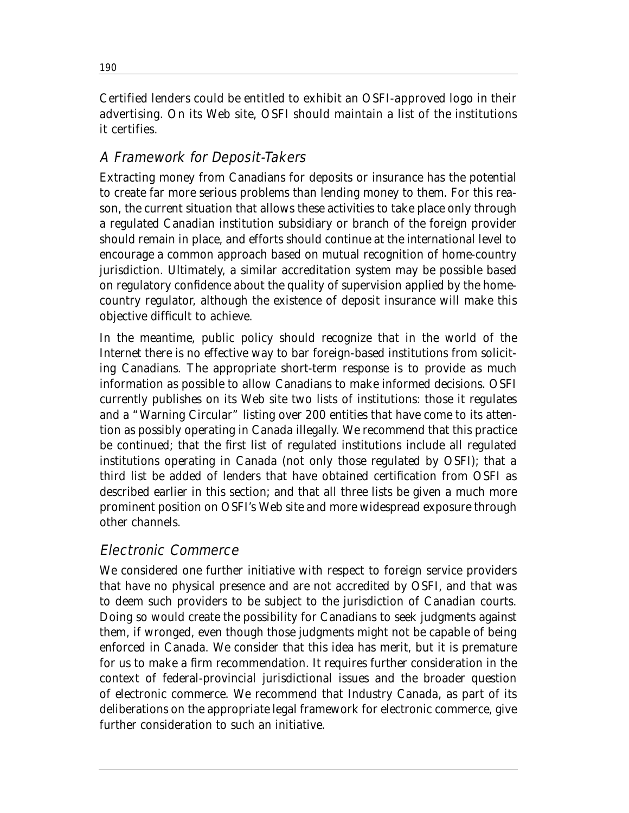Certified lenders could be entitled to exhibit an OSFI-approved logo in their advertising. On its Web site, OSFI should maintain a list of the institutions it certifies.

# A Framework for Deposit-Takers

Extracting money from Canadians for deposits or insurance has the potential to create far more serious problems than lending money to them. For this reason, the current situation that allows these activities to take place only through a regulated Canadian institution subsidiary or branch of the foreign provider should remain in place, and efforts should continue at the international level to encourage a common approach based on mutual recognition of home-country jurisdiction. Ultimately, a similar accreditation system may be possible based on regulatory confidence about the quality of supervision applied by the homecountry regulator, although the existence of deposit insurance will make this objective difficult to achieve.

In the meantime, public policy should recognize that in the world of the Internet there is no effective way to bar foreign-based institutions from soliciting Canadians. The appropriate short-term response is to provide as much information as possible to allow Canadians to make informed decisions. OSFI currently publishes on its Web site two lists of institutions: those it regulates and a "Warning Circular" listing over 200 entities that have come to its attention as possibly operating in Canada illegally. We recommend that this practice be continued; that the first list of regulated institutions include all regulated institutions operating in Canada (not only those regulated by OSFI); that a third list be added of lenders that have obtained certification from OSFI as described earlier in this section; and that all three lists be given a much more prominent position on OSFI's Web site and more widespread exposure through other channels.

# Electronic Commerce

We considered one further initiative with respect to foreign service providers that have no physical presence and are not accredited by OSFI, and that was to deem such providers to be subject to the jurisdiction of Canadian courts. Doing so would create the possibility for Canadians to seek judgments against them, if wronged, even though those judgments might not be capable of being enforced in Canada. We consider that this idea has merit, but it is premature for us to make a firm recommendation. It requires further consideration in the context of federal-provincial jurisdictional issues and the broader question of electronic commerce. We recommend that Industry Canada, as part of its deliberations on the appropriate legal framework for electronic commerce, give further consideration to such an initiative.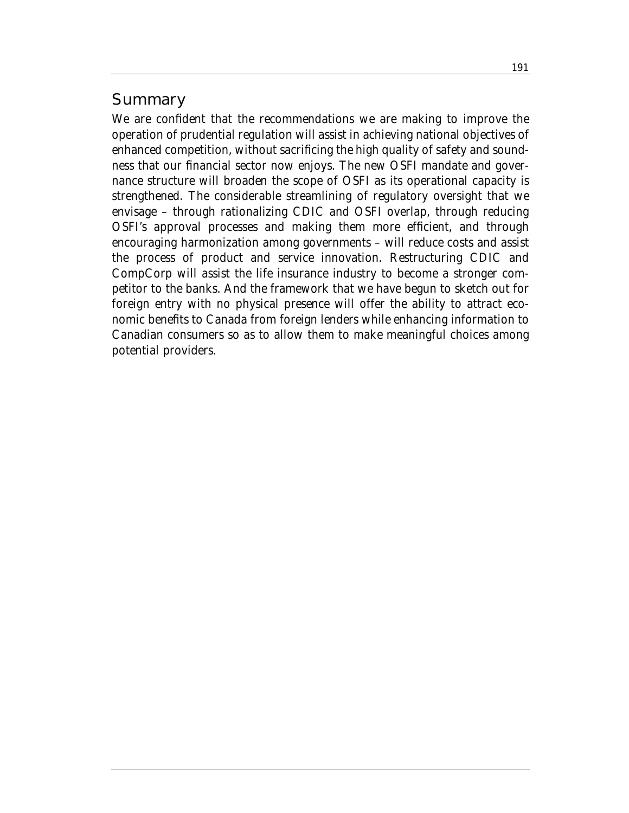## **Summary**

We are confident that the recommendations we are making to improve the operation of prudential regulation will assist in achieving national objectives of enhanced competition, without sacrificing the high quality of safety and soundness that our financial sector now enjoys. The new OSFI mandate and governance structure will broaden the scope of OSFI as its operational capacity is strengthened. The considerable streamlining of regulatory oversight that we envisage – through rationalizing CDIC and OSFI overlap, through reducing OSFI's approval processes and making them more efficient, and through encouraging harmonization among governments – will reduce costs and assist the process of product and service innovation. Restructuring CDIC and CompCorp will assist the life insurance industry to become a stronger competitor to the banks. And the framework that we have begun to sketch out for foreign entry with no physical presence will offer the ability to attract economic benefits to Canada from foreign lenders while enhancing information to Canadian consumers so as to allow them to make meaningful choices among potential providers.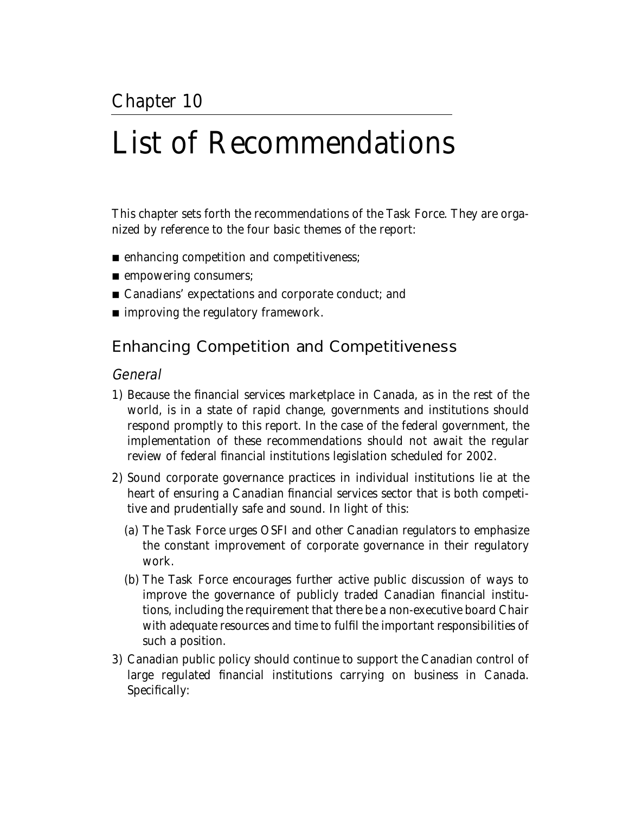# List of Recommendations

This chapter sets forth the recommendations of the Task Force. They are organized by reference to the four basic themes of the report:

- enhancing competition and competitiveness;
- empowering consumers;
- Canadians' expectations and corporate conduct; and
- improving the regulatory framework.

# Enhancing Competition and Competitiveness

#### General

- 1) Because the financial services marketplace in Canada, as in the rest of the world, is in a state of rapid change, governments and institutions should respond promptly to this report. In the case of the federal government, the implementation of these recommendations should not await the regular review of federal financial institutions legislation scheduled for 2002.
- 2) Sound corporate governance practices in individual institutions lie at the heart of ensuring a Canadian financial services sector that is both competitive and prudentially safe and sound. In light of this:
	- (a) The Task Force urges OSFI and other Canadian regulators to emphasize the constant improvement of corporate governance in their regulatory work.
	- (b) The Task Force encourages further active public discussion of ways to improve the governance of publicly traded Canadian financial institutions, including the requirement that there be a non-executive board Chair with adequate resources and time to fulfil the important responsibilities of such a position.
- 3) Canadian public policy should continue to support the Canadian control of large regulated financial institutions carrying on business in Canada. Specifically: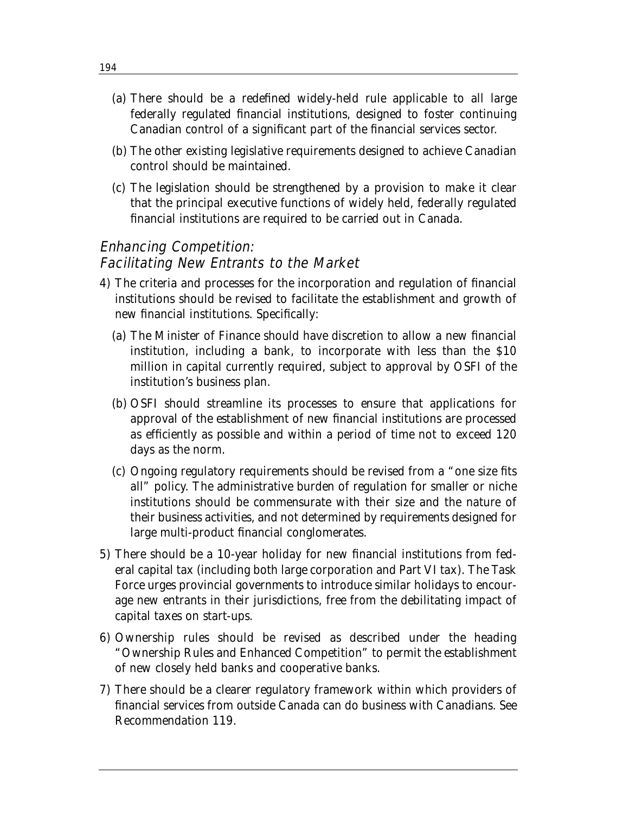- (a) There should be a redefined widely-held rule applicable to all large federally regulated financial institutions, designed to foster continuing Canadian control of a significant part of the financial services sector.
- (b) The other existing legislative requirements designed to achieve Canadian control should be maintained.
- (c) The legislation should be strengthened by a provision to make it clear that the principal executive functions of widely held, federally regulated financial institutions are required to be carried out in Canada.

## Enhancing Competition: Facilitating New Entrants to the Market

- 4) The criteria and processes for the incorporation and regulation of financial institutions should be revised to facilitate the establishment and growth of new financial institutions. Specifically:
	- (a) The Minister of Finance should have discretion to allow a new financial institution, including a bank, to incorporate with less than the \$10 million in capital currently required, subject to approval by OSFI of the institution's business plan.
	- (b) OSFI should streamline its processes to ensure that applications for approval of the establishment of new financial institutions are processed as efficiently as possible and within a period of time not to exceed 120 days as the norm.
	- (c) Ongoing regulatory requirements should be revised from a "one size fits all" policy. The administrative burden of regulation for smaller or niche institutions should be commensurate with their size and the nature of their business activities, and not determined by requirements designed for large multi-product financial conglomerates.
- 5) There should be a 10-year holiday for new financial institutions from federal capital tax (including both large corporation and Part VI tax). The Task Force urges provincial governments to introduce similar holidays to encourage new entrants in their jurisdictions, free from the debilitating impact of capital taxes on start-ups.
- 6) Ownership rules should be revised as described under the heading "Ownership Rules and Enhanced Competition" to permit the establishment of new closely held banks and cooperative banks.
- 7) There should be a clearer regulatory framework within which providers of financial services from outside Canada can do business with Canadians. See Recommendation 119.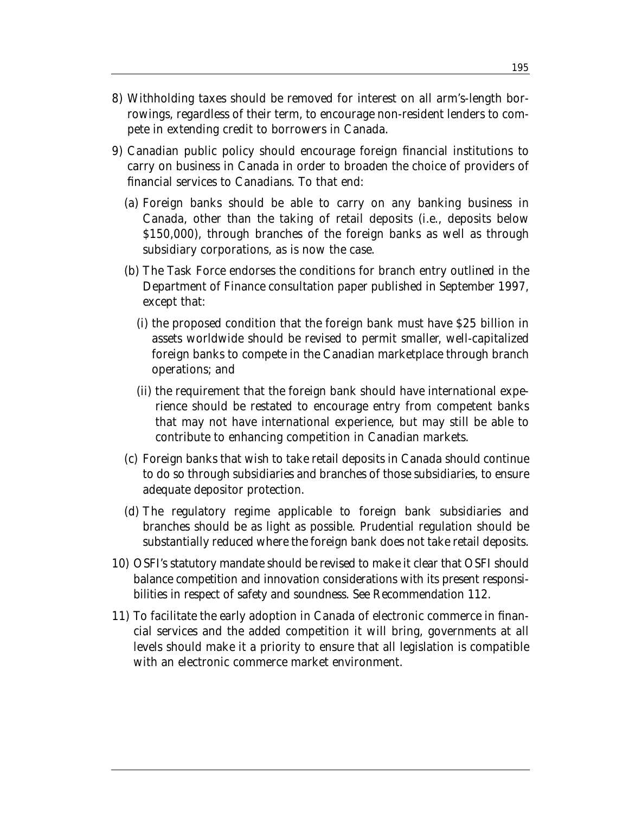- 8) Withholding taxes should be removed for interest on all arm's-length borrowings, regardless of their term, to encourage non-resident lenders to compete in extending credit to borrowers in Canada.
- 9) Canadian public policy should encourage foreign financial institutions to carry on business in Canada in order to broaden the choice of providers of financial services to Canadians. To that end:
	- (a) Foreign banks should be able to carry on any banking business in Canada, other than the taking of retail deposits (i.e., deposits below \$150,000), through branches of the foreign banks as well as through subsidiary corporations, as is now the case.
	- (b) The Task Force endorses the conditions for branch entry outlined in the Department of Finance consultation paper published in September 1997, except that:
		- (i) the proposed condition that the foreign bank must have \$25 billion in assets worldwide should be revised to permit smaller, well-capitalized foreign banks to compete in the Canadian marketplace through branch operations; and
		- (ii) the requirement that the foreign bank should have international experience should be restated to encourage entry from competent banks that may not have international experience, but may still be able to contribute to enhancing competition in Canadian markets.
	- (c) Foreign banks that wish to take retail deposits in Canada should continue to do so through subsidiaries and branches of those subsidiaries, to ensure adequate depositor protection.
	- (d) The regulatory regime applicable to foreign bank subsidiaries and branches should be as light as possible. Prudential regulation should be substantially reduced where the foreign bank does not take retail deposits.
- 10) OSFI's statutory mandate should be revised to make it clear that OSFI should balance competition and innovation considerations with its present responsibilities in respect of safety and soundness. See Recommendation 112.
- 11) To facilitate the early adoption in Canada of electronic commerce in financial services and the added competition it will bring, governments at all levels should make it a priority to ensure that all legislation is compatible with an electronic commerce market environment.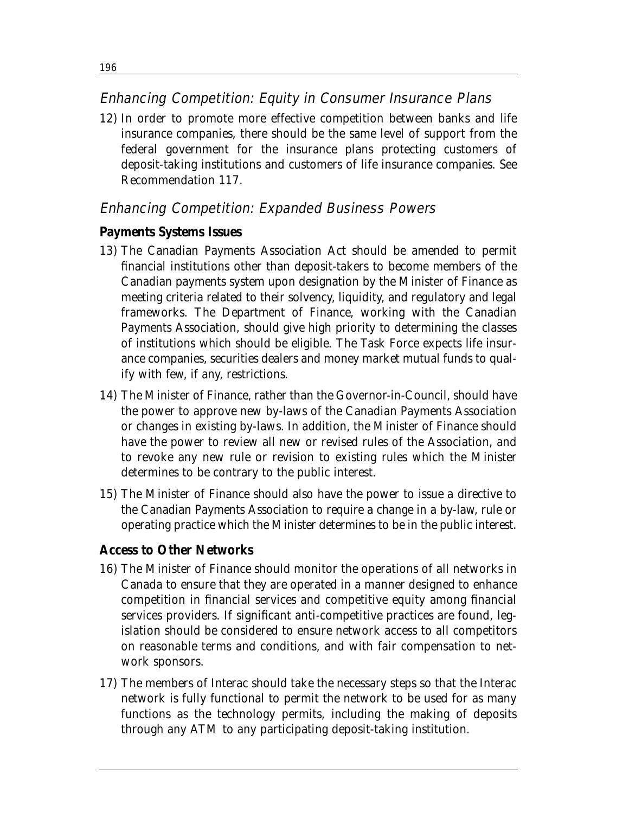### Enhancing Competition: Equity in Consumer Insurance Plans

12) In order to promote more effective competition between banks and life insurance companies, there should be the same level of support from the federal government for the insurance plans protecting customers of deposit-taking institutions and customers of life insurance companies. See Recommendation 117.

## Enhancing Competition: Expanded Business Powers

#### **Payments Systems Issues**

- 13) The Canadian Payments Association Act should be amended to permit financial institutions other than deposit-takers to become members of the Canadian payments system upon designation by the Minister of Finance as meeting criteria related to their solvency, liquidity, and regulatory and legal frameworks. The Department of Finance, working with the Canadian Payments Association, should give high priority to determining the classes of institutions which should be eligible. The Task Force expects life insurance companies, securities dealers and money market mutual funds to qualify with few, if any, restrictions.
- 14) The Minister of Finance, rather than the Governor-in-Council, should have the power to approve new by-laws of the Canadian Payments Association or changes in existing by-laws. In addition, the Minister of Finance should have the power to review all new or revised rules of the Association, and to revoke any new rule or revision to existing rules which the Minister determines to be contrary to the public interest.
- 15) The Minister of Finance should also have the power to issue a directive to the Canadian Payments Association to require a change in a by-law, rule or operating practice which the Minister determines to be in the public interest.

#### **Access to Other Networks**

- 16) The Minister of Finance should monitor the operations of all networks in Canada to ensure that they are operated in a manner designed to enhance competition in financial services and competitive equity among financial services providers. If significant anti-competitive practices are found, legislation should be considered to ensure network access to all competitors on reasonable terms and conditions, and with fair compensation to network sponsors.
- 17) The members of Interac should take the necessary steps so that the Interac network is fully functional to permit the network to be used for as many functions as the technology permits, including the making of deposits through any ATM to any participating deposit-taking institution.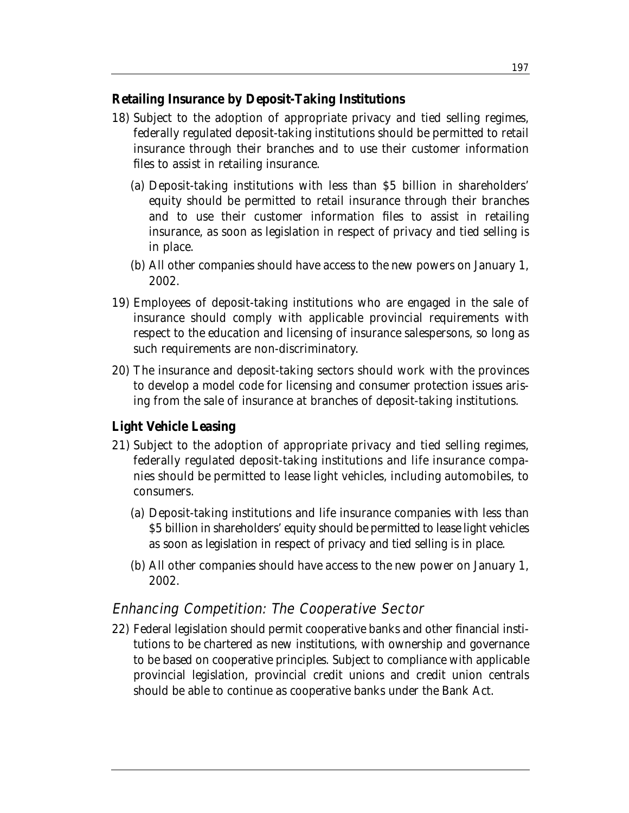#### **Retailing Insurance by Deposit-Taking Institutions**

- 18) Subject to the adoption of appropriate privacy and tied selling regimes, federally regulated deposit-taking institutions should be permitted to retail insurance through their branches and to use their customer information files to assist in retailing insurance.
	- (a) Deposit-taking institutions with less than \$5 billion in shareholders' equity should be permitted to retail insurance through their branches and to use their customer information files to assist in retailing insurance, as soon as legislation in respect of privacy and tied selling is in place.
	- (b) All other companies should have access to the new powers on January 1, 2002.
- 19) Employees of deposit-taking institutions who are engaged in the sale of insurance should comply with applicable provincial requirements with respect to the education and licensing of insurance salespersons, so long as such requirements are non-discriminatory.
- 20) The insurance and deposit-taking sectors should work with the provinces to develop a model code for licensing and consumer protection issues arising from the sale of insurance at branches of deposit-taking institutions.

## **Light Vehicle Leasing**

- 21) Subject to the adoption of appropriate privacy and tied selling regimes, federally regulated deposit-taking institutions and life insurance companies should be permitted to lease light vehicles, including automobiles, to consumers.
	- (a) Deposit-taking institutions and life insurance companies with less than \$5 billion in shareholders' equity should be permitted to lease light vehicles as soon as legislation in respect of privacy and tied selling is in place.
	- (b) All other companies should have access to the new power on January 1, 2002.

## Enhancing Competition: The Cooperative Sector

22) Federal legislation should permit cooperative banks and other financial institutions to be chartered as new institutions, with ownership and governance to be based on cooperative principles. Subject to compliance with applicable provincial legislation, provincial credit unions and credit union centrals should be able to continue as cooperative banks under the Bank Act.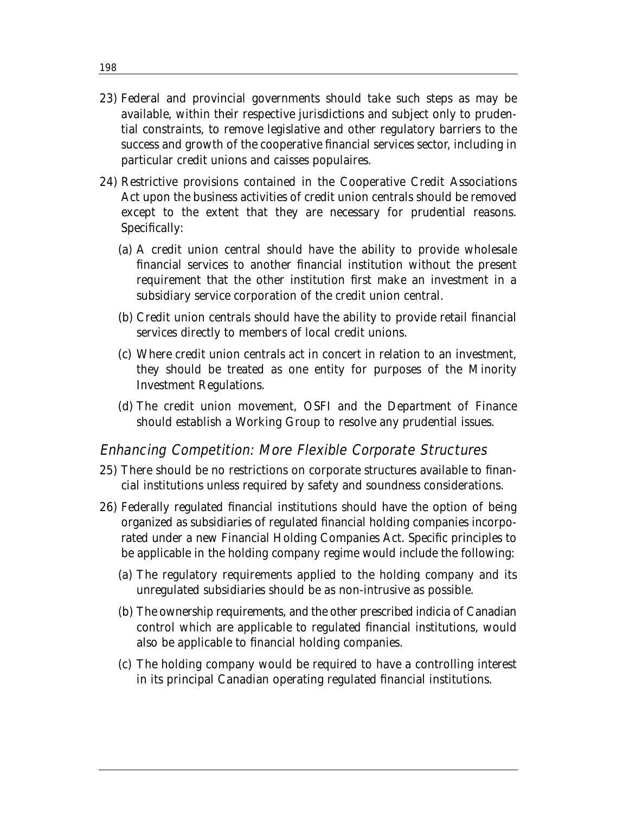- 23) Federal and provincial governments should take such steps as may be available, within their respective jurisdictions and subject only to prudential constraints, to remove legislative and other regulatory barriers to the success and growth of the cooperative financial services sector, including in particular credit unions and caisses populaires.
- 24) Restrictive provisions contained in the Cooperative Credit Associations Act upon the business activities of credit union centrals should be removed except to the extent that they are necessary for prudential reasons. Specifically:
	- (a) A credit union central should have the ability to provide wholesale financial services to another financial institution without the present requirement that the other institution first make an investment in a subsidiary service corporation of the credit union central.
	- (b) Credit union centrals should have the ability to provide retail financial services directly to members of local credit unions.
	- (c) Where credit union centrals act in concert in relation to an investment, they should be treated as one entity for purposes of the Minority Investment Regulations.
	- (d) The credit union movement, OSFI and the Department of Finance should establish a Working Group to resolve any prudential issues.

#### Enhancing Competition: More Flexible Corporate Structures

- 25) There should be no restrictions on corporate structures available to financial institutions unless required by safety and soundness considerations.
- 26) Federally regulated financial institutions should have the option of being organized as subsidiaries of regulated financial holding companies incorporated under a new Financial Holding Companies Act. Specific principles to be applicable in the holding company regime would include the following:
	- (a) The regulatory requirements applied to the holding company and its unregulated subsidiaries should be as non-intrusive as possible.
	- (b) The ownership requirements, and the other prescribed indicia of Canadian control which are applicable to regulated financial institutions, would also be applicable to financial holding companies.
	- (c) The holding company would be required to have a controlling interest in its principal Canadian operating regulated financial institutions.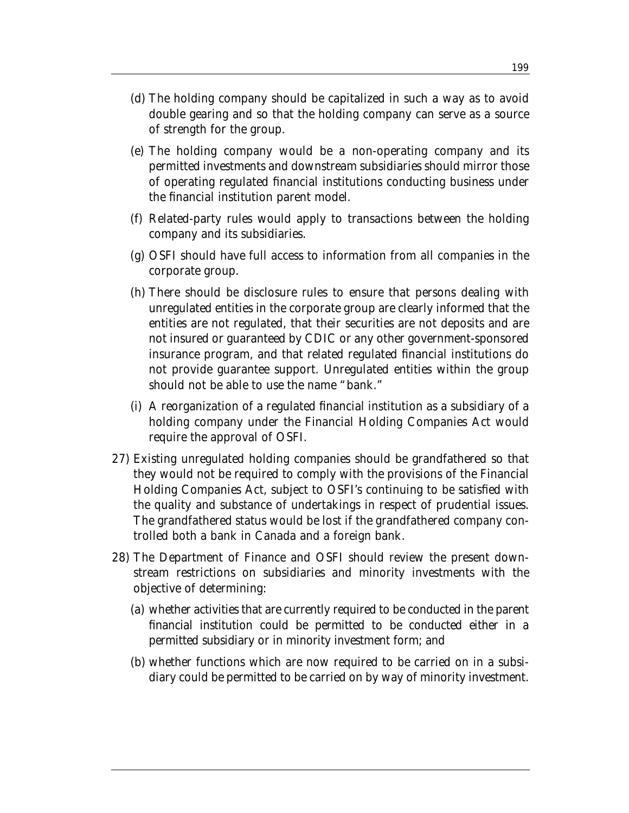- (d) The holding company should be capitalized in such a way as to avoid double gearing and so that the holding company can serve as a source of strength for the group.
- (e) The holding company would be a non-operating company and its permitted investments and downstream subsidiaries should mirror those of operating regulated financial institutions conducting business under the financial institution parent model.
- (f) Related-party rules would apply to transactions between the holding company and its subsidiaries.
- (g) OSFI should have full access to information from all companies in the corporate group.
- (h) There should be disclosure rules to ensure that persons dealing with unregulated entities in the corporate group are clearly informed that the entities are not regulated, that their securities are not deposits and are not insured or guaranteed by CDIC or any other government-sponsored insurance program, and that related regulated financial institutions do not provide guarantee support. Unregulated entities within the group should not be able to use the name "bank."
- (i) A reorganization of a regulated financial institution as a subsidiary of a holding company under the Financial Holding Companies Act would require the approval of OSFI.
- 27) Existing unregulated holding companies should be grandfathered so that they would not be required to comply with the provisions of the Financial Holding Companies Act, subject to OSFI's continuing to be satisfied with the quality and substance of undertakings in respect of prudential issues. The grandfathered status would be lost if the grandfathered company controlled both a bank in Canada and a foreign bank.
- 28) The Department of Finance and OSFI should review the present downstream restrictions on subsidiaries and minority investments with the objective of determining:
	- (a) whether activities that are currently required to be conducted in the parent financial institution could be permitted to be conducted either in a permitted subsidiary or in minority investment form; and
	- (b) whether functions which are now required to be carried on in a subsidiary could be permitted to be carried on by way of minority investment.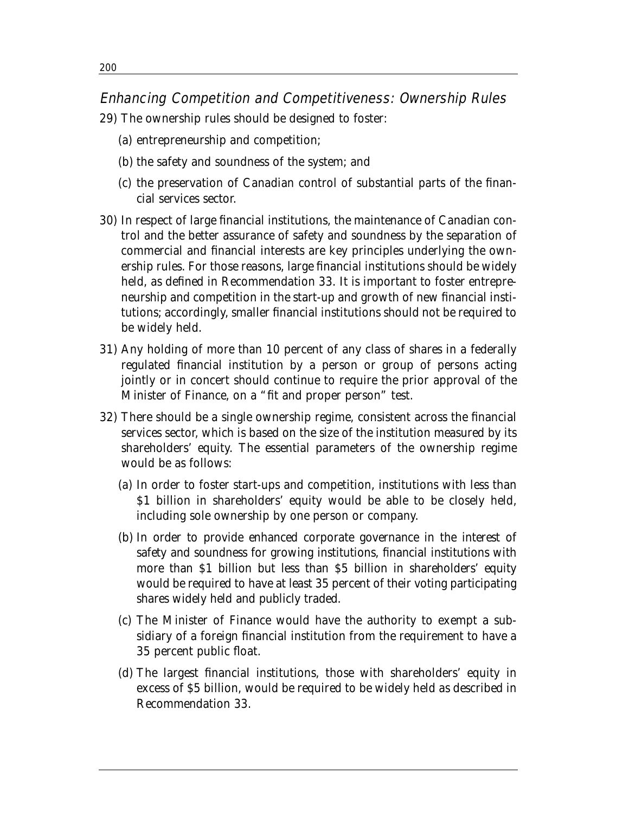#### Enhancing Competition and Competitiveness: Ownership Rules

- 29) The ownership rules should be designed to foster:
	- (a) entrepreneurship and competition;
	- (b) the safety and soundness of the system; and
	- (c) the preservation of Canadian control of substantial parts of the financial services sector.
- 30) In respect of large financial institutions, the maintenance of Canadian control and the better assurance of safety and soundness by the separation of commercial and financial interests are key principles underlying the ownership rules. For those reasons, large financial institutions should be widely held, as defined in Recommendation 33. It is important to foster entrepreneurship and competition in the start-up and growth of new financial institutions; accordingly, smaller financial institutions should not be required to be widely held.
- 31) Any holding of more than 10 percent of any class of shares in a federally regulated financial institution by a person or group of persons acting jointly or in concert should continue to require the prior approval of the Minister of Finance, on a "fit and proper person" test.
- 32) There should be a single ownership regime, consistent across the financial services sector, which is based on the size of the institution measured by its shareholders' equity. The essential parameters of the ownership regime would be as follows:
	- (a) In order to foster start-ups and competition, institutions with less than \$1 billion in shareholders' equity would be able to be closely held, including sole ownership by one person or company.
	- (b) In order to provide enhanced corporate governance in the interest of safety and soundness for growing institutions, financial institutions with more than \$1 billion but less than \$5 billion in shareholders' equity would be required to have at least 35 percent of their voting participating shares widely held and publicly traded.
	- (c) The Minister of Finance would have the authority to exempt a subsidiary of a foreign financial institution from the requirement to have a 35 percent public float.
	- (d) The largest financial institutions, those with shareholders' equity in excess of \$5 billion, would be required to be widely held as described in Recommendation 33.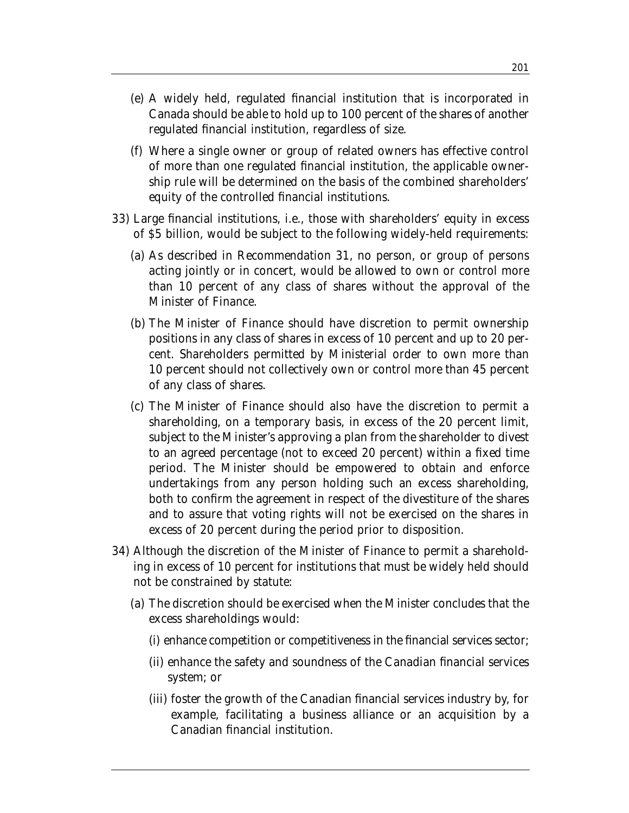- (e) A widely held, regulated financial institution that is incorporated in Canada should be able to hold up to 100 percent of the shares of another regulated financial institution, regardless of size.
- (f) Where a single owner or group of related owners has effective control of more than one regulated financial institution, the applicable ownership rule will be determined on the basis of the combined shareholders' equity of the controlled financial institutions.
- 33) Large financial institutions, i.e., those with shareholders' equity in excess of \$5 billion, would be subject to the following widely-held requirements:
	- (a) As described in Recommendation 31, no person, or group of persons acting jointly or in concert, would be allowed to own or control more than 10 percent of any class of shares without the approval of the Minister of Finance.
	- (b) The Minister of Finance should have discretion to permit ownership positions in any class of shares in excess of 10 percent and up to 20 percent. Shareholders permitted by Ministerial order to own more than 10 percent should not collectively own or control more than 45 percent of any class of shares.
	- (c) The Minister of Finance should also have the discretion to permit a shareholding, on a temporary basis, in excess of the 20 percent limit, subject to the Minister's approving a plan from the shareholder to divest to an agreed percentage (not to exceed 20 percent) within a fixed time period. The Minister should be empowered to obtain and enforce undertakings from any person holding such an excess shareholding, both to confirm the agreement in respect of the divestiture of the shares and to assure that voting rights will not be exercised on the shares in excess of 20 percent during the period prior to disposition.
- 34) Although the discretion of the Minister of Finance to permit a shareholding in excess of 10 percent for institutions that must be widely held should not be constrained by statute:
	- (a) The discretion should be exercised when the Minister concludes that the excess shareholdings would:
		- (i) enhance competition or competitiveness in the financial services sector;
		- (ii) enhance the safety and soundness of the Canadian financial services system; or
		- (iii) foster the growth of the Canadian financial services industry by, for example, facilitating a business alliance or an acquisition by a Canadian financial institution.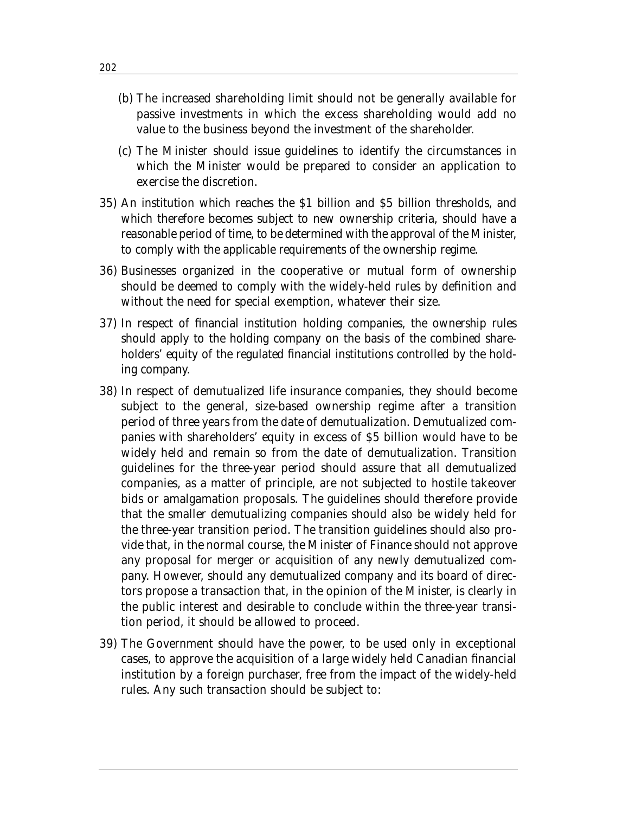- (b) The increased shareholding limit should not be generally available for passive investments in which the excess shareholding would add no value to the business beyond the investment of the shareholder.
- (c) The Minister should issue guidelines to identify the circumstances in which the Minister would be prepared to consider an application to exercise the discretion.
- 35) An institution which reaches the \$1 billion and \$5 billion thresholds, and which therefore becomes subject to new ownership criteria, should have a reasonable period of time, to be determined with the approval of the Minister, to comply with the applicable requirements of the ownership regime.
- 36) Businesses organized in the cooperative or mutual form of ownership should be deemed to comply with the widely-held rules by definition and without the need for special exemption, whatever their size.
- 37) In respect of financial institution holding companies, the ownership rules should apply to the holding company on the basis of the combined shareholders' equity of the regulated financial institutions controlled by the holding company.
- 38) In respect of demutualized life insurance companies, they should become subject to the general, size-based ownership regime after a transition period of three years from the date of demutualization. Demutualized companies with shareholders' equity in excess of \$5 billion would have to be widely held and remain so from the date of demutualization. Transition guidelines for the three-year period should assure that all demutualized companies, as a matter of principle, are not subjected to hostile takeover bids or amalgamation proposals. The guidelines should therefore provide that the smaller demutualizing companies should also be widely held for the three-year transition period. The transition guidelines should also provide that, in the normal course, the Minister of Finance should not approve any proposal for merger or acquisition of any newly demutualized company. However, should any demutualized company and its board of directors propose a transaction that, in the opinion of the Minister, is clearly in the public interest and desirable to conclude within the three-year transition period, it should be allowed to proceed.
- 39) The Government should have the power, to be used only in exceptional cases, to approve the acquisition of a large widely held Canadian financial institution by a foreign purchaser, free from the impact of the widely-held rules. Any such transaction should be subject to: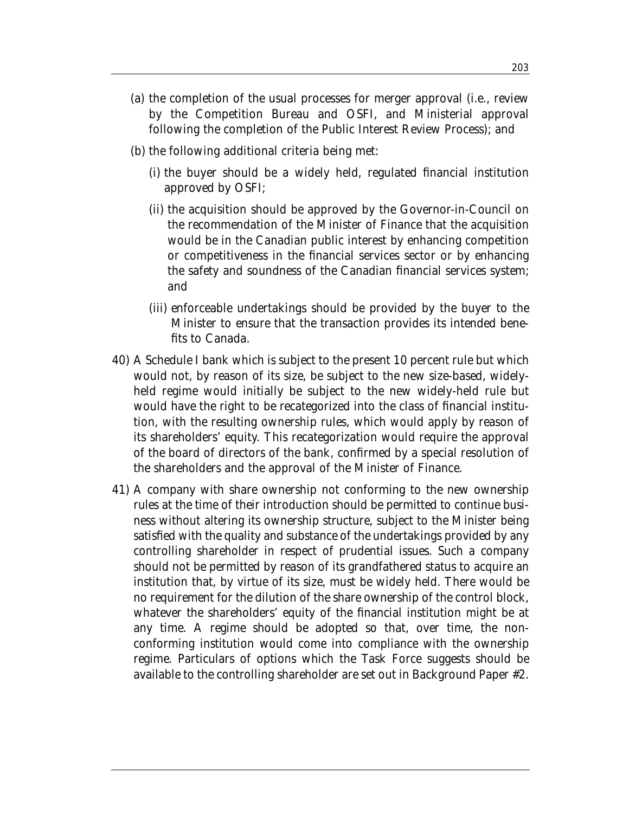- (a) the completion of the usual processes for merger approval (i.e., review by the Competition Bureau and OSFI, and Ministerial approval following the completion of the Public Interest Review Process); and
- (b) the following additional criteria being met:
	- (i) the buyer should be a widely held, regulated financial institution approved by OSFI;
	- (ii) the acquisition should be approved by the Governor-in-Council on the recommendation of the Minister of Finance that the acquisition would be in the Canadian public interest by enhancing competition or competitiveness in the financial services sector or by enhancing the safety and soundness of the Canadian financial services system; and
	- (iii) enforceable undertakings should be provided by the buyer to the Minister to ensure that the transaction provides its intended benefits to Canada.
- 40) A Schedule I bank which is subject to the present 10 percent rule but which would not, by reason of its size, be subject to the new size-based, widelyheld regime would initially be subject to the new widely-held rule but would have the right to be recategorized into the class of financial institution, with the resulting ownership rules, which would apply by reason of its shareholders' equity. This recategorization would require the approval of the board of directors of the bank, confirmed by a special resolution of the shareholders and the approval of the Minister of Finance.
- 41) A company with share ownership not conforming to the new ownership rules at the time of their introduction should be permitted to continue business without altering its ownership structure, subject to the Minister being satisfied with the quality and substance of the undertakings provided by any controlling shareholder in respect of prudential issues. Such a company should not be permitted by reason of its grandfathered status to acquire an institution that, by virtue of its size, must be widely held. There would be no requirement for the dilution of the share ownership of the control block, whatever the shareholders' equity of the financial institution might be at any time. A regime should be adopted so that, over time, the nonconforming institution would come into compliance with the ownership regime. Particulars of options which the Task Force suggests should be available to the controlling shareholder are set out in Background Paper #2.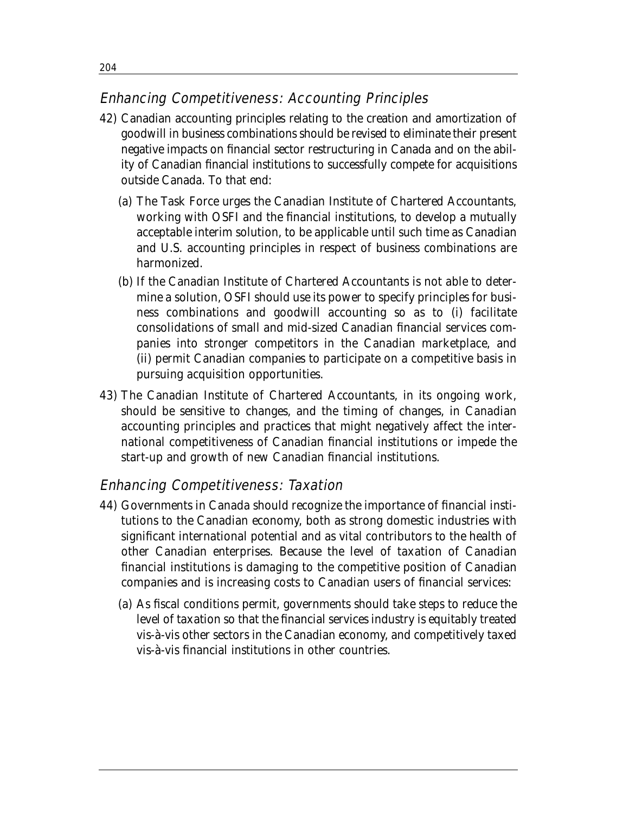## Enhancing Competitiveness: Accounting Principles

- 42) Canadian accounting principles relating to the creation and amortization of goodwill in business combinations should be revised to eliminate their present negative impacts on financial sector restructuring in Canada and on the ability of Canadian financial institutions to successfully compete for acquisitions outside Canada. To that end:
	- (a) The Task Force urges the Canadian Institute of Chartered Accountants, working with OSFI and the financial institutions, to develop a mutually acceptable interim solution, to be applicable until such time as Canadian and U.S. accounting principles in respect of business combinations are harmonized.
	- (b) If the Canadian Institute of Chartered Accountants is not able to determine a solution, OSFI should use its power to specify principles for business combinations and goodwill accounting so as to (i) facilitate consolidations of small and mid-sized Canadian financial services companies into stronger competitors in the Canadian marketplace, and (ii) permit Canadian companies to participate on a competitive basis in pursuing acquisition opportunities.
- 43) The Canadian Institute of Chartered Accountants, in its ongoing work, should be sensitive to changes, and the timing of changes, in Canadian accounting principles and practices that might negatively affect the international competitiveness of Canadian financial institutions or impede the start-up and growth of new Canadian financial institutions.

## Enhancing Competitiveness: Taxation

- 44) Governments in Canada should recognize the importance of financial institutions to the Canadian economy, both as strong domestic industries with significant international potential and as vital contributors to the health of other Canadian enterprises. Because the level of taxation of Canadian financial institutions is damaging to the competitive position of Canadian companies and is increasing costs to Canadian users of financial services:
	- (a) As fiscal conditions permit, governments should take steps to reduce the level of taxation so that the financial services industry is equitably treated vis-à-vis other sectors in the Canadian economy, and competitively taxed vis-à-vis financial institutions in other countries.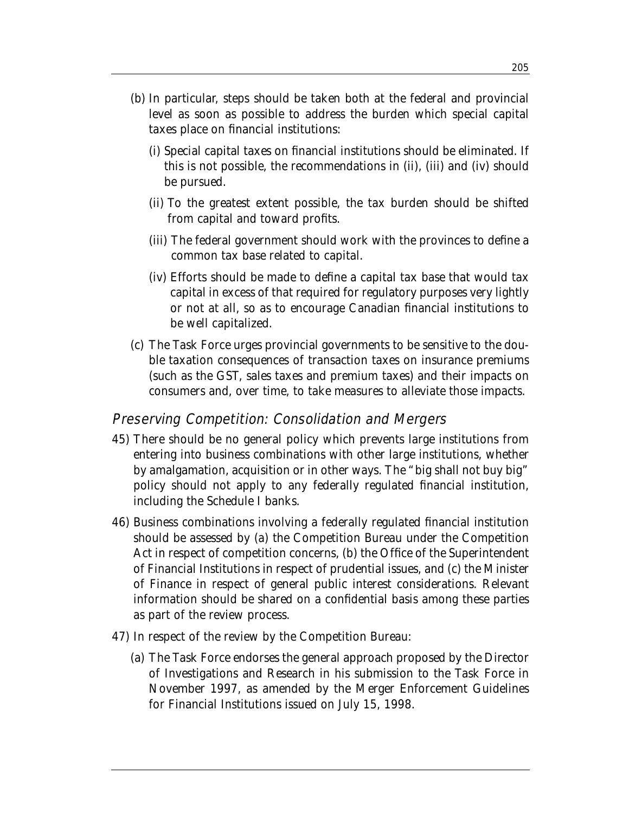- (b) In particular, steps should be taken both at the federal and provincial level as soon as possible to address the burden which special capital taxes place on financial institutions:
	- (i) Special capital taxes on financial institutions should be eliminated. If this is not possible, the recommendations in (ii), (iii) and (iv) should be pursued.
	- (ii) To the greatest extent possible, the tax burden should be shifted from capital and toward profits.
	- (iii) The federal government should work with the provinces to define a common tax base related to capital.
	- (iv) Efforts should be made to define a capital tax base that would tax capital in excess of that required for regulatory purposes very lightly or not at all, so as to encourage Canadian financial institutions to be well capitalized.
- (c) The Task Force urges provincial governments to be sensitive to the double taxation consequences of transaction taxes on insurance premiums (such as the GST, sales taxes and premium taxes) and their impacts on consumers and, over time, to take measures to alleviate those impacts.

#### Preserving Competition: Consolidation and Mergers

- 45) There should be no general policy which prevents large institutions from entering into business combinations with other large institutions, whether by amalgamation, acquisition or in other ways. The "big shall not buy big" policy should not apply to any federally regulated financial institution, including the Schedule I banks.
- 46) Business combinations involving a federally regulated financial institution should be assessed by (a) the Competition Bureau under the Competition Act in respect of competition concerns, (b) the Office of the Superintendent of Financial Institutions in respect of prudential issues, and (c) the Minister of Finance in respect of general public interest considerations. Relevant information should be shared on a confidential basis among these parties as part of the review process.
- 47) In respect of the review by the Competition Bureau:
	- (a) The Task Force endorses the general approach proposed by the Director of Investigations and Research in his submission to the Task Force in November 1997, as amended by the Merger Enforcement Guidelines for Financial Institutions issued on July 15, 1998.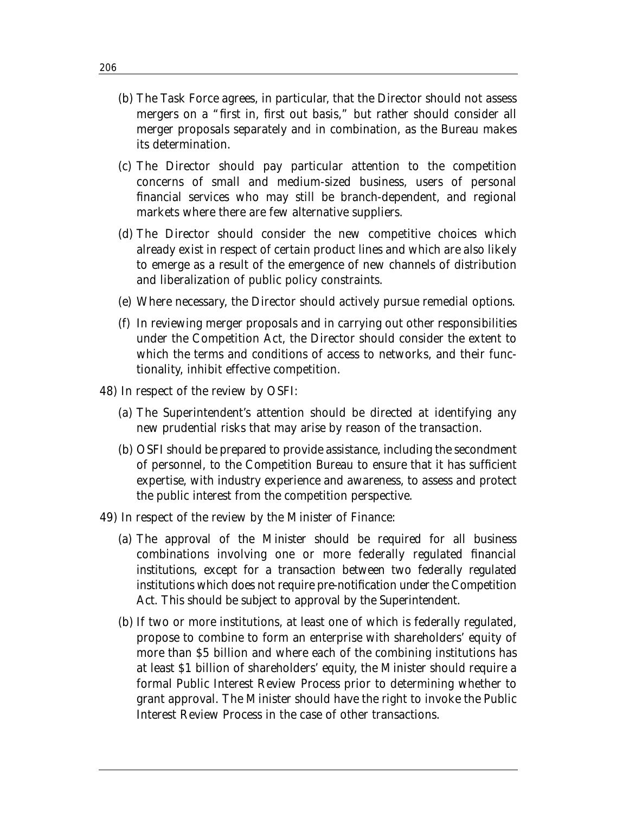- (b) The Task Force agrees, in particular, that the Director should not assess mergers on a "first in, first out basis," but rather should consider all merger proposals separately and in combination, as the Bureau makes its determination.
- (c) The Director should pay particular attention to the competition concerns of small and medium-sized business, users of personal financial services who may still be branch-dependent, and regional markets where there are few alternative suppliers.
- (d) The Director should consider the new competitive choices which already exist in respect of certain product lines and which are also likely to emerge as a result of the emergence of new channels of distribution and liberalization of public policy constraints.
- (e) Where necessary, the Director should actively pursue remedial options.
- (f) In reviewing merger proposals and in carrying out other responsibilities under the Competition Act, the Director should consider the extent to which the terms and conditions of access to networks, and their functionality, inhibit effective competition.
- 48) In respect of the review by OSFI:
	- (a) The Superintendent's attention should be directed at identifying any new prudential risks that may arise by reason of the transaction.
	- (b) OSFI should be prepared to provide assistance, including the secondment of personnel, to the Competition Bureau to ensure that it has sufficient expertise, with industry experience and awareness, to assess and protect the public interest from the competition perspective.
- 49) In respect of the review by the Minister of Finance:
	- (a) The approval of the Minister should be required for all business combinations involving one or more federally regulated financial institutions, except for a transaction between two federally regulated institutions which does not require pre-notification under the Competition Act. This should be subject to approval by the Superintendent.
	- (b) If two or more institutions, at least one of which is federally regulated, propose to combine to form an enterprise with shareholders' equity of more than \$5 billion and where each of the combining institutions has at least \$1 billion of shareholders' equity, the Minister should require a formal Public Interest Review Process prior to determining whether to grant approval. The Minister should have the right to invoke the Public Interest Review Process in the case of other transactions.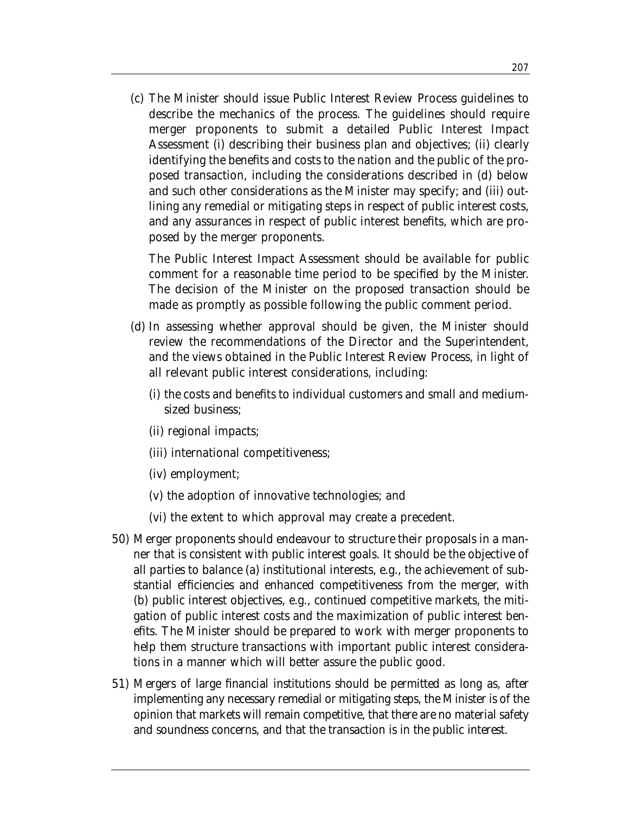(c) The Minister should issue Public Interest Review Process guidelines to describe the mechanics of the process. The guidelines should require merger proponents to submit a detailed Public Interest Impact Assessment (i) describing their business plan and objectives; (ii) clearly identifying the benefits and costs to the nation and the public of the proposed transaction, including the considerations described in (d) below and such other considerations as the Minister may specify; and (iii) outlining any remedial or mitigating steps in respect of public interest costs, and any assurances in respect of public interest benefits, which are proposed by the merger proponents.

The Public Interest Impact Assessment should be available for public comment for a reasonable time period to be specified by the Minister. The decision of the Minister on the proposed transaction should be made as promptly as possible following the public comment period.

- (d) In assessing whether approval should be given, the Minister should review the recommendations of the Director and the Superintendent, and the views obtained in the Public Interest Review Process, in light of all relevant public interest considerations, including:
	- (i) the costs and benefits to individual customers and small and mediumsized business;
	- (ii) regional impacts;
	- (iii) international competitiveness;
	- (iv) employment;
	- (v) the adoption of innovative technologies; and
	- (vi) the extent to which approval may create a precedent.
- 50) Merger proponents should endeavour to structure their proposals in a manner that is consistent with public interest goals. It should be the objective of all parties to balance (a) institutional interests, e.g., the achievement of substantial efficiencies and enhanced competitiveness from the merger, with (b) public interest objectives, e.g., continued competitive markets, the mitigation of public interest costs and the maximization of public interest benefits. The Minister should be prepared to work with merger proponents to help them structure transactions with important public interest considerations in a manner which will better assure the public good.
- 51) Mergers of large financial institutions should be permitted as long as, after implementing any necessary remedial or mitigating steps, the Minister is of the opinion that markets will remain competitive, that there are no material safety and soundness concerns, and that the transaction is in the public interest.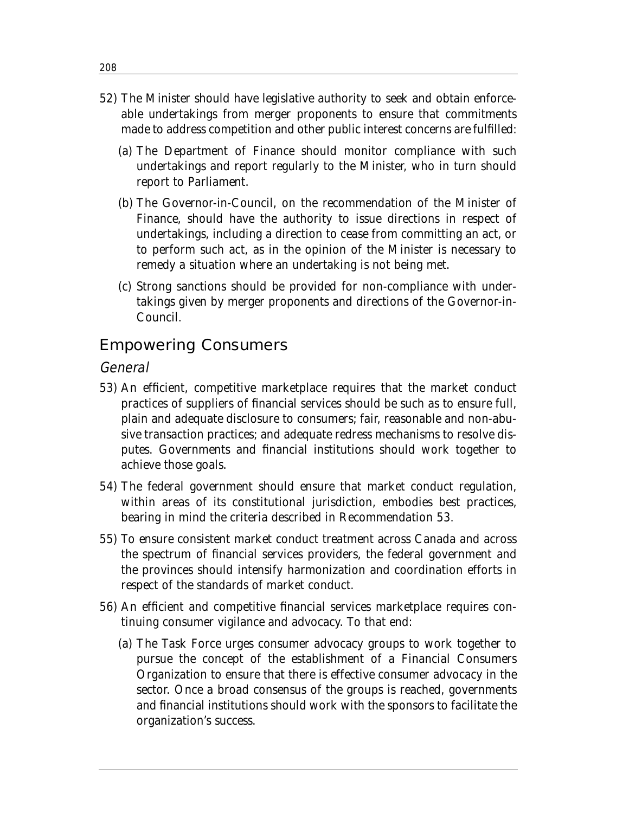- 52) The Minister should have legislative authority to seek and obtain enforceable undertakings from merger proponents to ensure that commitments made to address competition and other public interest concerns are fulfilled:
	- (a) The Department of Finance should monitor compliance with such undertakings and report regularly to the Minister, who in turn should report to Parliament.
	- (b) The Governor-in-Council, on the recommendation of the Minister of Finance, should have the authority to issue directions in respect of undertakings, including a direction to cease from committing an act, or to perform such act, as in the opinion of the Minister is necessary to remedy a situation where an undertaking is not being met.
	- (c) Strong sanctions should be provided for non-compliance with undertakings given by merger proponents and directions of the Governor-in-Council.

## Empowering Consumers

#### General

- 53) An efficient, competitive marketplace requires that the market conduct practices of suppliers of financial services should be such as to ensure full, plain and adequate disclosure to consumers; fair, reasonable and non-abusive transaction practices; and adequate redress mechanisms to resolve disputes. Governments and financial institutions should work together to achieve those goals.
- 54) The federal government should ensure that market conduct regulation, within areas of its constitutional jurisdiction, embodies best practices, bearing in mind the criteria described in Recommendation 53.
- 55) To ensure consistent market conduct treatment across Canada and across the spectrum of financial services providers, the federal government and the provinces should intensify harmonization and coordination efforts in respect of the standards of market conduct.
- 56) An efficient and competitive financial services marketplace requires continuing consumer vigilance and advocacy. To that end:
	- (a) The Task Force urges consumer advocacy groups to work together to pursue the concept of the establishment of a Financial Consumers Organization to ensure that there is effective consumer advocacy in the sector. Once a broad consensus of the groups is reached, governments and financial institutions should work with the sponsors to facilitate the organization's success.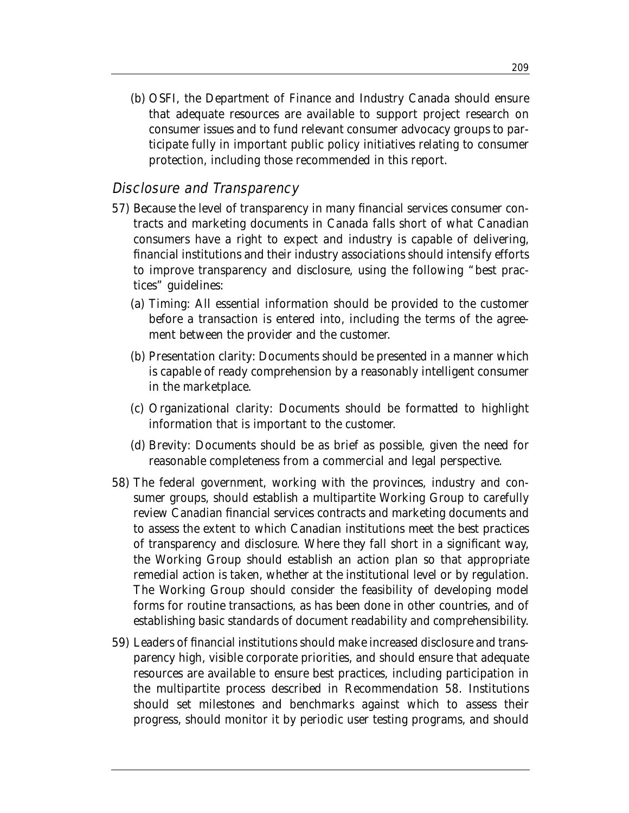(b) OSFI, the Department of Finance and Industry Canada should ensure that adequate resources are available to support project research on consumer issues and to fund relevant consumer advocacy groups to participate fully in important public policy initiatives relating to consumer protection, including those recommended in this report.

#### Disclosure and Transparency

- 57) Because the level of transparency in many financial services consumer contracts and marketing documents in Canada falls short of what Canadian consumers have a right to expect and industry is capable of delivering, financial institutions and their industry associations should intensify efforts to improve transparency and disclosure, using the following "best practices" guidelines:
	- (a) *Timing*: All essential information should be provided to the customer before a transaction is entered into, including the terms of the agreement between the provider and the customer.
	- (b) *Presentation clarity*: Documents should be presented in a manner which is capable of ready comprehension by a reasonably intelligent consumer in the marketplace.
	- (c) *Organizational clarity*: Documents should be formatted to highlight information that is important to the customer.
	- (d) *Brevity*: Documents should be as brief as possible, given the need for reasonable completeness from a commercial and legal perspective.
- 58) The federal government, working with the provinces, industry and consumer groups, should establish a multipartite Working Group to carefully review Canadian financial services contracts and marketing documents and to assess the extent to which Canadian institutions meet the best practices of transparency and disclosure. Where they fall short in a significant way, the Working Group should establish an action plan so that appropriate remedial action is taken, whether at the institutional level or by regulation. The Working Group should consider the feasibility of developing model forms for routine transactions, as has been done in other countries, and of establishing basic standards of document readability and comprehensibility.
- 59) Leaders of financial institutions should make increased disclosure and transparency high, visible corporate priorities, and should ensure that adequate resources are available to ensure best practices, including participation in the multipartite process described in Recommendation 58. Institutions should set milestones and benchmarks against which to assess their progress, should monitor it by periodic user testing programs, and should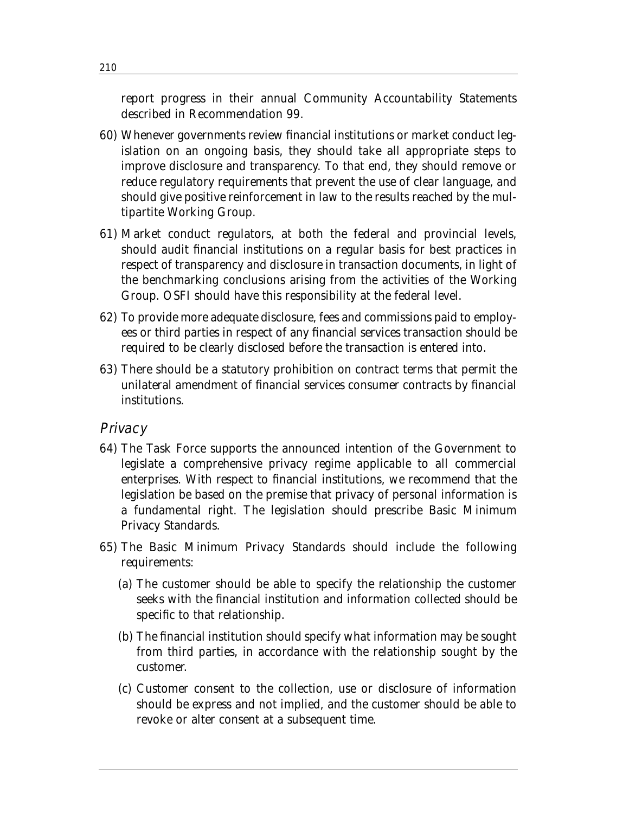report progress in their annual Community Accountability Statements described in Recommendation 99.

- 60) Whenever governments review financial institutions or market conduct legislation on an ongoing basis, they should take all appropriate steps to improve disclosure and transparency. To that end, they should remove or reduce regulatory requirements that prevent the use of clear language, and should give positive reinforcement in law to the results reached by the multipartite Working Group.
- 61) Market conduct regulators, at both the federal and provincial levels, should audit financial institutions on a regular basis for best practices in respect of transparency and disclosure in transaction documents, in light of the benchmarking conclusions arising from the activities of the Working Group. OSFI should have this responsibility at the federal level.
- 62) To provide more adequate disclosure, fees and commissions paid to employees or third parties in respect of any financial services transaction should be required to be clearly disclosed before the transaction is entered into.
- 63) There should be a statutory prohibition on contract terms that permit the unilateral amendment of financial services consumer contracts by financial institutions.

#### **Privacy**

- 64) The Task Force supports the announced intention of the Government to legislate a comprehensive privacy regime applicable to all commercial enterprises. With respect to financial institutions, we recommend that the legislation be based on the premise that privacy of personal information is a fundamental right. The legislation should prescribe Basic Minimum Privacy Standards.
- 65) The Basic Minimum Privacy Standards should include the following requirements:
	- (a) The customer should be able to specify the relationship the customer seeks with the financial institution and information collected should be specific to that relationship.
	- (b) The financial institution should specify what information may be sought from third parties, in accordance with the relationship sought by the customer.
	- (c) Customer consent to the collection, use or disclosure of information should be express and not implied, and the customer should be able to revoke or alter consent at a subsequent time.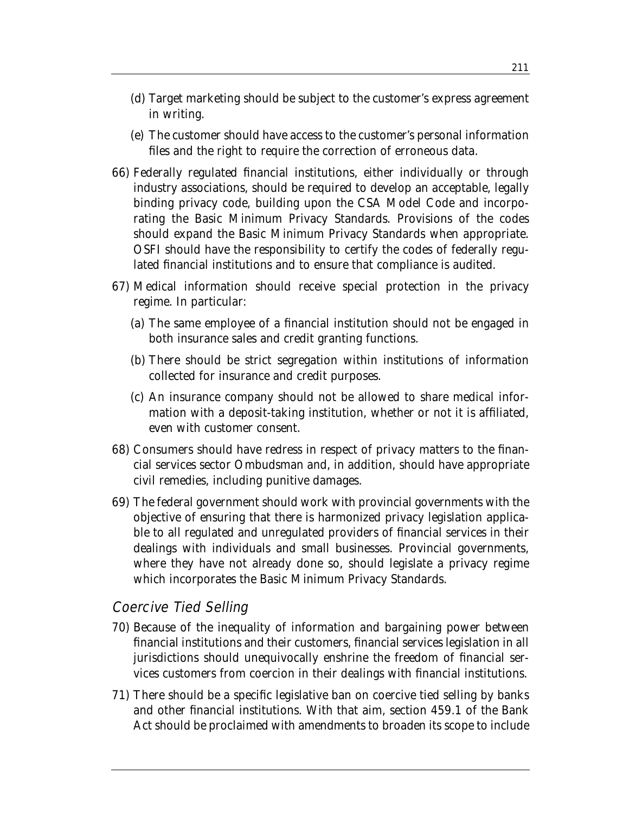- (d) Target marketing should be subject to the customer's express agreement in writing.
- (e) The customer should have access to the customer's personal information files and the right to require the correction of erroneous data.
- 66) Federally regulated financial institutions, either individually or through industry associations, should be required to develop an acceptable, legally binding privacy code, building upon the CSA Model Code and incorporating the Basic Minimum Privacy Standards. Provisions of the codes should expand the Basic Minimum Privacy Standards when appropriate. OSFI should have the responsibility to certify the codes of federally regulated financial institutions and to ensure that compliance is audited.
- 67) Medical information should receive special protection in the privacy regime. In particular:
	- (a) The same employee of a financial institution should not be engaged in both insurance sales and credit granting functions.
	- (b) There should be strict segregation within institutions of information collected for insurance and credit purposes.
	- (c) An insurance company should not be allowed to share medical information with a deposit-taking institution, whether or not it is affiliated, even with customer consent.
- 68) Consumers should have redress in respect of privacy matters to the financial services sector Ombudsman and, in addition, should have appropriate civil remedies, including punitive damages.
- 69) The federal government should work with provincial governments with the objective of ensuring that there is harmonized privacy legislation applicable to all regulated and unregulated providers of financial services in their dealings with individuals and small businesses. Provincial governments, where they have not already done so, should legislate a privacy regime which incorporates the Basic Minimum Privacy Standards.

#### Coercive Tied Selling

- 70) Because of the inequality of information and bargaining power between financial institutions and their customers, financial services legislation in all jurisdictions should unequivocally enshrine the freedom of financial services customers from coercion in their dealings with financial institutions.
- 71) There should be a specific legislative ban on coercive tied selling by banks and other financial institutions. With that aim, section 459.1 of the Bank Act should be proclaimed with amendments to broaden its scope to include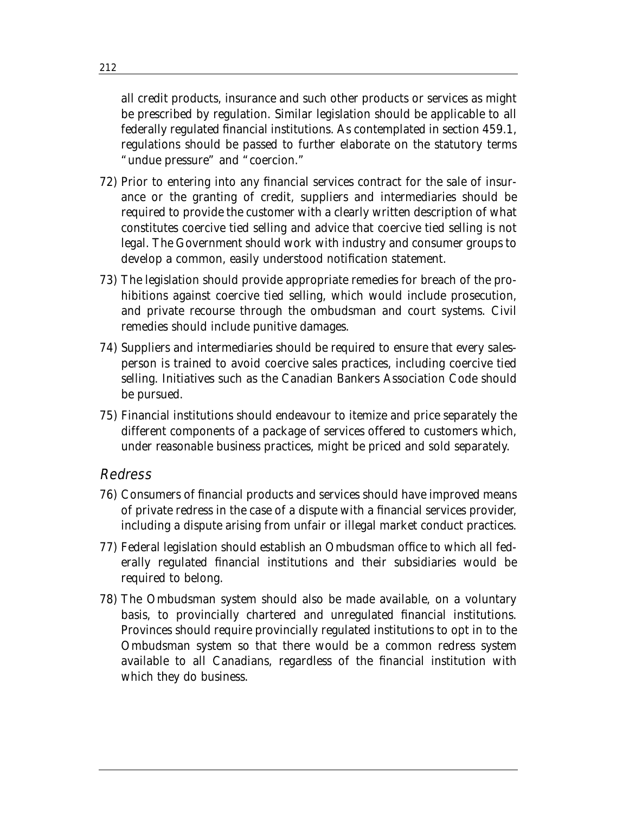all credit products, insurance and such other products or services as might be prescribed by regulation. Similar legislation should be applicable to all federally regulated financial institutions. As contemplated in section 459.1, regulations should be passed to further elaborate on the statutory terms "undue pressure" and "coercion."

- 72) Prior to entering into any financial services contract for the sale of insurance or the granting of credit, suppliers and intermediaries should be required to provide the customer with a clearly written description of what constitutes coercive tied selling and advice that coercive tied selling is not legal. The Government should work with industry and consumer groups to develop a common, easily understood notification statement.
- 73) The legislation should provide appropriate remedies for breach of the prohibitions against coercive tied selling, which would include prosecution, and private recourse through the ombudsman and court systems. Civil remedies should include punitive damages.
- 74) Suppliers and intermediaries should be required to ensure that every salesperson is trained to avoid coercive sales practices, including coercive tied selling. Initiatives such as the Canadian Bankers Association Code should be pursued.
- 75) Financial institutions should endeavour to itemize and price separately the different components of a package of services offered to customers which, under reasonable business practices, might be priced and sold separately.

#### Redress

- 76) Consumers of financial products and services should have improved means of private redress in the case of a dispute with a financial services provider, including a dispute arising from unfair or illegal market conduct practices.
- 77) Federal legislation should establish an Ombudsman office to which all federally regulated financial institutions and their subsidiaries would be required to belong.
- 78) The Ombudsman system should also be made available, on a voluntary basis, to provincially chartered and unregulated financial institutions. Provinces should require provincially regulated institutions to opt in to the Ombudsman system so that there would be a common redress system available to all Canadians, regardless of the financial institution with which they do business.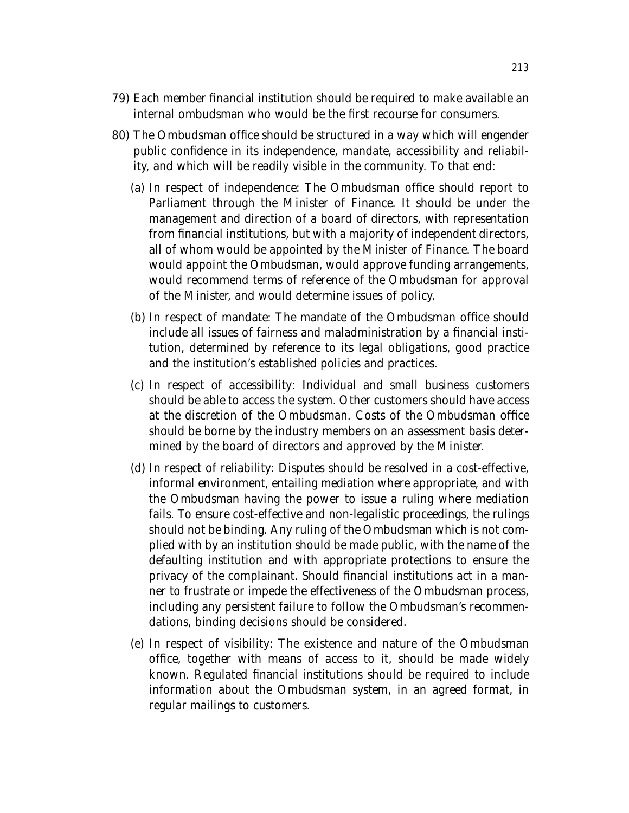- 79) Each member financial institution should be required to make available an internal ombudsman who would be the first recourse for consumers.
- 80) The Ombudsman office should be structured in a way which will engender public confidence in its independence, mandate, accessibility and reliability, and which will be readily visible in the community. To that end:
	- (a) *In respect of independence*: The Ombudsman office should report to Parliament through the Minister of Finance. It should be under the management and direction of a board of directors, with representation from financial institutions, but with a majority of independent directors, all of whom would be appointed by the Minister of Finance. The board would appoint the Ombudsman, would approve funding arrangements, would recommend terms of reference of the Ombudsman for approval of the Minister, and would determine issues of policy.
	- (b) *In respect of mandate*: The mandate of the Ombudsman office should include all issues of fairness and maladministration by a financial institution, determined by reference to its legal obligations, good practice and the institution's established policies and practices.
	- (c) *In respect of accessibility*: Individual and small business customers should be able to access the system. Other customers should have access at the discretion of the Ombudsman. Costs of the Ombudsman office should be borne by the industry members on an assessment basis determined by the board of directors and approved by the Minister.
	- (d) *In respect of reliability*: Disputes should be resolved in a cost-effective, informal environment, entailing mediation where appropriate, and with the Ombudsman having the power to issue a ruling where mediation fails. To ensure cost-effective and non-legalistic proceedings, the rulings should not be binding. Any ruling of the Ombudsman which is not complied with by an institution should be made public, with the name of the defaulting institution and with appropriate protections to ensure the privacy of the complainant. Should financial institutions act in a manner to frustrate or impede the effectiveness of the Ombudsman process, including any persistent failure to follow the Ombudsman's recommendations, binding decisions should be considered.
	- (e) *In respect of visibility*: The existence and nature of the Ombudsman office, together with means of access to it, should be made widely known. Regulated financial institutions should be required to include information about the Ombudsman system, in an agreed format, in regular mailings to customers.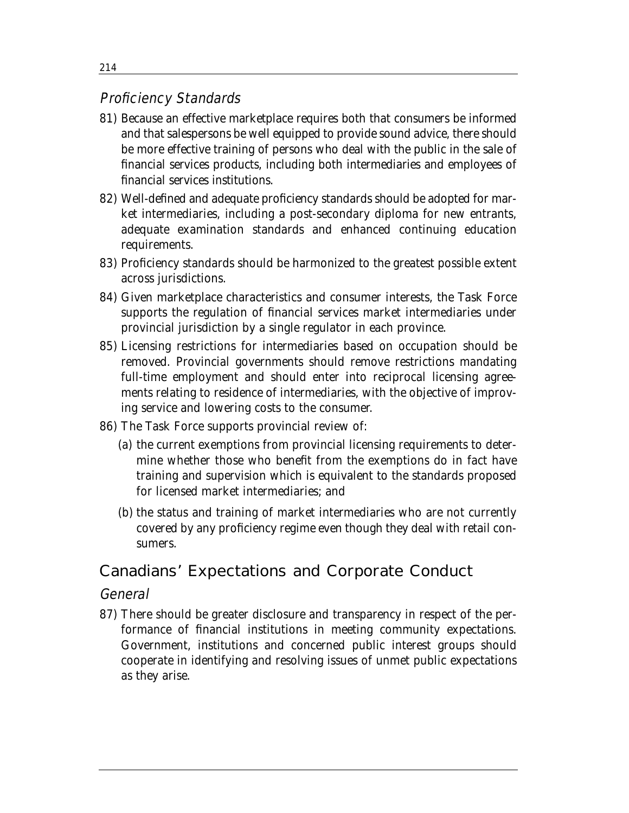## Proficiency Standards

- 81) Because an effective marketplace requires both that consumers be informed and that salespersons be well equipped to provide sound advice, there should be more effective training of persons who deal with the public in the sale of financial services products, including both intermediaries and employees of financial services institutions.
- 82) Well-defined and adequate proficiency standards should be adopted for market intermediaries, including a post-secondary diploma for new entrants, adequate examination standards and enhanced continuing education requirements.
- 83) Proficiency standards should be harmonized to the greatest possible extent across jurisdictions.
- 84) Given marketplace characteristics and consumer interests, the Task Force supports the regulation of financial services market intermediaries under provincial jurisdiction by a single regulator in each province.
- 85) Licensing restrictions for intermediaries based on occupation should be removed. Provincial governments should remove restrictions mandating full-time employment and should enter into reciprocal licensing agreements relating to residence of intermediaries, with the objective of improving service and lowering costs to the consumer.
- 86) The Task Force supports provincial review of:
	- (a) the current exemptions from provincial licensing requirements to determine whether those who benefit from the exemptions do in fact have training and supervision which is equivalent to the standards proposed for licensed market intermediaries; and
	- (b) the status and training of market intermediaries who are not currently covered by any proficiency regime even though they deal with retail consumers.

# Canadians' Expectations and Corporate Conduct

#### **General**

87) There should be greater disclosure and transparency in respect of the performance of financial institutions in meeting community expectations. Government, institutions and concerned public interest groups should cooperate in identifying and resolving issues of unmet public expectations as they arise.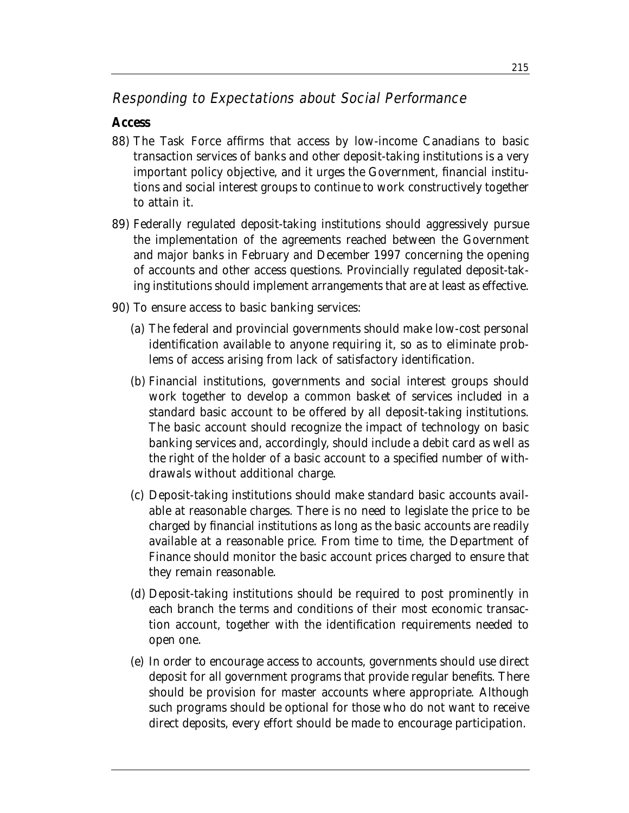## Responding to Expectations about Social Performance

#### **Access**

- 88) The Task Force affirms that access by low-income Canadians to basic transaction services of banks and other deposit-taking institutions is a very important policy objective, and it urges the Government, financial institutions and social interest groups to continue to work constructively together to attain it.
- 89) Federally regulated deposit-taking institutions should aggressively pursue the implementation of the agreements reached between the Government and major banks in February and December 1997 concerning the opening of accounts and other access questions. Provincially regulated deposit-taking institutions should implement arrangements that are at least as effective.
- 90) To ensure access to basic banking services:
	- (a) The federal and provincial governments should make low-cost personal identification available to anyone requiring it, so as to eliminate problems of access arising from lack of satisfactory identification.
	- (b) Financial institutions, governments and social interest groups should work together to develop a common basket of services included in a standard basic account to be offered by all deposit-taking institutions. The basic account should recognize the impact of technology on basic banking services and, accordingly, should include a debit card as well as the right of the holder of a basic account to a specified number of withdrawals without additional charge.
	- (c) Deposit-taking institutions should make standard basic accounts available at reasonable charges. There is no need to legislate the price to be charged by financial institutions as long as the basic accounts are readily available at a reasonable price. From time to time, the Department of Finance should monitor the basic account prices charged to ensure that they remain reasonable.
	- (d) Deposit-taking institutions should be required to post prominently in each branch the terms and conditions of their most economic transaction account, together with the identification requirements needed to open one.
	- (e) In order to encourage access to accounts, governments should use direct deposit for all government programs that provide regular benefits. There should be provision for master accounts where appropriate. Although such programs should be optional for those who do not want to receive direct deposits, every effort should be made to encourage participation.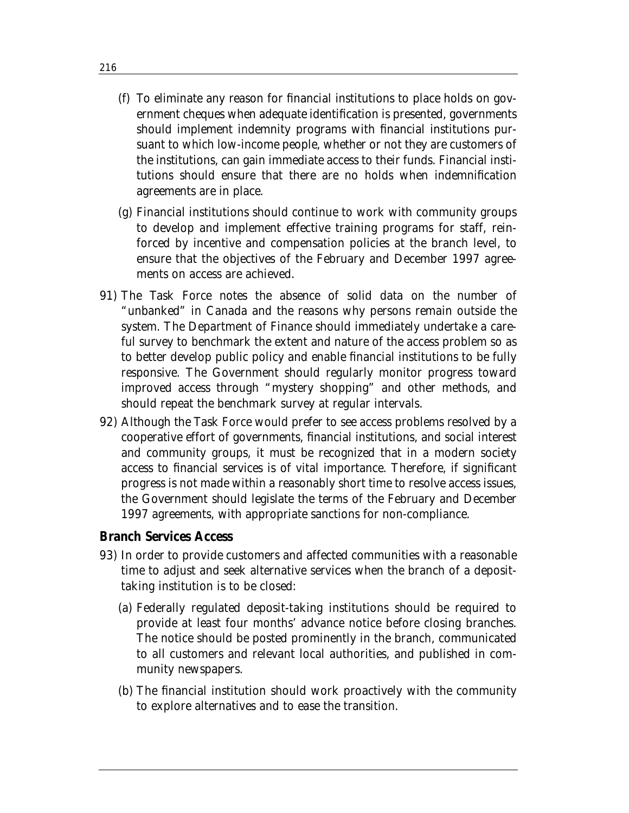- (f) To eliminate any reason for financial institutions to place holds on government cheques when adequate identification is presented, governments should implement indemnity programs with financial institutions pursuant to which low-income people, whether or not they are customers of the institutions, can gain immediate access to their funds. Financial institutions should ensure that there are no holds when indemnification agreements are in place.
- (g) Financial institutions should continue to work with community groups to develop and implement effective training programs for staff, reinforced by incentive and compensation policies at the branch level, to ensure that the objectives of the February and December 1997 agreements on access are achieved.
- 91) The Task Force notes the absence of solid data on the number of "unbanked" in Canada and the reasons why persons remain outside the system. The Department of Finance should immediately undertake a careful survey to benchmark the extent and nature of the access problem so as to better develop public policy and enable financial institutions to be fully responsive. The Government should regularly monitor progress toward improved access through "mystery shopping" and other methods, and should repeat the benchmark survey at regular intervals.
- 92) Although the Task Force would prefer to see access problems resolved by a cooperative effort of governments, financial institutions, and social interest and community groups, it must be recognized that in a modern society access to financial services is of vital importance. Therefore, if significant progress is not made within a reasonably short time to resolve access issues, the Government should legislate the terms of the February and December 1997 agreements, with appropriate sanctions for non-compliance.

#### **Branch Services Access**

- 93) In order to provide customers and affected communities with a reasonable time to adjust and seek alternative services when the branch of a deposittaking institution is to be closed:
	- (a) Federally regulated deposit-taking institutions should be required to provide at least four months' advance notice before closing branches. The notice should be posted prominently in the branch, communicated to all customers and relevant local authorities, and published in community newspapers.
	- (b) The financial institution should work proactively with the community to explore alternatives and to ease the transition.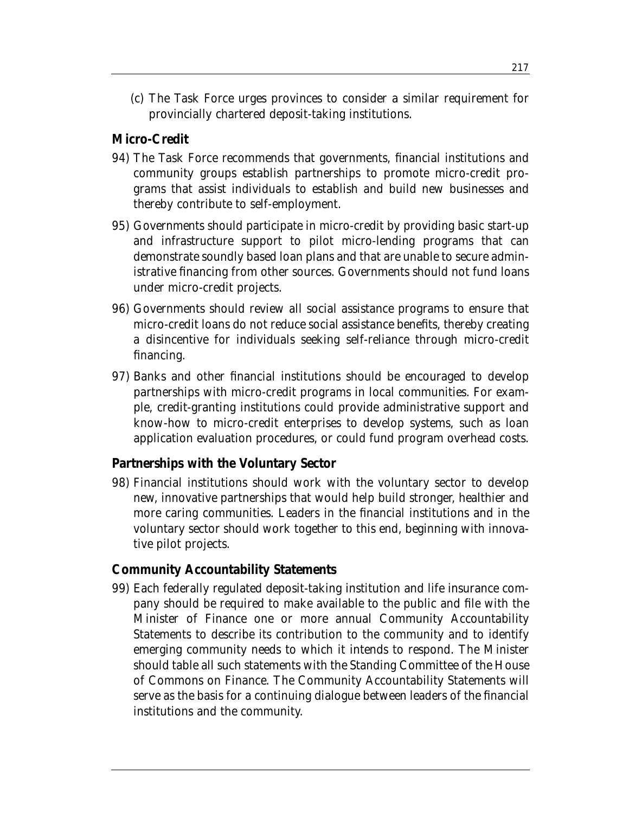(c) The Task Force urges provinces to consider a similar requirement for provincially chartered deposit-taking institutions.

### **Micro-Credit**

- 94) The Task Force recommends that governments, financial institutions and community groups establish partnerships to promote micro-credit programs that assist individuals to establish and build new businesses and thereby contribute to self-employment.
- 95) Governments should participate in micro-credit by providing basic start-up and infrastructure support to pilot micro-lending programs that can demonstrate soundly based loan plans and that are unable to secure administrative financing from other sources. Governments should not fund loans under micro-credit projects.
- 96) Governments should review all social assistance programs to ensure that micro-credit loans do not reduce social assistance benefits, thereby creating a disincentive for individuals seeking self-reliance through micro-credit financing.
- 97) Banks and other financial institutions should be encouraged to develop partnerships with micro-credit programs in local communities. For example, credit-granting institutions could provide administrative support and know-how to micro-credit enterprises to develop systems, such as loan application evaluation procedures, or could fund program overhead costs.

### **Partnerships with the Voluntary Sector**

98) Financial institutions should work with the voluntary sector to develop new, innovative partnerships that would help build stronger, healthier and more caring communities. Leaders in the financial institutions and in the voluntary sector should work together to this end, beginning with innovative pilot projects.

### **Community Accountability Statements**

99) Each federally regulated deposit-taking institution and life insurance company should be required to make available to the public and file with the Minister of Finance one or more annual Community Accountability Statements to describe its contribution to the community and to identify emerging community needs to which it intends to respond. The Minister should table all such statements with the Standing Committee of the House of Commons on Finance. The Community Accountability Statements will serve as the basis for a continuing dialogue between leaders of the financial institutions and the community.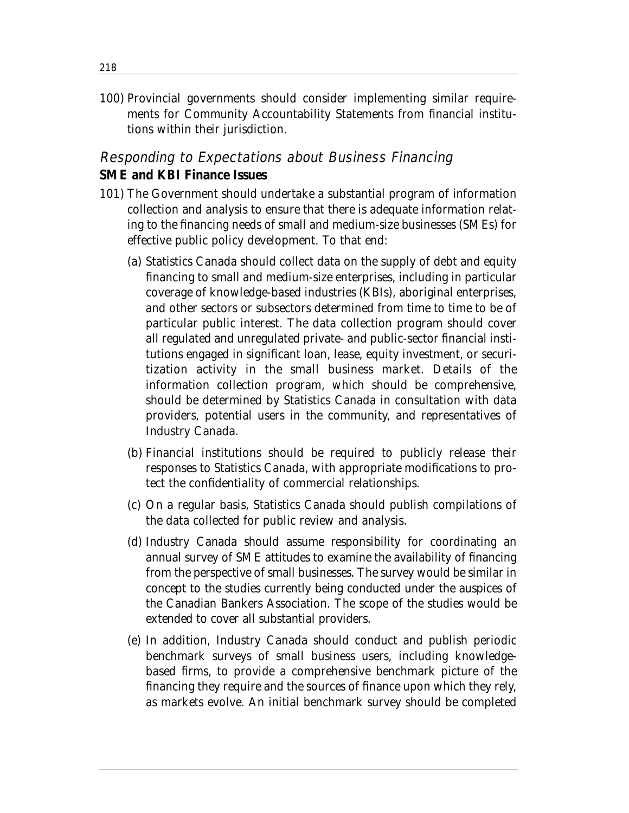100) Provincial governments should consider implementing similar requirements for Community Accountability Statements from financial institutions within their jurisdiction.

## Responding to Expectations about Business Financing **SME and KBI Finance Issues**

- 101) The Government should undertake a substantial program of information collection and analysis to ensure that there is adequate information relating to the financing needs of small and medium-size businesses (SMEs) for effective public policy development. To that end:
	- (a) Statistics Canada should collect data on the supply of debt and equity financing to small and medium-size enterprises, including in particular coverage of knowledge-based industries (KBIs), aboriginal enterprises, and other sectors or subsectors determined from time to time to be of particular public interest. The data collection program should cover all regulated and unregulated private- and public-sector financial institutions engaged in significant loan, lease, equity investment, or securitization activity in the small business market. Details of the information collection program, which should be comprehensive, should be determined by Statistics Canada in consultation with data providers, potential users in the community, and representatives of Industry Canada.
	- (b) Financial institutions should be required to publicly release their responses to Statistics Canada, with appropriate modifications to protect the confidentiality of commercial relationships.
	- (c) On a regular basis, Statistics Canada should publish compilations of the data collected for public review and analysis.
	- (d) Industry Canada should assume responsibility for coordinating an annual survey of SME attitudes to examine the availability of financing from the perspective of small businesses. The survey would be similar in concept to the studies currently being conducted under the auspices of the Canadian Bankers Association. The scope of the studies would be extended to cover all substantial providers.
	- (e) In addition, Industry Canada should conduct and publish periodic benchmark surveys of small business users, including knowledgebased firms, to provide a comprehensive benchmark picture of the financing they require and the sources of finance upon which they rely, as markets evolve. An initial benchmark survey should be completed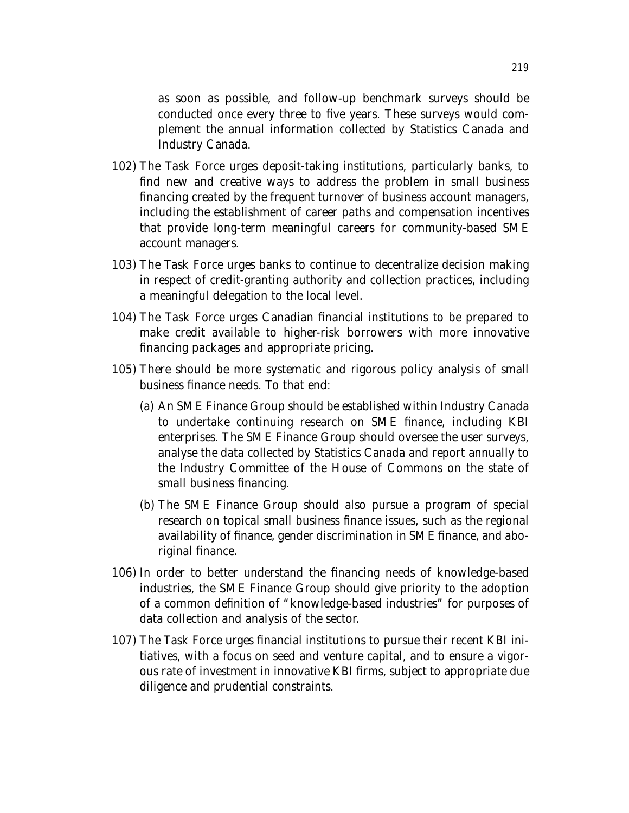as soon as possible, and follow-up benchmark surveys should be conducted once every three to five years. These surveys would complement the annual information collected by Statistics Canada and Industry Canada.

- 102) The Task Force urges deposit-taking institutions, particularly banks, to find new and creative ways to address the problem in small business financing created by the frequent turnover of business account managers, including the establishment of career paths and compensation incentives that provide long-term meaningful careers for community-based SME account managers.
- 103) The Task Force urges banks to continue to decentralize decision making in respect of credit-granting authority and collection practices, including a meaningful delegation to the local level.
- 104) The Task Force urges Canadian financial institutions to be prepared to make credit available to higher-risk borrowers with more innovative financing packages and appropriate pricing.
- 105) There should be more systematic and rigorous policy analysis of small business finance needs. To that end:
	- (a) An SME Finance Group should be established within Industry Canada to undertake continuing research on SME finance, including KBI enterprises. The SME Finance Group should oversee the user surveys, analyse the data collected by Statistics Canada and report annually to the Industry Committee of the House of Commons on the state of small business financing.
	- (b) The SME Finance Group should also pursue a program of special research on topical small business finance issues, such as the regional availability of finance, gender discrimination in SME finance, and aboriginal finance.
- 106) In order to better understand the financing needs of knowledge-based industries, the SME Finance Group should give priority to the adoption of a common definition of "knowledge-based industries" for purposes of data collection and analysis of the sector.
- 107) The Task Force urges financial institutions to pursue their recent KBI initiatives, with a focus on seed and venture capital, and to ensure a vigorous rate of investment in innovative KBI firms, subject to appropriate due diligence and prudential constraints.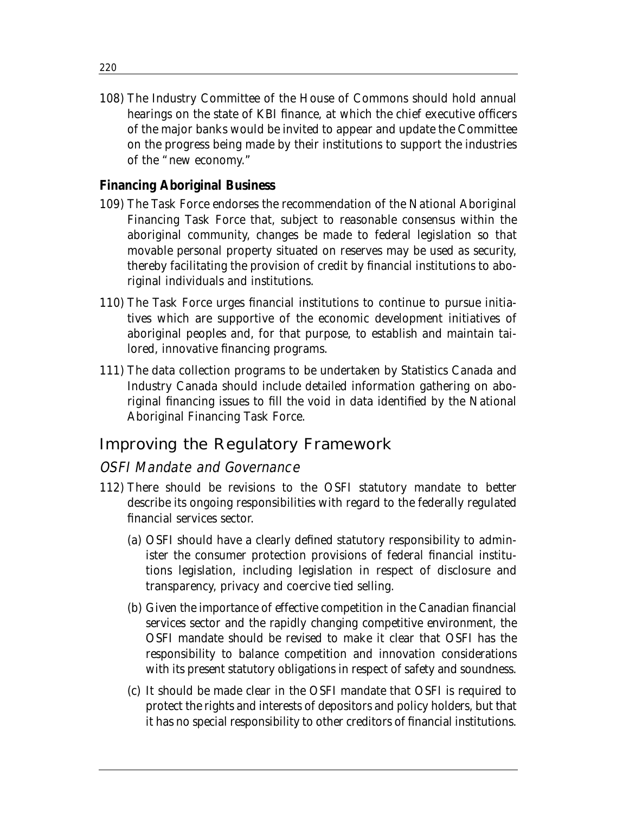108) The Industry Committee of the House of Commons should hold annual hearings on the state of KBI finance, at which the chief executive officers of the major banks would be invited to appear and update the Committee on the progress being made by their institutions to support the industries of the "new economy."

### **Financing Aboriginal Business**

- 109) The Task Force endorses the recommendation of the National Aboriginal Financing Task Force that, subject to reasonable consensus within the aboriginal community, changes be made to federal legislation so that movable personal property situated on reserves may be used as security, thereby facilitating the provision of credit by financial institutions to aboriginal individuals and institutions.
- 110) The Task Force urges financial institutions to continue to pursue initiatives which are supportive of the economic development initiatives of aboriginal peoples and, for that purpose, to establish and maintain tailored, innovative financing programs.
- 111) The data collection programs to be undertaken by Statistics Canada and Industry Canada should include detailed information gathering on aboriginal financing issues to fill the void in data identified by the National Aboriginal Financing Task Force.

## Improving the Regulatory Framework

## OSFI Mandate and Governance

- 112) There should be revisions to the OSFI statutory mandate to better describe its ongoing responsibilities with regard to the federally regulated financial services sector.
	- (a) OSFI should have a clearly defined statutory responsibility to administer the consumer protection provisions of federal financial institutions legislation, including legislation in respect of disclosure and transparency, privacy and coercive tied selling.
	- (b) Given the importance of effective competition in the Canadian financial services sector and the rapidly changing competitive environment, the OSFI mandate should be revised to make it clear that OSFI has the responsibility to balance competition and innovation considerations with its present statutory obligations in respect of safety and soundness.
	- (c) It should be made clear in the OSFI mandate that OSFI is required to protect the rights and interests of depositors and policy holders, but that it has no special responsibility to other creditors of financial institutions.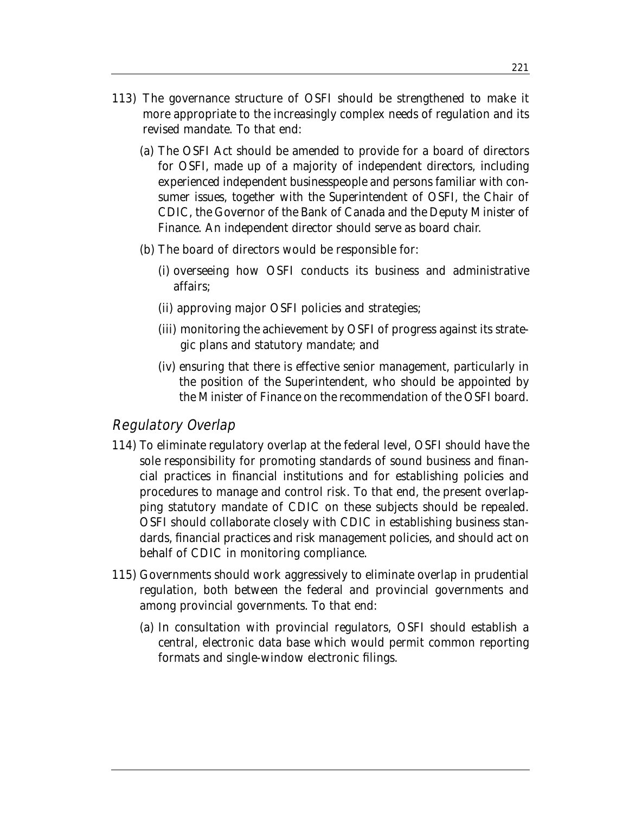- 113) The governance structure of OSFI should be strengthened to make it more appropriate to the increasingly complex needs of regulation and its revised mandate. To that end:
	- (a) The OSFI Act should be amended to provide for a board of directors for OSFI, made up of a majority of independent directors, including experienced independent businesspeople and persons familiar with consumer issues, together with the Superintendent of OSFI, the Chair of CDIC, the Governor of the Bank of Canada and the Deputy Minister of Finance. An independent director should serve as board chair.
	- (b) The board of directors would be responsible for:
		- (i) overseeing how OSFI conducts its business and administrative affairs;
		- (ii) approving major OSFI policies and strategies;
		- (iii) monitoring the achievement by OSFI of progress against its strategic plans and statutory mandate; and
		- (iv) ensuring that there is effective senior management, particularly in the position of the Superintendent, who should be appointed by the Minister of Finance on the recommendation of the OSFI board.

## Regulatory Overlap

- 114) To eliminate regulatory overlap at the federal level, OSFI should have the sole responsibility for promoting standards of sound business and financial practices in financial institutions and for establishing policies and procedures to manage and control risk. To that end, the present overlapping statutory mandate of CDIC on these subjects should be repealed. OSFI should collaborate closely with CDIC in establishing business standards, financial practices and risk management policies, and should act on behalf of CDIC in monitoring compliance.
- 115) Governments should work aggressively to eliminate overlap in prudential regulation, both between the federal and provincial governments and among provincial governments. To that end:
	- (a) In consultation with provincial regulators, OSFI should establish a central, electronic data base which would permit common reporting formats and single-window electronic filings.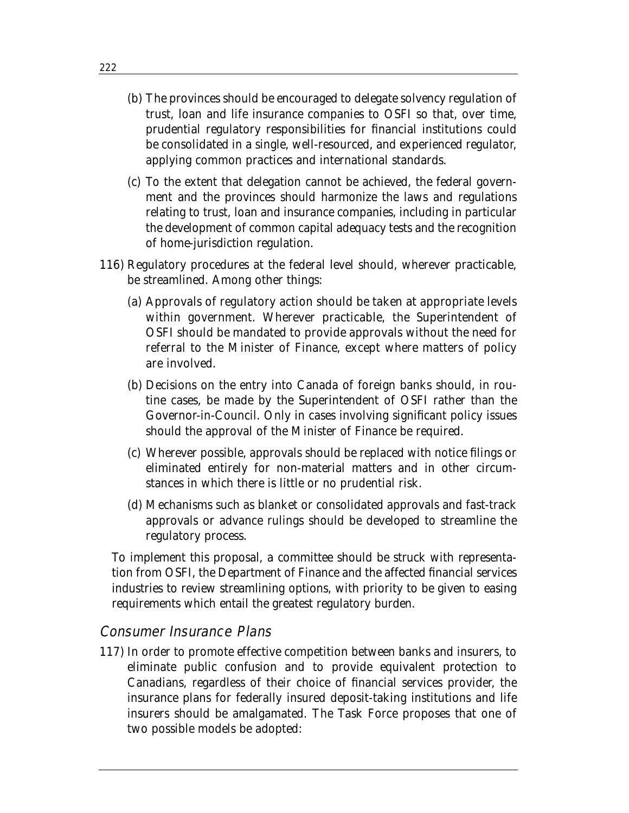- (b) The provinces should be encouraged to delegate solvency regulation of trust, loan and life insurance companies to OSFI so that, over time, prudential regulatory responsibilities for financial institutions could be consolidated in a single, well-resourced, and experienced regulator, applying common practices and international standards.
- (c) To the extent that delegation cannot be achieved, the federal government and the provinces should harmonize the laws and regulations relating to trust, loan and insurance companies, including in particular the development of common capital adequacy tests and the recognition of home-jurisdiction regulation.
- 116) Regulatory procedures at the federal level should, wherever practicable, be streamlined. Among other things:
	- (a) Approvals of regulatory action should be taken at appropriate levels within government. Wherever practicable, the Superintendent of OSFI should be mandated to provide approvals without the need for referral to the Minister of Finance, except where matters of policy are involved.
	- (b) Decisions on the entry into Canada of foreign banks should, in routine cases, be made by the Superintendent of OSFI rather than the Governor-in-Council. Only in cases involving significant policy issues should the approval of the Minister of Finance be required.
	- (c) Wherever possible, approvals should be replaced with notice filings or eliminated entirely for non-material matters and in other circumstances in which there is little or no prudential risk.
	- (d) Mechanisms such as blanket or consolidated approvals and fast-track approvals or advance rulings should be developed to streamline the regulatory process.

To implement this proposal, a committee should be struck with representation from OSFI, the Department of Finance and the affected financial services industries to review streamlining options, with priority to be given to easing requirements which entail the greatest regulatory burden.

### Consumer Insurance Plans

117) In order to promote effective competition between banks and insurers, to eliminate public confusion and to provide equivalent protection to Canadians, regardless of their choice of financial services provider, the insurance plans for federally insured deposit-taking institutions and life insurers should be amalgamated. The Task Force proposes that one of two possible models be adopted: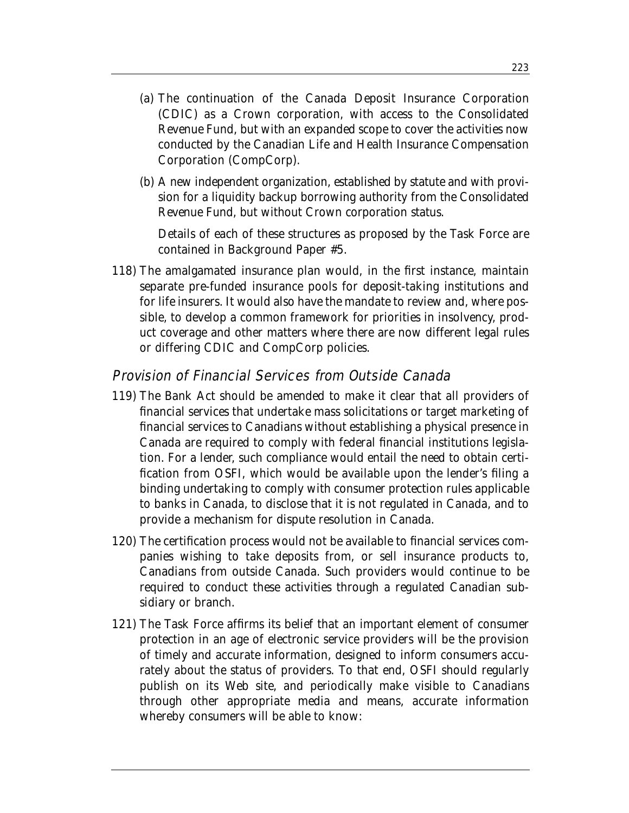- (a) The continuation of the Canada Deposit Insurance Corporation (CDIC) as a Crown corporation, with access to the Consolidated Revenue Fund, but with an expanded scope to cover the activities now conducted by the Canadian Life and Health Insurance Compensation Corporation (CompCorp).
- (b) A new independent organization, established by statute and with provision for a liquidity backup borrowing authority from the Consolidated Revenue Fund, but without Crown corporation status.

Details of each of these structures as proposed by the Task Force are contained in Background Paper #5.

118) The amalgamated insurance plan would, in the first instance, maintain separate pre-funded insurance pools for deposit-taking institutions and for life insurers. It would also have the mandate to review and, where possible, to develop a common framework for priorities in insolvency, product coverage and other matters where there are now different legal rules or differing CDIC and CompCorp policies.

## Provision of Financial Services from Outside Canada

- 119) The Bank Act should be amended to make it clear that all providers of financial services that undertake mass solicitations or target marketing of financial services to Canadians without establishing a physical presence in Canada are required to comply with federal financial institutions legislation. For a lender, such compliance would entail the need to obtain certification from OSFI, which would be available upon the lender's filing a binding undertaking to comply with consumer protection rules applicable to banks in Canada, to disclose that it is not regulated in Canada, and to provide a mechanism for dispute resolution in Canada.
- 120) The certification process would not be available to financial services companies wishing to take deposits from, or sell insurance products to, Canadians from outside Canada. Such providers would continue to be required to conduct these activities through a regulated Canadian subsidiary or branch.
- 121) The Task Force affirms its belief that an important element of consumer protection in an age of electronic service providers will be the provision of timely and accurate information, designed to inform consumers accurately about the status of providers. To that end, OSFI should regularly publish on its Web site, and periodically make visible to Canadians through other appropriate media and means, accurate information whereby consumers will be able to know: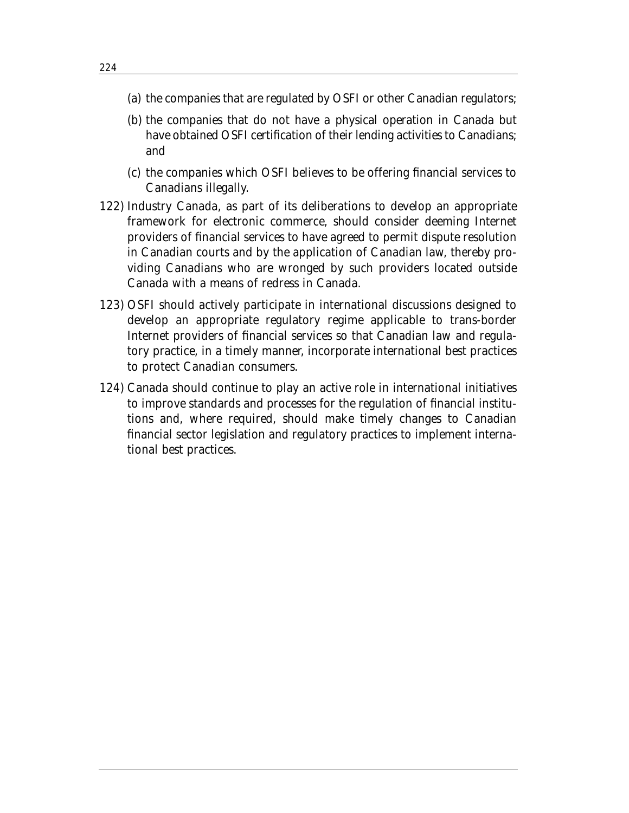- (a) the companies that are regulated by OSFI or other Canadian regulators;
- (b) the companies that do not have a physical operation in Canada but have obtained OSFI certification of their lending activities to Canadians; and
- (c) the companies which OSFI believes to be offering financial services to Canadians illegally.
- 122) Industry Canada, as part of its deliberations to develop an appropriate framework for electronic commerce, should consider deeming Internet providers of financial services to have agreed to permit dispute resolution in Canadian courts and by the application of Canadian law, thereby providing Canadians who are wronged by such providers located outside Canada with a means of redress in Canada.
- 123) OSFI should actively participate in international discussions designed to develop an appropriate regulatory regime applicable to trans-border Internet providers of financial services so that Canadian law and regulatory practice, in a timely manner, incorporate international best practices to protect Canadian consumers.
- 124) Canada should continue to play an active role in international initiatives to improve standards and processes for the regulation of financial institutions and, where required, should make timely changes to Canadian financial sector legislation and regulatory practices to implement international best practices.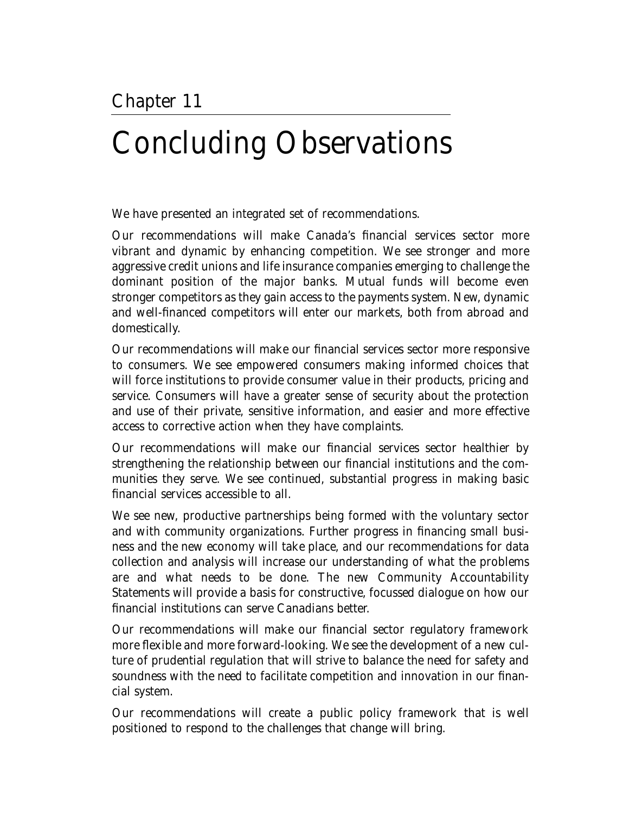# Concluding Observations

We have presented an integrated set of recommendations.

Our recommendations will make Canada's financial services sector more vibrant and dynamic by enhancing competition. We see stronger and more aggressive credit unions and life insurance companies emerging to challenge the dominant position of the major banks. Mutual funds will become even stronger competitors as they gain access to the payments system. New, dynamic and well-financed competitors will enter our markets, both from abroad and domestically.

Our recommendations will make our financial services sector more responsive to consumers. We see empowered consumers making informed choices that will force institutions to provide consumer value in their products, pricing and service. Consumers will have a greater sense of security about the protection and use of their private, sensitive information, and easier and more effective access to corrective action when they have complaints.

Our recommendations will make our financial services sector healthier by strengthening the relationship between our financial institutions and the communities they serve. We see continued, substantial progress in making basic financial services accessible to all.

We see new, productive partnerships being formed with the voluntary sector and with community organizations. Further progress in financing small business and the new economy will take place, and our recommendations for data collection and analysis will increase our understanding of what the problems are and what needs to be done. The new Community Accountability Statements will provide a basis for constructive, focussed dialogue on how our financial institutions can serve Canadians better.

Our recommendations will make our financial sector regulatory framework more flexible and more forward-looking. We see the development of a new culture of prudential regulation that will strive to balance the need for safety and soundness with the need to facilitate competition and innovation in our financial system.

Our recommendations will create a public policy framework that is well positioned to respond to the challenges that change will bring.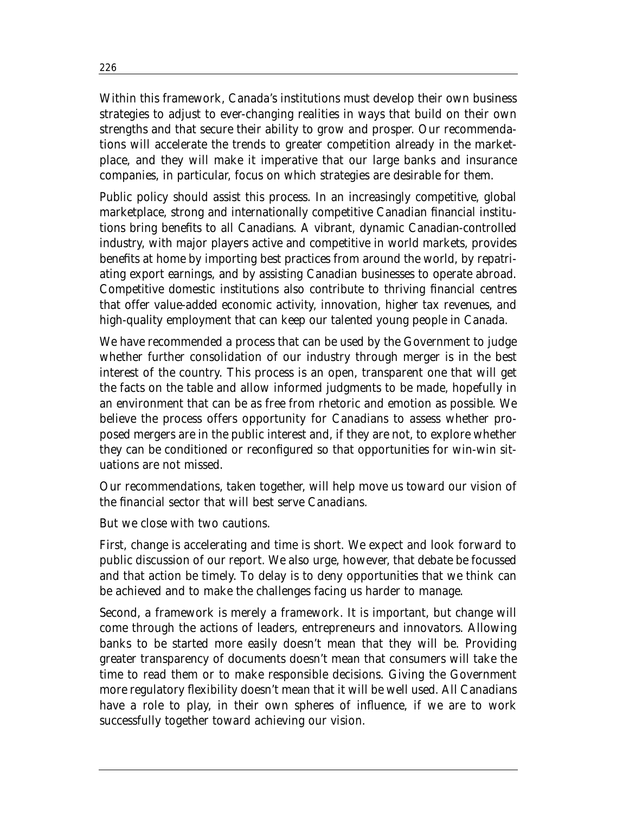Within this framework, Canada's institutions must develop their own business strategies to adjust to ever-changing realities in ways that build on their own strengths and that secure their ability to grow and prosper. Our recommendations will accelerate the trends to greater competition already in the marketplace, and they will make it imperative that our large banks and insurance companies, in particular, focus on which strategies are desirable for them.

Public policy should assist this process. In an increasingly competitive, global marketplace, strong and internationally competitive Canadian financial institutions bring benefits to all Canadians. A vibrant, dynamic Canadian-controlled industry, with major players active and competitive in world markets, provides benefits at home by importing best practices from around the world, by repatriating export earnings, and by assisting Canadian businesses to operate abroad. Competitive domestic institutions also contribute to thriving financial centres that offer value-added economic activity, innovation, higher tax revenues, and high-quality employment that can keep our talented young people in Canada.

We have recommended a process that can be used by the Government to judge whether further consolidation of our industry through merger is in the best interest of the country. This process is an open, transparent one that will get the facts on the table and allow informed judgments to be made, hopefully in an environment that can be as free from rhetoric and emotion as possible. We believe the process offers opportunity for Canadians to assess whether proposed mergers are in the public interest and, if they are not, to explore whether they can be conditioned or reconfigured so that opportunities for win-win situations are not missed.

Our recommendations, taken together, will help move us toward our vision of the financial sector that will best serve Canadians.

But we close with two cautions.

First, change is accelerating and time is short. We expect and look forward to public discussion of our report. We also urge, however, that debate be focussed and that action be timely. To delay is to deny opportunities that we think can be achieved and to make the challenges facing us harder to manage.

Second, a framework is merely a framework. It is important, but change will come through the actions of leaders, entrepreneurs and innovators. Allowing banks to be started more easily doesn't mean that they will be. Providing greater transparency of documents doesn't mean that consumers will take the time to read them or to make responsible decisions. Giving the Government more regulatory flexibility doesn't mean that it will be well used. All Canadians have a role to play, in their own spheres of influence, if we are to work successfully together toward achieving our vision.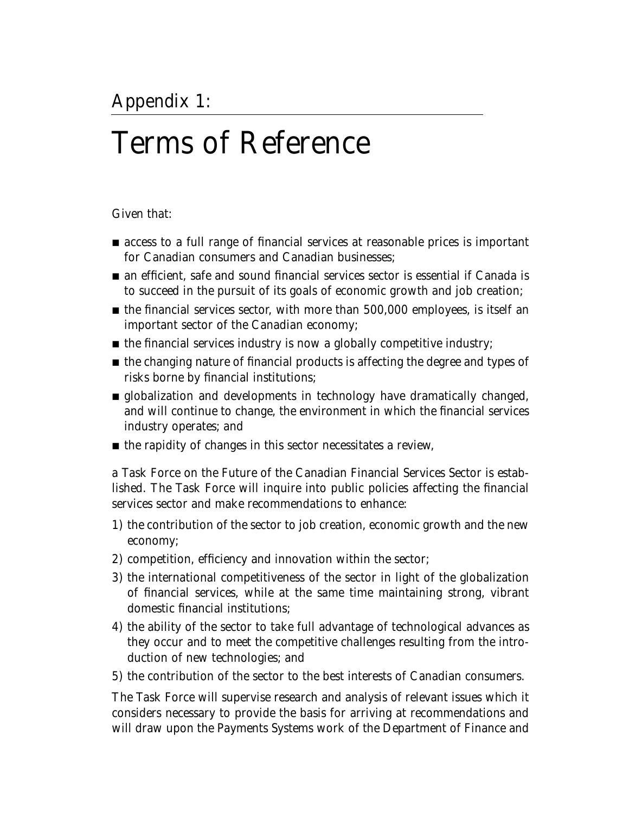# Terms of Reference

Given that:

- access to a full range of financial services at reasonable prices is important for Canadian consumers and Canadian businesses;
- an efficient, safe and sound financial services sector is essential if Canada is to succeed in the pursuit of its goals of economic growth and job creation;
- the financial services sector, with more than 500,000 employees, is itself an important sector of the Canadian economy;
- the financial services industry is now a globally competitive industry;
- the changing nature of financial products is affecting the degree and types of risks borne by financial institutions;
- globalization and developments in technology have dramatically changed, and will continue to change, the environment in which the financial services industry operates; and
- the rapidity of changes in this sector necessitates a review,

a Task Force on the Future of the Canadian Financial Services Sector is established. The Task Force will inquire into public policies affecting the financial services sector and make recommendations to enhance:

- 1) the contribution of the sector to job creation, economic growth and the new economy;
- 2) competition, efficiency and innovation within the sector;
- 3) the international competitiveness of the sector in light of the globalization of financial services, while at the same time maintaining strong, vibrant domestic financial institutions;
- 4) the ability of the sector to take full advantage of technological advances as they occur and to meet the competitive challenges resulting from the introduction of new technologies; and
- 5) the contribution of the sector to the best interests of Canadian consumers.

The Task Force will supervise research and analysis of relevant issues which it considers necessary to provide the basis for arriving at recommendations and will draw upon the Payments Systems work of the Department of Finance and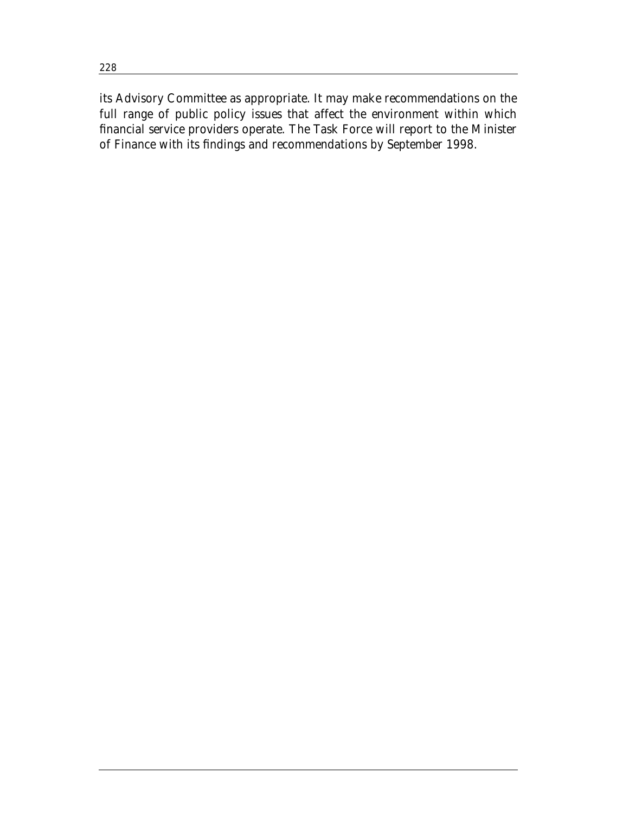its Advisory Committee as appropriate. It may make recommendations on the full range of public policy issues that affect the environment within which financial service providers operate. The Task Force will report to the Minister of Finance with its findings and recommendations by September 1998.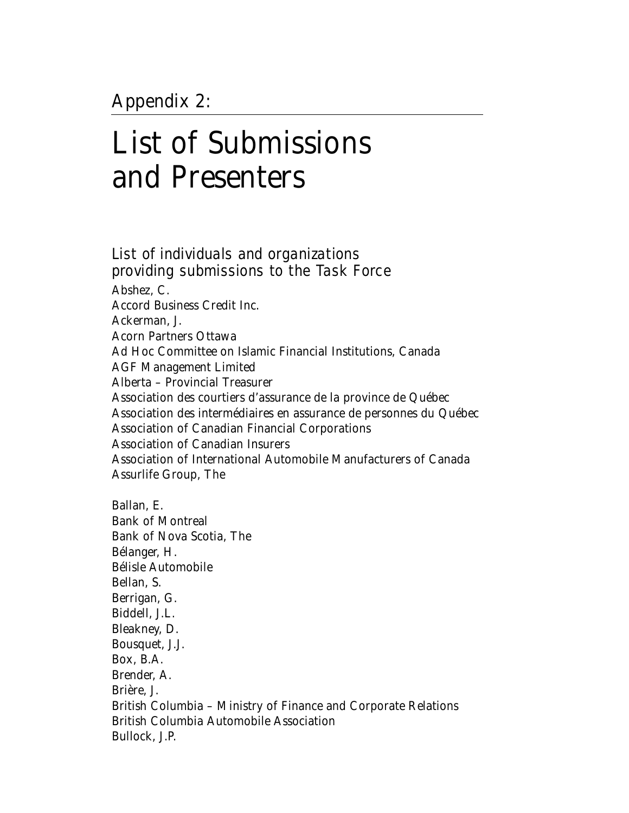# List of Submissions and Presenters

## List of individuals and organizations providing submissions to the Task Force

Abshez, C. Accord Business Credit Inc. Ackerman, J. Acorn Partners Ottawa Ad Hoc Committee on Islamic Financial Institutions, Canada AGF Management Limited Alberta – Provincial Treasurer Association des courtiers d'assurance de la province de Québec Association des intermédiaires en assurance de personnes du Québec Association of Canadian Financial Corporations Association of Canadian Insurers Association of International Automobile Manufacturers of Canada Assurlife Group, The

Ballan, E. Bank of Montreal Bank of Nova Scotia, The Bélanger, H. Bélisle Automobile Bellan, S. Berrigan, G. Biddell, J.L. Bleakney, D. Bousquet, J.J. Box, B.A. Brender, A. Brière, J. British Columbia – Ministry of Finance and Corporate Relations British Columbia Automobile Association Bullock, J.P.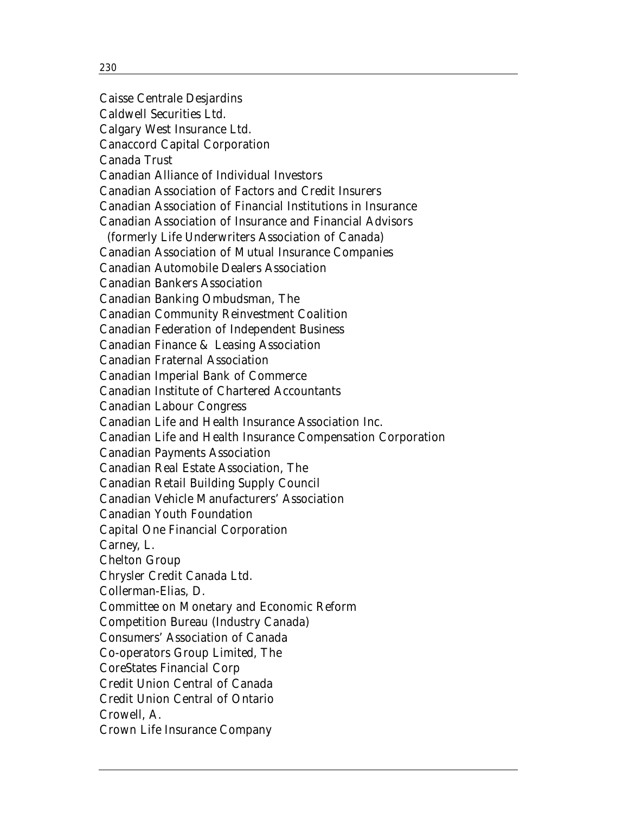Caisse Centrale Desjardins Caldwell Securities Ltd. Calgary West Insurance Ltd. Canaccord Capital Corporation Canada Trust Canadian Alliance of Individual Investors Canadian Association of Factors and Credit Insurers Canadian Association of Financial Institutions in Insurance Canadian Association of Insurance and Financial Advisors (formerly Life Underwriters Association of Canada) Canadian Association of Mutual Insurance Companies Canadian Automobile Dealers Association Canadian Bankers Association Canadian Banking Ombudsman, The Canadian Community Reinvestment Coalition Canadian Federation of Independent Business Canadian Finance & Leasing Association Canadian Fraternal Association Canadian Imperial Bank of Commerce Canadian Institute of Chartered Accountants Canadian Labour Congress Canadian Life and Health Insurance Association Inc. Canadian Life and Health Insurance Compensation Corporation Canadian Payments Association Canadian Real Estate Association, The Canadian Retail Building Supply Council Canadian Vehicle Manufacturers' Association Canadian Youth Foundation Capital One Financial Corporation Carney, L. Chelton Group Chrysler Credit Canada Ltd. Collerman-Elias, D. Committee on Monetary and Economic Reform Competition Bureau (Industry Canada) Consumers' Association of Canada Co-operators Group Limited, The CoreStates Financial Corp Credit Union Central of Canada Credit Union Central of Ontario Crowell, A. Crown Life Insurance Company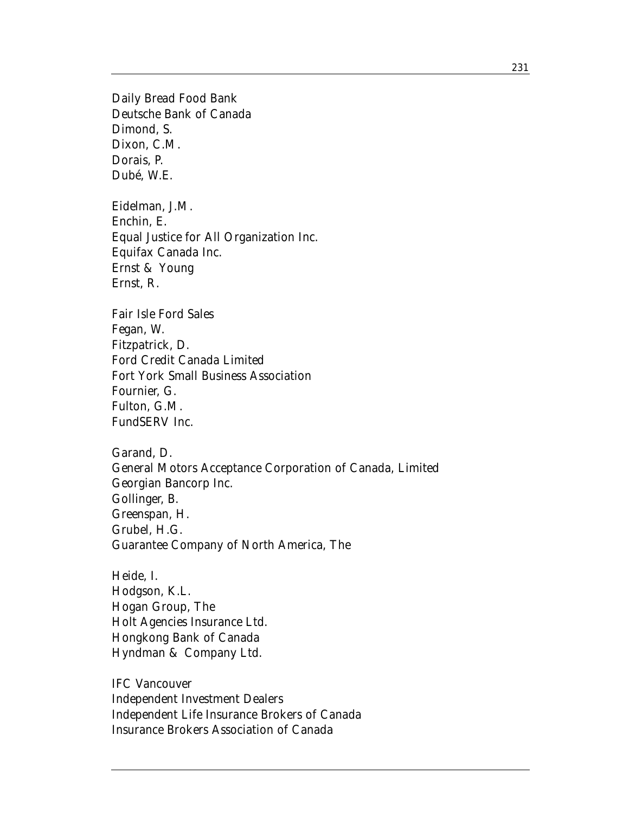Daily Bread Food Bank Deutsche Bank of Canada Dimond, S. Dixon, C.M. Dorais, P. Dubé, W.E.

Eidelman, J.M. Enchin, E. Equal Justice for All Organization Inc. Equifax Canada Inc. Ernst & Young Ernst, R.

Fair Isle Ford Sales Fegan, W. Fitzpatrick, D. Ford Credit Canada Limited Fort York Small Business Association Fournier, G. Fulton, G.M. FundSERV Inc.

Garand, D. General Motors Acceptance Corporation of Canada, Limited Georgian Bancorp Inc. Gollinger, B. Greenspan, H. Grubel, H.G. Guarantee Company of North America, The

Heide, I. Hodgson, K.L. Hogan Group, The Holt Agencies Insurance Ltd. Hongkong Bank of Canada Hyndman & Company Ltd.

IFC Vancouver Independent Investment Dealers Independent Life Insurance Brokers of Canada Insurance Brokers Association of Canada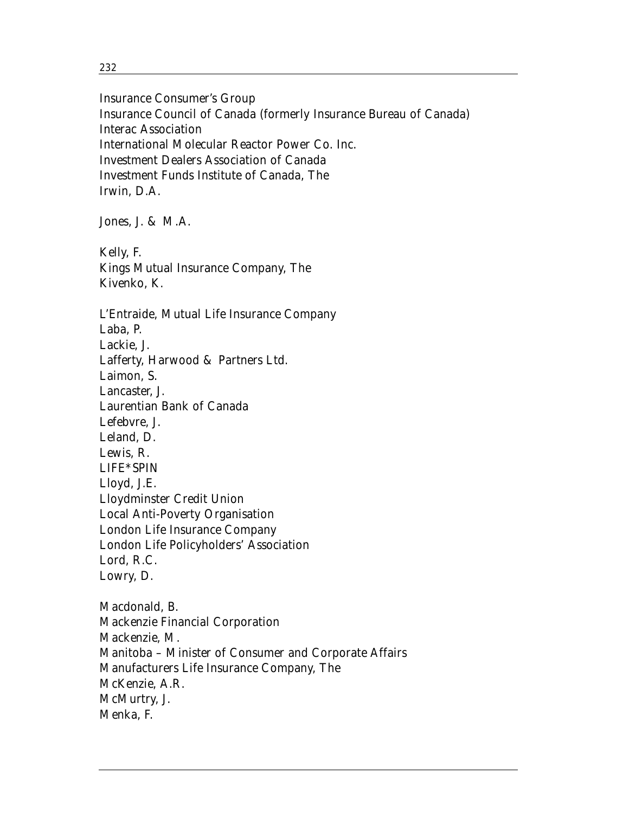Insurance Consumer's Group Insurance Council of Canada (formerly Insurance Bureau of Canada) Interac Association International Molecular Reactor Power Co. Inc. Investment Dealers Association of Canada Investment Funds Institute of Canada, The Irwin, D.A.

Jones, J. & M.A.

Kelly, F. Kings Mutual Insurance Company, The Kivenko, K.

L'Entraide, Mutual Life Insurance Company Laba, P. Lackie, J. Lafferty, Harwood & Partners Ltd. Laimon, S. Lancaster, J. Laurentian Bank of Canada Lefebvre, J. Leland, D. Lewis, R. LIFE\*SPIN Lloyd, J.E. Lloydminster Credit Union Local Anti-Poverty Organisation London Life Insurance Company London Life Policyholders' Association Lord, R.C. Lowry, D.

Macdonald, B. Mackenzie Financial Corporation Mackenzie, M. Manitoba – Minister of Consumer and Corporate Affairs Manufacturers Life Insurance Company, The McKenzie, A.R. McMurtry, J. Menka, F.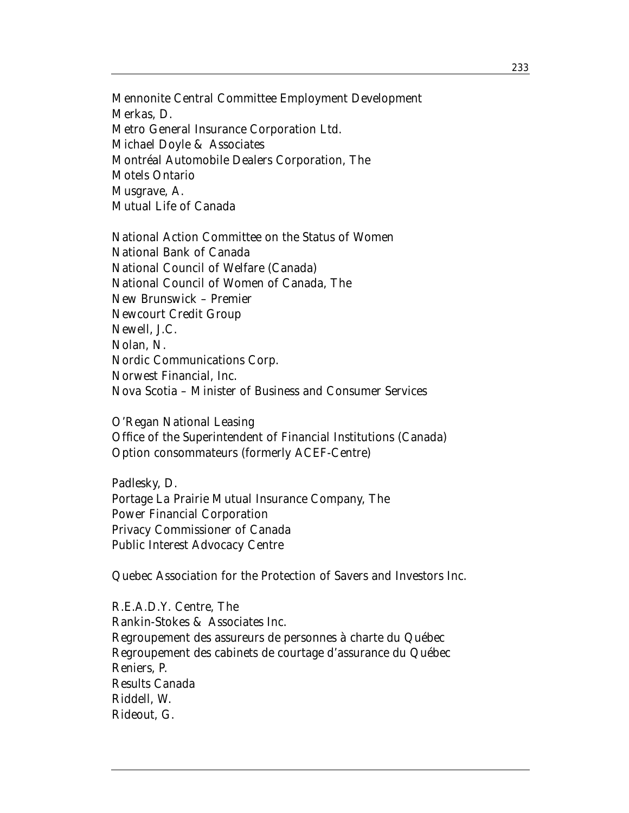Mennonite Central Committee Employment Development Merkas, D. Metro General Insurance Corporation Ltd. Michael Doyle & Associates Montréal Automobile Dealers Corporation, The Motels Ontario Musgrave, A. Mutual Life of Canada

National Action Committee on the Status of Women National Bank of Canada National Council of Welfare (Canada) National Council of Women of Canada, The New Brunswick – Premier Newcourt Credit Group Newell, J.C. Nolan, N. Nordic Communications Corp. Norwest Financial, Inc. Nova Scotia – Minister of Business and Consumer Services

O'Regan National Leasing Office of the Superintendent of Financial Institutions (Canada) Option consommateurs (formerly ACEF-Centre)

Padlesky, D. Portage La Prairie Mutual Insurance Company, The Power Financial Corporation Privacy Commissioner of Canada Public Interest Advocacy Centre

Quebec Association for the Protection of Savers and Investors Inc.

R.E.A.D.Y. Centre, The Rankin-Stokes & Associates Inc. Regroupement des assureurs de personnes à charte du Québec Regroupement des cabinets de courtage d'assurance du Québec Reniers, P. Results Canada Riddell, W. Rideout, G.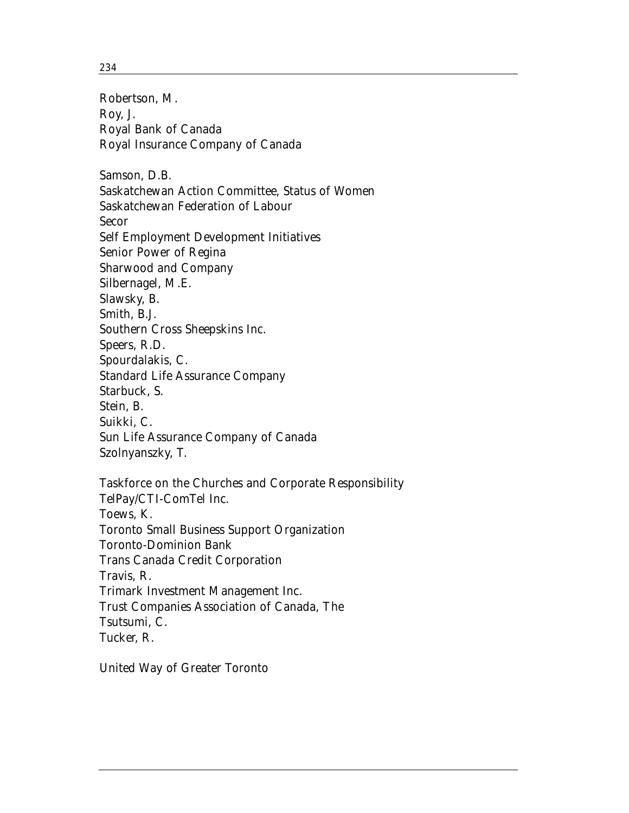234

Robertson, M. Roy, J. Royal Bank of Canada Royal Insurance Company of Canada Samson, D.B. Saskatchewan Action Committee, Status of Women Saskatchewan Federation of Labour Secor Self Employment Development Initiatives Senior Power of Regina Sharwood and Company Silbernagel, M.E. Slawsky, B. Smith, B.J. Southern Cross Sheepskins Inc. Speers, R.D. Spourdalakis, C. Standard Life Assurance Company Starbuck, S. Stein, B. Suikki, C. Sun Life Assurance Company of Canada Szolnyanszky, T. Taskforce on the Churches and Corporate Responsibility TelPay/CTI-ComTel Inc. Toews, K. Toronto Small Business Support Organization Toronto-Dominion Bank Trans Canada Credit Corporation Travis, R. Trimark Investment Management Inc.

Trust Companies Association of Canada, The

Tsutsumi, C.

Tucker, R.

United Way of Greater Toronto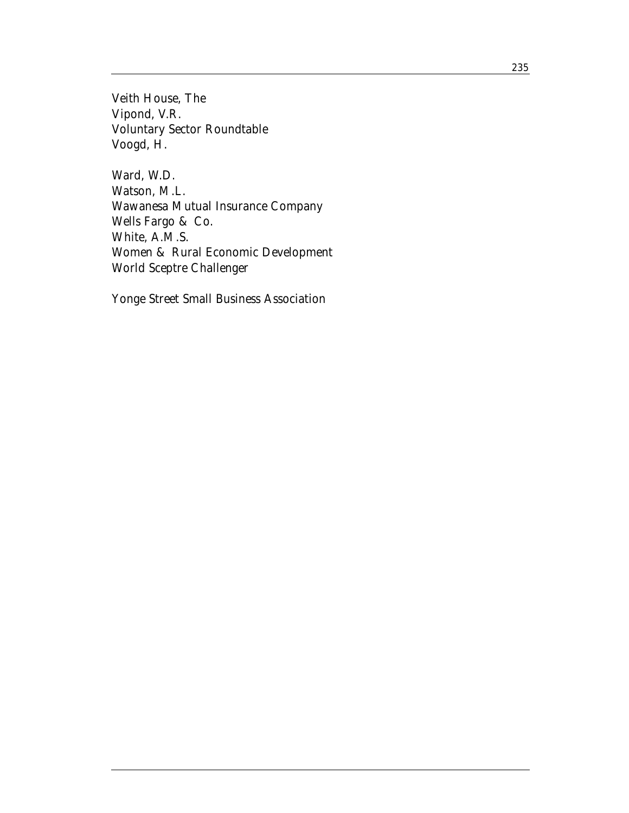Veith House, The Vipond, V.R. Voluntary Sector Roundtable Voogd, H.

Ward, W.D. Watson, M.L. Wawanesa Mutual Insurance Company Wells Fargo & Co. White, A.M.S. Women & Rural Economic Development World Sceptre Challenger

Yonge Street Small Business Association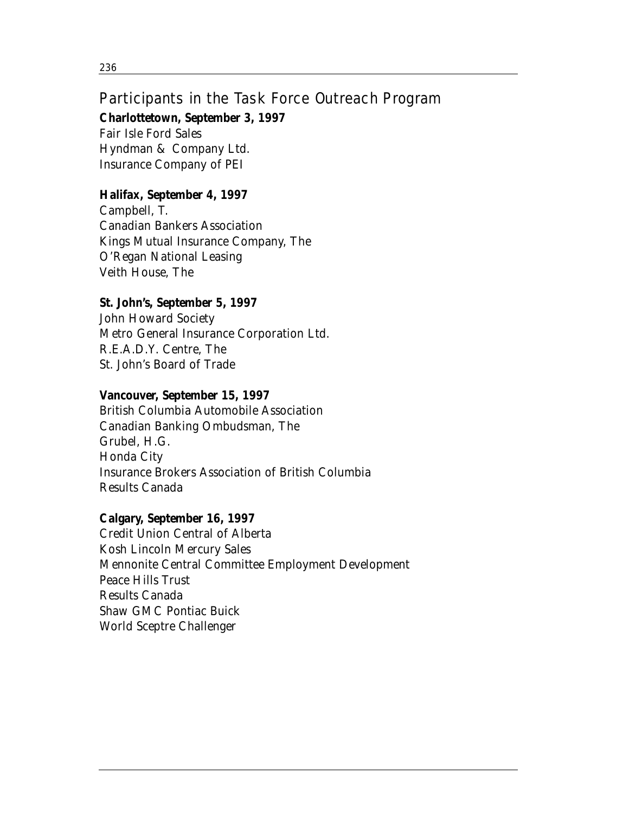## Participants in the Task Force Outreach Program

**Charlottetown, September 3, 1997**

Fair Isle Ford Sales Hyndman & Company Ltd. Insurance Company of PEI

## **Halifax, September 4, 1997**

Campbell, T. Canadian Bankers Association Kings Mutual Insurance Company, The O'Regan National Leasing Veith House, The

## **St. John's, September 5, 1997**

John Howard Society Metro General Insurance Corporation Ltd. R.E.A.D.Y. Centre, The St. John's Board of Trade

## **Vancouver, September 15, 1997**

British Columbia Automobile Association Canadian Banking Ombudsman, The Grubel, H.G. Honda City Insurance Brokers Association of British Columbia Results Canada

## **Calgary, September 16, 1997**

Credit Union Central of Alberta Kosh Lincoln Mercury Sales Mennonite Central Committee Employment Development Peace Hills Trust Results Canada Shaw GMC Pontiac Buick World Sceptre Challenger

236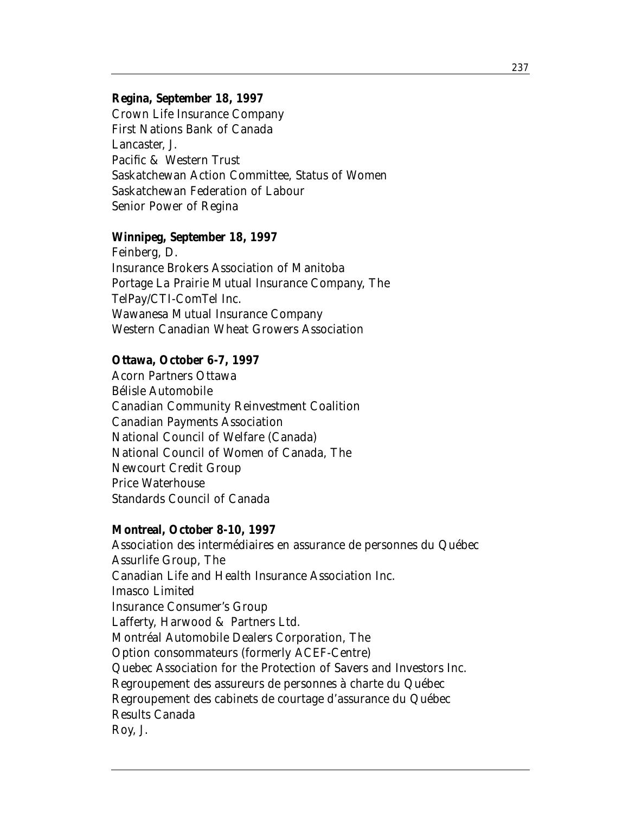### **Regina, September 18, 1997**

Crown Life Insurance Company First Nations Bank of Canada Lancaster, J. Pacific & Western Trust Saskatchewan Action Committee, Status of Women Saskatchewan Federation of Labour Senior Power of Regina

### **Winnipeg, September 18, 1997**

Feinberg, D. Insurance Brokers Association of Manitoba Portage La Prairie Mutual Insurance Company, The TelPay/CTI-ComTel Inc. Wawanesa Mutual Insurance Company Western Canadian Wheat Growers Association

### **Ottawa, October 6-7, 1997**

Acorn Partners Ottawa Bélisle Automobile Canadian Community Reinvestment Coalition Canadian Payments Association National Council of Welfare (Canada) National Council of Women of Canada, The Newcourt Credit Group Price Waterhouse Standards Council of Canada

### **Montreal, October 8-10, 1997**

Association des intermédiaires en assurance de personnes du Québec Assurlife Group, The Canadian Life and Health Insurance Association Inc. Imasco Limited Insurance Consumer's Group Lafferty, Harwood & Partners Ltd. Montréal Automobile Dealers Corporation, The Option consommateurs (formerly ACEF-Centre) Quebec Association for the Protection of Savers and Investors Inc. Regroupement des assureurs de personnes à charte du Québec Regroupement des cabinets de courtage d'assurance du Québec Results Canada Roy, J.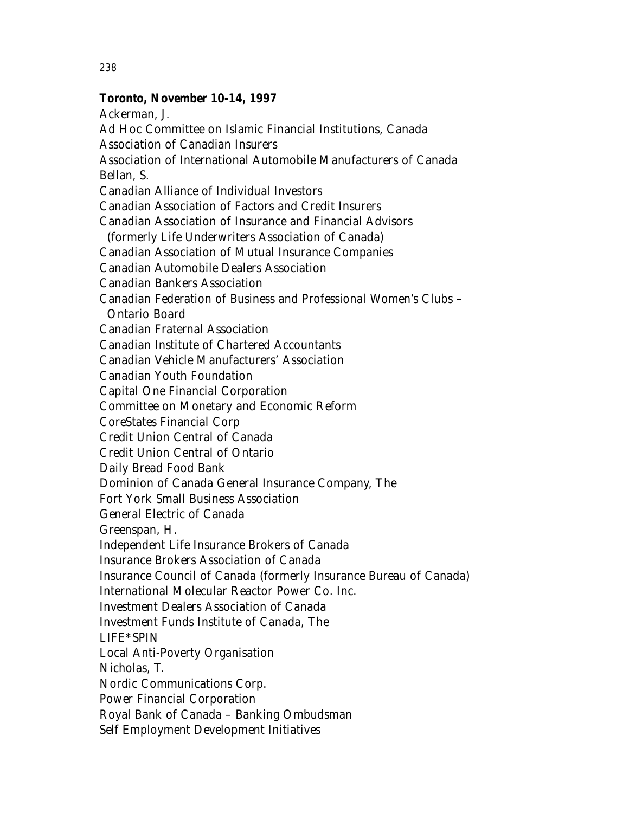### **Toronto, November 10-14, 1997**

Ackerman, J. Ad Hoc Committee on Islamic Financial Institutions, Canada Association of Canadian Insurers Association of International Automobile Manufacturers of Canada Bellan, S. Canadian Alliance of Individual Investors Canadian Association of Factors and Credit Insurers Canadian Association of Insurance and Financial Advisors (formerly Life Underwriters Association of Canada) Canadian Association of Mutual Insurance Companies Canadian Automobile Dealers Association Canadian Bankers Association Canadian Federation of Business and Professional Women's Clubs – Ontario Board Canadian Fraternal Association Canadian Institute of Chartered Accountants Canadian Vehicle Manufacturers' Association Canadian Youth Foundation Capital One Financial Corporation Committee on Monetary and Economic Reform CoreStates Financial Corp Credit Union Central of Canada Credit Union Central of Ontario Daily Bread Food Bank Dominion of Canada General Insurance Company, The Fort York Small Business Association General Electric of Canada Greenspan, H. Independent Life Insurance Brokers of Canada Insurance Brokers Association of Canada Insurance Council of Canada (formerly Insurance Bureau of Canada) International Molecular Reactor Power Co. Inc. Investment Dealers Association of Canada Investment Funds Institute of Canada, The LIFE\*SPIN Local Anti-Poverty Organisation Nicholas, T. Nordic Communications Corp. Power Financial Corporation Royal Bank of Canada – Banking Ombudsman Self Employment Development Initiatives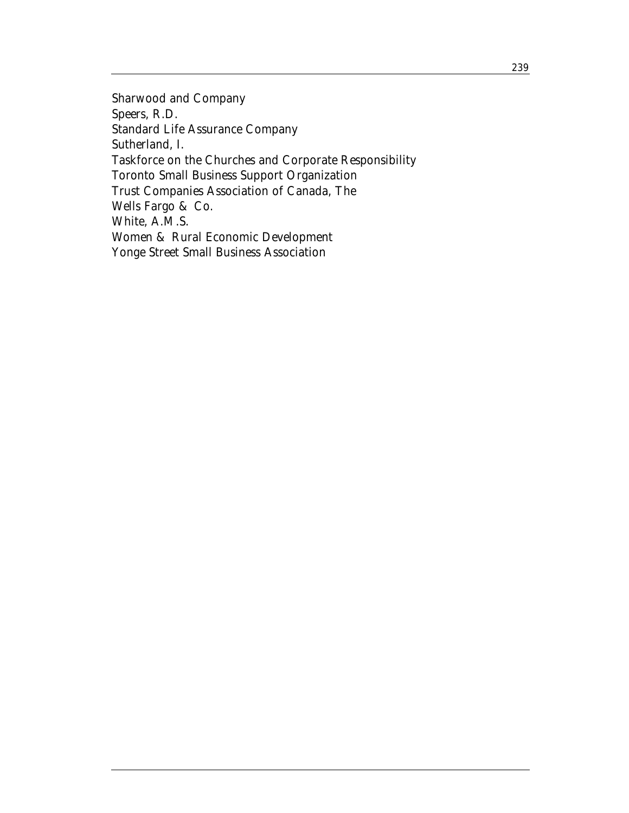Sharwood and Company Speers, R.D. Standard Life Assurance Company Sutherland, I. Taskforce on the Churches and Corporate Responsibility Toronto Small Business Support Organization Trust Companies Association of Canada, The Wells Fargo & Co. White, A.M.S. Women & Rural Economic Development Yonge Street Small Business Association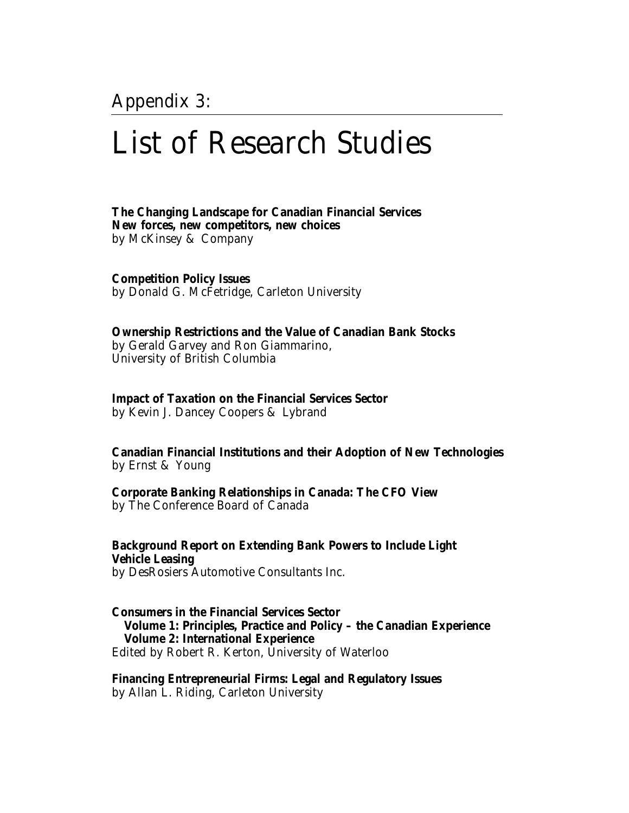Appendix 3:

## List of Research Studies

**The Changing Landscape for Canadian Financial Services New forces, new competitors, new choices**  by McKinsey & Company

**Competition Policy Issues**  by Donald G. McFetridge, Carleton University

**Ownership Restrictions and the Value of Canadian Bank Stocks** by Gerald Garvey and Ron Giammarino, University of British Columbia

**Impact of Taxation on the Financial Services Sector** by Kevin J. Dancey Coopers & Lybrand

**Canadian Financial Institutions and their Adoption of New Technologies** by Ernst & Young

**Corporate Banking Relationships in Canada: The CFO View** by The Conference Board of Canada

**Background Report on Extending Bank Powers to Include Light Vehicle Leasing** by DesRosiers Automotive Consultants Inc.

**Consumers in the Financial Services Sector Volume 1: Principles, Practice and Policy – the Canadian Experience Volume 2: International Experience** Edited by Robert R. Kerton, University of Waterloo

**Financing Entrepreneurial Firms: Legal and Regulatory Issues** by Allan L. Riding, Carleton University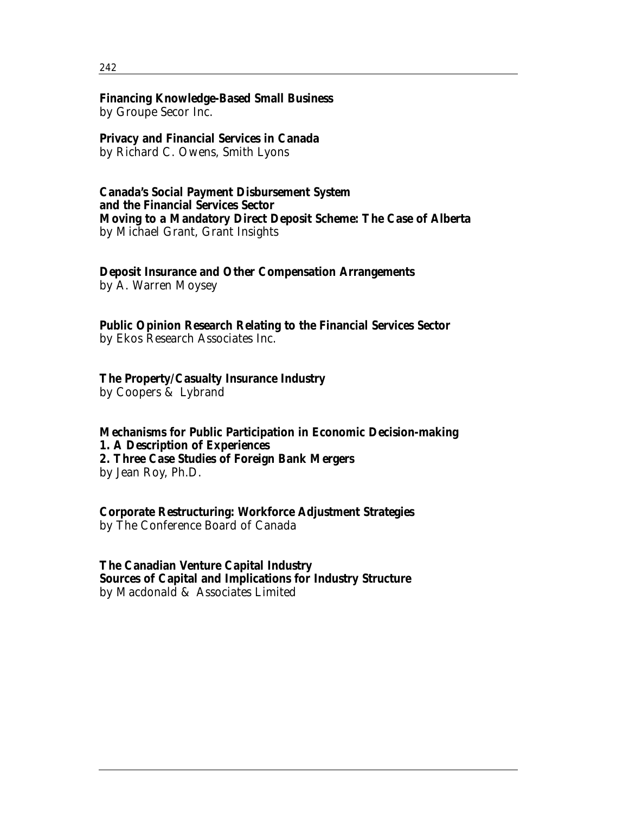#### 242

## **Financing Knowledge-Based Small Business**

by Groupe Secor Inc.

## **Privacy and Financial Services in Canada**

by Richard C. Owens, Smith Lyons

### **Canada's Social Payment Disbursement System and the Financial Services Sector Moving to a Mandatory Direct Deposit Scheme: The Case of Alberta** by Michael Grant, Grant Insights

## **Deposit Insurance and Other Compensation Arrangements**

by A. Warren Moysey

**Public Opinion Research Relating to the Financial Services Sector** by Ekos Research Associates Inc.

## **The Property/Casualty Insurance Industry**

by Coopers & Lybrand

**Mechanisms for Public Participation in Economic Decision-making 1. A Description of Experiences 2. Three Case Studies of Foreign Bank Mergers** by Jean Roy, Ph.D.

**Corporate Restructuring: Workforce Adjustment Strategies** by The Conference Board of Canada

**The Canadian Venture Capital Industry Sources of Capital and Implications for Industry Structure** by Macdonald & Associates Limited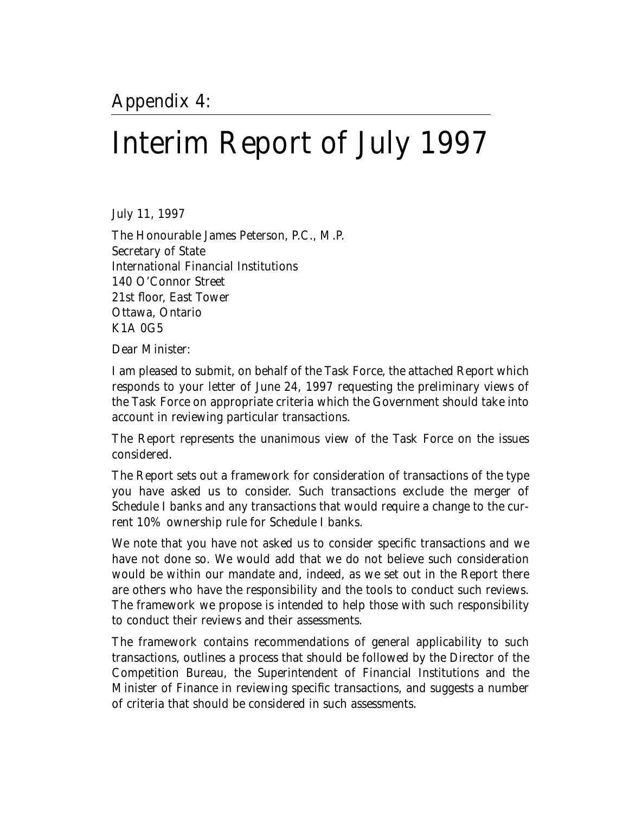# Interim Report of July 1997

July 11, 1997

The Honourable James Peterson, P.C., M.P. Secretary of State International Financial Institutions 140 O'Connor Street 21st floor, East Tower Ottawa, Ontario K1A 0G5

Dear Minister:

I am pleased to submit, on behalf of the Task Force, the attached Report which responds to your letter of June 24, 1997 requesting the preliminary views of the Task Force on appropriate criteria which the Government should take into account in reviewing particular transactions.

The Report represents the unanimous view of the Task Force on the issues considered.

The Report sets out a framework for consideration of transactions of the type you have asked us to consider. Such transactions exclude the merger of Schedule I banks and any transactions that would require a change to the current 10% ownership rule for Schedule I banks.

We note that you have not asked us to consider specific transactions and we have not done so. We would add that we do not believe such consideration would be within our mandate and, indeed, as we set out in the Report there are others who have the responsibility and the tools to conduct such reviews. The framework we propose is intended to help those with such responsibility to conduct their reviews and their assessments.

The framework contains recommendations of general applicability to such transactions, outlines a process that should be followed by the Director of the Competition Bureau, the Superintendent of Financial Institutions and the Minister of Finance in reviewing specific transactions, and suggests a number of criteria that should be considered in such assessments.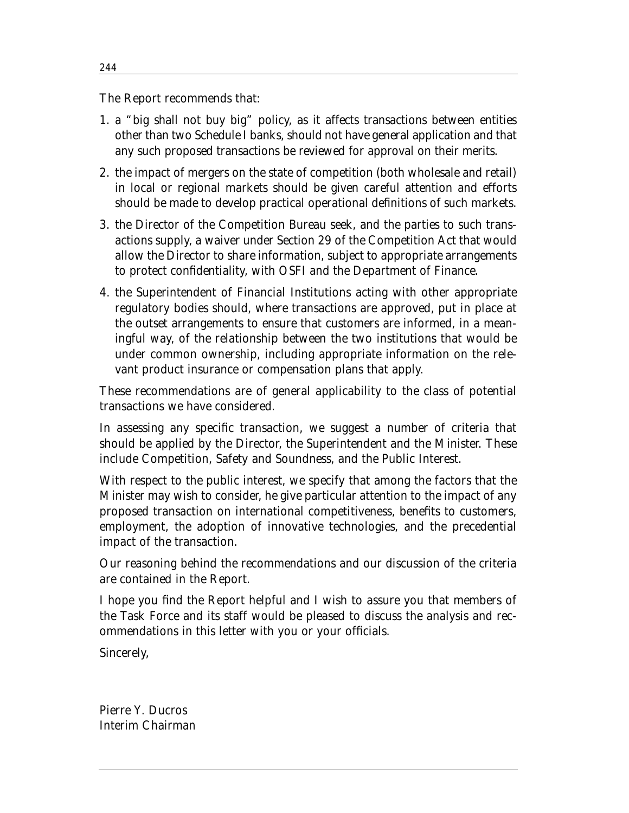The Report recommends that:

- 1. a "big shall not buy big" policy, as it affects transactions between entities other than two Schedule I banks, should not have general application and that any such proposed transactions be reviewed for approval on their merits.
- 2. the impact of mergers on the state of competition (both wholesale and retail) in local or regional markets should be given careful attention and efforts should be made to develop practical operational definitions of such markets.
- 3. the Director of the Competition Bureau seek, and the parties to such transactions supply, a waiver under Section 29 of the Competition Act that would allow the Director to share information, subject to appropriate arrangements to protect confidentiality, with OSFI and the Department of Finance.
- 4. the Superintendent of Financial Institutions acting with other appropriate regulatory bodies should, where transactions are approved, put in place at the outset arrangements to ensure that customers are informed, in a meaningful way, of the relationship between the two institutions that would be under common ownership, including appropriate information on the relevant product insurance or compensation plans that apply.

These recommendations are of general applicability to the class of potential transactions we have considered.

In assessing any specific transaction, we suggest a number of criteria that should be applied by the Director, the Superintendent and the Minister. These include Competition, Safety and Soundness, and the Public Interest.

With respect to the public interest, we specify that among the factors that the Minister may wish to consider, he give particular attention to the impact of any proposed transaction on international competitiveness, benefits to customers, employment, the adoption of innovative technologies, and the precedential impact of the transaction.

Our reasoning behind the recommendations and our discussion of the criteria are contained in the Report.

I hope you find the Report helpful and I wish to assure you that members of the Task Force and its staff would be pleased to discuss the analysis and recommendations in this letter with you or your officials.

Sincerely,

Pierre Y. Ducros Interim Chairman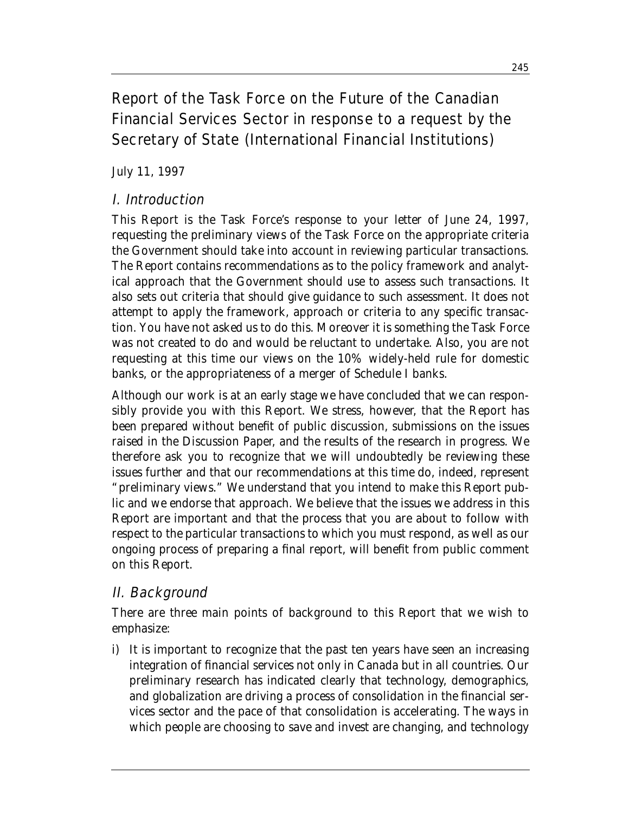## Report of the Task Force on the Future of the Canadian Financial Services Sector in response to a request by the Secretary of State (International Financial Institutions)

July 11, 1997

## I. Introduction

This Report is the Task Force's response to your letter of June 24, 1997, requesting the preliminary views of the Task Force on the appropriate criteria the Government should take into account in reviewing particular transactions. The Report contains recommendations as to the policy framework and analytical approach that the Government should use to assess such transactions. It also sets out criteria that should give guidance to such assessment. It does not attempt to apply the framework, approach or criteria to any specific transaction. You have not asked us to do this. Moreover it is something the Task Force was not created to do and would be reluctant to undertake. Also, you are not requesting at this time our views on the 10% widely-held rule for domestic banks, or the appropriateness of a merger of Schedule I banks.

Although our work is at an early stage we have concluded that we can responsibly provide you with this Report. We stress, however, that the Report has been prepared without benefit of public discussion, submissions on the issues raised in the Discussion Paper, and the results of the research in progress. We therefore ask you to recognize that we will undoubtedly be reviewing these issues further and that our recommendations at this time do, indeed, represent "preliminary views." We understand that you intend to make this Report public and we endorse that approach. We believe that the issues we address in this Report are important and that the process that you are about to follow with respect to the particular transactions to which you must respond, as well as our ongoing process of preparing a final report, will benefit from public comment on this Report.

## II. Background

There are three main points of background to this Report that we wish to emphasize:

i) It is important to recognize that the past ten years have seen an increasing integration of financial services not only in Canada but in all countries. Our preliminary research has indicated clearly that technology, demographics, and globalization are driving a process of consolidation in the financial services sector and the pace of that consolidation is accelerating. The ways in which people are choosing to save and invest are changing, and technology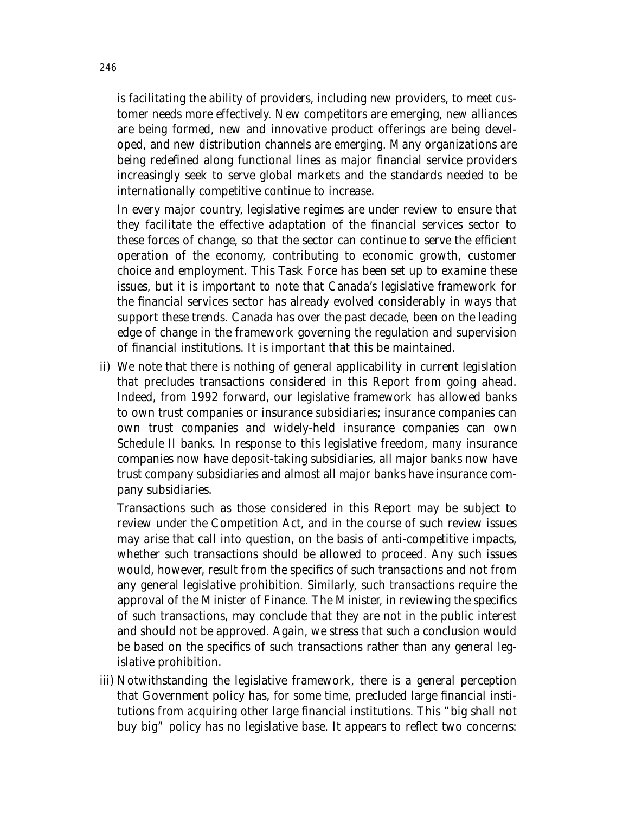is facilitating the ability of providers, including new providers, to meet customer needs more effectively. New competitors are emerging, new alliances are being formed, new and innovative product offerings are being developed, and new distribution channels are emerging. Many organizations are being redefined along functional lines as major financial service providers increasingly seek to serve global markets and the standards needed to be internationally competitive continue to increase.

In every major country, legislative regimes are under review to ensure that they facilitate the effective adaptation of the financial services sector to these forces of change, so that the sector can continue to serve the efficient operation of the economy, contributing to economic growth, customer choice and employment. This Task Force has been set up to examine these issues, but it is important to note that Canada's legislative framework for the financial services sector has already evolved considerably in ways that support these trends. Canada has over the past decade, been on the leading edge of change in the framework governing the regulation and supervision of financial institutions. It is important that this be maintained.

ii) We note that there is nothing of general applicability in current legislation that precludes transactions considered in this Report from going ahead. Indeed, from 1992 forward, our legislative framework has allowed banks to own trust companies or insurance subsidiaries; insurance companies can own trust companies and widely-held insurance companies can own Schedule II banks. In response to this legislative freedom, many insurance companies now have deposit-taking subsidiaries, all major banks now have trust company subsidiaries and almost all major banks have insurance company subsidiaries.

Transactions such as those considered in this Report may be subject to review under the *Competition Act*, and in the course of such review issues may arise that call into question, on the basis of anti-competitive impacts, whether such transactions should be allowed to proceed. Any such issues would, however, result from the specifics of such transactions and not from any general legislative prohibition. Similarly, such transactions require the approval of the Minister of Finance. The Minister, in reviewing the specifics of such transactions, may conclude that they are not in the public interest and should not be approved. Again, we stress that such a conclusion would be based on the specifics of such transactions rather than any general legislative prohibition.

iii) Notwithstanding the legislative framework, there is a general perception that Government policy has, for some time, precluded large financial institutions from acquiring other large financial institutions. This "big shall not buy big" policy has no legislative base. It appears to reflect two concerns: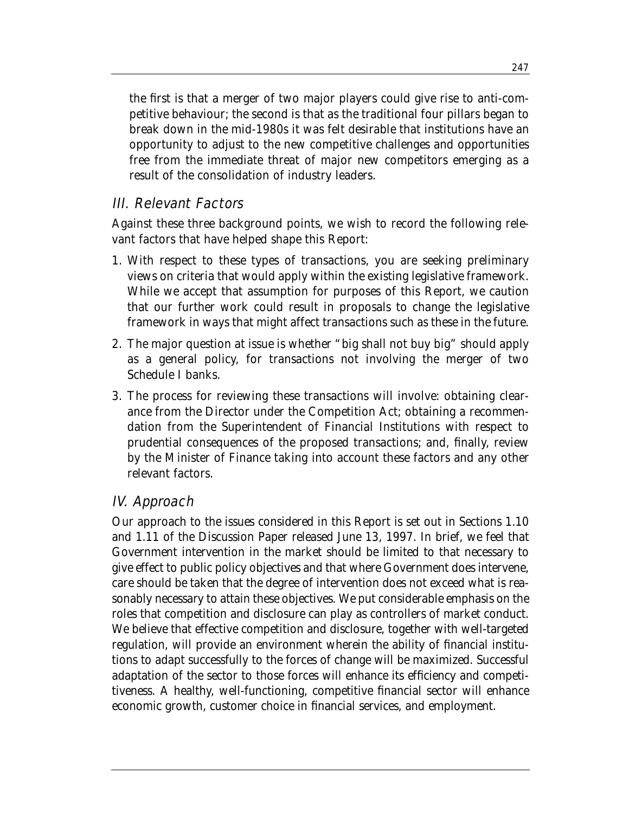the first is that a merger of two major players could give rise to anti-competitive behaviour; the second is that as the traditional four pillars began to break down in the mid-1980s it was felt desirable that institutions have an opportunity to adjust to the new competitive challenges and opportunities free from the immediate threat of major new competitors emerging as a result of the consolidation of industry leaders.

## III. Relevant Factors

Against these three background points, we wish to record the following relevant factors that have helped shape this Report:

- 1. With respect to these types of transactions, you are seeking preliminary views on criteria that would apply *within the existing legislative framework*. While we accept that assumption for purposes of this Report, we caution that our further work could result in proposals to change the legislative framework in ways that might affect transactions such as these in the future.
- 2. The major question at issue is whether "big shall not buy big" should apply as a general policy, for transactions not involving the merger of two Schedule I banks.
- 3. The process for reviewing these transactions will involve: obtaining clearance from the Director under the *Competition Act*; obtaining a recommendation from the Superintendent of Financial Institutions with respect to prudential consequences of the proposed transactions; and, finally, review by the Minister of Finance taking into account these factors and any other relevant factors.

## IV. Approach

Our approach to the issues considered in this Report is set out in Sections 1.10 and 1.11 of the Discussion Paper released June 13, 1997. In brief, we feel that Government intervention in the market should be limited to that necessary to give effect to public policy objectives and that where Government does intervene, care should be taken that the degree of intervention does not exceed what is reasonably necessary to attain these objectives. We put considerable emphasis on the roles that competition and disclosure can play as controllers of market conduct. We believe that effective competition and disclosure, together with well-targeted regulation, will provide an environment wherein the ability of financial institutions to adapt successfully to the forces of change will be maximized. Successful adaptation of the sector to those forces will enhance its efficiency and competitiveness. A healthy, well-functioning, competitive financial sector will enhance economic growth, customer choice in financial services, and employment.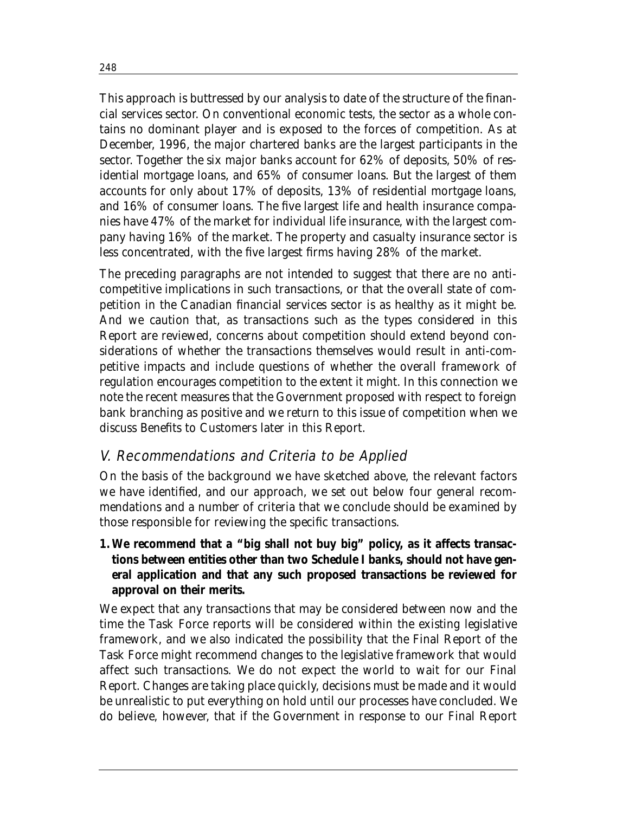This approach is buttressed by our analysis to date of the structure of the financial services sector. On conventional economic tests, the sector as a whole contains no dominant player and is exposed to the forces of competition. As at December, 1996, the major chartered banks are the largest participants in the sector. Together the six major banks account for 62% of deposits, 50% of residential mortgage loans, and 65% of consumer loans. But the largest of them accounts for only about 17% of deposits, 13% of residential mortgage loans, and 16% of consumer loans. The five largest life and health insurance companies have 47% of the market for individual life insurance, with the largest company having 16% of the market. The property and casualty insurance sector is less concentrated, with the five largest firms having 28% of the market.

The preceding paragraphs are not intended to suggest that there are no anticompetitive implications in such transactions, or that the overall state of competition in the Canadian financial services sector is as healthy as it might be. And we caution that, as transactions such as the types considered in this Report are reviewed, concerns about competition should extend beyond considerations of whether the transactions themselves would result in anti-competitive impacts and include questions of whether the overall framework of regulation encourages competition to the extent it might. In this connection we note the recent measures that the Government proposed with respect to foreign bank branching as positive and we return to this issue of competition when we discuss Benefits to Customers later in this Report.

## V. Recommendations and Criteria to be Applied

On the basis of the background we have sketched above, the relevant factors we have identified, and our approach, we set out below four general recommendations and a number of criteria that we conclude should be examined by those responsible for reviewing the specific transactions.

## **1. We recommend that a "big shall not buy big" policy, as it affects transactions between entities other than two Schedule I banks, should not have general application and that any such proposed transactions be reviewed for approval on their merits.**

We expect that any transactions that may be considered between now and the time the Task Force reports will be considered within the existing legislative framework, and we also indicated the possibility that the Final Report of the Task Force might recommend changes to the legislative framework that would affect such transactions. We do not expect the world to wait for our Final Report. Changes are taking place quickly, decisions must be made and it would be unrealistic to put everything on hold until our processes have concluded. We do believe, however, that if the Government in response to our Final Report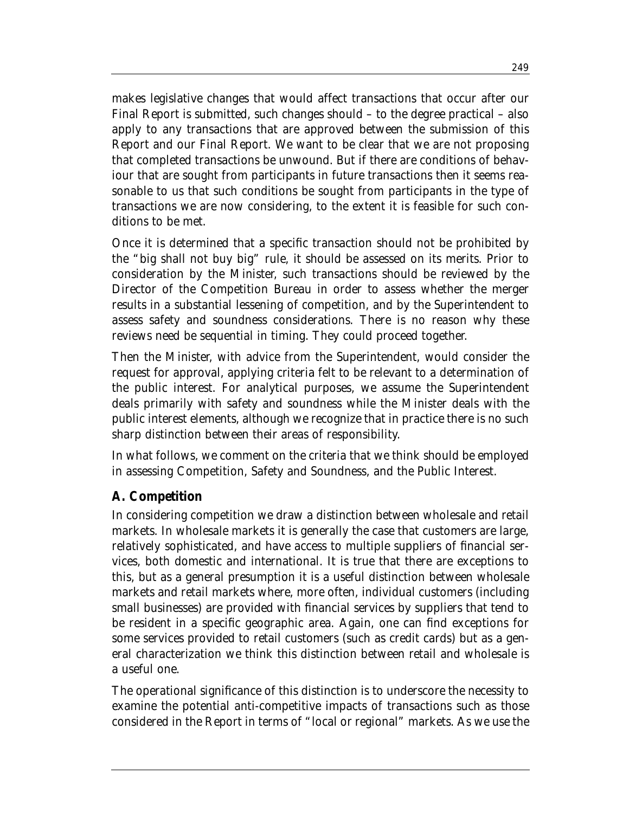makes legislative changes that would affect transactions that occur after our Final Report is submitted, such changes should – to the degree practical – also apply to any transactions that are approved between the submission of this Report and our Final Report. We want to be clear that we are not proposing that completed transactions be unwound. But if there are conditions of behaviour that are sought from participants in future transactions then it seems reasonable to us that such conditions be sought from participants in the type of transactions we are now considering, to the extent it is feasible for such conditions to be met.

Once it is determined that a specific transaction should not be prohibited by the "big shall not buy big" rule, it should be assessed on its merits. Prior to consideration by the Minister, such transactions should be reviewed by the Director of the Competition Bureau in order to assess whether the merger results in a substantial lessening of competition, and by the Superintendent to assess safety and soundness considerations. There is no reason why these reviews need be sequential in timing. They could proceed together.

Then the Minister, with advice from the Superintendent, would consider the request for approval, applying criteria felt to be relevant to a determination of the public interest. For analytical purposes, we assume the Superintendent deals primarily with safety and soundness while the Minister deals with the public interest elements, although we recognize that in practice there is no such sharp distinction between their areas of responsibility.

In what follows, we comment on the criteria that we think should be employed in assessing Competition, Safety and Soundness, and the Public Interest.

## **A. Competition**

In considering competition we draw a distinction between wholesale and retail markets. In wholesale markets it is generally the case that customers are large, relatively sophisticated, and have access to multiple suppliers of financial services, both domestic and international. It is true that there are exceptions to this, but as a general presumption it is a useful distinction between wholesale markets and retail markets where, more often, individual customers (including small businesses) are provided with financial services by suppliers that tend to be resident in a specific geographic area. Again, one can find exceptions for some services provided to retail customers (such as credit cards) but as a general characterization we think this distinction between retail and wholesale is a useful one.

The operational significance of this distinction is to underscore the necessity to examine the potential anti-competitive impacts of transactions such as those considered in the Report in terms of "local or regional" markets. As we use the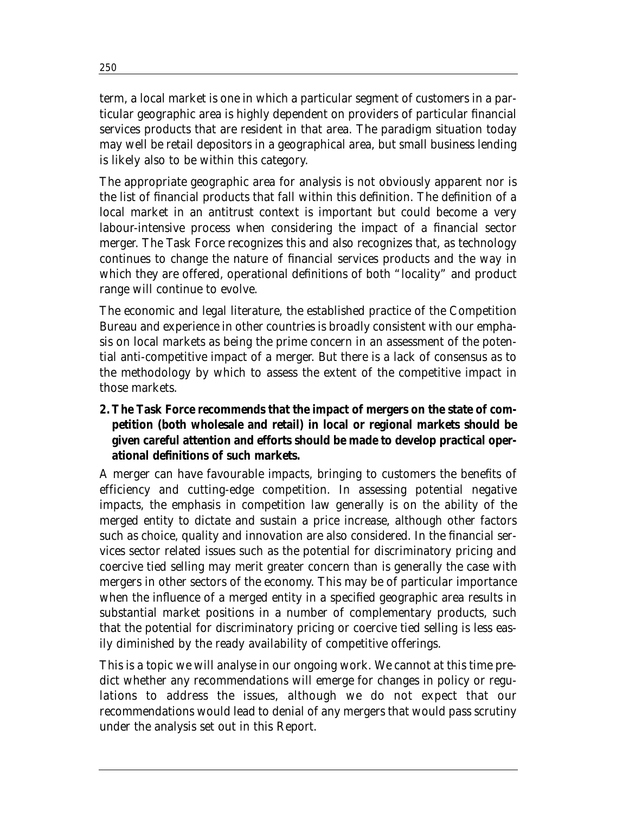term, a local market is one in which a particular segment of customers in a particular geographic area is highly dependent on providers of particular financial services products that are resident in that area. The paradigm situation today may well be retail depositors in a geographical area, but small business lending is likely also to be within this category.

The appropriate geographic area for analysis is not obviously apparent nor is the list of financial products that fall within this definition. The definition of a local market in an antitrust context is important but could become a very labour-intensive process when considering the impact of a financial sector merger. The Task Force recognizes this and also recognizes that, as technology continues to change the nature of financial services products and the way in which they are offered, operational definitions of both "locality" and product range will continue to evolve.

The economic and legal literature, the established practice of the Competition Bureau and experience in other countries is broadly consistent with our emphasis on local markets as being the prime concern in an assessment of the potential anti-competitive impact of a merger. But there is a lack of consensus as to the methodology by which to assess the extent of the competitive impact in those markets.

## **2. The Task Force recommends that the impact of mergers on the state of competition (both wholesale and retail) in local or regional markets should be given careful attention and efforts should be made to develop practical operational definitions of such markets.**

A merger can have favourable impacts, bringing to customers the benefits of efficiency and cutting-edge competition. In assessing potential negative impacts, the emphasis in competition law generally is on the ability of the merged entity to dictate and sustain a price increase, although other factors such as choice, quality and innovation are also considered. In the financial services sector related issues such as the potential for discriminatory pricing and coercive tied selling may merit greater concern than is generally the case with mergers in other sectors of the economy. This may be of particular importance when the influence of a merged entity in a specified geographic area results in substantial market positions in a number of complementary products, such that the potential for discriminatory pricing or coercive tied selling is less easily diminished by the ready availability of competitive offerings.

This is a topic we will analyse in our ongoing work. We cannot at this time predict whether any recommendations will emerge for changes in policy or regulations to address the issues, although we do not expect that our recommendations would lead to denial of any mergers that would pass scrutiny under the analysis set out in this Report.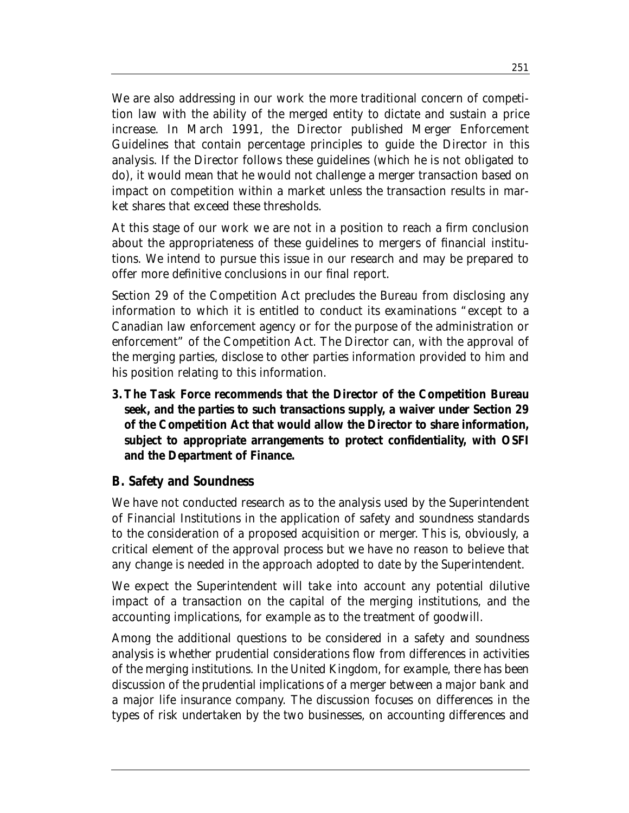We are also addressing in our work the more traditional concern of competition law with the ability of the merged entity to dictate and sustain a price increase. In March 1991, the Director published Merger Enforcement Guidelines that contain percentage principles to guide the Director in this analysis. If the Director follows these guidelines (which he is not obligated to do), it would mean that he would not challenge a merger transaction based on impact on competition within a market unless the transaction results in market shares that exceed these thresholds.

At this stage of our work we are not in a position to reach a firm conclusion about the appropriateness of these guidelines to mergers of financial institutions. We intend to pursue this issue in our research and may be prepared to offer more definitive conclusions in our final report.

Section 29 of the *Competition Act* precludes the Bureau from disclosing any information to which it is entitled to conduct its examinations "except to a Canadian law enforcement agency or for the purpose of the administration or enforcement" of the *Competition Act*. The Director can, with the approval of the merging parties, disclose to other parties information provided to him and his position relating to this information.

**3. The Task Force recommends that the Director of the Competition Bureau seek, and the parties to such transactions supply, a waiver under Section 29 of the** *Competition Act* **that would allow the Director to share information, subject to appropriate arrangements to protect confidentiality, with OSFI and the Department of Finance.** 

## **B. Safety and Soundness**

We have not conducted research as to the analysis used by the Superintendent of Financial Institutions in the application of safety and soundness standards to the consideration of a proposed acquisition or merger. This is, obviously, a critical element of the approval process but we have no reason to believe that any change is needed in the approach adopted to date by the Superintendent.

We expect the Superintendent will take into account any potential dilutive impact of a transaction on the capital of the merging institutions, and the accounting implications, for example as to the treatment of goodwill.

Among the additional questions to be considered in a safety and soundness analysis is whether prudential considerations flow from differences in activities of the merging institutions. In the United Kingdom, for example, there has been discussion of the prudential implications of a merger between a major bank and a major life insurance company. The discussion focuses on differences in the types of risk undertaken by the two businesses, on accounting differences and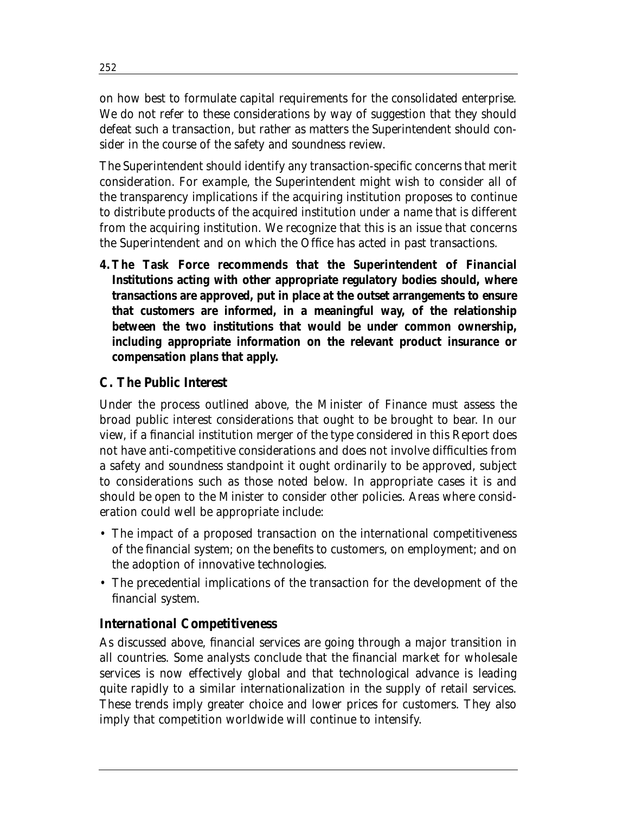on how best to formulate capital requirements for the consolidated enterprise. We do not refer to these considerations by way of suggestion that they should defeat such a transaction, but rather as matters the Superintendent should consider in the course of the safety and soundness review.

The Superintendent should identify any transaction-specific concerns that merit consideration. For example, the Superintendent might wish to consider all of the transparency implications if the acquiring institution proposes to continue to distribute products of the acquired institution under a name that is different from the acquiring institution. We recognize that this is an issue that concerns the Superintendent and on which the Office has acted in past transactions.

**4. The Task Force recommends that the Superintendent of Financial Institutions acting with other appropriate regulatory bodies should, where transactions are approved, put in place at the outset arrangements to ensure that customers are informed, in a meaningful way, of the relationship between the two institutions that would be under common ownership, including appropriate information on the relevant product insurance or compensation plans that apply.** 

## **C. The Public Interest**

Under the process outlined above, the Minister of Finance must assess the broad public interest considerations that ought to be brought to bear. In our view, if a financial institution merger of the type considered in this Report does not have anti-competitive considerations and does not involve difficulties from a safety and soundness standpoint it ought ordinarily to be approved, subject to considerations such as those noted below. In appropriate cases it is and should be open to the Minister to consider other policies. Areas where consideration could well be appropriate include:

- The impact of a proposed transaction on the international competitiveness of the financial system; on the benefits to customers, on employment; and on the adoption of innovative technologies.
- The precedential implications of the transaction for the development of the financial system.

## *International Competitiveness*

As discussed above, financial services are going through a major transition in all countries. Some analysts conclude that the financial market for wholesale services is now effectively global and that technological advance is leading quite rapidly to a similar internationalization in the supply of retail services. These trends imply greater choice and lower prices for customers. They also imply that competition worldwide will continue to intensify.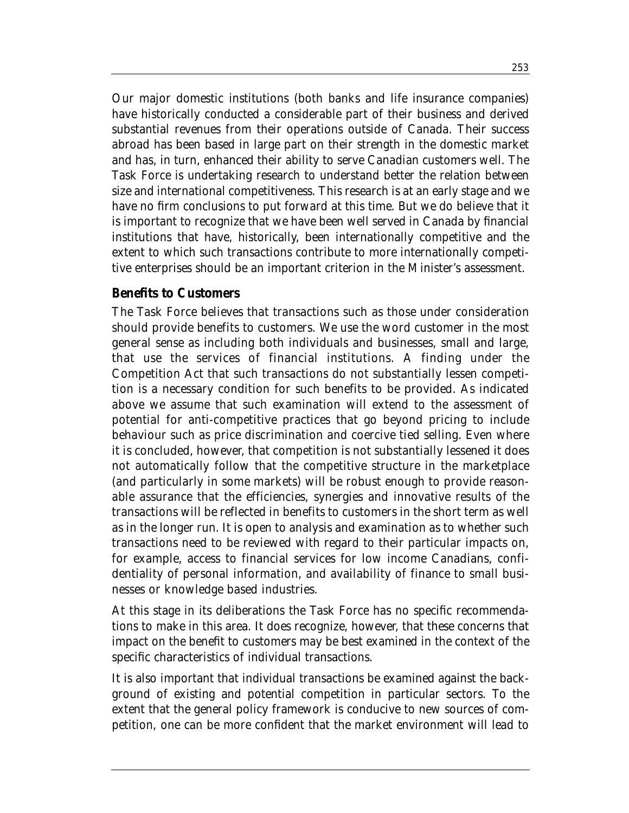Our major domestic institutions (both banks and life insurance companies) have historically conducted a considerable part of their business and derived substantial revenues from their operations outside of Canada. Their success abroad has been based in large part on their strength in the domestic market and has, in turn, enhanced their ability to serve Canadian customers well. The Task Force is undertaking research to understand better the relation between size and international competitiveness. This research is at an early stage and we have no firm conclusions to put forward at this time. But we do believe that it is important to recognize that we have been well served in Canada by financial institutions that have, historically, been internationally competitive and the extent to which such transactions contribute to more internationally competitive enterprises should be an important criterion in the Minister's assessment.

### *Benefits to Customers*

The Task Force believes that transactions such as those under consideration should provide benefits to customers. We use the word customer in the most general sense as including both individuals and businesses, small and large, that use the services of financial institutions. A finding under the *Competition Act* that such transactions do not substantially lessen competition is a necessary condition for such benefits to be provided. As indicated above we assume that such examination will extend to the assessment of potential for anti-competitive practices that go beyond pricing to include behaviour such as price discrimination and coercive tied selling. Even where it is concluded, however, that competition is not substantially lessened it does not automatically follow that the competitive structure in the marketplace (and particularly in some markets) will be robust enough to provide reasonable assurance that the efficiencies, synergies and innovative results of the transactions will be reflected in benefits to customers in the short term as well as in the longer run. It is open to analysis and examination as to whether such transactions need to be reviewed with regard to their particular impacts on, for example, access to financial services for low income Canadians, confidentiality of personal information, and availability of finance to small businesses or knowledge based industries.

At this stage in its deliberations the Task Force has no specific recommendations to make in this area. It does recognize, however, that these concerns that impact on the benefit to customers may be best examined in the context of the specific characteristics of individual transactions.

It is also important that individual transactions be examined against the background of existing and potential competition in particular sectors. To the extent that the general policy framework is conducive to new sources of competition, one can be more confident that the market environment will lead to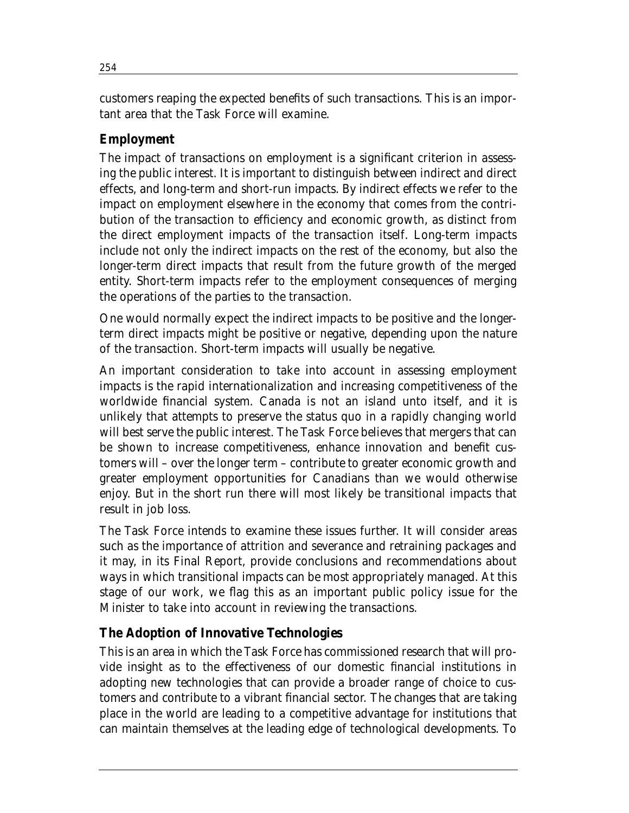customers reaping the expected benefits of such transactions. This is an important area that the Task Force will examine.

# *Employment*

The impact of transactions on employment is a significant criterion in assessing the public interest. It is important to distinguish between indirect and direct effects, and long-term and short-run impacts. By indirect effects we refer to the impact on employment elsewhere in the economy that comes from the contribution of the transaction to efficiency and economic growth, as distinct from the direct employment impacts of the transaction itself. Long-term impacts include not only the indirect impacts on the rest of the economy, but also the longer-term direct impacts that result from the future growth of the merged entity. Short-term impacts refer to the employment consequences of merging the operations of the parties to the transaction.

One would normally expect the indirect impacts to be positive and the longerterm direct impacts might be positive or negative, depending upon the nature of the transaction. Short-term impacts will usually be negative.

An important consideration to take into account in assessing employment impacts is the rapid internationalization and increasing competitiveness of the worldwide financial system. Canada is not an island unto itself, and it is unlikely that attempts to preserve the status quo in a rapidly changing world will best serve the public interest. The Task Force believes that mergers that can be shown to increase competitiveness, enhance innovation and benefit customers will – over the longer term – contribute to greater economic growth and greater employment opportunities for Canadians than we would otherwise enjoy. But in the short run there will most likely be transitional impacts that result in job loss.

The Task Force intends to examine these issues further. It will consider areas such as the importance of attrition and severance and retraining packages and it may, in its Final Report, provide conclusions and recommendations about ways in which transitional impacts can be most appropriately managed. At this stage of our work, we flag this as an important public policy issue for the Minister to take into account in reviewing the transactions.

### *The Adoption of Innovative Technologies*

This is an area in which the Task Force has commissioned research that will provide insight as to the effectiveness of our domestic financial institutions in adopting new technologies that can provide a broader range of choice to customers and contribute to a vibrant financial sector. The changes that are taking place in the world are leading to a competitive advantage for institutions that can maintain themselves at the leading edge of technological developments. To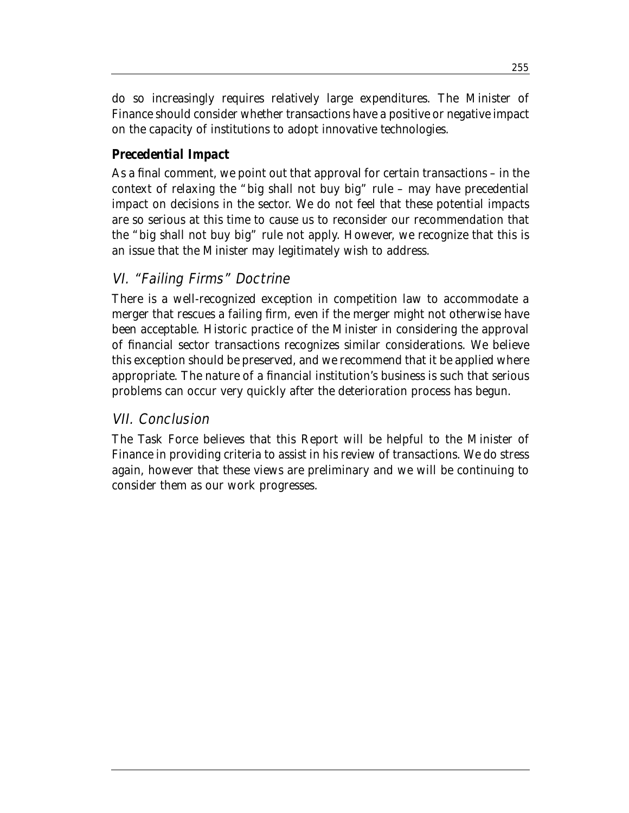do so increasingly requires relatively large expenditures. The Minister of Finance should consider whether transactions have a positive or negative impact on the capacity of institutions to adopt innovative technologies.

### *Precedential Impact*

As a final comment, we point out that approval for certain transactions – in the context of relaxing the "big shall not buy big" rule – may have precedential impact on decisions in the sector. We do not feel that these potential impacts are so serious at this time to cause us to reconsider our recommendation that the "big shall not buy big" rule not apply. However, we recognize that this is an issue that the Minister may legitimately wish to address.

# VI. "Failing Firms" Doctrine

There is a well-recognized exception in competition law to accommodate a merger that rescues a failing firm, even if the merger might not otherwise have been acceptable. Historic practice of the Minister in considering the approval of financial sector transactions recognizes similar considerations. We believe this exception should be preserved, and we recommend that it be applied where appropriate. The nature of a financial institution's business is such that serious problems can occur very quickly after the deterioration process has begun.

### VII. Conclusion

The Task Force believes that this Report will be helpful to the Minister of Finance in providing criteria to assist in his review of transactions. We do stress again, however that these views are preliminary and we will be continuing to consider them as our work progresses.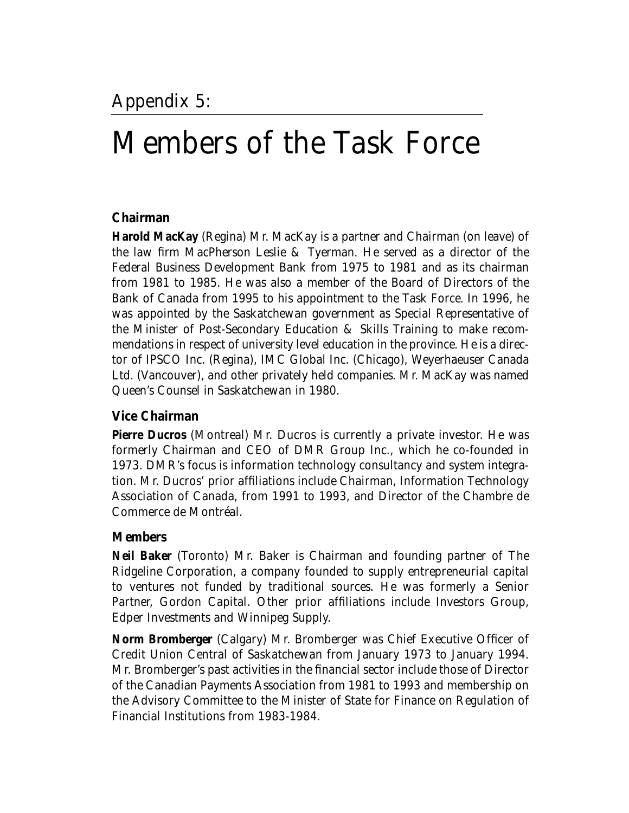# Members of the Task Force

### **Chairman**

**Harold MacKay** (Regina) Mr. MacKay is a partner and Chairman (on leave) of the law firm MacPherson Leslie & Tyerman. He served as a director of the Federal Business Development Bank from 1975 to 1981 and as its chairman from 1981 to 1985. He was also a member of the Board of Directors of the Bank of Canada from 1995 to his appointment to the Task Force. In 1996, he was appointed by the Saskatchewan government as Special Representative of the Minister of Post-Secondary Education & Skills Training to make recommendations in respect of university level education in the province. He is a director of IPSCO Inc. (Regina), IMC Global Inc. (Chicago), Weyerhaeuser Canada Ltd. (Vancouver), and other privately held companies. Mr. MacKay was named Queen's Counsel in Saskatchewan in 1980.

### **Vice Chairman**

**Pierre Ducros** (Montreal) Mr. Ducros is currently a private investor. He was formerly Chairman and CEO of DMR Group Inc., which he co-founded in 1973. DMR's focus is information technology consultancy and system integration. Mr. Ducros' prior affiliations include Chairman, Information Technology Association of Canada, from 1991 to 1993, and Director of the Chambre de Commerce de Montréal.

### **Members**

**Neil Baker** (Toronto) Mr. Baker is Chairman and founding partner of The Ridgeline Corporation, a company founded to supply entrepreneurial capital to ventures not funded by traditional sources. He was formerly a Senior Partner, Gordon Capital. Other prior affiliations include Investors Group, Edper Investments and Winnipeg Supply.

**Norm Bromberger** (Calgary) Mr. Bromberger was Chief Executive Officer of Credit Union Central of Saskatchewan from January 1973 to January 1994. Mr. Bromberger's past activities in the financial sector include those of Director of the Canadian Payments Association from 1981 to 1993 and membership on the Advisory Committee to the Minister of State for Finance on Regulation of Financial Institutions from 1983-1984.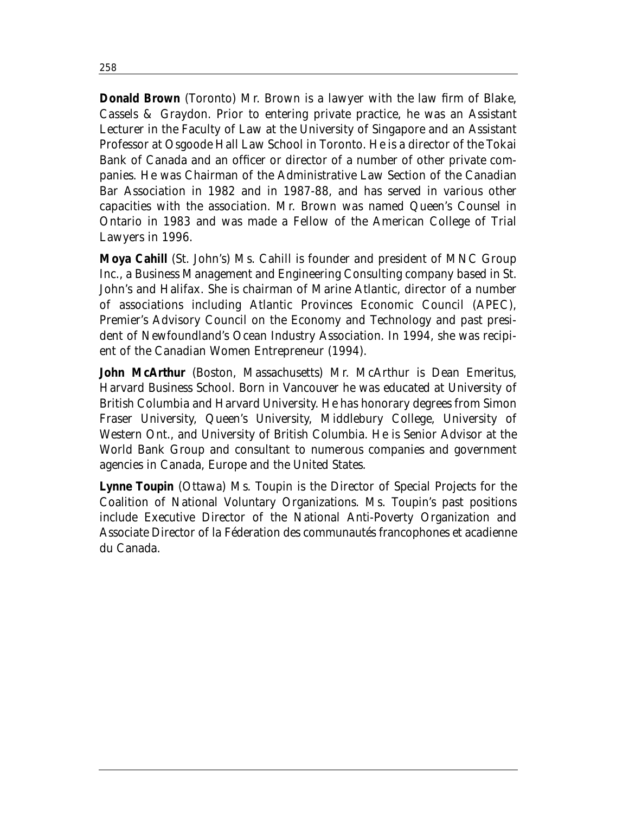**Donald Brown** (Toronto) Mr. Brown is a lawyer with the law firm of Blake, Cassels & Graydon. Prior to entering private practice, he was an Assistant Lecturer in the Faculty of Law at the University of Singapore and an Assistant Professor at Osgoode Hall Law School in Toronto. He is a director of the Tokai Bank of Canada and an officer or director of a number of other private companies. He was Chairman of the Administrative Law Section of the Canadian Bar Association in 1982 and in 1987-88, and has served in various other capacities with the association. Mr. Brown was named Queen's Counsel in Ontario in 1983 and was made a Fellow of the American College of Trial Lawyers in 1996.

**Moya Cahill** (St. John's) Ms. Cahill is founder and president of MNC Group Inc., a Business Management and Engineering Consulting company based in St. John's and Halifax. She is chairman of Marine Atlantic, director of a number of associations including Atlantic Provinces Economic Council (APEC), Premier's Advisory Council on the Economy and Technology and past president of Newfoundland's Ocean Industry Association. In 1994, she was recipient of the Canadian Women Entrepreneur (1994).

**John McArthur** (Boston, Massachusetts) Mr. McArthur is Dean Emeritus, Harvard Business School. Born in Vancouver he was educated at University of British Columbia and Harvard University. He has honorary degrees from Simon Fraser University, Queen's University, Middlebury College, University of Western Ont., and University of British Columbia. He is Senior Advisor at the World Bank Group and consultant to numerous companies and government agencies in Canada, Europe and the United States.

**Lynne Toupin** (Ottawa) Ms. Toupin is the Director of Special Projects for the Coalition of National Voluntary Organizations. Ms. Toupin's past positions include Executive Director of the National Anti-Poverty Organization and Associate Director of la Féderation des communautés francophones et acadienne du Canada.